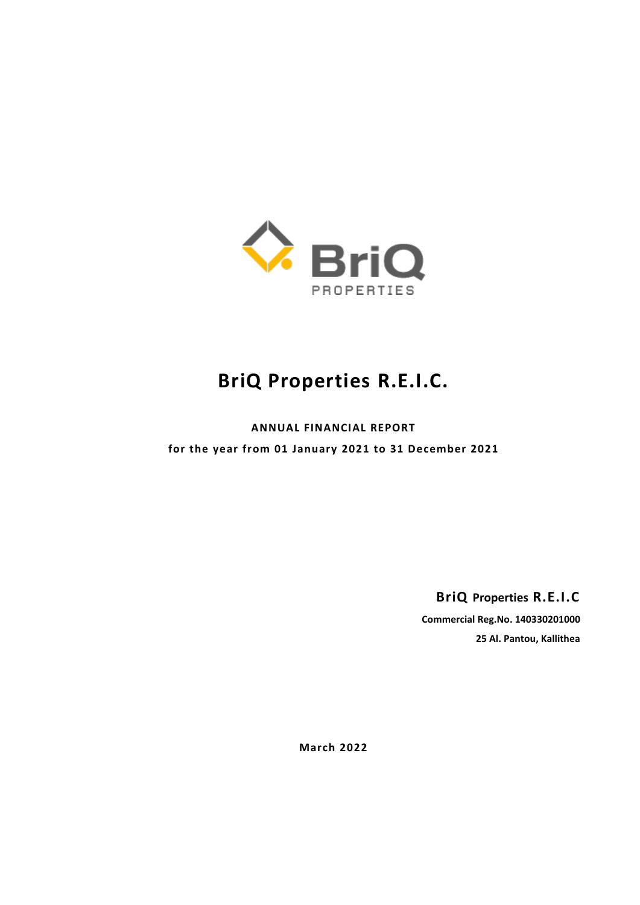

# **BriQ Properties R.E.I.C.**

**ANNUAL FINANCIAL REPORT for the year from 01 January 2021 to 31 December 2021**

**BriQ Properties R.E.I.C**

**Commercial Reg.No. 140330201000 25 Al. Pantou, Kallithea**

**March 2022**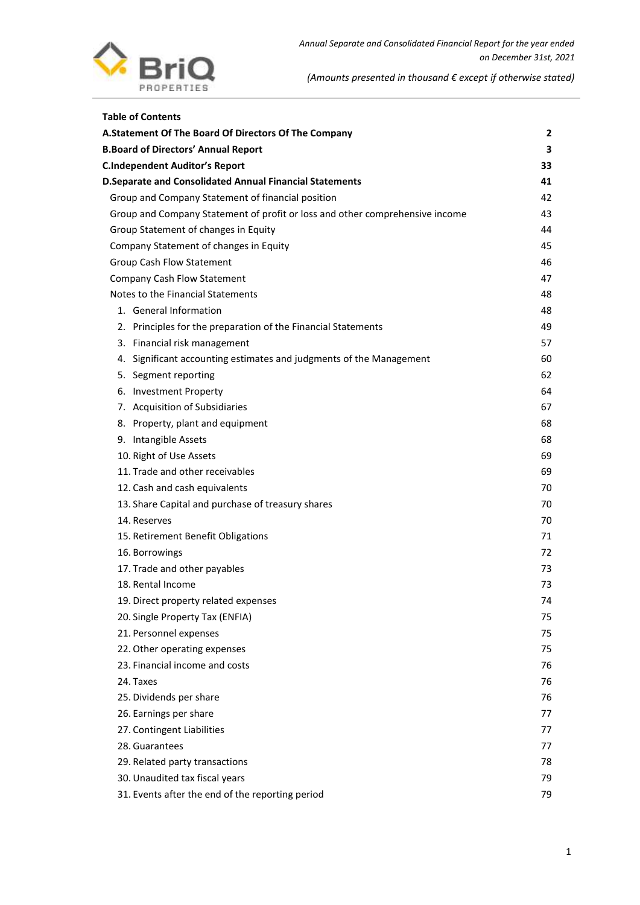

| <b>Table of Contents</b>                                                     |    |
|------------------------------------------------------------------------------|----|
| A.Statement Of The Board Of Directors Of The Company                         | 2  |
| <b>B.Board of Directors' Annual Report</b>                                   | з  |
| <b>C.Independent Auditor's Report</b>                                        | 33 |
| <b>D.Separate and Consolidated Annual Financial Statements</b>               | 41 |
| Group and Company Statement of financial position                            | 42 |
| Group and Company Statement of profit or loss and other comprehensive income | 43 |
| Group Statement of changes in Equity                                         | 44 |
| Company Statement of changes in Equity                                       | 45 |
| Group Cash Flow Statement                                                    | 46 |
| <b>Company Cash Flow Statement</b>                                           | 47 |
| Notes to the Financial Statements                                            | 48 |
| 1. General Information                                                       | 48 |
| 2. Principles for the preparation of the Financial Statements                | 49 |
| 3. Financial risk management                                                 | 57 |
| 4. Significant accounting estimates and judgments of the Management          | 60 |
| 5. Segment reporting                                                         | 62 |
| 6. Investment Property                                                       | 64 |
| 7. Acquisition of Subsidiaries                                               | 67 |
| 8. Property, plant and equipment                                             | 68 |
| 9. Intangible Assets                                                         | 68 |
| 10. Right of Use Assets                                                      | 69 |
| 11. Trade and other receivables                                              | 69 |
| 12. Cash and cash equivalents                                                | 70 |
| 13. Share Capital and purchase of treasury shares                            | 70 |
| 14. Reserves                                                                 | 70 |
| 15. Retirement Benefit Obligations                                           | 71 |
| 16. Borrowings                                                               | 72 |
| 17. Trade and other payables                                                 | 73 |
| 18. Rental Income                                                            | 73 |
| 19. Direct property related expenses                                         | 74 |
| 20. Single Property Tax (ENFIA)                                              | 75 |
| 21. Personnel expenses                                                       | 75 |
| 22. Other operating expenses                                                 | 75 |
| 23. Financial income and costs                                               | 76 |
| 24. Taxes                                                                    | 76 |
| 25. Dividends per share                                                      | 76 |
| 26. Earnings per share                                                       | 77 |
| 27. Contingent Liabilities                                                   | 77 |
| 28. Guarantees                                                               | 77 |
| 29. Related party transactions                                               | 78 |
| 30. Unaudited tax fiscal years                                               | 79 |
| 31. Events after the end of the reporting period                             | 79 |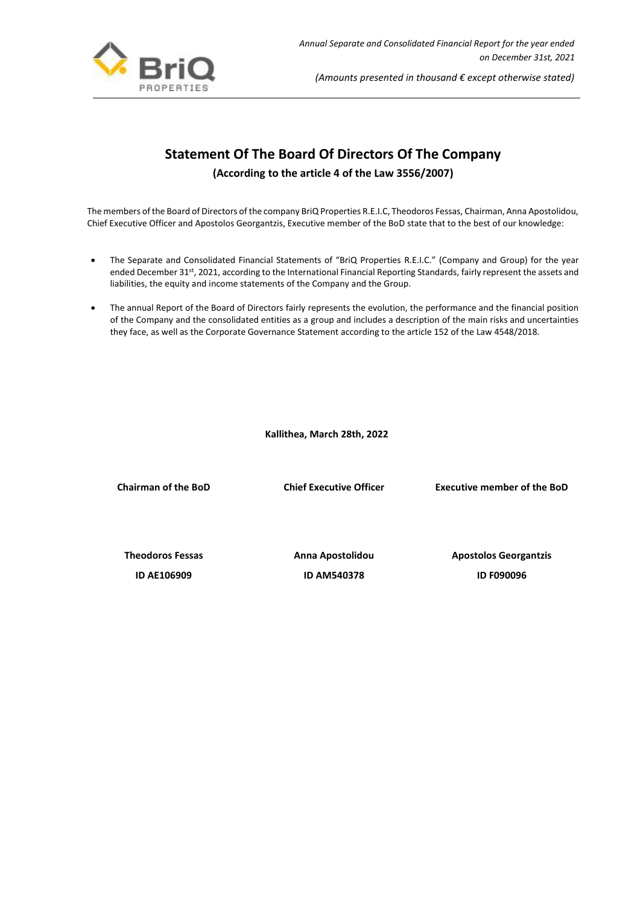

# **Statement Of The Board Of Directors Of The Company**

**(According to the article 4 of the Law 3556/2007)**

<span id="page-2-0"></span>The members of the Board of Directors of the company BriQ Properties R.E.I.C, Theodoros Fessas, Chairman, Anna Apostolidou, Chief Executive Officer and Apostolos Georgantzis, Executive member of the BoD state that to the best of our knowledge:

- The Separate and Consolidated Financial Statements of "BriQ Properties R.E.I.C." (Company and Group) for the year ended December 31<sup>st</sup>, 2021, according to the International Financial Reporting Standards, fairly represent the assets and liabilities, the equity and income statements of the Company and the Group.
- The annual Report of the Board of Directors fairly represents the evolution, the performance and the financial position of the Company and the consolidated entities as a group and includes a description of the main risks and uncertainties they face, as well as the Corporate Governance Statement according to the article 152 of the Law 4548/2018.

 **Kallithea, March 28th, 2022**

**Chairman of the BoD Chief Executive Officer Executive member of the BoD**

**Theodoros Fessas Anna Apostolidou Apostolos Georgantzis ID AΕ106909 ID AΜ540378 ID F090096**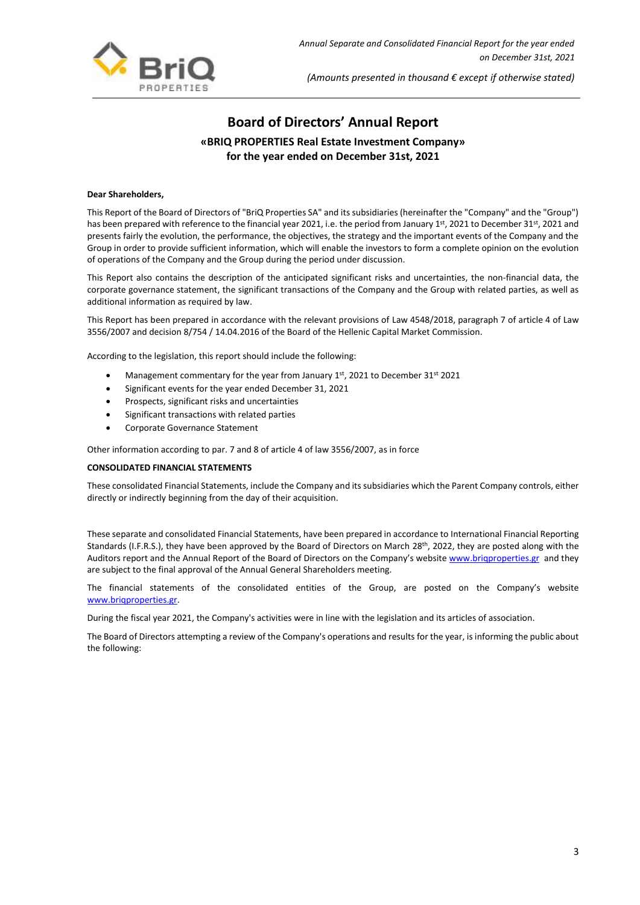

# **Board of Directors' Annual Report «BRIQ PROPERTIES Real Estate Investment Company» for the year ended on December 31st, 2021**

## <span id="page-3-0"></span>**Dear Shareholders,**

This Report of the Board of Directors of "BriQ Properties SA" and its subsidiaries (hereinafter the "Company" and the "Group") has been prepared with reference to the financial year 2021, i.e. the period from January 1st, 2021 to December 31st, 2021 and presents fairly the evolution, the performance, the objectives, the strategy and the important events of the Company and the Group in order to provide sufficient information, which will enable the investors to form a complete opinion on the evolution of operations of the Company and the Group during the period under discussion.

This Report also contains the description of the anticipated significant risks and uncertainties, the non-financial data, the corporate governance statement, the significant transactions of the Company and the Group with related parties, as well as additional information as required by law.

This Report has been prepared in accordance with the relevant provisions of Law 4548/2018, paragraph 7 of article 4 of Law 3556/2007 and decision 8/754 / 14.04.2016 of the Board of the Hellenic Capital Market Commission.

According to the legislation, this report should include the following:

- Management commentary for the year from January 1st, 2021 to December 31st 2021
- Significant events for the year ended December 31, 2021
- Prospects, significant risks and uncertainties
- Significant transactions with related parties
- Corporate Governance Statement

Other information according to par. 7 and 8 of article 4 of law 3556/2007, as in force

#### **CONSOLIDATED FINANCIAL STATEMENTS**

These consolidated Financial Statements, include the Company and its subsidiaries which the Parent Company controls, either directly or indirectly beginning from the day of their acquisition.

These separate and consolidated Financial Statements, have been prepared in accordance to International Financial Reporting Standards (I.F.R.S.), they have been approved by the Board of Directors on March 28<sup>th</sup>, 2022, they are posted along with the Auditors report and the Annual Report of the Board of Directors on the Company's website www.brigproperties.gr and they are subject to the final approval of the Annual General Shareholders meeting.

The financial statements of the consolidated entities of the Group, are posted on the Company's website [www.briqproperties.gr.](http://www.briqproperties.gr/)

During the fiscal year 2021, the Company's activities were in line with the legislation and its articles of association.

The Board of Directors attempting a review of the Company's operations and results for the year, is informing the public about the following: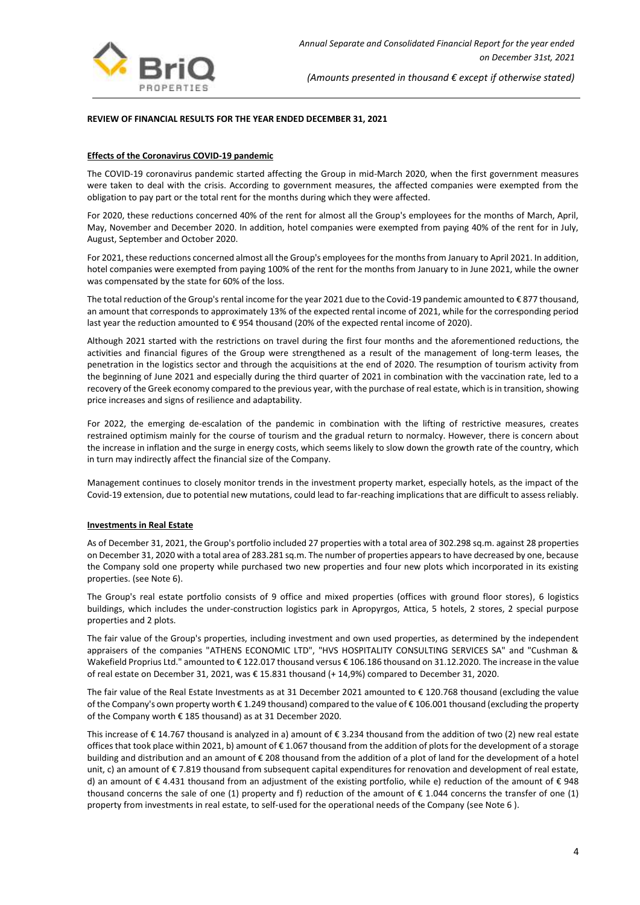

## **REVIEW OF FINANCIAL RESULTS FOR THE YEAR ENDED DECEMBER 31, 2021**

#### **Effects of the Coronavirus COVID-19 pandemic**

The COVID-19 coronavirus pandemic started affecting the Group in mid-March 2020, when the first government measures were taken to deal with the crisis. According to government measures, the affected companies were exempted from the obligation to pay part or the total rent for the months during which they were affected.

For 2020, these reductions concerned 40% of the rent for almost all the Group's employees for the months of March, April, May, November and December 2020. In addition, hotel companies were exempted from paying 40% of the rent for in July, August, September and October 2020.

For 2021, these reductions concerned almost all the Group's employees for the months from January to April 2021. In addition, hotel companies were exempted from paying 100% of the rent for the months from January to in June 2021, while the owner was compensated by the state for 60% of the loss.

The total reduction of the Group's rental income for the year 2021 due to the Covid-19 pandemic amounted to € 877 thousand, an amount that corresponds to approximately 13% of the expected rental income of 2021, while for the corresponding period last year the reduction amounted to € 954 thousand (20% of the expected rental income of 2020).

Although 2021 started with the restrictions on travel during the first four months and the aforementioned reductions, the activities and financial figures of the Group were strengthened as a result of the management of long-term leases, the penetration in the logistics sector and through the acquisitions at the end of 2020. The resumption of tourism activity from the beginning of June 2021 and especially during the third quarter of 2021 in combination with the vaccination rate, led to a recovery of the Greek economy compared to the previous year, with the purchase of real estate, which is in transition, showing price increases and signs of resilience and adaptability.

For 2022, the emerging de-escalation of the pandemic in combination with the lifting of restrictive measures, creates restrained optimism mainly for the course of tourism and the gradual return to normalcy. However, there is concern about the increase in inflation and the surge in energy costs, which seems likely to slow down the growth rate of the country, which in turn may indirectly affect the financial size of the Company.

Management continues to closely monitor trends in the investment property market, especially hotels, as the impact of the Covid-19 extension, due to potential new mutations, could lead to far-reaching implications that are difficult to assess reliably.

#### **Investments in Real Estate**

As of December 31, 2021, the Group's portfolio included 27 properties with a total area of 302.298 sq.m. against 28 properties on December 31, 2020 with a total area of 283.281 sq.m. The number of properties appears to have decreased by one, because the Company sold one property while purchased two new properties and four new plots which incorporated in its existing properties. (see Note 6).

The Group's real estate portfolio consists of 9 office and mixed properties (offices with ground floor stores), 6 logistics buildings, which includes the under-construction logistics park in Apropyrgos, Attica, 5 hotels, 2 stores, 2 special purpose properties and 2 plots.

The fair value of the Group's properties, including investment and own used properties, as determined by the independent appraisers of the companies "ATHENS ECONOMIC LTD", "HVS HOSPITALITY CONSULTING SERVICES SA" and "Cushman & Wakefield Proprius Ltd." amounted to € 122.017 thousand versus € 106.186 thousand on 31.12.2020. The increase in the value of real estate on December 31, 2021, was € 15.831 thousand (+ 14,9%) compared to December 31, 2020.

The fair value of the Real Estate Investments as at 31 December 2021 amounted to € 120.768 thousand (excluding the value of the Company's own property worth € 1.249 thousand) compared to the value of € 106.001 thousand (excluding the property of the Company worth € 185 thousand) as at 31 December 2020.

This increase of € 14.767 thousand is analyzed in a) amount of € 3.234 thousand from the addition of two (2) new real estate offices that took place within 2021, b) amount of € 1.067 thousand from the addition of plots for the development of a storage building and distribution and an amount of € 208 thousand from the addition of a plot of land for the development of a hotel unit, c) an amount of € 7.819 thousand from subsequent capital expenditures for renovation and development of real estate, d) an amount of  $\epsilon$  4.431 thousand from an adjustment of the existing portfolio, while e) reduction of the amount of  $\epsilon$  948 thousand concerns the sale of one (1) property and f) reduction of the amount of  $\epsilon$  1.044 concerns the transfer of one (1) property from investments in real estate, to self-used for the operational needs of the Company (see Note 6 ).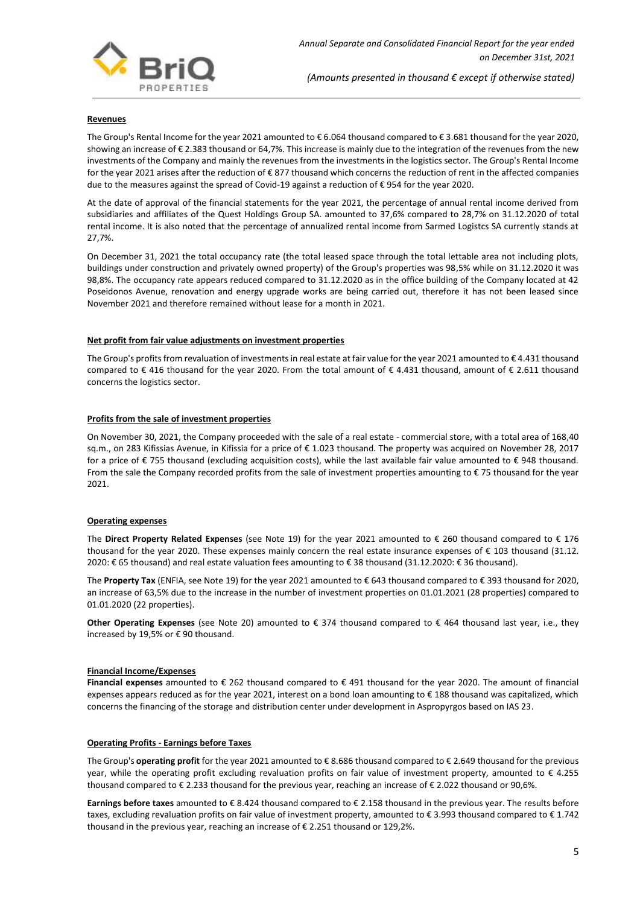

#### **Revenues**

The Group's Rental Income for the year 2021 amounted to € 6.064 thousand compared to € 3.681 thousand for the year 2020, showing an increase of €2.383 thousand or 64,7%. This increase is mainly due to the integration of the revenues from the new investments of the Company and mainly the revenues from the investments in the logistics sector. The Group's Rental Income for the year 2021 arises after the reduction of € 877 thousand which concerns the reduction of rent in the affected companies due to the measures against the spread of Covid-19 against a reduction of € 954 for the year 2020.

At the date of approval of the financial statements for the year 2021, the percentage of annual rental income derived from subsidiaries and affiliates of the Quest Holdings Group SA. amounted to 37,6% compared to 28,7% on 31.12.2020 of total rental income. It is also noted that the percentage of annualized rental income from Sarmed Logistcs SA currently stands at 27,7%.

On December 31, 2021 the total occupancy rate (the total leased space through the total lettable area not including plots, buildings under construction and privately owned property) of the Group's properties was 98,5% while on 31.12.2020 it was 98,8%. The occupancy rate appears reduced compared to 31.12.2020 as in the office building of the Company located at 42 Poseidonos Avenue, renovation and energy upgrade works are being carried out, therefore it has not been leased since November 2021 and therefore remained without lease for a month in 2021.

#### **Net profit from fair value adjustments on investment properties**

The Group's profits from revaluation of investments in real estate at fair value for the year 2021 amounted to € 4.431 thousand compared to € 416 thousand for the year 2020. From the total amount of € 4.431 thousand, amount of € 2.611 thousand concerns the logistics sector.

## **Profits from the sale of investment properties**

On November 30, 2021, the Company proceeded with the sale of a real estate - commercial store, with a total area of 168,40 sq.m., on 283 Kifissias Avenue, in Kifissia for a price of € 1.023 thousand. The property was acquired on November 28, 2017 for a price of € 755 thousand (excluding acquisition costs), while the last available fair value amounted to € 948 thousand. From the sale the Company recorded profits from the sale of investment properties amounting to € 75 thousand for the year 2021.

## **Operating expenses**

The **Direct Property Related Expenses** (see Note 19) for the year 2021 amounted to € 260 thousand compared to € 176 thousand for the year 2020. These expenses mainly concern the real estate insurance expenses of € 103 thousand (31.12. 2020: € 65 thousand) and real estate valuation fees amounting to € 38 thousand (31.12.2020: € 36 thousand).

The **Property Tax** (ENFIA, see Note 19) for the year 2021 amounted to € 643 thousand compared to € 393 thousand for 2020, an increase of 63,5% due to the increase in the number of investment properties on 01.01.2021 (28 properties) compared to 01.01.2020 (22 properties).

**Other Operating Expenses** (see Note 20) amounted to € 374 thousand compared to € 464 thousand last year, i.e., they increased by 19,5% or € 90 thousand.

#### **Financial Income/Expenses**

**Financial expenses** amounted to € 262 thousand compared to € 491 thousand for the year 2020. The amount of financial expenses appears reduced as for the year 2021, interest on a bond loan amounting to € 188 thousand was capitalized, which concerns the financing of the storage and distribution center under development in Aspropyrgos based on IAS 23.

#### **Operating Profits - Earnings before Taxes**

The Group's **operating profit** for the year 2021 amounted to € 8.686 thousand compared to € 2.649 thousand for the previous year, while the operating profit excluding revaluation profits on fair value of investment property, amounted to € 4.255 thousand compared to € 2.233 thousand for the previous year, reaching an increase of € 2.022 thousand or 90,6%.

**Earnings before taxes** amounted to € 8.424 thousand compared to € 2.158 thousand in the previous year. The results before taxes, excluding revaluation profits on fair value of investment property, amounted to € 3.993 thousand compared to € 1.742 thousand in the previous year, reaching an increase of € 2.251 thousand or 129,2%.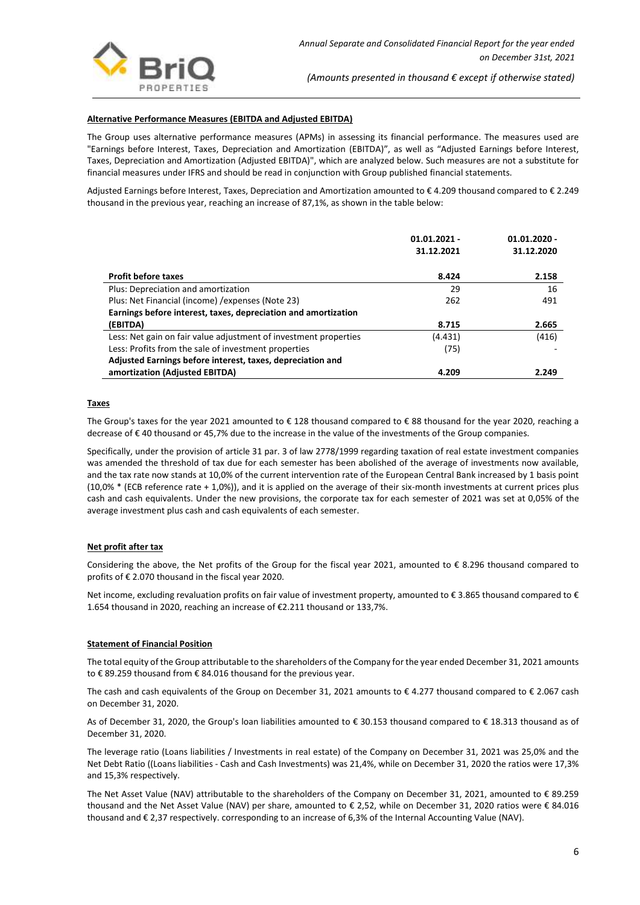

## **Alternative Performance Measures (EBITDA and Adjusted EBITDA)**

The Group uses alternative performance measures (APMs) in assessing its financial performance. The measures used are "Earnings before Interest, Taxes, Depreciation and Amortization (EBITDA)", as well as "Adjusted Earnings before Interest, Taxes, Depreciation and Amortization (Adjusted EBITDA)", which are analyzed below. Such measures are not a substitute for financial measures under IFRS and should be read in conjunction with Group published financial statements.

Adjusted Earnings before Interest, Taxes, Depreciation and Amortization amounted to € 4.209 thousand compared to € 2.249 thousand in the previous year, reaching an increase of 87,1%, as shown in the table below:

|                                                                  | $01.01.2021 -$<br>31.12.2021 | $01.01.2020 -$<br>31.12.2020 |
|------------------------------------------------------------------|------------------------------|------------------------------|
| <b>Profit before taxes</b>                                       | 8.424                        | 2.158                        |
| Plus: Depreciation and amortization                              | 29                           | 16                           |
| Plus: Net Financial (income) / expenses (Note 23)                | 262                          | 491                          |
| Earnings before interest, taxes, depreciation and amortization   |                              |                              |
| (EBITDA)                                                         | 8.715                        | 2.665                        |
| Less: Net gain on fair value adjustment of investment properties | (4.431)                      | (416)                        |
| Less: Profits from the sale of investment properties             | (75)                         |                              |
| Adjusted Earnings before interest, taxes, depreciation and       |                              |                              |
| amortization (Adjusted EBITDA)                                   | 4.209                        | 2.249                        |

## **Taxes**

The Group's taxes for the year 2021 amounted to € 128 thousand compared to € 88 thousand for the year 2020, reaching a decrease of € 40 thousand or 45,7% due to the increase in the value of the investments of the Group companies.

Specifically, under the provision of article 31 par. 3 of law 2778/1999 regarding taxation of real estate investment companies was amended the threshold of tax due for each semester has been abolished of the average of investments now available, and the tax rate now stands at 10,0% of the current intervention rate of the European Central Bank increased by 1 basis point (10,0% \* (ECB reference rate + 1,0%)), and it is applied on the average of their six-month investments at current prices plus cash and cash equivalents. Under the new provisions, the corporate tax for each semester of 2021 was set at 0,05% of the average investment plus cash and cash equivalents of each semester.

## **Net profit after tax**

Considering the above, the Net profits of the Group for the fiscal year 2021, amounted to  $\epsilon$  8.296 thousand compared to profits of € 2.070 thousand in the fiscal year 2020.

Net income, excluding revaluation profits on fair value of investment property, amounted to €3.865 thousand compared to € 1.654 thousand in 2020, reaching an increase of €2.211 thousand or 133,7%.

## **Statement of Financial Position**

The total equity of the Group attributable to the shareholders of the Company for the year ended December 31, 2021 amounts to € 89.259 thousand from € 84.016 thousand for the previous year.

The cash and cash equivalents of the Group on December 31, 2021 amounts to € 4.277 thousand compared to € 2.067 cash on December 31, 2020.

As of December 31, 2020, the Group's loan liabilities amounted to € 30.153 thousand compared to € 18.313 thousand as of December 31, 2020.

The leverage ratio (Loans liabilities / Investments in real estate) of the Company on December 31, 2021 was 25,0% and the Net Debt Ratio ((Loans liabilities - Cash and Cash Investments) was 21,4%, while on December 31, 2020 the ratios were 17,3% and 15,3% respectively.

The Net Asset Value (NAV) attributable to the shareholders of the Company on December 31, 2021, amounted to € 89.259 thousand and the Net Asset Value (NAV) per share, amounted to € 2,52, while on December 31, 2020 ratios were € 84.016 thousand and € 2,37 respectively. corresponding to an increase of 6,3% of the Internal Accounting Value (NAV).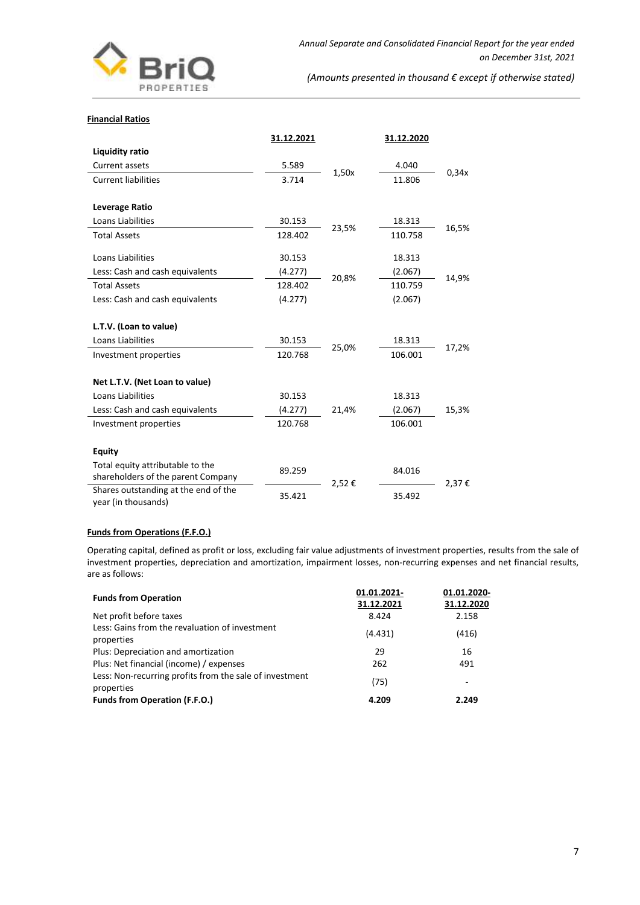

#### **Financial Ratios**

|                                                             | 31.12.2021 |       | 31.12.2020 |       |
|-------------------------------------------------------------|------------|-------|------------|-------|
| <b>Liquidity ratio</b>                                      |            |       |            |       |
| Current assets                                              | 5.589      |       | 4.040      |       |
| <b>Current liabilities</b>                                  | 3.714      | 1,50x | 11.806     | 0.34x |
|                                                             |            |       |            |       |
| Leverage Ratio                                              |            |       |            |       |
| Loans Liabilities                                           | 30.153     | 23,5% | 18.313     | 16,5% |
| <b>Total Assets</b>                                         | 128.402    |       | 110.758    |       |
| Loans Liabilities                                           | 30.153     |       | 18.313     |       |
| Less: Cash and cash equivalents                             | (4.277)    | 20,8% | (2.067)    | 14,9% |
| <b>Total Assets</b>                                         | 128.402    |       | 110.759    |       |
| Less: Cash and cash equivalents                             | (4.277)    |       | (2.067)    |       |
| L.T.V. (Loan to value)                                      |            |       |            |       |
| Loans Liabilities                                           | 30.153     | 25,0% | 18.313     | 17,2% |
| Investment properties                                       | 120.768    |       | 106.001    |       |
| Net L.T.V. (Net Loan to value)                              |            |       |            |       |
| Loans Liabilities                                           | 30.153     |       | 18.313     |       |
| Less: Cash and cash equivalents                             | (4.277)    | 21,4% | (2.067)    | 15,3% |
| Investment properties                                       | 120.768    |       | 106.001    |       |
| <b>Equity</b><br>Total equity attributable to the           |            |       |            |       |
| shareholders of the parent Company                          | 89.259     | 2,52€ | 84.016     | 2,37€ |
| Shares outstanding at the end of the<br>year (in thousands) | 35.421     |       | 35.492     |       |

# **Funds from Operations (F.F.O.)**

Operating capital, defined as profit or loss, excluding fair value adjustments of investment properties, results from the sale of investment properties, depreciation and amortization, impairment losses, non-recurring expenses and net financial results, are as follows:

| 01.01.2021- | 01.01.2020-<br>31.12.2020 |
|-------------|---------------------------|
| 8.424       | 2.158                     |
| (4.431)     | (416)                     |
| 29          | 16                        |
| 262         | 491                       |
| (75)        | ٠                         |
| 4.209       | 2.249                     |
|             | 31.12.2021                |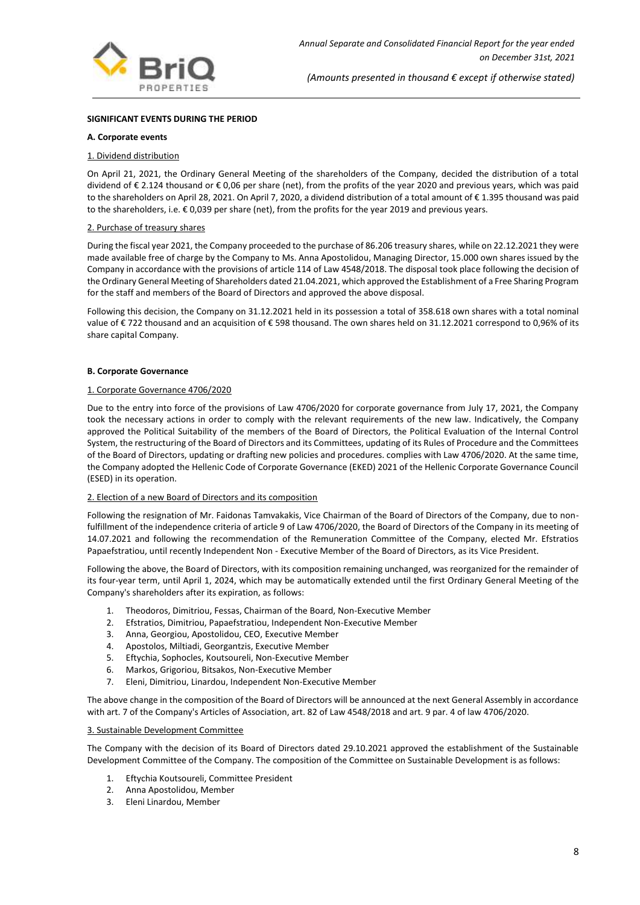

## **SIGNIFICANT EVENTS DURING THE PERIOD**

#### **A. Corporate events**

#### 1. Dividend distribution

On April 21, 2021, the Ordinary General Meeting of the shareholders of the Company, decided the distribution of a total dividend of € 2.124 thousand or € 0,06 per share (net), from the profits of the year 2020 and previous years, which was paid to the shareholders on April 28, 2021. On April 7, 2020, a dividend distribution of a total amount of € 1.395 thousand was paid to the shareholders, i.e. € 0,039 per share (net), from the profits for the year 2019 and previous years.

#### 2. Purchase of treasury shares

During the fiscal year 2021, the Company proceeded to the purchase of 86.206 treasury shares, while on 22.12.2021 they were made available free of charge by the Company to Ms. Anna Apostolidou, Managing Director, 15.000 own shares issued by the Company in accordance with the provisions of article 114 of Law 4548/2018. The disposal took place following the decision of the Ordinary General Meeting of Shareholders dated 21.04.2021, which approved the Establishment of a Free Sharing Program for the staff and members of the Board of Directors and approved the above disposal.

Following this decision, the Company on 31.12.2021 held in its possession a total of 358.618 own shares with a total nominal value of € 722 thousand and an acquisition of € 598 thousand. The own shares held on 31.12.2021 correspond to 0,96% of its share capital Company.

#### **B. Corporate Governance**

#### 1. Corporate Governance 4706/2020

Due to the entry into force of the provisions of Law 4706/2020 for corporate governance from July 17, 2021, the Company took the necessary actions in order to comply with the relevant requirements of the new law. Indicatively, the Company approved the Political Suitability of the members of the Board of Directors, the Political Evaluation of the Internal Control System, the restructuring of the Board of Directors and its Committees, updating of its Rules of Procedure and the Committees of the Board of Directors, updating or drafting new policies and procedures. complies with Law 4706/2020. At the same time, the Company adopted the Hellenic Code of Corporate Governance (EKED) 2021 of the Hellenic Corporate Governance Council (ESED) in its operation.

#### 2. Election of a new Board of Directors and its composition

Following the resignation of Mr. Faidonas Tamvakakis, Vice Chairman of the Board of Directors of the Company, due to nonfulfillment of the independence criteria of article 9 of Law 4706/2020, the Board of Directors of the Company in its meeting of 14.07.2021 and following the recommendation of the Remuneration Committee of the Company, elected Mr. Efstratios Papaefstratiou, until recently Independent Non - Executive Member of the Board of Directors, as its Vice President.

Following the above, the Board of Directors, with its composition remaining unchanged, was reorganized for the remainder of its four-year term, until April 1, 2024, which may be automatically extended until the first Ordinary General Meeting of the Company's shareholders after its expiration, as follows:

- 1. Theodoros, Dimitriou, Fessas, Chairman of the Board, Non-Executive Member
- 2. Efstratios, Dimitriou, Papaefstratiou, Independent Non-Executive Member
- 3. Anna, Georgiou, Apostolidou, CEO, Executive Member
- 4. Apostolos, Miltiadi, Georgantzis, Executive Member
- 5. Eftychia, Sophocles, Koutsoureli, Non-Executive Member
- 6. Markos, Grigoriou, Bitsakos, Non-Executive Member
- 7. Eleni, Dimitriou, Linardou, Independent Non-Executive Member

The above change in the composition of the Board of Directors will be announced at the next General Assembly in accordance with art. 7 of the Company's Articles of Association, art. 82 of Law 4548/2018 and art. 9 par. 4 of law 4706/2020.

#### 3. Sustainable Development Committee

The Company with the decision of its Board of Directors dated 29.10.2021 approved the establishment of the Sustainable Development Committee of the Company. The composition of the Committee on Sustainable Development is as follows:

- 1. Eftychia Koutsoureli, Committee President
- 2. Anna Apostolidou, Member
- 3. Eleni Linardou, Member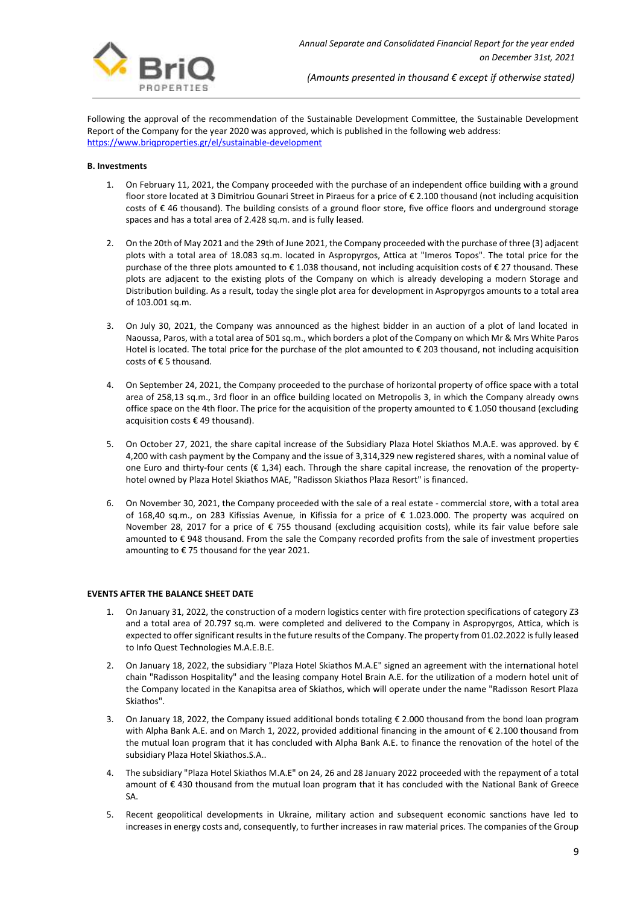

Following the approval of the recommendation of the Sustainable Development Committee, the Sustainable Development Report of the Company for the year 2020 was approved, which is published in the following web address: <https://www.briqproperties.gr/el/sustainable-development>

#### **Β. Investments**

- 1. On February 11, 2021, the Company proceeded with the purchase of an independent office building with a ground floor store located at 3 Dimitriou Gounari Street in Piraeus for a price of € 2.100 thousand (not including acquisition costs of € 46 thousand). The building consists of a ground floor store, five office floors and underground storage spaces and has a total area of 2.428 sq.m. and is fully leased.
- 2. On the 20th of May 2021 and the 29th of June 2021, the Company proceeded with the purchase of three (3) adjacent plots with a total area of 18.083 sq.m. located in Aspropyrgos, Attica at "Imeros Topos". The total price for the purchase of the three plots amounted to  $\epsilon$  1.038 thousand, not including acquisition costs of  $\epsilon$  27 thousand. These plots are adjacent to the existing plots of the Company on which is already developing a modern Storage and Distribution building. As a result, today the single plot area for development in Aspropyrgos amounts to a total area of 103.001 sq.m.
- 3. On July 30, 2021, the Company was announced as the highest bidder in an auction of a plot of land located in Naoussa, Paros, with a total area of 501 sq.m., which borders a plot of the Company on which Mr & Mrs White Paros Hotel is located. The total price for the purchase of the plot amounted to  $\epsilon$  203 thousand, not including acquisition costs of € 5 thousand.
- 4. On September 24, 2021, the Company proceeded to the purchase of horizontal property of office space with a total area of 258,13 sq.m., 3rd floor in an office building located on Metropolis 3, in which the Company already owns office space on the 4th floor. The price for the acquisition of the property amounted to € 1.050 thousand (excluding acquisition costs € 49 thousand).
- 5. On October 27, 2021, the share capital increase of the Subsidiary Plaza Hotel Skiathos M.A.E. was approved. by € 4,200 with cash payment by the Company and the issue of 3,314,329 new registered shares, with a nominal value of one Euro and thirty-four cents (€ 1,34) each. Through the share capital increase, the renovation of the propertyhotel owned by Plaza Hotel Skiathos MAE, "Radisson Skiathos Plaza Resort" is financed.
- 6. On November 30, 2021, the Company proceeded with the sale of a real estate commercial store, with a total area of 168,40 sq.m., on 283 Kifissias Avenue, in Kifissia for a price of € 1.023.000. The property was acquired on November 28, 2017 for a price of € 755 thousand (excluding acquisition costs), while its fair value before sale amounted to € 948 thousand. From the sale the Company recorded profits from the sale of investment properties amounting to € 75 thousand for the year 2021.

## **EVENTS AFTER THE BALANCE SHEET DATE**

- 1. On January 31, 2022, the construction of a modern logistics center with fire protection specifications of category Z3 and a total area of 20.797 sq.m. were completed and delivered to the Company in Aspropyrgos, Attica, which is expected to offer significant results in the future results of the Company. The property from 01.02.2022 is fully leased to Info Quest Technologies M.A.E.B.E.
- 2. On January 18, 2022, the subsidiary "Plaza Hotel Skiathos M.A.E" signed an agreement with the international hotel chain "Radisson Hospitality" and the leasing company Hotel Brain A.E. for the utilization of a modern hotel unit of the Company located in the Kanapitsa area of Skiathos, which will operate under the name "Radisson Resort Plaza Skiathos".
- 3. On January 18, 2022, the Company issued additional bonds totaling € 2.000 thousand from the bond loan program with Alpha Bank A.E. and on March 1, 2022, provided additional financing in the amount of € 2.100 thousand from the mutual loan program that it has concluded with Alpha Bank A.E. to finance the renovation of the hotel of the subsidiary Plaza Hotel Skiathos.S.A..
- 4. The subsidiary "Plaza Hotel Skiathos M.A.E" on 24, 26 and 28 January 2022 proceeded with the repayment of a total amount of € 430 thousand from the mutual loan program that it has concluded with the National Bank of Greece SA.
- 5. Recent geopolitical developments in Ukraine, military action and subsequent economic sanctions have led to increases in energy costs and, consequently, to further increases in raw material prices. The companies of the Group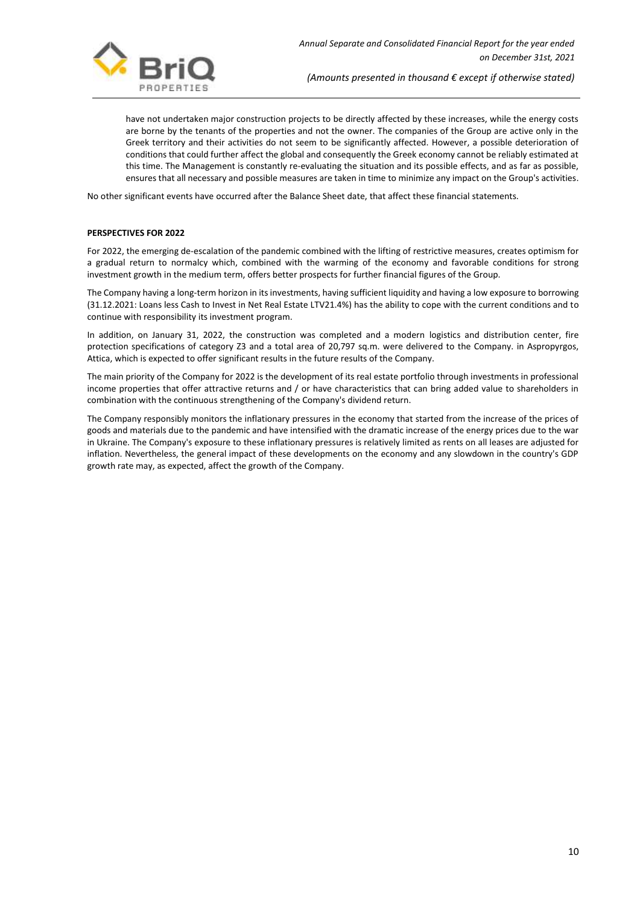

have not undertaken major construction projects to be directly affected by these increases, while the energy costs are borne by the tenants of the properties and not the owner. The companies of the Group are active only in the Greek territory and their activities do not seem to be significantly affected. However, a possible deterioration of conditions that could further affect the global and consequently the Greek economy cannot be reliably estimated at this time. The Management is constantly re-evaluating the situation and its possible effects, and as far as possible, ensures that all necessary and possible measures are taken in time to minimize any impact on the Group's activities.

No other significant events have occurred after the Balance Sheet date, that affect these financial statements.

## **PERSPECTIVES FOR 2022**

For 2022, the emerging de-escalation of the pandemic combined with the lifting of restrictive measures, creates optimism for a gradual return to normalcy which, combined with the warming of the economy and favorable conditions for strong investment growth in the medium term, offers better prospects for further financial figures of the Group.

The Company having a long-term horizon in its investments, having sufficient liquidity and having a low exposure to borrowing (31.12.2021: Loans less Cash to Invest in Net Real Estate LTV21.4%) has the ability to cope with the current conditions and to continue with responsibility its investment program.

In addition, on January 31, 2022, the construction was completed and a modern logistics and distribution center, fire protection specifications of category Z3 and a total area of 20,797 sq.m. were delivered to the Company. in Aspropyrgos, Attica, which is expected to offer significant results in the future results of the Company.

The main priority of the Company for 2022 is the development of its real estate portfolio through investments in professional income properties that offer attractive returns and / or have characteristics that can bring added value to shareholders in combination with the continuous strengthening of the Company's dividend return.

The Company responsibly monitors the inflationary pressures in the economy that started from the increase of the prices of goods and materials due to the pandemic and have intensified with the dramatic increase of the energy prices due to the war in Ukraine. The Company's exposure to these inflationary pressures is relatively limited as rents on all leases are adjusted for inflation. Nevertheless, the general impact of these developments on the economy and any slowdown in the country's GDP growth rate may, as expected, affect the growth of the Company.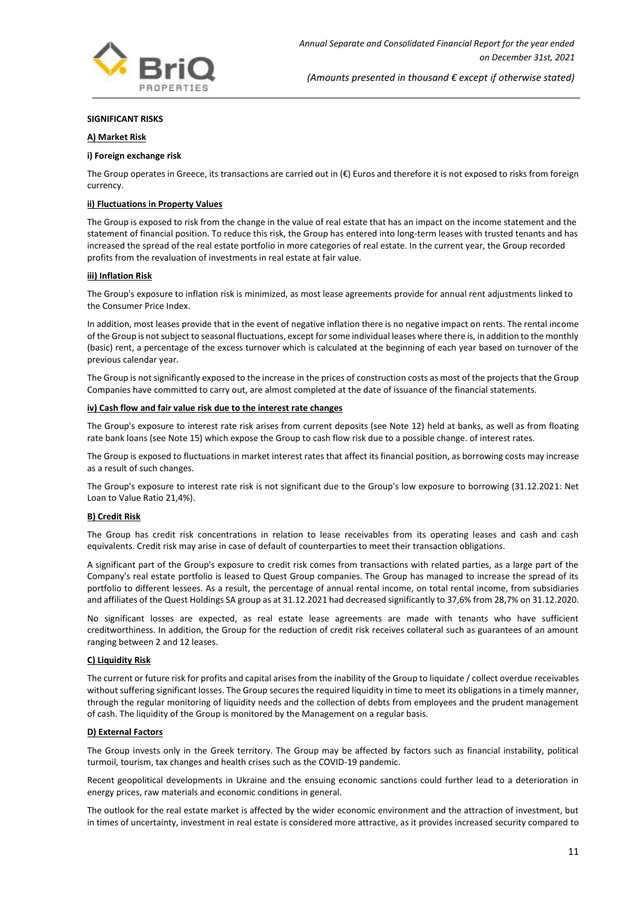

#### **SIGNIFICANT RISKS**

#### **A) Market Risk**

#### **i) Foreign exchange risk**

The Group operates in Greece, its transactions are carried out in  $(\epsilon)$  Euros and therefore it is not exposed to risks from foreign currency.

#### **ii) Fluctuations in Property Values**

The Group is exposed to risk from the change in the value of real estate that has an impact on the income statement and the statement of financial position. To reduce this risk, the Group has entered into long-term leases with trusted tenants and has increased the spread of the real estate portfolio in more categories of real estate. In the current year, the Group recorded profits from the revaluation of investments in real estate at fair value.

#### **iii) Inflation Risk**

The Group's exposure to inflation risk is minimized, as most lease agreements provide for annual rent adjustments linked to the Consumer Price Index.

In addition, most leases provide that in the event of negative inflation there is no negative impact on rents. The rental income of the Group is not subject to seasonal fluctuations, except for some individual leases where there is, in addition to the monthly (basic) rent, a percentage of the excess turnover which is calculated at the beginning of each year based on turnover of the previous calendar year.

The Group is not significantly exposed to the increase in the prices of construction costs as most of the projects that the Group Companies have committed to carry out, are almost completed at the date of issuance of the financial statements.

#### **iv) Cash flow and fair value risk due to the interest rate changes**

The Group's exposure to interest rate risk arises from current deposits (see Note 12) held at banks, as well as from floating rate bank loans (see Note 15) which expose the Group to cash flow risk due to a possible change. of interest rates.

The Group is exposed to fluctuations in market interest rates that affect its financial position, as borrowing costs may increase as a result of such changes.

The Group's exposure to interest rate risk is not significant due to the Group's low exposure to borrowing (31.12.2021: Net Loan to Value Ratio 21,4%).

#### **B) Credit Risk**

The Group has credit risk concentrations in relation to lease receivables from its operating leases and cash and cash equivalents. Credit risk may arise in case of default of counterparties to meet their transaction obligations.

A significant part of the Group's exposure to credit risk comes from transactions with related parties, as a large part of the Company's real estate portfolio is leased to Quest Group companies. The Group has managed to increase the spread of its portfolio to different lessees. As a result, the percentage of annual rental income, on total rental income, from subsidiaries and affiliates of the Quest Holdings SA group as at 31.12.2021 had decreased significantly to 37,6% from 28,7% on 31.12.2020.

No significant losses are expected, as real estate lease agreements are made with tenants who have sufficient creditworthiness. In addition, the Group for the reduction of credit risk receives collateral such as guarantees of an amount ranging between 2 and 12 leases.

#### **C) Liquidity Risk**

The current or future risk for profits and capital arises from the inability of the Group to liquidate / collect overdue receivables without suffering significant losses. The Group secures the required liquidity in time to meet its obligations in a timely manner, through the regular monitoring of liquidity needs and the collection of debts from employees and the prudent management of cash. The liquidity of the Group is monitored by the Management on a regular basis.

## **D) External Factors**

The Group invests only in the Greek territory. The Group may be affected by factors such as financial instability, political turmoil, tourism, tax changes and health crises such as the COVID-19 pandemic.

Recent geopolitical developments in Ukraine and the ensuing economic sanctions could further lead to a deterioration in energy prices, raw materials and economic conditions in general.

The outlook for the real estate market is affected by the wider economic environment and the attraction of investment, but in times of uncertainty, investment in real estate is considered more attractive, as it provides increased security compared to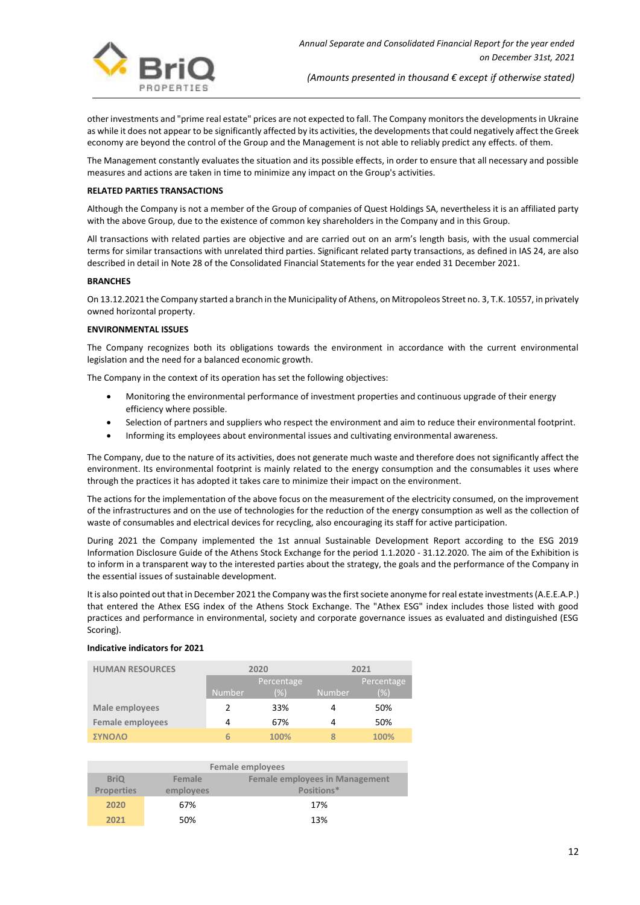

other investments and "prime real estate" prices are not expected to fall. The Company monitors the developments in Ukraine as while it does not appear to be significantly affected by its activities, the developments that could negatively affect the Greek economy are beyond the control of the Group and the Management is not able to reliably predict any effects. of them.

The Management constantly evaluates the situation and its possible effects, in order to ensure that all necessary and possible measures and actions are taken in time to minimize any impact on the Group's activities.

#### **RELATED PARTIES TRANSACTIONS**

Although the Company is not a member of the Group of companies of Quest Holdings SA, nevertheless it is an affiliated party with the above Group, due to the existence of common key shareholders in the Company and in this Group.

All transactions with related parties are objective and are carried out on an arm's length basis, with the usual commercial terms for similar transactions with unrelated third parties. Significant related party transactions, as defined in IAS 24, are also described in detail in Note 28 of the Consolidated Financial Statements for the year ended 31 December 2021.

#### **BRANCHES**

On 13.12.2021 the Company started a branch in the Municipality of Athens, on Mitropoleos Street no. 3, T.K. 10557, in privately owned horizontal property.

#### **ENVIRONMENTAL ISSUES**

The Company recognizes both its obligations towards the environment in accordance with the current environmental legislation and the need for a balanced economic growth.

The Company in the context of its operation has set the following objectives:

- Monitoring the environmental performance of investment properties and continuous upgrade of their energy efficiency where possible.
- Selection of partners and suppliers who respect the environment and aim to reduce their environmental footprint.
- Informing its employees about environmental issues and cultivating environmental awareness.

The Company, due to the nature of its activities, does not generate much waste and therefore does not significantly affect the environment. Its environmental footprint is mainly related to the energy consumption and the consumables it uses where through the practices it has adopted it takes care to minimize their impact on the environment.

The actions for the implementation of the above focus on the measurement of the electricity consumed, on the improvement of the infrastructures and on the use of technologies for the reduction of the energy consumption as well as the collection of waste of consumables and electrical devices for recycling, also encouraging its staff for active participation.

During 2021 the Company implemented the 1st annual Sustainable Development Report according to the ESG 2019 Information Disclosure Guide of the Athens Stock Exchange for the period 1.1.2020 - 31.12.2020. The aim of the Exhibition is to inform in a transparent way to the interested parties about the strategy, the goals and the performance of the Company in the essential issues of sustainable development.

It is also pointed out that in December 2021 the Company was the first societe anonyme for real estate investments (A.E.E.A.P.) that entered the Athex ESG index of the Athens Stock Exchange. The "Athex ESG" index includes those listed with good practices and performance in environmental, society and corporate governance issues as evaluated and distinguished (ESG Scoring).

#### **Indicative indicators for 2021**

| <b>HUMAN RESOURCES</b>  | 2020          |            | 2021          |            |
|-------------------------|---------------|------------|---------------|------------|
|                         |               | Percentage |               | Percentage |
|                         | <b>Number</b> | (%)        | <b>Number</b> | (%)        |
| Male employees          |               | 33%        | 4             | 50%        |
| <b>Female employees</b> | 4             | 67%        | 4             | 50%        |
| ΣΥΝΟΛΟ                  | 6             | 100%       | 8             | 100%       |

| <b>Female employees</b> |           |                                       |  |
|-------------------------|-----------|---------------------------------------|--|
| <b>BriQ</b>             | Female    | <b>Female employees in Management</b> |  |
| <b>Properties</b>       | employees | Positions*                            |  |
| 2020                    | 67%       | 17%                                   |  |
| 2021                    | 50%       | 13%                                   |  |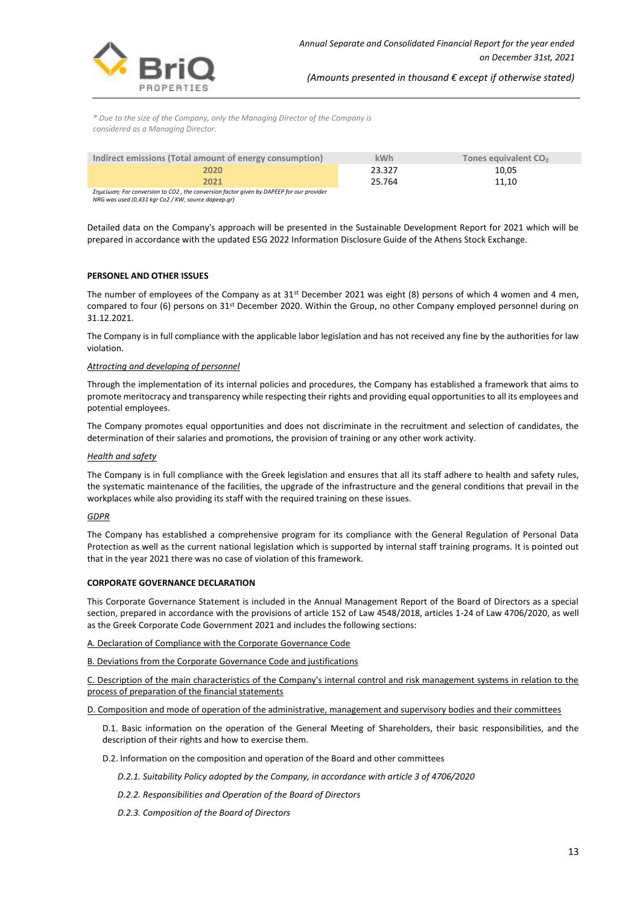

*\* Due to the size of the Company, only the Managing Director of the Company is considered as a Managing Director.*

| Indirect emissions (Total amount of energy consumption)                                 | <b>kWh</b> | Tones equivalent CO <sub>2</sub> |
|-----------------------------------------------------------------------------------------|------------|----------------------------------|
| 2020                                                                                    | 23.327     | 10.05                            |
| 2021                                                                                    | 25.764     | 11.10                            |
| Σημείωση: For conversion to CO2, the conversion factor given by DAPEEP for our provider |            |                                  |

*Σημείωση: For conversion to CO2 , the conversion factor given by DAPEEP for our provider NRG was used (0,431 kgr Co2 / KW, source dapeep.gr)*

Detailed data on the Company's approach will be presented in the Sustainable Development Report for 2021 which will be prepared in accordance with the updated ESG 2022 Information Disclosure Guide of the Athens Stock Exchange.

## **PERSONEL AND OTHER ISSUES**

The number of employees of the Company as at 31st December 2021 was eight (8) persons of which 4 women and 4 men, compared to four (6) persons on 31<sup>st</sup> December 2020. Within the Group, no other Company employed personnel during on 31.12.2021.

The Company is in full compliance with the applicable labor legislation and has not received any fine by the authorities for law violation.

#### *Attracting and developing of personnel*

Through the implementation of its internal policies and procedures, the Company has established a framework that aims to promote meritocracy and transparency while respecting their rights and providing equal opportunities to all its employees and potential employees.

The Company promotes equal opportunities and does not discriminate in the recruitment and selection of candidates, the determination of their salaries and promotions, the provision of training or any other work activity.

#### *Health and safety*

The Company is in full compliance with the Greek legislation and ensures that all its staff adhere to health and safety rules, the systematic maintenance of the facilities, the upgrade of the infrastructure and the general conditions that prevail in the workplaces while also providing its staff with the required training on these issues.

#### *GDPR*

The Company has established a comprehensive program for its compliance with the General Regulation of Personal Data Protection as well as the current national legislation which is supported by internal staff training programs. It is pointed out that in the year 2021 there was no case of violation of this framework.

## **CORPORATE GOVERNANCE DECLARATION**

This Corporate Governance Statement is included in the Annual Management Report of the Board of Directors as a special section, prepared in accordance with the provisions of article 152 of Law 4548/2018, articles 1-24 of Law 4706/2020, as well as the Greek Corporate Code Government 2021 and includes the following sections:

A. Declaration of Compliance with the Corporate Governance Code

B. Deviations from the Corporate Governance Code and justifications

C. Description of the main characteristics of the Company's internal control and risk management systems in relation to the process of preparation of the financial statements

D. Composition and mode of operation of the administrative, management and supervisory bodies and their committees

D.1. Basic information on the operation of the General Meeting of Shareholders, their basic responsibilities, and the description of their rights and how to exercise them.

D.2. Information on the composition and operation of the Board and other committees

- *D.2.1. Suitability Policy adopted by the Company, in accordance with article 3 of 4706/2020*
- *D.2.2. Responsibilities and Operation of the Board of Directors*
- *D.2.3. Composition of the Board of Directors*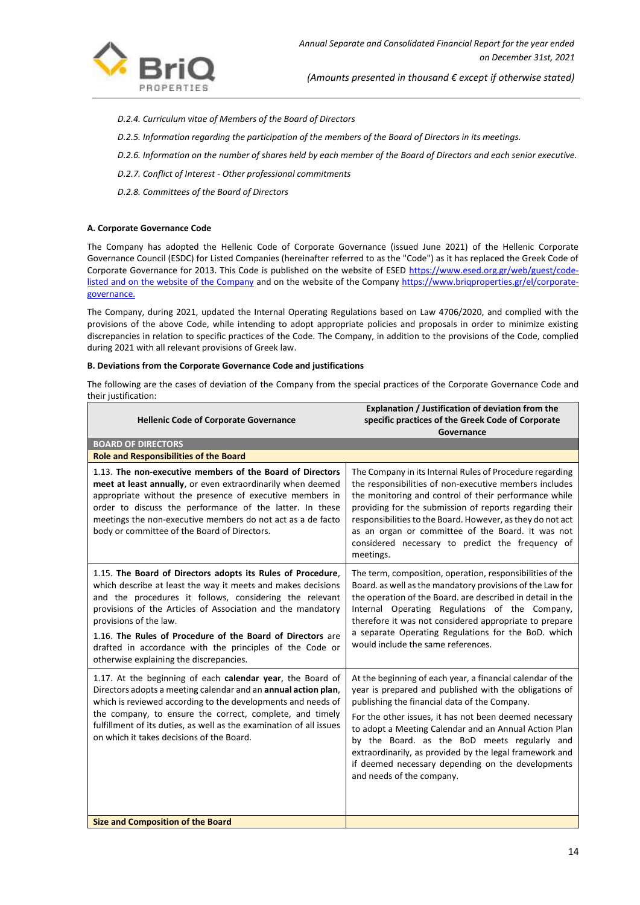

- *D.2.4. Curriculum vitae of Members of the Board of Directors*
- *D.2.5. Information regarding the participation of the members of the Board of Directors in its meetings.*
- *D.2.6. Information on the number of shares held by each member of the Board of Directors and each senior executive.*
- *D.2.7. Conflict of Interest - Other professional commitments*
- *D.2.8. Committees of the Board of Directors*

## **A. Corporate Governance Code**

The Company has adopted the Hellenic Code of Corporate Governance (issued June 2021) of the Hellenic Corporate Governance Council (ESDC) for Listed Companies (hereinafter referred to as the "Code") as it has replaced the Greek Code of Corporate Governance for 2013. This Code is published on the website of ESED https://www.esed.org.gr/web/guest/codelisted and on the website of the Company and on the website of the Company https://www.briqproperties.gr/el/corporategovernance.

The Company, during 2021, updated the Internal Operating Regulations based on Law 4706/2020, and complied with the provisions of the above Code, while intending to adopt appropriate policies and proposals in order to minimize existing discrepancies in relation to specific practices of the Code. The Company, in addition to the provisions of the Code, complied during 2021 with all relevant provisions of Greek law.

#### **B. Deviations from the Corporate Governance Code and justifications**

The following are the cases of deviation of the Company from the special practices of the Corporate Governance Code and their justification:

| <b>Hellenic Code of Corporate Governance</b>                                                                                                                                                                                                                                                                                                                                                                                                         | Explanation / Justification of deviation from the<br>specific practices of the Greek Code of Corporate                                                                                                                                                                                                                                                                                                                                                                                |
|------------------------------------------------------------------------------------------------------------------------------------------------------------------------------------------------------------------------------------------------------------------------------------------------------------------------------------------------------------------------------------------------------------------------------------------------------|---------------------------------------------------------------------------------------------------------------------------------------------------------------------------------------------------------------------------------------------------------------------------------------------------------------------------------------------------------------------------------------------------------------------------------------------------------------------------------------|
|                                                                                                                                                                                                                                                                                                                                                                                                                                                      | Governance                                                                                                                                                                                                                                                                                                                                                                                                                                                                            |
| <b>BOARD OF DIRECTORS</b>                                                                                                                                                                                                                                                                                                                                                                                                                            |                                                                                                                                                                                                                                                                                                                                                                                                                                                                                       |
| <b>Role and Responsibilities of the Board</b>                                                                                                                                                                                                                                                                                                                                                                                                        |                                                                                                                                                                                                                                                                                                                                                                                                                                                                                       |
| 1.13. The non-executive members of the Board of Directors<br>meet at least annually, or even extraordinarily when deemed<br>appropriate without the presence of executive members in<br>order to discuss the performance of the latter. In these<br>meetings the non-executive members do not act as a de facto<br>body or committee of the Board of Directors.                                                                                      | The Company in its Internal Rules of Procedure regarding<br>the responsibilities of non-executive members includes<br>the monitoring and control of their performance while<br>providing for the submission of reports regarding their<br>responsibilities to the Board. However, as they do not act<br>as an organ or committee of the Board. it was not<br>considered necessary to predict the frequency of<br>meetings.                                                            |
| 1.15. The Board of Directors adopts its Rules of Procedure,<br>which describe at least the way it meets and makes decisions<br>and the procedures it follows, considering the relevant<br>provisions of the Articles of Association and the mandatory<br>provisions of the law.<br>1.16. The Rules of Procedure of the Board of Directors are<br>drafted in accordance with the principles of the Code or<br>otherwise explaining the discrepancies. | The term, composition, operation, responsibilities of the<br>Board. as well as the mandatory provisions of the Law for<br>the operation of the Board. are described in detail in the<br>Internal Operating Regulations of the Company,<br>therefore it was not considered appropriate to prepare<br>a separate Operating Regulations for the BoD. which<br>would include the same references.                                                                                         |
| 1.17. At the beginning of each calendar year, the Board of<br>Directors adopts a meeting calendar and an annual action plan,<br>which is reviewed according to the developments and needs of<br>the company, to ensure the correct, complete, and timely<br>fulfillment of its duties, as well as the examination of all issues<br>on which it takes decisions of the Board.                                                                         | At the beginning of each year, a financial calendar of the<br>year is prepared and published with the obligations of<br>publishing the financial data of the Company.<br>For the other issues, it has not been deemed necessary<br>to adopt a Meeting Calendar and an Annual Action Plan<br>by the Board. as the BoD meets regularly and<br>extraordinarily, as provided by the legal framework and<br>if deemed necessary depending on the developments<br>and needs of the company. |
| <b>Size and Composition of the Board</b>                                                                                                                                                                                                                                                                                                                                                                                                             |                                                                                                                                                                                                                                                                                                                                                                                                                                                                                       |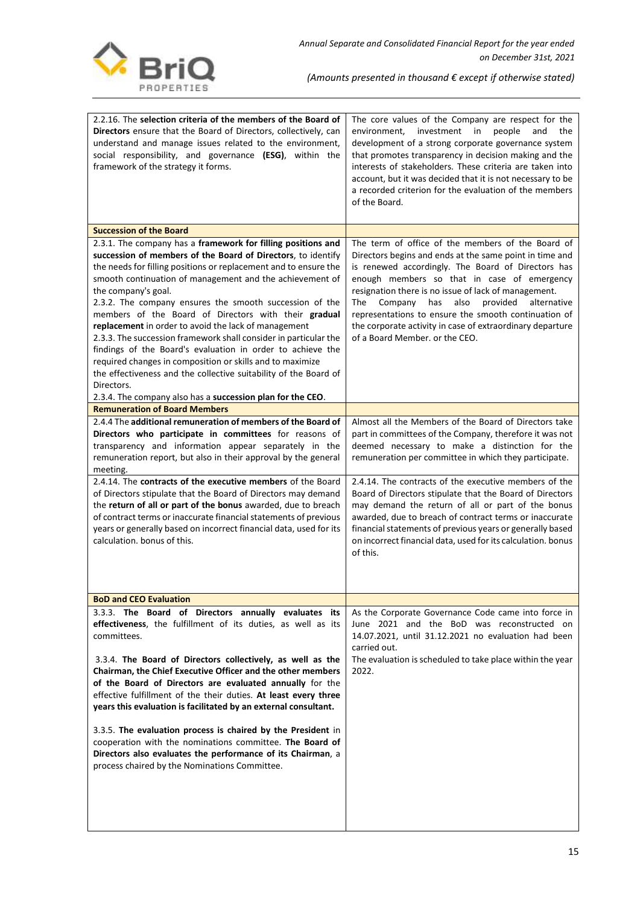

| 2.2.16. The selection criteria of the members of the Board of<br>Directors ensure that the Board of Directors, collectively, can<br>understand and manage issues related to the environment,<br>social responsibility, and governance (ESG), within the<br>framework of the strategy it forms.                                                                                                                                                                                                                                                                                                                                                                                                                                                  | The core values of the Company are respect for the<br>in<br>environment,<br>investment<br>people<br>and<br>the<br>development of a strong corporate governance system<br>that promotes transparency in decision making and the<br>interests of stakeholders. These criteria are taken into<br>account, but it was decided that it is not necessary to be<br>a recorded criterion for the evaluation of the members<br>of the Board.                                                          |
|-------------------------------------------------------------------------------------------------------------------------------------------------------------------------------------------------------------------------------------------------------------------------------------------------------------------------------------------------------------------------------------------------------------------------------------------------------------------------------------------------------------------------------------------------------------------------------------------------------------------------------------------------------------------------------------------------------------------------------------------------|----------------------------------------------------------------------------------------------------------------------------------------------------------------------------------------------------------------------------------------------------------------------------------------------------------------------------------------------------------------------------------------------------------------------------------------------------------------------------------------------|
| <b>Succession of the Board</b>                                                                                                                                                                                                                                                                                                                                                                                                                                                                                                                                                                                                                                                                                                                  |                                                                                                                                                                                                                                                                                                                                                                                                                                                                                              |
| 2.3.1. The company has a framework for filling positions and<br>succession of members of the Board of Directors, to identify<br>the needs for filling positions or replacement and to ensure the<br>smooth continuation of management and the achievement of<br>the company's goal.<br>2.3.2. The company ensures the smooth succession of the<br>members of the Board of Directors with their gradual<br>replacement in order to avoid the lack of management<br>2.3.3. The succession framework shall consider in particular the<br>findings of the Board's evaluation in order to achieve the<br>required changes in composition or skills and to maximize<br>the effectiveness and the collective suitability of the Board of<br>Directors. | The term of office of the members of the Board of<br>Directors begins and ends at the same point in time and<br>is renewed accordingly. The Board of Directors has<br>enough members so that in case of emergency<br>resignation there is no issue of lack of management.<br>also<br>provided<br>alternative<br>The<br>Company<br>has<br>representations to ensure the smooth continuation of<br>the corporate activity in case of extraordinary departure<br>of a Board Member. or the CEO. |
| 2.3.4. The company also has a succession plan for the CEO.                                                                                                                                                                                                                                                                                                                                                                                                                                                                                                                                                                                                                                                                                      |                                                                                                                                                                                                                                                                                                                                                                                                                                                                                              |
| <b>Remuneration of Board Members</b>                                                                                                                                                                                                                                                                                                                                                                                                                                                                                                                                                                                                                                                                                                            |                                                                                                                                                                                                                                                                                                                                                                                                                                                                                              |
| 2.4.4 The additional remuneration of members of the Board of<br>Directors who participate in committees for reasons of<br>transparency and information appear separately in the<br>remuneration report, but also in their approval by the general<br>meeting.                                                                                                                                                                                                                                                                                                                                                                                                                                                                                   | Almost all the Members of the Board of Directors take<br>part in committees of the Company, therefore it was not<br>deemed necessary to make a distinction for the<br>remuneration per committee in which they participate.                                                                                                                                                                                                                                                                  |
| 2.4.14. The contracts of the executive members of the Board<br>of Directors stipulate that the Board of Directors may demand<br>the return of all or part of the bonus awarded, due to breach<br>of contract terms or inaccurate financial statements of previous<br>years or generally based on incorrect financial data, used for its<br>calculation, bonus of this.                                                                                                                                                                                                                                                                                                                                                                          | 2.4.14. The contracts of the executive members of the<br>Board of Directors stipulate that the Board of Directors<br>may demand the return of all or part of the bonus<br>awarded, due to breach of contract terms or inaccurate<br>financial statements of previous years or generally based<br>on incorrect financial data, used for its calculation. bonus<br>of this.                                                                                                                    |
|                                                                                                                                                                                                                                                                                                                                                                                                                                                                                                                                                                                                                                                                                                                                                 |                                                                                                                                                                                                                                                                                                                                                                                                                                                                                              |
|                                                                                                                                                                                                                                                                                                                                                                                                                                                                                                                                                                                                                                                                                                                                                 |                                                                                                                                                                                                                                                                                                                                                                                                                                                                                              |
| <b>BoD and CEO Evaluation</b>                                                                                                                                                                                                                                                                                                                                                                                                                                                                                                                                                                                                                                                                                                                   |                                                                                                                                                                                                                                                                                                                                                                                                                                                                                              |
| 3.3.3. The Board of Directors annually evaluates its<br>effectiveness, the fulfillment of its duties, as well as its<br>committees.<br>3.3.4. The Board of Directors collectively, as well as the<br>Chairman, the Chief Executive Officer and the other members<br>of the Board of Directors are evaluated annually for the<br>effective fulfillment of the their duties. At least every three<br>years this evaluation is facilitated by an external consultant.<br>3.3.5. The evaluation process is chaired by the President in<br>cooperation with the nominations committee. The Board of<br>Directors also evaluates the performance of its Chairman, a<br>process chaired by the Nominations Committee.                                  | As the Corporate Governance Code came into force in<br>June 2021 and the BoD was reconstructed on<br>14.07.2021, until 31.12.2021 no evaluation had been<br>carried out.<br>The evaluation is scheduled to take place within the year<br>2022.                                                                                                                                                                                                                                               |
|                                                                                                                                                                                                                                                                                                                                                                                                                                                                                                                                                                                                                                                                                                                                                 |                                                                                                                                                                                                                                                                                                                                                                                                                                                                                              |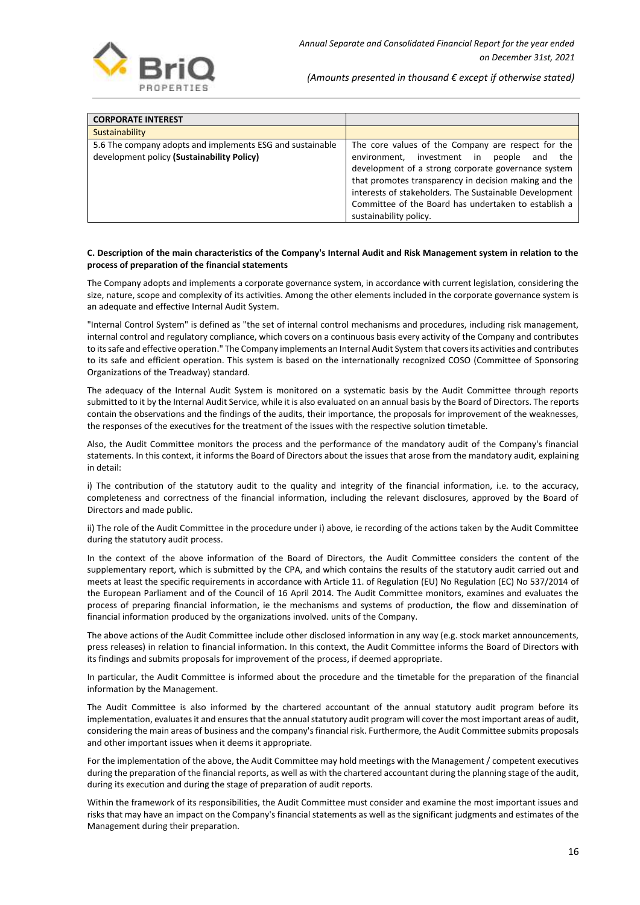| <b>CORPORATE INTEREST</b>                                                                               |                                                                                                                                                                                                                                                                                                                                                                      |
|---------------------------------------------------------------------------------------------------------|----------------------------------------------------------------------------------------------------------------------------------------------------------------------------------------------------------------------------------------------------------------------------------------------------------------------------------------------------------------------|
| Sustainability                                                                                          |                                                                                                                                                                                                                                                                                                                                                                      |
| 5.6 The company adopts and implements ESG and sustainable<br>development policy (Sustainability Policy) | The core values of the Company are respect for the<br>environment, investment in<br>the<br>people<br>and<br>development of a strong corporate governance system<br>that promotes transparency in decision making and the<br>interests of stakeholders. The Sustainable Development<br>Committee of the Board has undertaken to establish a<br>sustainability policy. |

#### **C. Description of the main characteristics of the Company's Internal Audit and Risk Management system in relation to the process of preparation of the financial statements**

The Company adopts and implements a corporate governance system, in accordance with current legislation, considering the size, nature, scope and complexity of its activities. Among the other elements included in the corporate governance system is an adequate and effective Internal Audit System.

"Internal Control System" is defined as "the set of internal control mechanisms and procedures, including risk management, internal control and regulatory compliance, which covers on a continuous basis every activity of the Company and contributes to its safe and effective operation." The Company implements an Internal Audit System that covers its activities and contributes to its safe and efficient operation. This system is based on the internationally recognized COSO (Committee of Sponsoring Organizations of the Treadway) standard.

The adequacy of the Internal Audit System is monitored on a systematic basis by the Audit Committee through reports submitted to it by the Internal Audit Service, while it is also evaluated on an annual basis by the Board of Directors. The reports contain the observations and the findings of the audits, their importance, the proposals for improvement of the weaknesses, the responses of the executives for the treatment of the issues with the respective solution timetable.

Also, the Audit Committee monitors the process and the performance of the mandatory audit of the Company's financial statements. In this context, it informs the Board of Directors about the issues that arose from the mandatory audit, explaining in detail:

i) The contribution of the statutory audit to the quality and integrity of the financial information, i.e. to the accuracy, completeness and correctness of the financial information, including the relevant disclosures, approved by the Board of Directors and made public.

ii) The role of the Audit Committee in the procedure under i) above, ie recording of the actions taken by the Audit Committee during the statutory audit process.

In the context of the above information of the Board of Directors, the Audit Committee considers the content of the supplementary report, which is submitted by the CPA, and which contains the results of the statutory audit carried out and meets at least the specific requirements in accordance with Article 11. of Regulation (EU) No Regulation (EC) No 537/2014 of the European Parliament and of the Council of 16 April 2014. The Audit Committee monitors, examines and evaluates the process of preparing financial information, ie the mechanisms and systems of production, the flow and dissemination of financial information produced by the organizations involved. units of the Company.

The above actions of the Audit Committee include other disclosed information in any way (e.g. stock market announcements, press releases) in relation to financial information. In this context, the Audit Committee informs the Board of Directors with its findings and submits proposals for improvement of the process, if deemed appropriate.

In particular, the Audit Committee is informed about the procedure and the timetable for the preparation of the financial information by the Management.

The Audit Committee is also informed by the chartered accountant of the annual statutory audit program before its implementation, evaluates it and ensures that the annual statutory audit program will cover the most important areas of audit, considering the main areas of business and the company's financial risk. Furthermore, the Audit Committee submits proposals and other important issues when it deems it appropriate.

For the implementation of the above, the Audit Committee may hold meetings with the Management / competent executives during the preparation of the financial reports, as well as with the chartered accountant during the planning stage of the audit, during its execution and during the stage of preparation of audit reports.

Within the framework of its responsibilities, the Audit Committee must consider and examine the most important issues and risks that may have an impact on the Company's financial statements as well as the significant judgments and estimates of the Management during their preparation.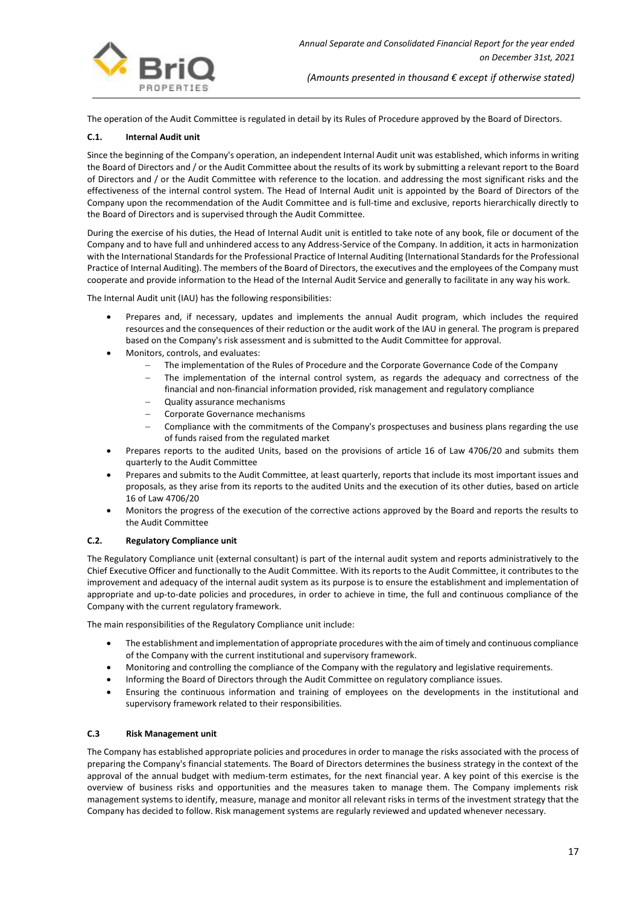

The operation of the Audit Committee is regulated in detail by its Rules of Procedure approved by the Board of Directors.

## **C.1. Internal Audit unit**

Since the beginning of the Company's operation, an independent Internal Audit unit was established, which informs in writing the Board of Directors and / or the Audit Committee about the results of its work by submitting a relevant report to the Board of Directors and / or the Audit Committee with reference to the location. and addressing the most significant risks and the effectiveness of the internal control system. The Head of Internal Audit unit is appointed by the Board of Directors of the Company upon the recommendation of the Audit Committee and is full-time and exclusive, reports hierarchically directly to the Board of Directors and is supervised through the Audit Committee.

During the exercise of his duties, the Head of Internal Audit unit is entitled to take note of any book, file or document of the Company and to have full and unhindered access to any Address-Service of the Company. In addition, it acts in harmonization with the International Standards for the Professional Practice of Internal Auditing (International Standards for the Professional Practice of Internal Auditing). The members of the Board of Directors, the executives and the employees of the Company must cooperate and provide information to the Head of the Internal Audit Service and generally to facilitate in any way his work.

The Internal Audit unit (IAU) has the following responsibilities:

- Prepares and, if necessary, updates and implements the annual Audit program, which includes the required resources and the consequences of their reduction or the audit work of the IAU in general. The program is prepared based on the Company's risk assessment and is submitted to the Audit Committee for approval.
- Monitors, controls, and evaluates:
	- The implementation of the Rules of Procedure and the Corporate Governance Code of the Company
	- The implementation of the internal control system, as regards the adequacy and correctness of the financial and non-financial information provided, risk management and regulatory compliance
	- Quality assurance mechanisms
	- − Corporate Governance mechanisms
	- − Compliance with the commitments of the Company's prospectuses and business plans regarding the use of funds raised from the regulated market
- Prepares reports to the audited Units, based on the provisions of article 16 of Law 4706/20 and submits them quarterly to the Audit Committee
- Prepares and submits to the Audit Committee, at least quarterly, reports that include its most important issues and proposals, as they arise from its reports to the audited Units and the execution of its other duties, based on article 16 of Law 4706/20
- Monitors the progress of the execution of the corrective actions approved by the Board and reports the results to the Audit Committee

## **C.2. Regulatory Compliance unit**

The Regulatory Compliance unit (external consultant) is part of the internal audit system and reports administratively to the Chief Executive Officer and functionally to the Audit Committee. With its reports to the Audit Committee, it contributes to the improvement and adequacy of the internal audit system as its purpose is to ensure the establishment and implementation of appropriate and up-to-date policies and procedures, in order to achieve in time, the full and continuous compliance of the Company with the current regulatory framework.

The main responsibilities of the Regulatory Compliance unit include:

- The establishment and implementation of appropriate procedures with the aim of timely and continuous compliance of the Company with the current institutional and supervisory framework.
- Monitoring and controlling the compliance of the Company with the regulatory and legislative requirements.
- Informing the Board of Directors through the Audit Committee on regulatory compliance issues.
- Ensuring the continuous information and training of employees on the developments in the institutional and supervisory framework related to their responsibilities.

## **C.3 Risk Management unit**

The Company has established appropriate policies and procedures in order to manage the risks associated with the process of preparing the Company's financial statements. The Board of Directors determines the business strategy in the context of the approval of the annual budget with medium-term estimates, for the next financial year. A key point of this exercise is the overview of business risks and opportunities and the measures taken to manage them. The Company implements risk management systems to identify, measure, manage and monitor all relevant risks in terms of the investment strategy that the Company has decided to follow. Risk management systems are regularly reviewed and updated whenever necessary.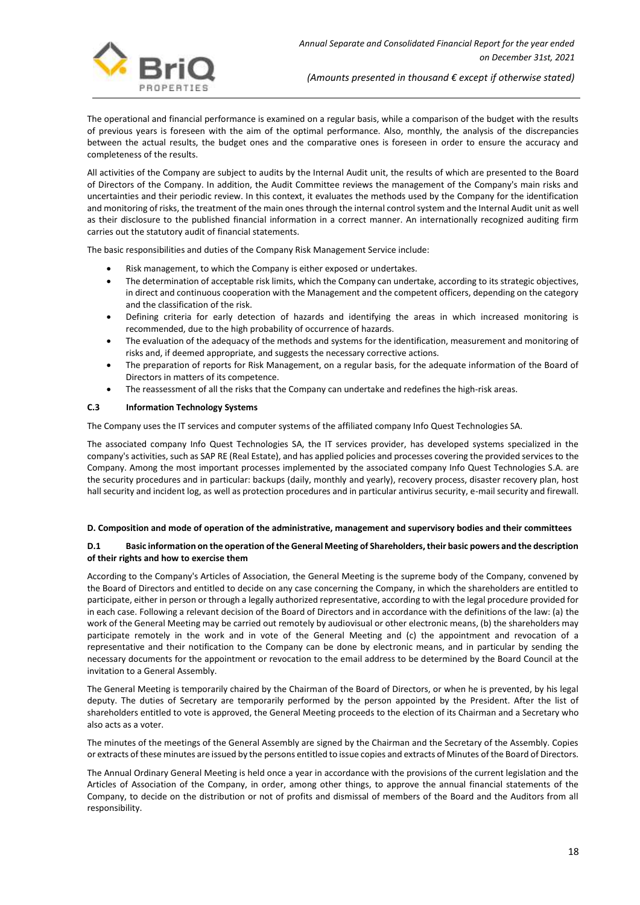

The operational and financial performance is examined on a regular basis, while a comparison of the budget with the results of previous years is foreseen with the aim of the optimal performance. Also, monthly, the analysis of the discrepancies between the actual results, the budget ones and the comparative ones is foreseen in order to ensure the accuracy and completeness of the results.

All activities of the Company are subject to audits by the Internal Audit unit, the results of which are presented to the Board of Directors of the Company. In addition, the Audit Committee reviews the management of the Company's main risks and uncertainties and their periodic review. In this context, it evaluates the methods used by the Company for the identification and monitoring of risks, the treatment of the main ones through the internal control system and the Internal Audit unit as well as their disclosure to the published financial information in a correct manner. An internationally recognized auditing firm carries out the statutory audit of financial statements.

The basic responsibilities and duties of the Company Risk Management Service include:

- Risk management, to which the Company is either exposed or undertakes.
- The determination of acceptable risk limits, which the Company can undertake, according to its strategic objectives, in direct and continuous cooperation with the Management and the competent officers, depending on the category and the classification of the risk.
- Defining criteria for early detection of hazards and identifying the areas in which increased monitoring is recommended, due to the high probability of occurrence of hazards.
- The evaluation of the adequacy of the methods and systems for the identification, measurement and monitoring of risks and, if deemed appropriate, and suggests the necessary corrective actions.
- The preparation of reports for Risk Management, on a regular basis, for the adequate information of the Board of Directors in matters of its competence.
- The reassessment of all the risks that the Company can undertake and redefines the high-risk areas.

## **C.3 Information Technology Systems**

The Company uses the IT services and computer systems of the affiliated company Info Quest Technologies SA.

The associated company Info Quest Technologies SA, the IT services provider, has developed systems specialized in the company's activities, such as SAP RE (Real Estate), and has applied policies and processes covering the provided services to the Company. Among the most important processes implemented by the associated company Info Quest Technologies S.A. are the security procedures and in particular: backups (daily, monthly and yearly), recovery process, disaster recovery plan, host hall security and incident log, as well as protection procedures and in particular antivirus security, e-mail security and firewall.

#### **D. Composition and mode of operation of the administrative, management and supervisory bodies and their committees**

## **D.1 Basic information on the operation of the General Meeting of Shareholders, their basic powers and the description of their rights and how to exercise them**

According to the Company's Articles of Association, the General Meeting is the supreme body of the Company, convened by the Board of Directors and entitled to decide on any case concerning the Company, in which the shareholders are entitled to participate, either in person or through a legally authorized representative, according to with the legal procedure provided for in each case. Following a relevant decision of the Board of Directors and in accordance with the definitions of the law: (a) the work of the General Meeting may be carried out remotely by audiovisual or other electronic means, (b) the shareholders may participate remotely in the work and in vote of the General Meeting and (c) the appointment and revocation of a representative and their notification to the Company can be done by electronic means, and in particular by sending the necessary documents for the appointment or revocation to the email address to be determined by the Board Council at the invitation to a General Assembly.

The General Meeting is temporarily chaired by the Chairman of the Board of Directors, or when he is prevented, by his legal deputy. The duties of Secretary are temporarily performed by the person appointed by the President. After the list of shareholders entitled to vote is approved, the General Meeting proceeds to the election of its Chairman and a Secretary who also acts as a voter.

The minutes of the meetings of the General Assembly are signed by the Chairman and the Secretary of the Assembly. Copies or extracts of these minutes are issued by the persons entitled to issue copies and extracts of Minutes of the Board of Directors.

The Annual Ordinary General Meeting is held once a year in accordance with the provisions of the current legislation and the Articles of Association of the Company, in order, among other things, to approve the annual financial statements of the Company, to decide on the distribution or not of profits and dismissal of members of the Board and the Auditors from all responsibility.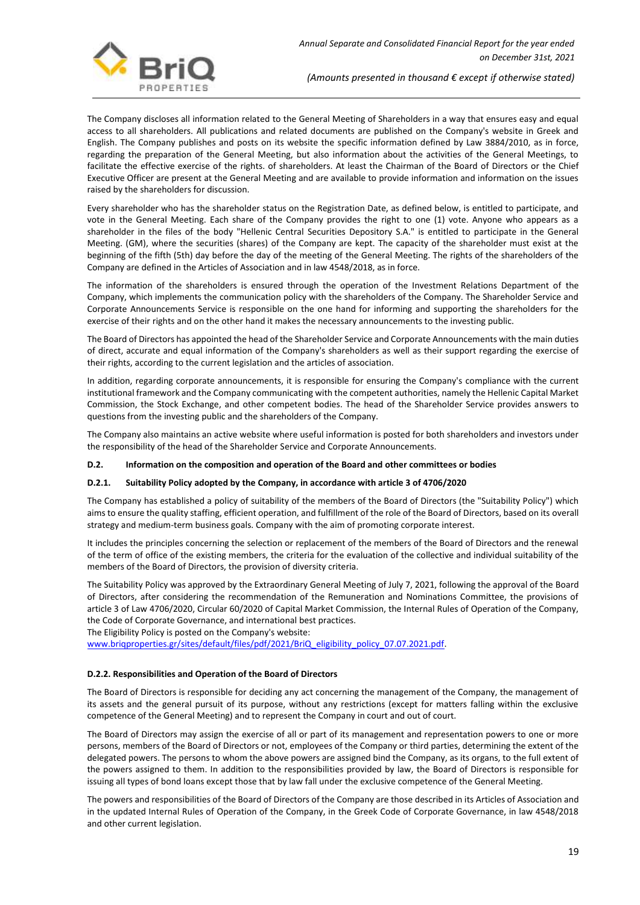The Company discloses all information related to the General Meeting of Shareholders in a way that ensures easy and equal access to all shareholders. All publications and related documents are published on the Company's website in Greek and English. The Company publishes and posts on its website the specific information defined by Law 3884/2010, as in force, regarding the preparation of the General Meeting, but also information about the activities of the General Meetings, to facilitate the effective exercise of the rights. of shareholders. At least the Chairman of the Board of Directors or the Chief Executive Officer are present at the General Meeting and are available to provide information and information on the issues raised by the shareholders for discussion.

Every shareholder who has the shareholder status on the Registration Date, as defined below, is entitled to participate, and vote in the General Meeting. Each share of the Company provides the right to one (1) vote. Anyone who appears as a shareholder in the files of the body "Hellenic Central Securities Depository S.A." is entitled to participate in the General Meeting. (GM), where the securities (shares) of the Company are kept. The capacity of the shareholder must exist at the beginning of the fifth (5th) day before the day of the meeting of the General Meeting. The rights of the shareholders of the Company are defined in the Articles of Association and in law 4548/2018, as in force.

The information of the shareholders is ensured through the operation of the Investment Relations Department of the Company, which implements the communication policy with the shareholders of the Company. The Shareholder Service and Corporate Announcements Service is responsible on the one hand for informing and supporting the shareholders for the exercise of their rights and on the other hand it makes the necessary announcements to the investing public.

The Board of Directors has appointed the head of the Shareholder Service and Corporate Announcements with the main duties of direct, accurate and equal information of the Company's shareholders as well as their support regarding the exercise of their rights, according to the current legislation and the articles of association.

In addition, regarding corporate announcements, it is responsible for ensuring the Company's compliance with the current institutional framework and the Company communicating with the competent authorities, namely the Hellenic Capital Market Commission, the Stock Exchange, and other competent bodies. The head of the Shareholder Service provides answers to questions from the investing public and the shareholders of the Company.

The Company also maintains an active website where useful information is posted for both shareholders and investors under the responsibility of the head of the Shareholder Service and Corporate Announcements.

## **D.2. Information on the composition and operation of the Board and other committees or bodies**

## **D.2.1. Suitability Policy adopted by the Company, in accordance with article 3 of 4706/2020**

The Company has established a policy of suitability of the members of the Board of Directors (the "Suitability Policy") which aims to ensure the quality staffing, efficient operation, and fulfillment of the role of the Board of Directors, based on its overall strategy and medium-term business goals. Company with the aim of promoting corporate interest.

It includes the principles concerning the selection or replacement of the members of the Board of Directors and the renewal of the term of office of the existing members, the criteria for the evaluation of the collective and individual suitability of the members of the Board of Directors, the provision of diversity criteria.

The Suitability Policy was approved by the Extraordinary General Meeting of July 7, 2021, following the approval of the Board of Directors, after considering the recommendation of the Remuneration and Nominations Committee, the provisions of article 3 of Law 4706/2020, Circular 60/2020 of Capital Market Commission, the Internal Rules of Operation of the Company, the Code of Corporate Governance, and international best practices.

The Eligibility Policy is posted on the Company's website:

[www.briqproperties.gr/sites/default/files/pdf/2021/BriQ\\_eligibility\\_policy\\_07.07.2021.pdf.](http://www.briqproperties.gr/sites/default/files/pdf/2021/BriQ_eligibility_policy_07.07.2021.pdf)

## **D.2.2. Responsibilities and Operation of the Board of Directors**

The Board of Directors is responsible for deciding any act concerning the management of the Company, the management of its assets and the general pursuit of its purpose, without any restrictions (except for matters falling within the exclusive competence of the General Meeting) and to represent the Company in court and out of court.

The Board of Directors may assign the exercise of all or part of its management and representation powers to one or more persons, members of the Board of Directors or not, employees of the Company or third parties, determining the extent of the delegated powers. The persons to whom the above powers are assigned bind the Company, as its organs, to the full extent of the powers assigned to them. In addition to the responsibilities provided by law, the Board of Directors is responsible for issuing all types of bond loans except those that by law fall under the exclusive competence of the General Meeting.

The powers and responsibilities of the Board of Directors of the Company are those described in its Articles of Association and in the updated Internal Rules of Operation of the Company, in the Greek Code of Corporate Governance, in law 4548/2018 and other current legislation.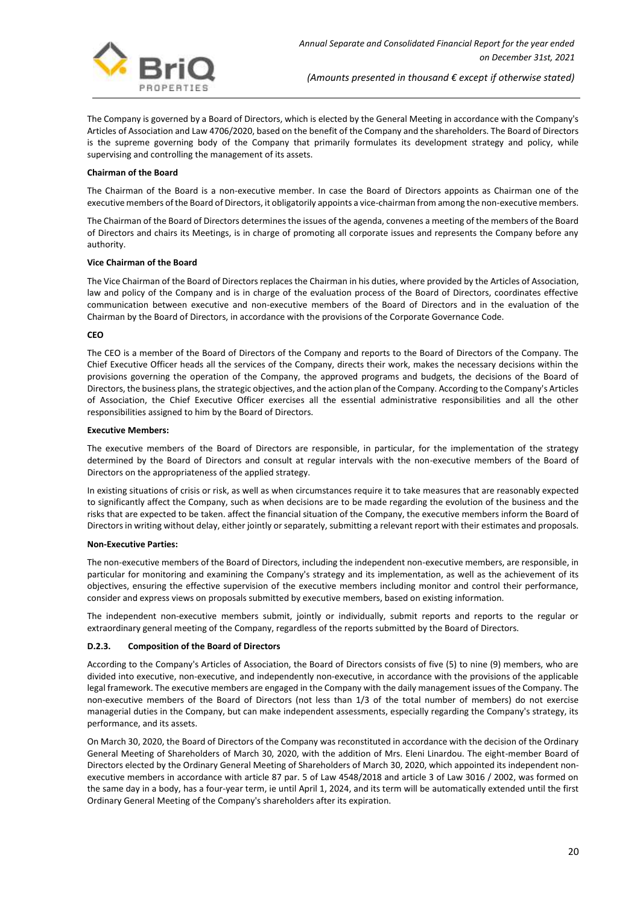

The Company is governed by a Board of Directors, which is elected by the General Meeting in accordance with the Company's Articles of Association and Law 4706/2020, based on the benefit of the Company and the shareholders. The Board of Directors is the supreme governing body of the Company that primarily formulates its development strategy and policy, while supervising and controlling the management of its assets.

#### **Chairman of the Board**

The Chairman of the Board is a non-executive member. In case the Board of Directors appoints as Chairman one of the executive members of the Board of Directors, it obligatorily appoints a vice-chairman from among the non-executive members.

The Chairman of the Board of Directors determines the issues of the agenda, convenes a meeting of the members of the Board of Directors and chairs its Meetings, is in charge of promoting all corporate issues and represents the Company before any authority.

#### **Vice Chairman of the Board**

The Vice Chairman of the Board of Directors replaces the Chairman in his duties, where provided by the Articles of Association, law and policy of the Company and is in charge of the evaluation process of the Board of Directors, coordinates effective communication between executive and non-executive members of the Board of Directors and in the evaluation of the Chairman by the Board of Directors, in accordance with the provisions of the Corporate Governance Code.

#### **CEO**

The CEO is a member of the Board of Directors of the Company and reports to the Board of Directors of the Company. The Chief Executive Officer heads all the services of the Company, directs their work, makes the necessary decisions within the provisions governing the operation of the Company, the approved programs and budgets, the decisions of the Board of Directors, the business plans, the strategic objectives, and the action plan of the Company. According to the Company's Articles of Association, the Chief Executive Officer exercises all the essential administrative responsibilities and all the other responsibilities assigned to him by the Board of Directors.

#### **Executive Members:**

The executive members of the Board of Directors are responsible, in particular, for the implementation of the strategy determined by the Board of Directors and consult at regular intervals with the non-executive members of the Board of Directors on the appropriateness of the applied strategy.

In existing situations of crisis or risk, as well as when circumstances require it to take measures that are reasonably expected to significantly affect the Company, such as when decisions are to be made regarding the evolution of the business and the risks that are expected to be taken. affect the financial situation of the Company, the executive members inform the Board of Directors in writing without delay, either jointly or separately, submitting a relevant report with their estimates and proposals.

#### **Non-Executive Parties:**

The non-executive members of the Board of Directors, including the independent non-executive members, are responsible, in particular for monitoring and examining the Company's strategy and its implementation, as well as the achievement of its objectives, ensuring the effective supervision of the executive members including monitor and control their performance, consider and express views on proposals submitted by executive members, based on existing information.

The independent non-executive members submit, jointly or individually, submit reports and reports to the regular or extraordinary general meeting of the Company, regardless of the reports submitted by the Board of Directors.

## **D.2.3. Composition of the Board of Directors**

According to the Company's Articles of Association, the Board of Directors consists of five (5) to nine (9) members, who are divided into executive, non-executive, and independently non-executive, in accordance with the provisions of the applicable legal framework. The executive members are engaged in the Company with the daily management issues of the Company. The non-executive members of the Board of Directors (not less than 1/3 of the total number of members) do not exercise managerial duties in the Company, but can make independent assessments, especially regarding the Company's strategy, its performance, and its assets.

On March 30, 2020, the Board of Directors of the Company was reconstituted in accordance with the decision of the Ordinary General Meeting of Shareholders of March 30, 2020, with the addition of Mrs. Eleni Linardou. The eight-member Board of Directors elected by the Ordinary General Meeting of Shareholders of March 30, 2020, which appointed its independent nonexecutive members in accordance with article 87 par. 5 of Law 4548/2018 and article 3 of Law 3016 / 2002, was formed on the same day in a body, has a four-year term, ie until April 1, 2024, and its term will be automatically extended until the first Ordinary General Meeting of the Company's shareholders after its expiration.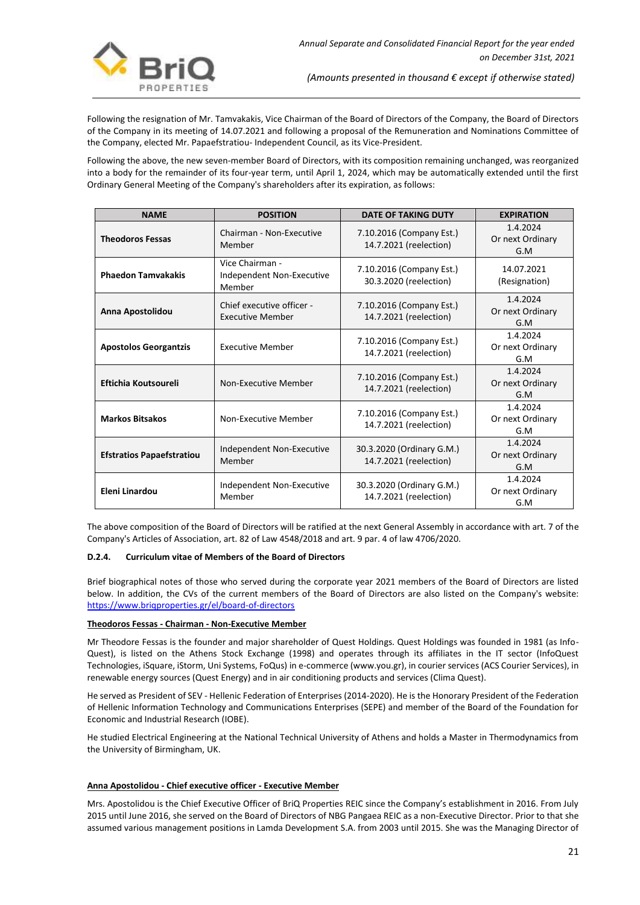

Following the resignation of Mr. Tamvakakis, Vice Chairman of the Board of Directors of the Company, the Board of Directors of the Company in its meeting of 14.07.2021 and following a proposal of the Remuneration and Nominations Committee of the Company, elected Mr. Papaefstratiou- Independent Council, as its Vice-President.

Following the above, the new seven-member Board of Directors, with its composition remaining unchanged, was reorganized into a body for the remainder of its four-year term, until April 1, 2024, which may be automatically extended until the first Ordinary General Meeting of the Company's shareholders after its expiration, as follows:

| <b>NAME</b>                      | <b>POSITION</b>                                        | <b>DATE OF TAKING DUTY</b>                          | <b>EXPIRATION</b>                   |
|----------------------------------|--------------------------------------------------------|-----------------------------------------------------|-------------------------------------|
| <b>Theodoros Fessas</b>          | Chairman - Non-Executive<br>Member                     | 7.10.2016 (Company Est.)<br>14.7.2021 (reelection)  | 1.4.2024<br>Or next Ordinary<br>G.M |
| <b>Phaedon Tamvakakis</b>        | Vice Chairman -<br>Independent Non-Executive<br>Member | 7.10.2016 (Company Est.)<br>30.3.2020 (reelection)  | 14.07.2021<br>(Resignation)         |
| Anna Apostolidou                 | Chief executive officer -<br><b>Executive Member</b>   | 7.10.2016 (Company Est.)<br>14.7.2021 (reelection)  | 1.4.2024<br>Or next Ordinary<br>G.M |
| <b>Apostolos Georgantzis</b>     | <b>Executive Member</b>                                | 7.10.2016 (Company Est.)<br>14.7.2021 (reelection)  | 1.4.2024<br>Or next Ordinary<br>G.M |
| Eftichia Koutsoureli             | Non-Executive Member                                   | 7.10.2016 (Company Est.)<br>14.7.2021 (reelection)  | 1.4.2024<br>Or next Ordinary<br>G.M |
| <b>Markos Bitsakos</b>           | Non-Executive Member                                   | 7.10.2016 (Company Est.)<br>14.7.2021 (reelection)  | 1.4.2024<br>Or next Ordinary<br>G.M |
| <b>Efstratios Papaefstratiou</b> | Independent Non-Executive<br>Member                    | 30.3.2020 (Ordinary G.M.)<br>14.7.2021 (reelection) | 1.4.2024<br>Or next Ordinary<br>G.M |
| Eleni Linardou                   | Independent Non-Executive<br>Member                    | 30.3.2020 (Ordinary G.M.)<br>14.7.2021 (reelection) | 1.4.2024<br>Or next Ordinary<br>G.M |

The above composition of the Board of Directors will be ratified at the next General Assembly in accordance with art. 7 of the Company's Articles of Association, art. 82 of Law 4548/2018 and art. 9 par. 4 of law 4706/2020.

## **D.2.4. Curriculum vitae of Members of the Board of Directors**

Brief biographical notes of those who served during the corporate year 2021 members of the Board of Directors are listed below. In addition, the CVs of the current members of the Board of Directors are also listed on the Company's website: <https://www.briqproperties.gr/el/board-of-directors>

## **Theodoros Fessas - Chairman - Non-Executive Member**

Mr Theodore Fessas is the founder and major shareholder of Quest Holdings. Quest Holdings was founded in 1981 (as Info-Quest), is listed on the Athens Stock Exchange (1998) and operates through its affiliates in the IT sector (InfoQuest Technologies, iSquare, iStorm, Uni Systems, FoQus) in e-commerce (www.you.gr), in courier services (ACS Courier Services), in renewable energy sources (Quest Energy) and in air conditioning products and services (Clima Quest).

He served as President of SEV - Hellenic Federation of Enterprises (2014-2020). He is the Honorary President of the Federation of Hellenic Information Technology and Communications Enterprises (SEPE) and member of the Board of the Foundation for Economic and Industrial Research (IOBE).

He studied Electrical Engineering at the National Technical University of Athens and holds a Master in Thermodynamics from the University of Birmingham, UK.

#### **Anna Apostolidou - Chief executive officer - Executive Member**

Mrs. Apostolidou is the Chief Executive Officer of BriQ Properties REIC since the Company's establishment in 2016. From July 2015 until June 2016, she served on the Board of Directors of NBG Pangaea REIC as a non-Executive Director. Prior to that she assumed various management positions in Lamda Development S.A. from 2003 until 2015. She was the Managing Director of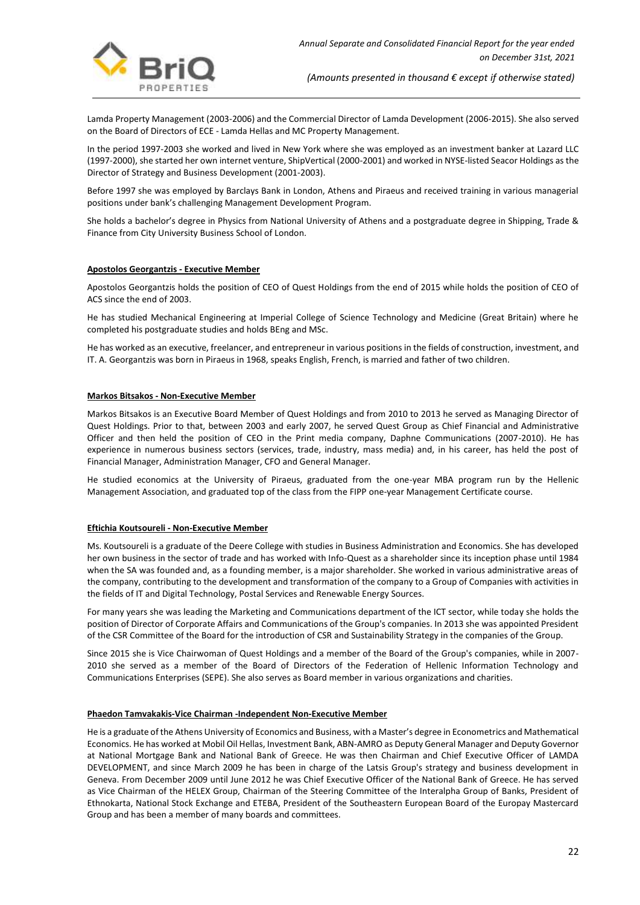

Lamda Property Management (2003-2006) and the Commercial Director of Lamda Development (2006-2015). She also served on the Board of Directors of ECE - Lamda Hellas and MC Property Management.

In the period 1997-2003 she worked and lived in New York where she was employed as an investment banker at Lazard LLC (1997-2000), she started her own internet venture, ShipVertical (2000-2001) and worked in NYSE-listed Seacor Holdings as the Director of Strategy and Business Development (2001-2003).

Before 1997 she was employed by Barclays Bank in London, Athens and Piraeus and received training in various managerial positions under bank's challenging Management Development Program.

She holds a bachelor's degree in Physics from National University of Athens and a postgraduate degree in Shipping, Trade & Finance from City University Business School of London.

#### **Apostolos Georgantzis - Executive Member**

Apostolos Georgantzis holds the position of CEO of Quest Holdings from the end of 2015 while holds the position of CEO of ACS since the end of 2003.

He has studied Mechanical Engineering at Imperial College of Science Technology and Medicine (Great Britain) where he completed his postgraduate studies and holds BEng and MSc.

He has worked as an executive, freelancer, and entrepreneur in various positions in the fields of construction, investment, and IT. A. Georgantzis was born in Piraeus in 1968, speaks English, French, is married and father of two children.

#### **Markos Bitsakos - Non-Executive Member**

Markos Bitsakos is an Executive Board Member of Quest Holdings and from 2010 to 2013 he served as Managing Director of Quest Holdings. Prior to that, between 2003 and early 2007, he served Quest Group as Chief Financial and Administrative Officer and then held the position of CEO in the Print media company, Daphne Communications (2007-2010). He has experience in numerous business sectors (services, trade, industry, mass media) and, in his career, has held the post of Financial Manager, Administration Manager, CFO and General Manager.

He studied economics at the University of Piraeus, graduated from the one-year MBA program run by the Hellenic Management Association, and graduated top of the class from the FIPP one-year Management Certificate course.

#### **Eftichia Koutsoureli - Non-Executive Member**

Ms. Koutsoureli is a graduate of the Deere College with studies in Business Administration and Economics. She has developed her own business in the sector of trade and has worked with Info-Quest as a shareholder since its inception phase until 1984 when the SA was founded and, as a founding member, is a major shareholder. She worked in various administrative areas of the company, contributing to the development and transformation of the company to a Group of Companies with activities in the fields of ΙΤ and Digital Technology, Postal Services and Renewable Energy Sources.

For many years she was leading the Marketing and Communications department of the ICT sector, while today she holds the position of Director of Corporate Affairs and Communications of the Group's companies. In 2013 she was appointed President of the CSR Committee of the Board for the introduction of CSR and Sustainability Strategy in the companies of the Group.

Since 2015 she is Vice Chairwoman of Quest Holdings and a member of the Board of the Group's companies, while in 2007- 2010 she served as a member of the Board of Directors of the Federation of Hellenic Information Technology and Communications Enterprises (SEPE). She also serves as Board member in various organizations and charities.

#### **Phaedon Tamvakakis-Vice Chairman -Independent Non-Executive Member**

He is a graduate of the Athens University of Economics and Business, with a Master's degree in Econometrics and Mathematical Economics. He has worked at Mobil Oil Hellas, Investment Bank, ABN-AMRO as Deputy General Manager and Deputy Governor at National Mortgage Bank and National Bank of Greece. He was then Chairman and Chief Executive Officer of LAMDA DEVELOPMENT, and since March 2009 he has been in charge of the Latsis Group's strategy and business development in Geneva. From December 2009 until June 2012 he was Chief Executive Officer of the National Bank of Greece. He has served as Vice Chairman of the HELEX Group, Chairman of the Steering Committee of the Interalpha Group of Banks, President of Ethnokarta, National Stock Exchange and ETEBA, President of the Southeastern European Board of the Europay Mastercard Group and has been a member of many boards and committees.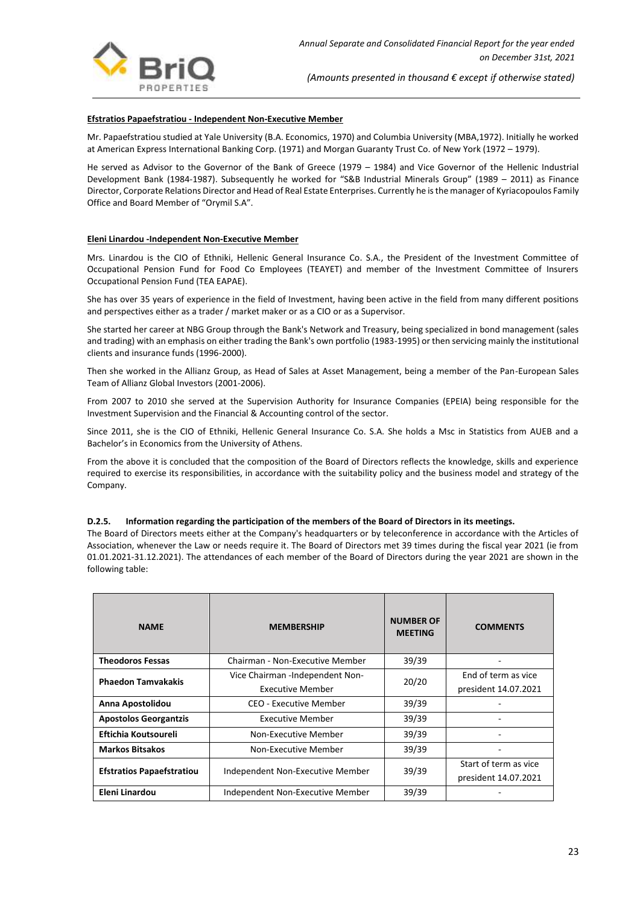

## **Efstratios Papaefstratiou - Independent Non-Executive Member**

Mr. Papaefstratiou studied at Yale University (B.A. Economics, 1970) and Columbia University (MBA,1972). Initially he worked at American Express International Banking Corp. (1971) and Morgan Guaranty Trust Co. of New York (1972 – 1979).

He served as Advisor to the Governor of the Bank of Greece (1979 – 1984) and Vice Governor of the Hellenic Industrial Development Bank (1984-1987). Subsequently he worked for "S&B Industrial Minerals Group" (1989 – 2011) as Finance Director, Corporate Relations Director and Head of Real Estate Enterprises. Currently he is the manager of Kyriacopoulos Family Office and Board Member of "Orymil S.A".

#### **Eleni Linardou -Independent Non-Executive Member**

Mrs. Linardou is the CIO of Ethniki, Hellenic General Insurance Co. S.A., the President of the Investment Committee of Occupational Pension Fund for Food Co Employees (TEAYET) and member of the Investment Committee of Insurers Occupational Pension Fund (TEA EAPAE).

She has over 35 years of experience in the field of Investment, having been active in the field from many different positions and perspectives either as a trader / market maker or as a CIO or as a Supervisor.

She started her career at NBG Group through the Bank's Network and Treasury, being specialized in bond management (sales and trading) with an emphasis on either trading the Bank's own portfolio (1983-1995) or then servicing mainly the institutional clients and insurance funds (1996-2000).

Then she worked in the Allianz Group, as Head of Sales at Asset Management, being a member of the Pan-European Sales Team of Allianz Global Investors (2001-2006).

From 2007 to 2010 she served at the Supervision Authority for Insurance Companies (EPEIA) being responsible for the Investment Supervision and the Financial & Accounting control of the sector.

Since 2011, she is the CIO of Ethniki, Hellenic General Insurance Co. S.A. She holds a Msc in Statistics from AUEB and a Bachelor's in Economics from the University of Athens.

From the above it is concluded that the composition of the Board of Directors reflects the knowledge, skills and experience required to exercise its responsibilities, in accordance with the suitability policy and the business model and strategy of the Company.

#### **D.2.5. Information regarding the participation of the members of the Board of Directors in its meetings.**

The Board of Directors meets either at the Company's headquarters or by teleconference in accordance with the Articles of Association, whenever the Law or needs require it. The Board of Directors met 39 times during the fiscal year 2021 (ie from 01.01.2021-31.12.2021). The attendances of each member of the Board of Directors during the year 2021 are shown in the following table:

| <b>NAME</b>                      | <b>MEMBERSHIP</b>                                          | <b>NUMBER OF</b><br><b>MEETING</b> | <b>COMMENTS</b>                               |
|----------------------------------|------------------------------------------------------------|------------------------------------|-----------------------------------------------|
| <b>Theodoros Fessas</b>          | Chairman - Non-Executive Member                            | 39/39                              |                                               |
| <b>Phaedon Tamvakakis</b>        | Vice Chairman -Independent Non-<br><b>Executive Member</b> | 20/20                              | End of term as vice<br>president 14.07.2021   |
| Anna Apostolidou                 | CEO - Executive Member                                     | 39/39                              |                                               |
| <b>Apostolos Georgantzis</b>     | Executive Member                                           | 39/39                              |                                               |
| Eftichia Koutsoureli             | Non-Executive Member                                       | 39/39                              |                                               |
| <b>Markos Bitsakos</b>           | Non-Executive Member                                       | 39/39                              |                                               |
| <b>Efstratios Papaefstratiou</b> | Independent Non-Executive Member                           | 39/39                              | Start of term as vice<br>president 14.07.2021 |
| Eleni Linardou                   | Independent Non-Executive Member                           | 39/39                              |                                               |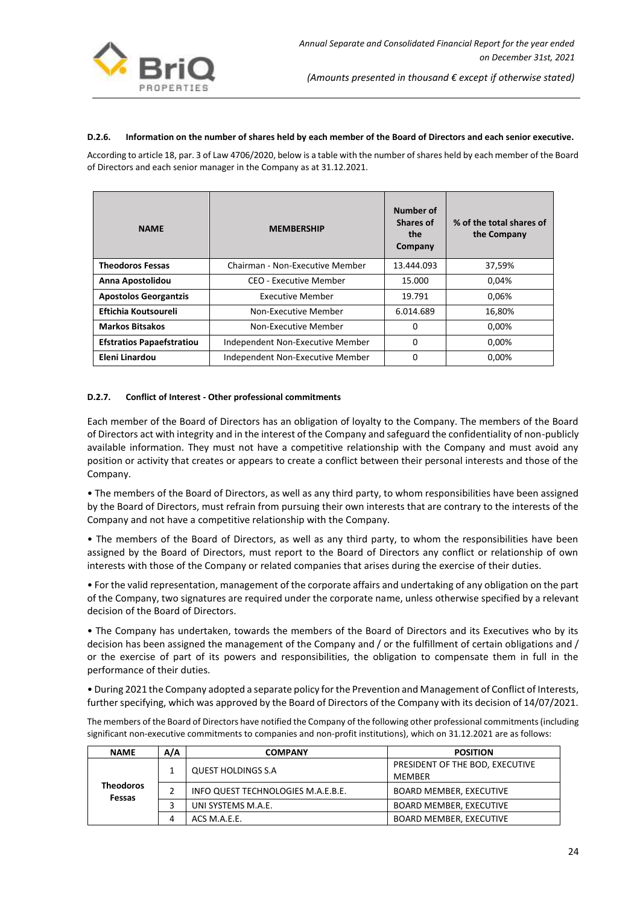

## **D.2.6. Information on the number of shares held by each member of the Board of Directors and each senior executive.**

According to article 18, par. 3 of Law 4706/2020, below is a table with the number of shares held by each member of the Board of Directors and each senior manager in the Company as at 31.12.2021.

| <b>NAME</b>                      | <b>MEMBERSHIP</b>                | Number of<br><b>Shares of</b><br>the<br>Company | % of the total shares of<br>the Company |
|----------------------------------|----------------------------------|-------------------------------------------------|-----------------------------------------|
| <b>Theodoros Fessas</b>          | Chairman - Non-Executive Member  | 13.444.093                                      | 37,59%                                  |
| Anna Apostolidou                 | CEO - Executive Member           | 15.000                                          | 0.04%                                   |
| <b>Apostolos Georgantzis</b>     | <b>Executive Member</b>          | 19.791                                          | 0,06%                                   |
| Eftichia Koutsoureli             | Non-Executive Member             | 6.014.689                                       | 16,80%                                  |
| <b>Markos Bitsakos</b>           | Non-Executive Member             | 0                                               | 0,00%                                   |
| <b>Efstratios Papaefstratiou</b> | Independent Non-Executive Member | 0                                               | 0,00%                                   |
| Eleni Linardou                   | Independent Non-Executive Member | 0                                               | 0,00%                                   |

## **D.2.7. Conflict of Interest - Other professional commitments**

Each member of the Board of Directors has an obligation of loyalty to the Company. The members of the Board of Directors act with integrity and in the interest of the Company and safeguard the confidentiality of non-publicly available information. They must not have a competitive relationship with the Company and must avoid any position or activity that creates or appears to create a conflict between their personal interests and those of the Company.

• The members of the Board of Directors, as well as any third party, to whom responsibilities have been assigned by the Board of Directors, must refrain from pursuing their own interests that are contrary to the interests of the Company and not have a competitive relationship with the Company.

• The members of the Board of Directors, as well as any third party, to whom the responsibilities have been assigned by the Board of Directors, must report to the Board of Directors any conflict or relationship of own interests with those of the Company or related companies that arises during the exercise of their duties.

• For the valid representation, management of the corporate affairs and undertaking of any obligation on the part of the Company, two signatures are required under the corporate name, unless otherwise specified by a relevant decision of the Board of Directors.

• The Company has undertaken, towards the members of the Board of Directors and its Executives who by its decision has been assigned the management of the Company and / or the fulfillment of certain obligations and / or the exercise of part of its powers and responsibilities, the obligation to compensate them in full in the performance of their duties.

• During 2021 the Company adopted a separate policy for the Prevention and Management of Conflict of Interests, further specifying, which was approved by the Board of Directors of the Company with its decision of 14/07/2021.

The members of the Board of Directors have notified the Company of the following other professional commitments (including significant non-executive commitments to companies and non-profit institutions), which on 31.12.2021 are as follows:

| <b>NAME</b>                                                      | A/A                                | <b>COMPANY</b>                 | <b>POSITION</b>                                  |
|------------------------------------------------------------------|------------------------------------|--------------------------------|--------------------------------------------------|
|                                                                  |                                    | <b>QUEST HOLDINGS S.A</b>      | PRESIDENT OF THE BOD, EXECUTIVE<br><b>MFMBFR</b> |
| <b>Theodoros</b><br>Fessas<br>UNI SYSTEMS M.A.E.<br>ACS M.A.E.E. | INFO QUEST TECHNOLOGIES M.A.E.B.E. | <b>BOARD MEMBER, EXECUTIVE</b> |                                                  |
|                                                                  |                                    |                                | <b>BOARD MEMBER, EXECUTIVE</b>                   |
|                                                                  |                                    |                                | <b>BOARD MEMBER, EXECUTIVE</b>                   |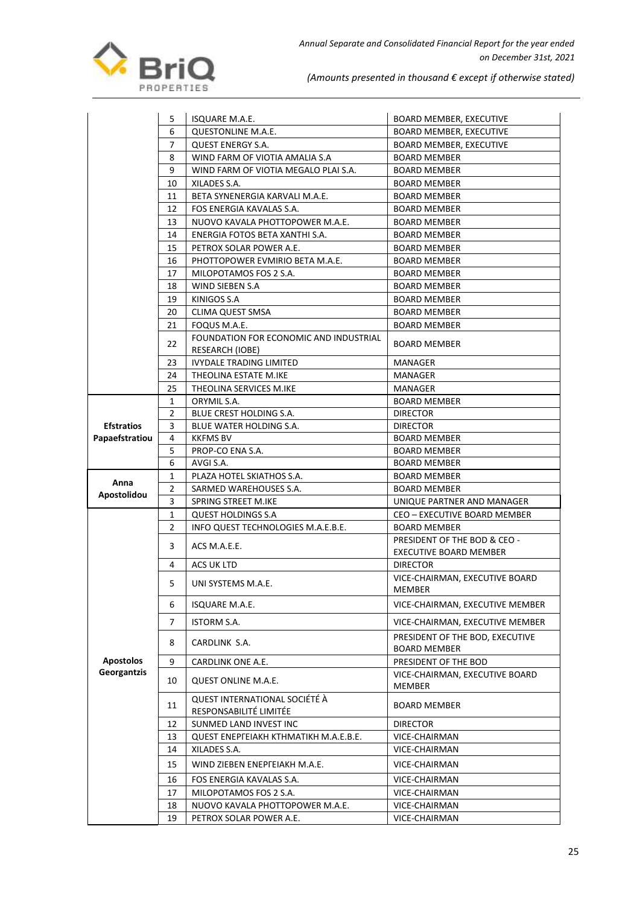

|                   | 5              | <b>ISQUARE M.A.E.</b>                                   | <b>BOARD MEMBER, EXECUTIVE</b>                         |
|-------------------|----------------|---------------------------------------------------------|--------------------------------------------------------|
|                   | 6              | QUESTONLINE M.A.E.                                      | <b>BOARD MEMBER, EXECUTIVE</b>                         |
|                   | 7              | <b>QUEST ENERGY S.A.</b>                                | <b>BOARD MEMBER, EXECUTIVE</b>                         |
|                   | 8              | WIND FARM OF VIOTIA AMALIA S.A                          | <b>BOARD MEMBER</b>                                    |
|                   | 9              | WIND FARM OF VIOTIA MEGALO PLAI S.A.                    | <b>BOARD MEMBER</b>                                    |
|                   | 10             | XILADES S.A.                                            | <b>BOARD MEMBER</b>                                    |
|                   | 11             | BETA SYNENERGIA KARVALI M.A.E.                          | <b>BOARD MEMBER</b>                                    |
|                   | 12             | FOS ENERGIA KAVALAS S.A.                                | <b>BOARD MEMBER</b>                                    |
|                   | 13             | NUOVO KAVALA PHOTTOPOWER M.A.E.                         | <b>BOARD MEMBER</b>                                    |
|                   | 14             | ENERGIA FOTOS BETA XANTHI S.A.                          | <b>BOARD MEMBER</b>                                    |
|                   | 15             | PETROX SOLAR POWER A.E.                                 | <b>BOARD MEMBER</b>                                    |
|                   | 16             | PHOTTOPOWER EVMIRIO BETA M.A.E.                         | <b>BOARD MEMBER</b>                                    |
|                   | 17             | MILOPOTAMOS FOS 2 S.A.                                  | <b>BOARD MEMBER</b>                                    |
|                   | 18             | WIND SIEBEN S.A                                         | <b>BOARD MEMBER</b>                                    |
|                   | 19             | KINIGOS S.A                                             | <b>BOARD MEMBER</b>                                    |
|                   | 20             | CLIMA QUEST SMSA                                        | <b>BOARD MEMBER</b>                                    |
|                   | 21             | FOQUS M.A.E.                                            | <b>BOARD MEMBER</b>                                    |
|                   |                | FOUNDATION FOR ECONOMIC AND INDUSTRIAL                  |                                                        |
|                   | 22             | RESEARCH (IOBE)                                         | <b>BOARD MEMBER</b>                                    |
|                   | 23             | <b>IVYDALE TRADING LIMITED</b>                          | <b>MANAGER</b>                                         |
|                   | 24             | THEOLINA ESTATE M.IKE                                   | MANAGER                                                |
|                   | 25             | THEOLINA SERVICES M.IKE                                 | MANAGER                                                |
|                   | $\mathbf{1}$   | ORYMIL S.A.                                             | <b>BOARD MEMBER</b>                                    |
|                   | $\overline{2}$ | BLUE CREST HOLDING S.A.                                 | <b>DIRECTOR</b>                                        |
| <b>Efstratios</b> | 3              | BLUE WATER HOLDING S.A.                                 | <b>DIRECTOR</b>                                        |
| Papaefstratiou    | 4              | <b>KKFMS BV</b>                                         | <b>BOARD MEMBER</b>                                    |
|                   | 5              | PROP-CO ENA S.A.                                        | <b>BOARD MEMBER</b>                                    |
|                   | 6              | AVGI S.A.                                               | <b>BOARD MEMBER</b>                                    |
| Anna              | 1              | PLAZA HOTEL SKIATHOS S.A.                               | <b>BOARD MEMBER</b>                                    |
| Apostolidou       | 2              | SARMED WAREHOUSES S.A.                                  | <b>BOARD MEMBER</b>                                    |
|                   | 3              | SPRING STREET M.IKE                                     | UNIQUE PARTNER AND MANAGER                             |
|                   | 1              | <b>QUEST HOLDINGS S.A</b>                               | CEO - EXECUTIVE BOARD MEMBER                           |
|                   | $\overline{2}$ | INFO QUEST TECHNOLOGIES M.A.E.B.E.                      | <b>BOARD MEMBER</b>                                    |
|                   | 3              | ACS M.A.E.E.                                            | PRESIDENT OF THE BOD & CEO -                           |
|                   |                |                                                         | EXECUTIVE BOARD MEMBER                                 |
|                   | 4              | ACS UK LTD                                              | <b>DIRECTOR</b>                                        |
|                   | 5              | UNI SYSTEMS M.A.E.                                      | VICE-CHAIRMAN, EXECUTIVE BOARD<br>MEMBER               |
|                   | 6              | ISQUARE M.A.E.                                          | VICE-CHAIRMAN, EXECUTIVE MEMBER                        |
|                   | 7              | ISTORM S.A.                                             | VICE-CHAIRMAN, EXECUTIVE MEMBER                        |
|                   | 8              | CARDLINK S.A.                                           | PRESIDENT OF THE BOD, EXECUTIVE<br><b>BOARD MEMBER</b> |
| <b>Apostolos</b>  | 9              | CARDLINK ONE A.E.                                       | PRESIDENT OF THE BOD                                   |
| Georgantzis       | 10             | QUEST ONLINE M.A.E.                                     | VICE-CHAIRMAN, EXECUTIVE BOARD<br><b>MEMBER</b>        |
|                   | 11             | QUEST INTERNATIONAL SOCIÉTÉ À<br>RESPONSABILITÉ LIMITÉE | <b>BOARD MEMBER</b>                                    |
|                   | 12             | SUNMED LAND INVEST INC                                  | <b>DIRECTOR</b>                                        |
|                   | 13             | QUEST ENEPFEIAKH KTHMATIKH M.A.E.B.E.                   | VICE-CHAIRMAN                                          |
|                   | 14             | XILADES S.A.                                            | VICE-CHAIRMAN                                          |
|                   | 15             | WIND ZIEBEN ENEPFEIAKH M.A.E.                           | VICE-CHAIRMAN                                          |
|                   | 16             | FOS ENERGIA KAVALAS S.A.                                | VICE-CHAIRMAN                                          |
|                   | 17             | MILOPOTAMOS FOS 2 S.A.                                  | VICE-CHAIRMAN                                          |
|                   | 18             | NUOVO KAVALA PHOTTOPOWER M.A.E.                         | VICE-CHAIRMAN                                          |
|                   | 19             | PETROX SOLAR POWER A.E.                                 | VICE-CHAIRMAN                                          |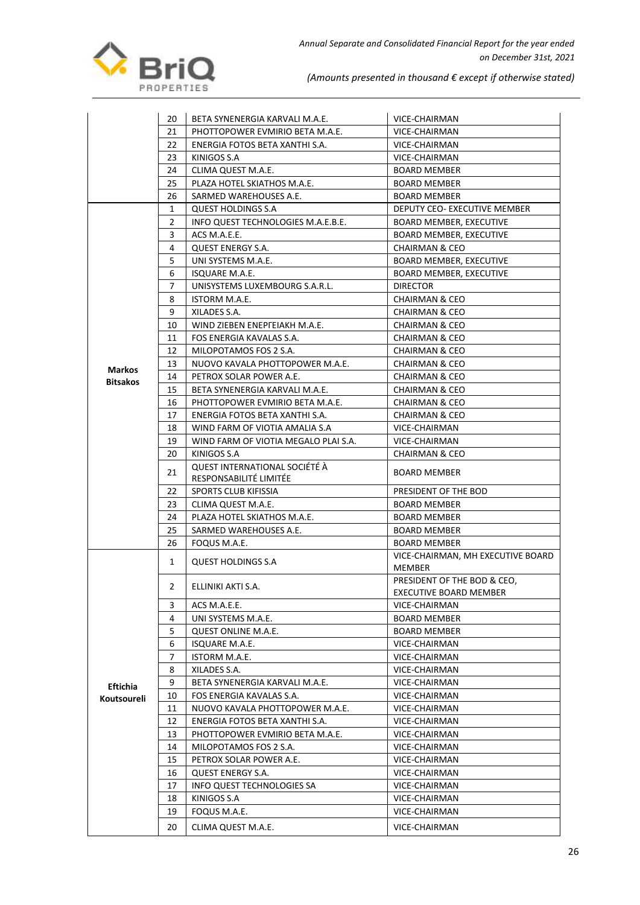

|                 | 20                                   | BETA SYNENERGIA KARVALI M.A.E.                          | VICE-CHAIRMAN                               |  |
|-----------------|--------------------------------------|---------------------------------------------------------|---------------------------------------------|--|
| 21              |                                      | PHOTTOPOWER EVMIRIO BETA M.A.E.                         | VICE-CHAIRMAN                               |  |
|                 | 22<br>ENERGIA FOTOS BETA XANTHI S.A. |                                                         | VICE-CHAIRMAN                               |  |
|                 | 23                                   | KINIGOS S.A                                             | VICE-CHAIRMAN                               |  |
|                 | 24                                   | CLIMA QUEST M.A.E.                                      | <b>BOARD MEMBER</b>                         |  |
|                 | 25                                   | PLAZA HOTEL SKIATHOS M.A.E.                             | <b>BOARD MEMBER</b>                         |  |
|                 | 26                                   | SARMED WAREHOUSES A.E.                                  | <b>BOARD MEMBER</b>                         |  |
|                 | 1                                    | <b>QUEST HOLDINGS S.A</b>                               | DEPUTY CEO- EXECUTIVE MEMBER                |  |
|                 | 2                                    | INFO QUEST TECHNOLOGIES M.A.E.B.E.                      | <b>BOARD MEMBER, EXECUTIVE</b>              |  |
|                 | 3                                    | ACS M.A.E.E.                                            | <b>BOARD MEMBER, EXECUTIVE</b>              |  |
|                 | 4                                    | <b>QUEST ENERGY S.A.</b>                                | <b>CHAIRMAN &amp; CEO</b>                   |  |
|                 | 5                                    | UNI SYSTEMS M.A.E.                                      | <b>BOARD MEMBER, EXECUTIVE</b>              |  |
|                 | 6                                    |                                                         |                                             |  |
|                 |                                      | ISQUARE M.A.E.                                          | BOARD MEMBER, EXECUTIVE                     |  |
|                 | 7                                    | UNISYSTEMS LUXEMBOURG S.A.R.L.                          | <b>DIRECTOR</b>                             |  |
|                 | 8                                    | ISTORM M.A.E.                                           | <b>CHAIRMAN &amp; CEO</b>                   |  |
|                 | 9                                    | XILADES S.A.                                            | <b>CHAIRMAN &amp; CEO</b>                   |  |
|                 | 10                                   | WIND ZIEBEN ENEPFEIAKH M.A.E.                           | <b>CHAIRMAN &amp; CEO</b>                   |  |
|                 | 11                                   | FOS ENERGIA KAVALAS S.A.                                | <b>CHAIRMAN &amp; CEO</b>                   |  |
|                 | 12                                   | MILOPOTAMOS FOS 2 S.A.                                  | <b>CHAIRMAN &amp; CEO</b>                   |  |
| <b>Markos</b>   | 13                                   | NUOVO KAVALA PHOTTOPOWER M.A.E.                         | <b>CHAIRMAN &amp; CEO</b>                   |  |
| <b>Bitsakos</b> | 14                                   | PETROX SOLAR POWER A.E.                                 | <b>CHAIRMAN &amp; CEO</b>                   |  |
|                 | 15                                   | BETA SYNENERGIA KARVALI M.A.E.                          | <b>CHAIRMAN &amp; CEO</b>                   |  |
|                 | 16                                   | PHOTTOPOWER EVMIRIO BETA M.A.E.                         | <b>CHAIRMAN &amp; CEO</b>                   |  |
|                 | 17                                   | ENERGIA FOTOS BETA XANTHI S.A.                          | <b>CHAIRMAN &amp; CEO</b>                   |  |
|                 | 18                                   | WIND FARM OF VIOTIA AMALIA S.A                          | VICE-CHAIRMAN                               |  |
|                 | 19                                   | WIND FARM OF VIOTIA MEGALO PLAI S.A.                    | VICE-CHAIRMAN                               |  |
|                 | 20                                   | KINIGOS S.A                                             | <b>CHAIRMAN &amp; CEO</b>                   |  |
| 22<br>23<br>24  | 21                                   | QUEST INTERNATIONAL SOCIÉTÉ À<br>RESPONSABILITÉ LIMITÉE | <b>BOARD MEMBER</b>                         |  |
|                 |                                      | SPORTS CLUB KIFISSIA                                    | PRESIDENT OF THE BOD                        |  |
|                 |                                      | CLIMA QUEST M.A.E.                                      | <b>BOARD MEMBER</b>                         |  |
|                 |                                      | PLAZA HOTEL SKIATHOS M.A.E.                             | BOARD MEMBER                                |  |
|                 | 25                                   | SARMED WAREHOUSES A.E.                                  | <b>BOARD MEMBER</b>                         |  |
|                 | 26                                   | FOQUS M.A.E.                                            | <b>BOARD MEMBER</b>                         |  |
|                 |                                      |                                                         |                                             |  |
|                 | 1                                    | <b>QUEST HOLDINGS S.A</b>                               | VICE-CHAIRMAN, MH EXECUTIVE BOARD<br>MEMBER |  |
|                 | 2                                    | ELLINIKI AKTI S.A.                                      | PRESIDENT OF THE BOD & CEO,                 |  |
|                 |                                      |                                                         | EXECUTIVE BOARD MEMBER                      |  |
|                 | 3                                    | ACS M.A.E.E.                                            | VICE-CHAIRMAN                               |  |
|                 | 4                                    | UNI SYSTEMS M.A.E.                                      | BOARD MEMBER                                |  |
|                 | 5                                    | QUEST ONLINE M.A.E.                                     | <b>BOARD MEMBER</b>                         |  |
|                 | 6                                    | ISQUARE M.A.E.                                          | VICE-CHAIRMAN                               |  |
|                 | 7                                    | ISTORM M.A.E.                                           | VICE-CHAIRMAN                               |  |
|                 | 8                                    | XILADES S.A.                                            | VICE-CHAIRMAN                               |  |
| <b>Eftichia</b> | 9                                    | BETA SYNENERGIA KARVALI M.A.E.                          | VICE-CHAIRMAN                               |  |
| Koutsoureli     | 10                                   | FOS ENERGIA KAVALAS S.A.                                | VICE-CHAIRMAN                               |  |
|                 | 11                                   | NUOVO KAVALA PHOTTOPOWER M.A.E.                         | VICE-CHAIRMAN                               |  |
|                 | 12                                   | ENERGIA FOTOS BETA XANTHI S.A.                          | VICE-CHAIRMAN                               |  |
|                 | 13                                   | PHOTTOPOWER EVMIRIO BETA M.A.E.                         | VICE-CHAIRMAN                               |  |
|                 | 14                                   | MILOPOTAMOS FOS 2 S.A.                                  | VICE-CHAIRMAN                               |  |
|                 | 15                                   | PETROX SOLAR POWER A.E.                                 | VICE-CHAIRMAN                               |  |
|                 | 16                                   | QUEST ENERGY S.A.                                       | VICE-CHAIRMAN                               |  |
|                 | 17                                   | INFO QUEST TECHNOLOGIES SA                              | VICE-CHAIRMAN                               |  |
|                 |                                      |                                                         |                                             |  |
|                 | 18                                   | KINIGOS S.A                                             | VICE-CHAIRMAN                               |  |
|                 | 19                                   | FOQUS M.A.E.                                            | VICE-CHAIRMAN                               |  |
|                 | 20                                   | CLIMA QUEST M.A.E.                                      | VICE-CHAIRMAN                               |  |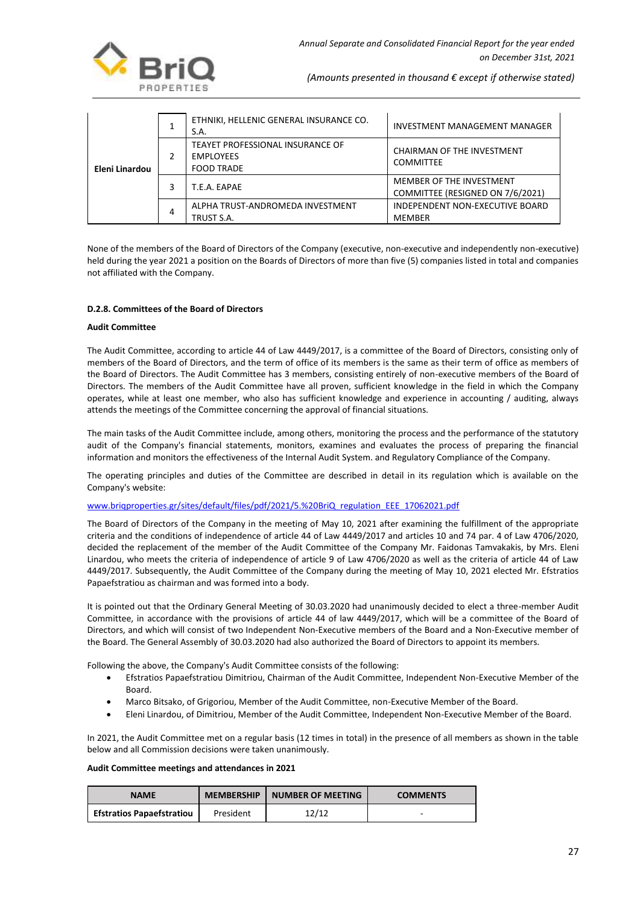

|                |                                                                           | ETHNIKI, HELLENIC GENERAL INSURANCE CO.<br>S.A. | INVESTMENT MANAGEMENT MANAGER                                |
|----------------|---------------------------------------------------------------------------|-------------------------------------------------|--------------------------------------------------------------|
| Eleni Linardou | TEAYET PROFESSIONAL INSURANCE OF<br><b>EMPLOYEES</b><br><b>FOOD TRADE</b> | CHAIRMAN OF THE INVESTMENT<br><b>COMMITTEE</b>  |                                                              |
|                |                                                                           | T.E.A. EAPAE                                    | MEMBER OF THE INVESTMENT<br>COMMITTEE (RESIGNED ON 7/6/2021) |
|                | 4                                                                         | ALPHA TRUST-ANDROMEDA INVESTMENT<br>TRUST S.A.  | INDEPENDENT NON-EXECUTIVE BOARD<br>MEMBER                    |

None of the members of the Board of Directors of the Company (executive, non-executive and independently non-executive) held during the year 2021 a position on the Boards of Directors of more than five (5) companies listed in total and companies not affiliated with the Company.

## **D.2.8. Committees of the Board of Directors**

#### **Audit Committee**

The Audit Committee, according to article 44 of Law 4449/2017, is a committee of the Board of Directors, consisting only of members of the Board of Directors, and the term of office of its members is the same as their term of office as members of the Board of Directors. The Audit Committee has 3 members, consisting entirely of non-executive members of the Board of Directors. The members of the Audit Committee have all proven, sufficient knowledge in the field in which the Company operates, while at least one member, who also has sufficient knowledge and experience in accounting / auditing, always attends the meetings of the Committee concerning the approval of financial situations.

The main tasks of the Audit Committee include, among others, monitoring the process and the performance of the statutory audit of the Company's financial statements, monitors, examines and evaluates the process of preparing the financial information and monitors the effectiveness of the Internal Audit System. and Regulatory Compliance of the Company.

The operating principles and duties of the Committee are described in detail in its regulation which is available on the Company's website:

[www.briqproperties.gr/sites/default/files/pdf/2021/5.%20BriQ\\_regulation\\_EEE\\_17062021.pdf](http://www.briqproperties.gr/sites/default/files/pdf/2021/5.%20BriQ_regulation_EEE_17062021.pdf)

The Board of Directors of the Company in the meeting of May 10, 2021 after examining the fulfillment of the appropriate criteria and the conditions of independence of article 44 of Law 4449/2017 and articles 10 and 74 par. 4 of Law 4706/2020, decided the replacement of the member of the Audit Committee of the Company Mr. Faidonas Tamvakakis, by Mrs. Eleni Linardou, who meets the criteria of independence of article 9 of Law 4706/2020 as well as the criteria of article 44 of Law 4449/2017. Subsequently, the Audit Committee of the Company during the meeting of May 10, 2021 elected Mr. Efstratios Papaefstratiou as chairman and was formed into a body.

It is pointed out that the Ordinary General Meeting of 30.03.2020 had unanimously decided to elect a three-member Audit Committee, in accordance with the provisions of article 44 of law 4449/2017, which will be a committee of the Board of Directors, and which will consist of two Independent Non-Executive members of the Board and a Non-Executive member of the Board. The General Assembly of 30.03.2020 had also authorized the Board of Directors to appoint its members.

Following the above, the Company's Audit Committee consists of the following:

- Efstratios Papaefstratiou Dimitriou, Chairman of the Audit Committee, Independent Non-Executive Member of the Board.
- Marco Bitsako, of Grigoriou, Member of the Audit Committee, non-Executive Member of the Board.
- Eleni Linardou, of Dimitriou, Member of the Audit Committee, Independent Non-Executive Member of the Board.

In 2021, the Audit Committee met on a regular basis (12 times in total) in the presence of all members as shown in the table below and all Commission decisions were taken unanimously.

## **Audit Committee meetings and attendances in 2021**

| <b>NAME</b>                      | <b>MEMBERSHIP</b> | <b>NUMBER OF MEETING</b> | <b>COMMENTS</b> |
|----------------------------------|-------------------|--------------------------|-----------------|
| <b>Efstratios Papaefstratiou</b> | President         | 12/12                    | -               |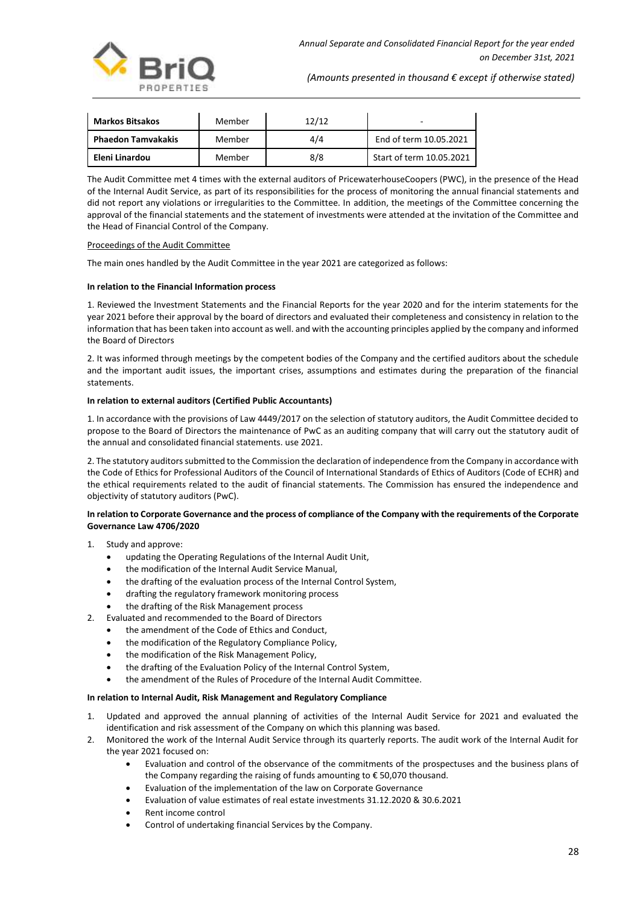

| <b>Markos Bitsakos</b>    | Member | 12/12 | -                        |
|---------------------------|--------|-------|--------------------------|
| <b>Phaedon Tamvakakis</b> | Member | 4/4   | End of term 10.05.2021   |
| Eleni Linardou            | Member | 8/8   | Start of term 10.05.2021 |

The Audit Committee met 4 times with the external auditors of PricewaterhouseCoopers (PWC), in the presence of the Head of the Internal Audit Service, as part of its responsibilities for the process of monitoring the annual financial statements and did not report any violations or irregularities to the Committee. In addition, the meetings of the Committee concerning the approval of the financial statements and the statement of investments were attended at the invitation of the Committee and the Head of Financial Control of the Company.

#### Proceedings of the Audit Committee

The main ones handled by the Audit Committee in the year 2021 are categorized as follows:

#### **In relation to the Financial Information process**

1. Reviewed the Investment Statements and the Financial Reports for the year 2020 and for the interim statements for the year 2021 before their approval by the board of directors and evaluated their completeness and consistency in relation to the information that has been taken into account as well. and with the accounting principles applied by the company and informed the Board of Directors

2. It was informed through meetings by the competent bodies of the Company and the certified auditors about the schedule and the important audit issues, the important crises, assumptions and estimates during the preparation of the financial statements.

#### **In relation to external auditors (Certified Public Accountants)**

1. In accordance with the provisions of Law 4449/2017 on the selection of statutory auditors, the Audit Committee decided to propose to the Board of Directors the maintenance of PwC as an auditing company that will carry out the statutory audit of the annual and consolidated financial statements. use 2021.

2. The statutory auditors submitted to the Commission the declaration of independence from the Company in accordance with the Code of Ethics for Professional Auditors of the Council of International Standards of Ethics of Auditors (Code of ECHR) and the ethical requirements related to the audit of financial statements. The Commission has ensured the independence and objectivity of statutory auditors (PwC).

## **In relation to Corporate Governance and the process of compliance of the Company with the requirements of the Corporate Governance Law 4706/2020**

- 1. Study and approve:
	- updating the Operating Regulations of the Internal Audit Unit,
	- the modification of the Internal Audit Service Manual,
	- the drafting of the evaluation process of the Internal Control System,
	- drafting the regulatory framework monitoring process
	- the drafting of the Risk Management process
- 2. Evaluated and recommended to the Board of Directors
	- the amendment of the Code of Ethics and Conduct,
	- the modification of the Regulatory Compliance Policy,
	- the modification of the Risk Management Policy,
	- the drafting of the Evaluation Policy of the Internal Control System,
	- the amendment of the Rules of Procedure of the Internal Audit Committee.

#### **In relation to Internal Audit, Risk Management and Regulatory Compliance**

- 1. Updated and approved the annual planning of activities of the Internal Audit Service for 2021 and evaluated the identification and risk assessment of the Company on which this planning was based.
- 2. Monitored the work of the Internal Audit Service through its quarterly reports. The audit work of the Internal Audit for the year 2021 focused on:
	- Evaluation and control of the observance of the commitments of the prospectuses and the business plans of the Company regarding the raising of funds amounting to € 50,070 thousand.
	- Evaluation of the implementation of the law on Corporate Governance
	- Evaluation of value estimates of real estate investments 31.12.2020 & 30.6.2021
	- Rent income control
	- Control of undertaking financial Services by the Company.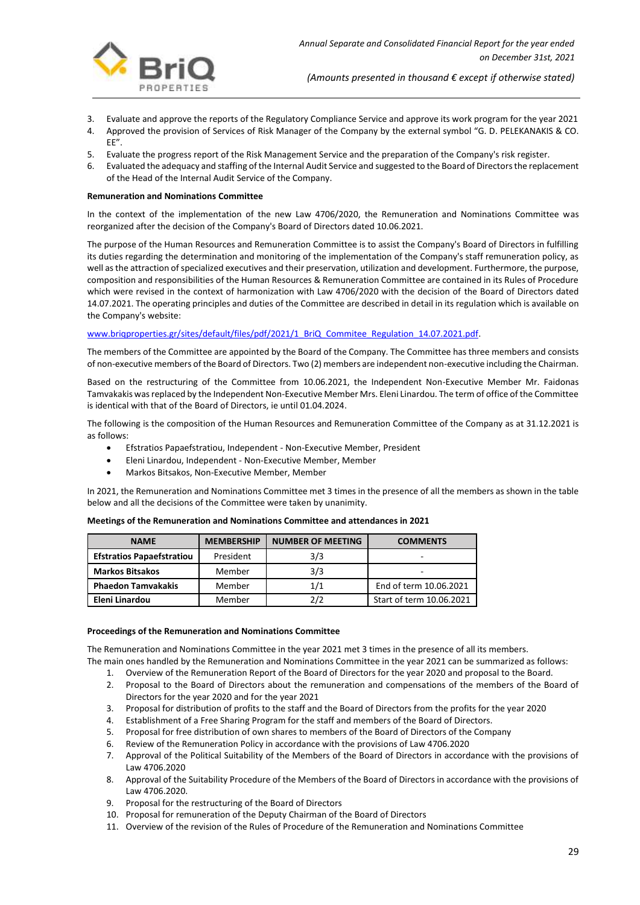

- 3. Evaluate and approve the reports of the Regulatory Compliance Service and approve its work program for the year 2021<br>4. Approved the provision of Services of Risk Manager of the Company by the external symbol "G. D. PEL
- Approved the provision of Services of Risk Manager of the Company by the external symbol "G. D. PELEKANAKIS & CO. EE".
- 5. Evaluate the progress report of the Risk Management Service and the preparation of the Company's risk register.
- 6. Evaluated the adequacy and staffing of the Internal Audit Service and suggested to the Board of Directors the replacement of the Head of the Internal Audit Service of the Company.

#### **Remuneration and Nominations Committee**

In the context of the implementation of the new Law 4706/2020, the Remuneration and Nominations Committee was reorganized after the decision of the Company's Board of Directors dated 10.06.2021.

The purpose of the Human Resources and Remuneration Committee is to assist the Company's Board of Directors in fulfilling its duties regarding the determination and monitoring of the implementation of the Company's staff remuneration policy, as well as the attraction of specialized executives and their preservation, utilization and development. Furthermore, the purpose, composition and responsibilities of the Human Resources & Remuneration Committee are contained in its Rules of Procedure which were revised in the context of harmonization with Law 4706/2020 with the decision of the Board of Directors dated 14.07.2021. The operating principles and duties of the Committee are described in detail in its regulation which is available on the Company's website:

## www.brigproperties.gr/sites/default/files/pdf/2021/1\_BriQ\_Commitee\_Regulation\_14.07.2021.pdf.

The members of the Committee are appointed by the Board of the Company. The Committee has three members and consists of non-executive members of the Board of Directors. Two (2) members are independent non-executive including the Chairman.

Based on the restructuring of the Committee from 10.06.2021, the Independent Non-Executive Member Mr. Faidonas Tamvakakis wasreplaced by the Independent Non-Executive Member Mrs. Eleni Linardou. The term of office of the Committee is identical with that of the Board of Directors, ie until 01.04.2024.

The following is the composition of the Human Resources and Remuneration Committee of the Company as at 31.12.2021 is as follows:

- Efstratios Papaefstratiou, Independent Non-Executive Member, President
- Eleni Linardou, Independent Non-Executive Member, Member
- Markos Bitsakos, Non-Executive Member, Member

In 2021, the Remuneration and Nominations Committee met 3 times in the presence of all the members as shown in the table below and all the decisions of the Committee were taken by unanimity.

| <b>NAME</b>                      | <b>MEMBERSHIP</b> | <b>NUMBER OF MEETING</b> | <b>COMMENTS</b>          |
|----------------------------------|-------------------|--------------------------|--------------------------|
| <b>Efstratios Papaefstratiou</b> | President         | 3/3                      | -                        |
| <b>Markos Bitsakos</b>           | Member            | 3/3                      | -                        |
| <b>Phaedon Tamvakakis</b>        | Member            | 1/1                      | End of term 10.06.2021   |
| Eleni Linardou                   | Member            | 2/2                      | Start of term 10.06.2021 |

#### **Meetings of the Remuneration and Nominations Committee and attendances in 2021**

#### **Proceedings of the Remuneration and Nominations Committee**

The Remuneration and Nominations Committee in the year 2021 met 3 times in the presence of all its members. The main ones handled by the Remuneration and Nominations Committee in the year 2021 can be summarized as follows:

- 1. Overview of the Remuneration Report of the Board of Directors for the year 2020 and proposal to the Board.
- 2. Proposal to the Board of Directors about the remuneration and compensations of the members of the Board of Directors for the year 2020 and for the year 2021
- 3. Proposal for distribution of profits to the staff and the Board of Directors from the profits for the year 2020
- 4. Establishment of a Free Sharing Program for the staff and members of the Board of Directors.
- 5. Proposal for free distribution of own shares to members of the Board of Directors of the Company
- 6. Review of the Remuneration Policy in accordance with the provisions of Law 4706.2020
- 7. Approval of the Political Suitability of the Members of the Board of Directors in accordance with the provisions of Law 4706.2020
- 8. Approval of the Suitability Procedure of the Members of the Board of Directors in accordance with the provisions of Law 4706.2020.
- 9. Proposal for the restructuring of the Board of Directors
- 10. Proposal for remuneration of the Deputy Chairman of the Board of Directors
- 11. Overview of the revision of the Rules of Procedure of the Remuneration and Nominations Committee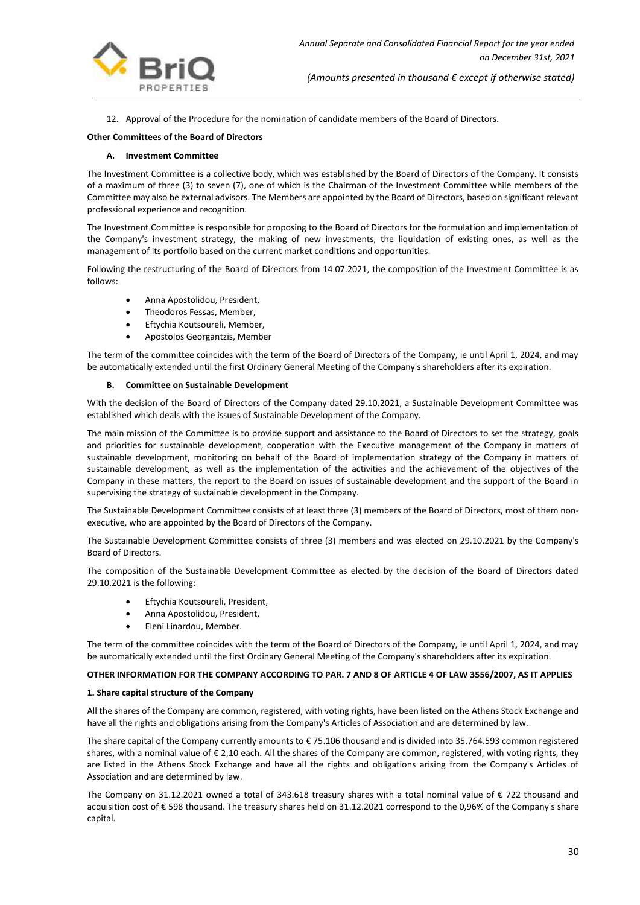

12. Approval of the Procedure for the nomination of candidate members of the Board of Directors.

#### **Other Committees of the Board of Directors**

#### **A. Investment Committee**

The Investment Committee is a collective body, which was established by the Board of Directors of the Company. It consists of a maximum of three (3) to seven (7), one of which is the Chairman of the Investment Committee while members of the Committee may also be external advisors. The Members are appointed by the Board of Directors, based on significant relevant professional experience and recognition.

The Investment Committee is responsible for proposing to the Board of Directors for the formulation and implementation of the Company's investment strategy, the making of new investments, the liquidation of existing ones, as well as the management of its portfolio based on the current market conditions and opportunities.

Following the restructuring of the Board of Directors from 14.07.2021, the composition of the Investment Committee is as follows:

- Anna Apostolidou, President,
- Theodoros Fessas, Member,
- Eftychia Koutsoureli, Member,
- Apostolos Georgantzis, Member

The term of the committee coincides with the term of the Board of Directors of the Company, ie until April 1, 2024, and may be automatically extended until the first Ordinary General Meeting of the Company's shareholders after its expiration.

#### **B. Committee on Sustainable Development**

With the decision of the Board of Directors of the Company dated 29.10.2021, a Sustainable Development Committee was established which deals with the issues of Sustainable Development of the Company.

The main mission of the Committee is to provide support and assistance to the Board of Directors to set the strategy, goals and priorities for sustainable development, cooperation with the Executive management of the Company in matters of sustainable development, monitoring on behalf of the Board of implementation strategy of the Company in matters of sustainable development, as well as the implementation of the activities and the achievement of the objectives of the Company in these matters, the report to the Board on issues of sustainable development and the support of the Board in supervising the strategy of sustainable development in the Company.

The Sustainable Development Committee consists of at least three (3) members of the Board of Directors, most of them nonexecutive, who are appointed by the Board of Directors of the Company.

The Sustainable Development Committee consists of three (3) members and was elected on 29.10.2021 by the Company's Board of Directors.

The composition of the Sustainable Development Committee as elected by the decision of the Board of Directors dated 29.10.2021 is the following:

- Eftychia Koutsoureli, President,
- Anna Apostolidou, President,
- Eleni Linardou, Member.

The term of the committee coincides with the term of the Board of Directors of the Company, ie until April 1, 2024, and may be automatically extended until the first Ordinary General Meeting of the Company's shareholders after its expiration.

#### **OTHER INFORMATION FOR THE COMPANY ACCORDING TO PAR. 7 AND 8 OF ARTICLE 4 OF LAW 3556/2007, AS IT APPLIES**

#### **1. Share capital structure of the Company**

All the shares of the Company are common, registered, with voting rights, have been listed on the Athens Stock Exchange and have all the rights and obligations arising from the Company's Articles of Association and are determined by law.

The share capital of the Company currently amounts to € 75.106 thousand and is divided into 35.764.593 common registered shares, with a nominal value of € 2,10 each. All the shares of the Company are common, registered, with voting rights, they are listed in the Athens Stock Exchange and have all the rights and obligations arising from the Company's Articles of Association and are determined by law.

The Company on 31.12.2021 owned a total of 343.618 treasury shares with a total nominal value of € 722 thousand and acquisition cost of € 598 thousand. The treasury shares held on 31.12.2021 correspond to the 0,96% of the Company's share capital.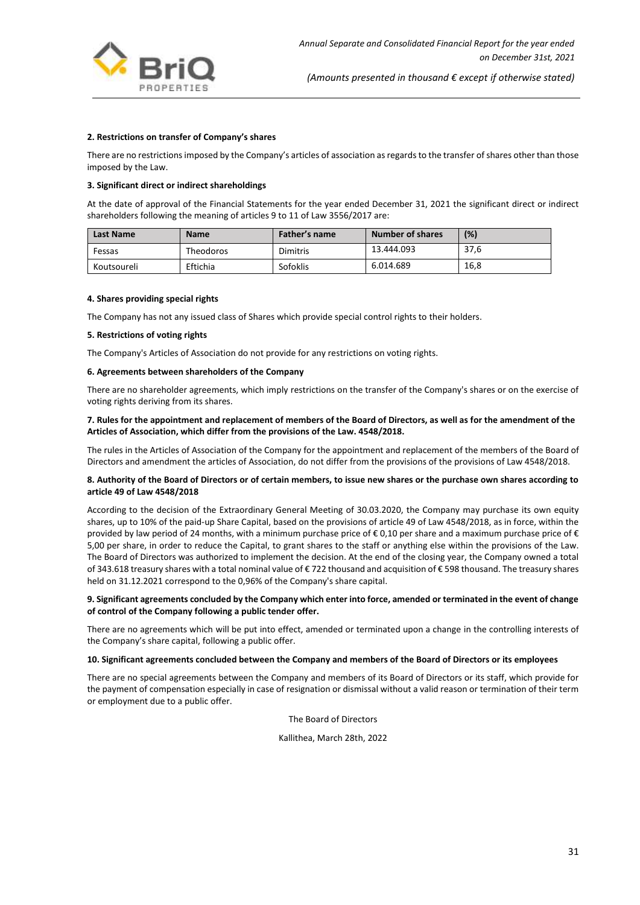

#### **2. Restrictions on transfer of Company's shares**

There are no restrictions imposed by the Company's articles of association as regards to the transfer of shares other than those imposed by the Law.

#### **3. Significant direct or indirect shareholdings**

At the date of approval of the Financial Statements for the year ended December 31, 2021 the significant direct or indirect shareholders following the meaning of articles 9 to 11 of Law 3556/2017 are:

| <b>Last Name</b> | <b>Name</b> | Father's name | Number of shares | (%)  |
|------------------|-------------|---------------|------------------|------|
| Fessas           | Theodoros   | Dimitris      | 13.444.093       | 37,6 |
| Koutsoureli      | Eftichia    | Sofoklis      | 6.014.689        | 16,8 |

#### **4. Shares providing special rights**

The Company has not any issued class of Shares which provide special control rights to their holders.

#### **5. Restrictions of voting rights**

The Company's Articles of Association do not provide for any restrictions on voting rights.

## **6. Agreements between shareholders of the Company**

There are no shareholder agreements, which imply restrictions on the transfer of the Company's shares or on the exercise of voting rights deriving from its shares.

## **7. Rules for the appointment and replacement of members of the Board of Directors, as well as for the amendment of the Articles of Association, which differ from the provisions of the Law. 4548/2018.**

The rules in the Articles of Association of the Company for the appointment and replacement of the members of the Board of Directors and amendment the articles of Association, do not differ from the provisions of the provisions of Law 4548/2018.

#### **8. Authority of the Board of Directors or of certain members, to issue new shares or the purchase own shares according to article 49 of Law 4548/2018**

According to the decision of the Extraordinary General Meeting of 30.03.2020, the Company may purchase its own equity shares, up to 10% of the paid-up Share Capital, based on the provisions of article 49 of Law 4548/2018, as in force, within the provided by law period of 24 months, with a minimum purchase price of €0,10 per share and a maximum purchase price of € 5,00 per share, in order to reduce the Capital, to grant shares to the staff or anything else within the provisions of the Law. The Board of Directors was authorized to implement the decision. At the end of the closing year, the Company owned a total of 343.618 treasury shares with a total nominal value of € 722 thousand and acquisition of € 598 thousand. The treasury shares held on 31.12.2021 correspond to the 0,96% of the Company's share capital.

#### **9. Significant agreements concluded by the Company which enter into force, amended or terminated in the event of change of control of the Company following a public tender offer.**

There are no agreements which will be put into effect, amended or terminated upon a change in the controlling interests of the Company's share capital, following a public offer.

#### **10. Significant agreements concluded between the Company and members of the Board of Directors or its employees**

There are no special agreements between the Company and members of its Board of Directors or its staff, which provide for the payment of compensation especially in case of resignation or dismissal without a valid reason or termination of their term or employment due to a public offer.

The Board of Directors

Kallithea, March 28th, 2022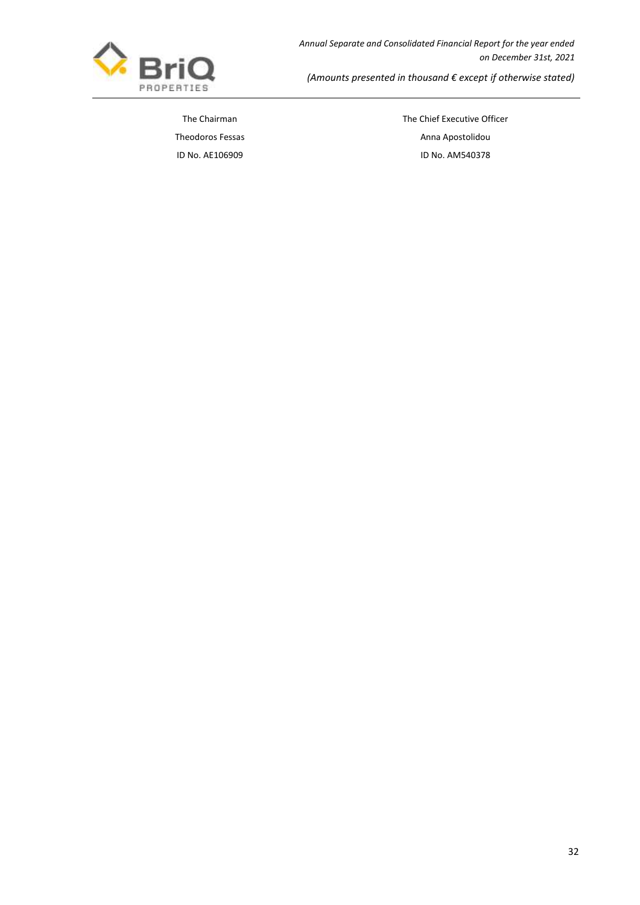

*Annual Separate and Consolidated Financial Report for the year ended on December 31st, 2021*

*(Amounts presented in thousand € except if otherwise stated)*

The Chairman The Chairman The Chief Executive Officer Theodoros Fessas **Anna Apostolidou Anna Apostolidou** ID No. AΕ106909 ID No. AΜ540378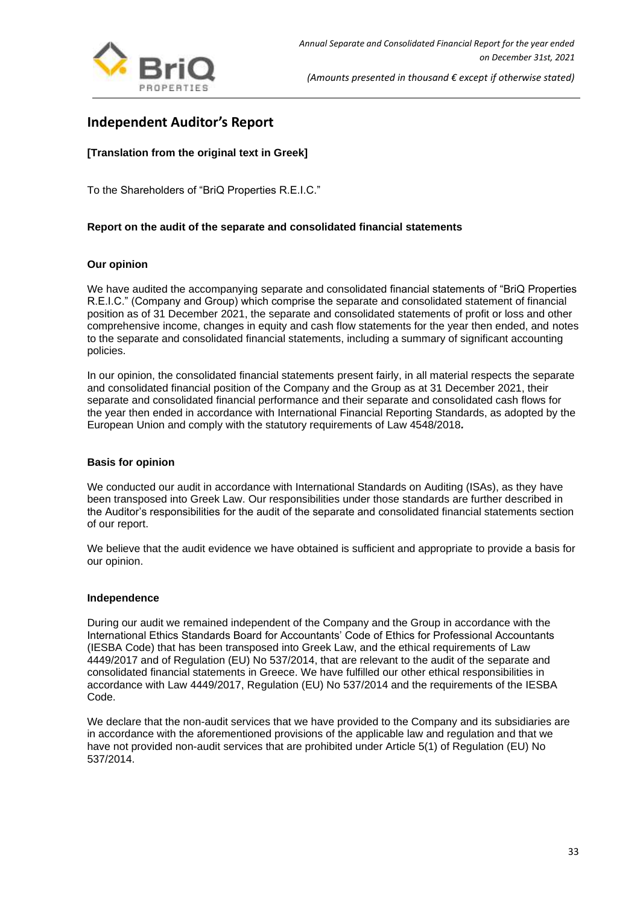

# <span id="page-33-0"></span>**Independent Auditor's Report**

# **[Translation from the original text in Greek]**

To the Shareholders of "BriQ Properties R.E.I.C."

# **Report on the audit of the separate and consolidated financial statements**

# **Our opinion**

We have audited the accompanying separate and consolidated financial statements of "BriQ Properties R.E.I.C." (Company and Group) which comprise the separate and consolidated statement of financial position as of 31 December 2021, the separate and consolidated statements of profit or loss and other comprehensive income, changes in equity and cash flow statements for the year then ended, and notes to the separate and consolidated financial statements, including a summary of significant accounting policies.

In our opinion, the consolidated financial statements present fairly, in all material respects the separate and consolidated financial position of the Company and the Group as at 31 December 2021, their separate and consolidated financial performance and their separate and consolidated cash flows for the year then ended in accordance with International Financial Reporting Standards, as adopted by the European Union and comply with the statutory requirements of Law 4548/2018*.*

## **Basis for opinion**

We conducted our audit in accordance with International Standards on Auditing (ISAs), as they have been transposed into Greek Law. Our responsibilities under those standards are further described in the Auditor's responsibilities for the audit of the separate and consolidated financial statements section of our report.

We believe that the audit evidence we have obtained is sufficient and appropriate to provide a basis for our opinion.

## **Independence**

During our audit we remained independent of the Company and the Group in accordance with the International Ethics Standards Board for Accountants' Code of Ethics for Professional Accountants (IESBA Code) that has been transposed into Greek Law, and the ethical requirements of Law 4449/2017 and of Regulation (EU) No 537/2014, that are relevant to the audit of the separate and consolidated financial statements in Greece. We have fulfilled our other ethical responsibilities in accordance with Law 4449/2017, Regulation (EU) No 537/2014 and the requirements of the IESBA Code.

We declare that the non-audit services that we have provided to the Company and its subsidiaries are in accordance with the aforementioned provisions of the applicable law and regulation and that we have not provided non-audit services that are prohibited under Article 5(1) of Regulation (EU) No 537/2014.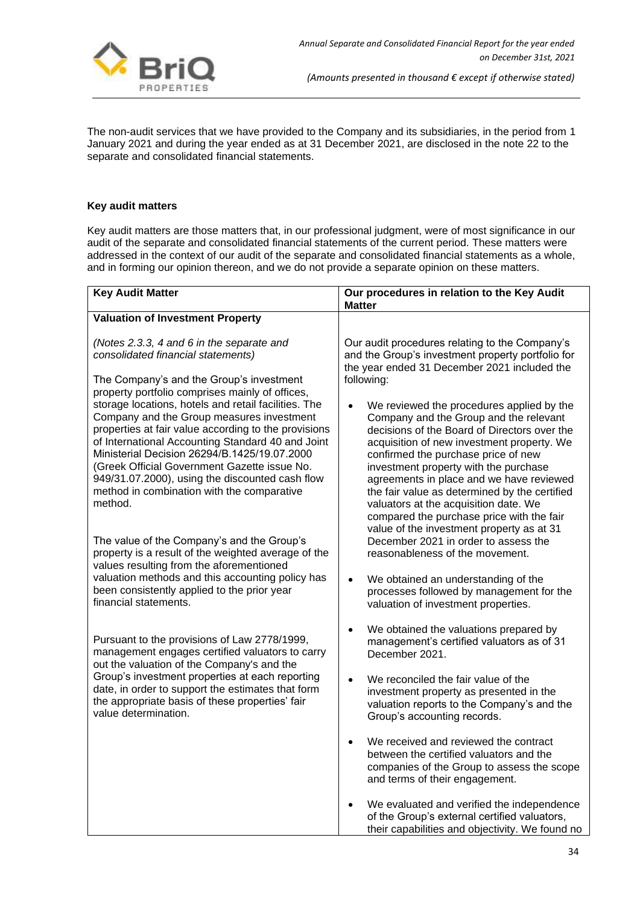

The non-audit services that we have provided to the Company and its subsidiaries, in the period from 1 January 2021 and during the year ended as at 31 December 2021, are disclosed in the note 22 to the separate and consolidated financial statements.

# **Key audit matters**

Key audit matters are those matters that, in our professional judgment, were of most significance in our audit of the separate and consolidated financial statements of the current period. These matters were addressed in the context of our audit of the separate and consolidated financial statements as a whole, and in forming our opinion thereon, and we do not provide a separate opinion on these matters.

| <b>Key Audit Matter</b>                                                                                                                                                                                                                                                                                                                                                                                                    | Our procedures in relation to the Key Audit<br><b>Matter</b>                                                                                                                                                                                                                                                                                                                                                                                                                                      |
|----------------------------------------------------------------------------------------------------------------------------------------------------------------------------------------------------------------------------------------------------------------------------------------------------------------------------------------------------------------------------------------------------------------------------|---------------------------------------------------------------------------------------------------------------------------------------------------------------------------------------------------------------------------------------------------------------------------------------------------------------------------------------------------------------------------------------------------------------------------------------------------------------------------------------------------|
| <b>Valuation of Investment Property</b>                                                                                                                                                                                                                                                                                                                                                                                    |                                                                                                                                                                                                                                                                                                                                                                                                                                                                                                   |
| (Notes 2.3.3, 4 and 6 in the separate and<br>consolidated financial statements)<br>The Company's and the Group's investment<br>property portfolio comprises mainly of offices,                                                                                                                                                                                                                                             | Our audit procedures relating to the Company's<br>and the Group's investment property portfolio for<br>the year ended 31 December 2021 included the<br>following:                                                                                                                                                                                                                                                                                                                                 |
| storage locations, hotels and retail facilities. The<br>Company and the Group measures investment<br>properties at fair value according to the provisions<br>of International Accounting Standard 40 and Joint<br>Ministerial Decision 26294/B.1425/19.07.2000<br>(Greek Official Government Gazette issue No.<br>949/31.07.2000), using the discounted cash flow<br>method in combination with the comparative<br>method. | We reviewed the procedures applied by the<br>Company and the Group and the relevant<br>decisions of the Board of Directors over the<br>acquisition of new investment property. We<br>confirmed the purchase price of new<br>investment property with the purchase<br>agreements in place and we have reviewed<br>the fair value as determined by the certified<br>valuators at the acquisition date. We<br>compared the purchase price with the fair<br>value of the investment property as at 31 |
| The value of the Company's and the Group's<br>property is a result of the weighted average of the<br>values resulting from the aforementioned                                                                                                                                                                                                                                                                              | December 2021 in order to assess the<br>reasonableness of the movement.                                                                                                                                                                                                                                                                                                                                                                                                                           |
| valuation methods and this accounting policy has<br>been consistently applied to the prior year<br>financial statements.                                                                                                                                                                                                                                                                                                   | We obtained an understanding of the<br>$\bullet$<br>processes followed by management for the<br>valuation of investment properties.                                                                                                                                                                                                                                                                                                                                                               |
| Pursuant to the provisions of Law 2778/1999,<br>management engages certified valuators to carry<br>out the valuation of the Company's and the                                                                                                                                                                                                                                                                              | We obtained the valuations prepared by<br>$\bullet$<br>management's certified valuators as of 31<br>December 2021.                                                                                                                                                                                                                                                                                                                                                                                |
| Group's investment properties at each reporting<br>date, in order to support the estimates that form<br>the appropriate basis of these properties' fair<br>value determination.                                                                                                                                                                                                                                            | We reconciled the fair value of the<br>investment property as presented in the<br>valuation reports to the Company's and the<br>Group's accounting records.                                                                                                                                                                                                                                                                                                                                       |
|                                                                                                                                                                                                                                                                                                                                                                                                                            | We received and reviewed the contract<br>$\bullet$<br>between the certified valuators and the<br>companies of the Group to assess the scope<br>and terms of their engagement.                                                                                                                                                                                                                                                                                                                     |
|                                                                                                                                                                                                                                                                                                                                                                                                                            | We evaluated and verified the independence<br>of the Group's external certified valuators,<br>their capabilities and objectivity. We found no                                                                                                                                                                                                                                                                                                                                                     |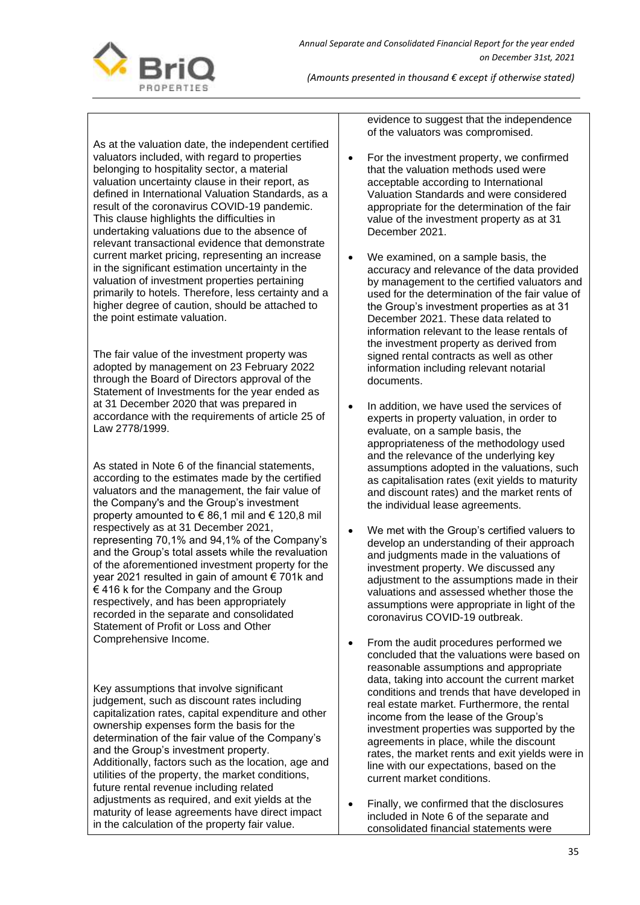

As at the valuation date, the independent certified valuators included, with regard to properties belonging to hospitality sector, a material valuation uncertainty clause in their report, as defined in International Valuation Standards, as a result of the coronavirus COVID-19 pandemic. This clause highlights the difficulties in undertaking valuations due to the absence of relevant transactional evidence that demonstrate current market pricing, representing an increase in the significant estimation uncertainty in the valuation of investment properties pertaining primarily to hotels. Therefore, less certainty and a higher degree of caution, should be attached to the point estimate valuation.

The fair value of the investment property was adopted by management on 23 February 2022 through the Board of Directors approval of the Statement of Investments for the year ended as at 31 December 2020 that was prepared in accordance with the requirements of article 25 of Law 2778/1999.

As stated in Note 6 of the financial statements, according to the estimates made by the certified valuators and the management, the fair value of the Company's and the Group's investment property amounted to € 86,1 mil and € 120,8 mil respectively as at 31 December 2021, representing 70,1% and 94,1% of the Company's and the Group's total assets while the revaluation of the aforementioned investment property for the year 2021 resulted in gain of amount € 701k and € 416 k for the Company and the Group respectively, and has been appropriately recorded in the separate and consolidated Statement of Profit or Loss and Other Comprehensive Income.

Key assumptions that involve significant judgement, such as discount rates including capitalization rates, capital expenditure and other ownership expenses form the basis for the determination of the fair value of the Company's and the Group's investment property. Additionally, factors such as the location, age and utilities of the property, the market conditions, future rental revenue including related adjustments as required, and exit yields at the maturity of lease agreements have direct impact in the calculation of the property fair value.

evidence to suggest that the independence of the valuators was compromised.

- For the investment property, we confirmed that the valuation methods used were acceptable according to International Valuation Standards and were considered appropriate for the determination of the fair value of the investment property as at 31 December 2021.
- We examined, on a sample basis, the accuracy and relevance of the data provided by management to the certified valuators and used for the determination of the fair value of the Group's investment properties as at 31 December 2021. These data related to information relevant to the lease rentals of the investment property as derived from signed rental contracts as well as other information including relevant notarial documents.
- In addition, we have used the services of experts in property valuation, in order to evaluate, on a sample basis, the appropriateness of the methodology used and the relevance of the underlying key assumptions adopted in the valuations, such as capitalisation rates (exit yields to maturity and discount rates) and the market rents of the individual lease agreements.
- We met with the Group's certified valuers to develop an understanding of their approach and judgments made in the valuations of investment property. We discussed any adjustment to the assumptions made in their valuations and assessed whether those the assumptions were appropriate in light of the coronavirus COVID-19 outbreak.
- From the audit procedures performed we concluded that the valuations were based on reasonable assumptions and appropriate data, taking into account the current market conditions and trends that have developed in real estate market. Furthermore, the rental income from the lease of the Group's investment properties was supported by the agreements in place, while the discount rates, the market rents and exit yields were in line with our expectations, based on the current market conditions.
- Finally, we confirmed that the disclosures included in Note 6 of the separate and consolidated financial statements were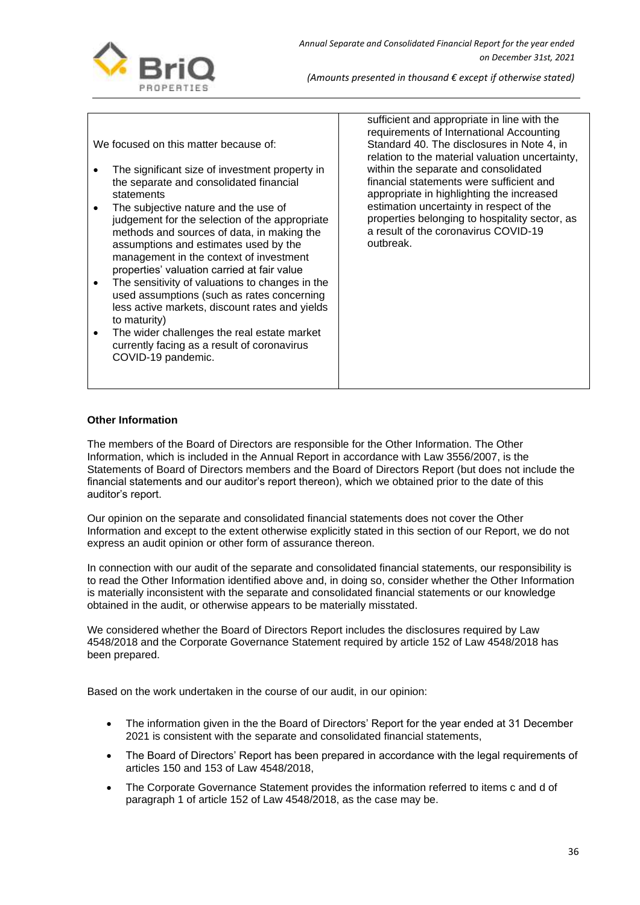

We focused on this matter because of:

- The significant size of investment property in the separate and consolidated financial statements
- The subjective nature and the use of judgement for the selection of the appropriate methods and sources of data, in making the assumptions and estimates used by the management in the context of investment properties' valuation carried at fair value
- The sensitivity of valuations to changes in the used assumptions (such as rates concerning less active markets, discount rates and yields to maturity)
- The wider challenges the real estate market currently facing as a result of coronavirus COVID-19 pandemic.

sufficient and appropriate in line with the requirements of International Accounting Standard 40. The disclosures in Note 4, in relation to the material valuation uncertainty, within the separate and consolidated financial statements were sufficient and appropriate in highlighting the increased estimation uncertainty in respect of the properties belonging to hospitality sector, as a result of the coronavirus COVID-19 outbreak.

## **Other Information**

The members of the Board of Directors are responsible for the Other Information. The Other Information, which is included in the Annual Report in accordance with Law 3556/2007, is the Statements of Board of Directors members and the Board of Directors Report (but does not include the financial statements and our auditor's report thereon), which we obtained prior to the date of this auditor's report.

Our opinion on the separate and consolidated financial statements does not cover the Other Information and except to the extent otherwise explicitly stated in this section of our Report, we do not express an audit opinion or other form of assurance thereon.

In connection with our audit of the separate and consolidated financial statements, our responsibility is to read the Other Information identified above and, in doing so, consider whether the Other Information is materially inconsistent with the separate and consolidated financial statements or our knowledge obtained in the audit, or otherwise appears to be materially misstated.

We considered whether the Board of Directors Report includes the disclosures required by Law 4548/2018 and the Corporate Governance Statement required by article 152 of Law 4548/2018 has been prepared.

Based on the work undertaken in the course of our audit, in our opinion:

- The information given in the the Board of Directors' Report for the year ended at 31 December 2021 is consistent with the separate and consolidated financial statements,
- The Board of Directors' Report has been prepared in accordance with the legal requirements of articles 150 and 153 of Law 4548/2018,
- The Corporate Governance Statement provides the information referred to items c and d of paragraph 1 of article 152 of Law 4548/2018, as the case may be.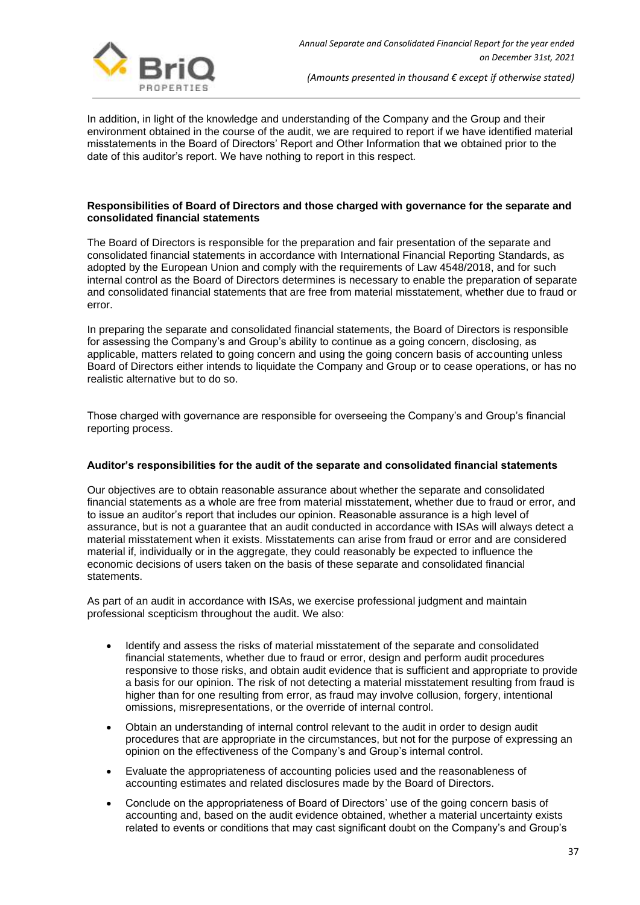

In addition, in light of the knowledge and understanding of the Company and the Group and their environment obtained in the course of the audit, we are required to report if we have identified material misstatements in the Board of Directors' Report and Other Information that we obtained prior to the date of this auditor's report. We have nothing to report in this respect.

## **Responsibilities of Board of Directors and those charged with governance for the separate and consolidated financial statements**

The Board of Directors is responsible for the preparation and fair presentation of the separate and consolidated financial statements in accordance with International Financial Reporting Standards, as adopted by the European Union and comply with the requirements of Law 4548/2018, and for such internal control as the Board of Directors determines is necessary to enable the preparation of separate and consolidated financial statements that are free from material misstatement, whether due to fraud or error.

In preparing the separate and consolidated financial statements, the Board of Directors is responsible for assessing the Company's and Group's ability to continue as a going concern, disclosing, as applicable, matters related to going concern and using the going concern basis of accounting unless Board of Directors either intends to liquidate the Company and Group or to cease operations, or has no realistic alternative but to do so.

Those charged with governance are responsible for overseeing the Company's and Group's financial reporting process.

## **Auditor's responsibilities for the audit of the separate and consolidated financial statements**

Our objectives are to obtain reasonable assurance about whether the separate and consolidated financial statements as a whole are free from material misstatement, whether due to fraud or error, and to issue an auditor's report that includes our opinion. Reasonable assurance is a high level of assurance, but is not a guarantee that an audit conducted in accordance with ISAs will always detect a material misstatement when it exists. Misstatements can arise from fraud or error and are considered material if, individually or in the aggregate, they could reasonably be expected to influence the economic decisions of users taken on the basis of these separate and consolidated financial statements.

As part of an audit in accordance with ISAs, we exercise professional judgment and maintain professional scepticism throughout the audit. We also:

- Identify and assess the risks of material misstatement of the separate and consolidated financial statements, whether due to fraud or error, design and perform audit procedures responsive to those risks, and obtain audit evidence that is sufficient and appropriate to provide a basis for our opinion. The risk of not detecting a material misstatement resulting from fraud is higher than for one resulting from error, as fraud may involve collusion, forgery, intentional omissions, misrepresentations, or the override of internal control.
- Obtain an understanding of internal control relevant to the audit in order to design audit procedures that are appropriate in the circumstances, but not for the purpose of expressing an opinion on the effectiveness of the Company's and Group's internal control.
- Evaluate the appropriateness of accounting policies used and the reasonableness of accounting estimates and related disclosures made by the Board of Directors.
- Conclude on the appropriateness of Board of Directors' use of the going concern basis of accounting and, based on the audit evidence obtained, whether a material uncertainty exists related to events or conditions that may cast significant doubt on the Company's and Group's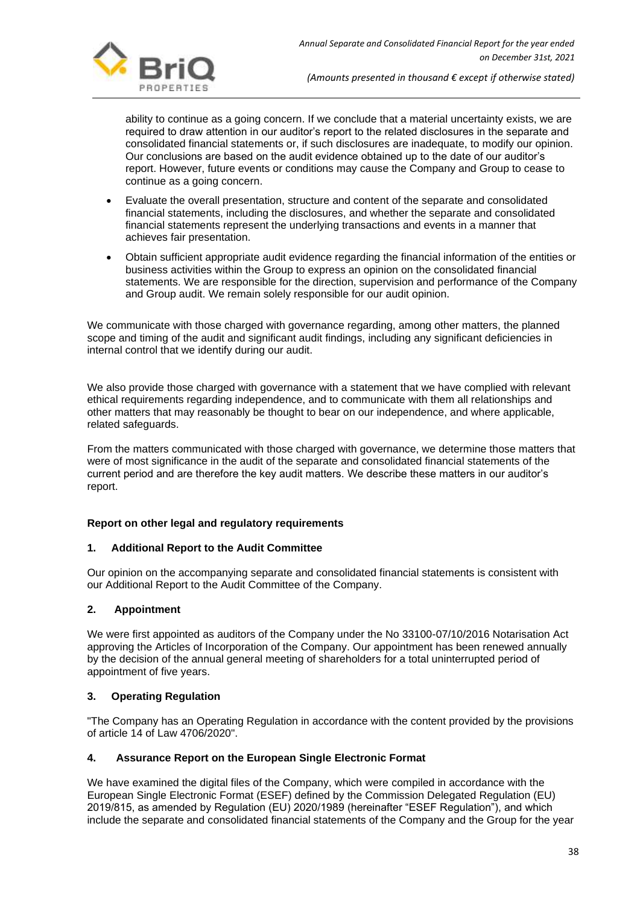

ability to continue as a going concern. If we conclude that a material uncertainty exists, we are required to draw attention in our auditor's report to the related disclosures in the separate and consolidated financial statements or, if such disclosures are inadequate, to modify our opinion. Our conclusions are based on the audit evidence obtained up to the date of our auditor's report. However, future events or conditions may cause the Company and Group to cease to continue as a going concern.

- Evaluate the overall presentation, structure and content of the separate and consolidated financial statements, including the disclosures, and whether the separate and consolidated financial statements represent the underlying transactions and events in a manner that achieves fair presentation.
- Obtain sufficient appropriate audit evidence regarding the financial information of the entities or business activities within the Group to express an opinion on the consolidated financial statements. We are responsible for the direction, supervision and performance of the Company and Group audit. We remain solely responsible for our audit opinion.

We communicate with those charged with governance regarding, among other matters, the planned scope and timing of the audit and significant audit findings, including any significant deficiencies in internal control that we identify during our audit.

We also provide those charged with governance with a statement that we have complied with relevant ethical requirements regarding independence, and to communicate with them all relationships and other matters that may reasonably be thought to bear on our independence, and where applicable, related safeguards.

From the matters communicated with those charged with governance, we determine those matters that were of most significance in the audit of the separate and consolidated financial statements of the current period and are therefore the key audit matters. We describe these matters in our auditor's report.

## **Report on other legal and regulatory requirements**

## **1. Additional Report to the Audit Committee**

Our opinion on the accompanying separate and consolidated financial statements is consistent with our Additional Report to the Audit Committee of the Company.

## **2. Appointment**

We were first appointed as auditors of the Company under the No 33100-07/10/2016 Notarisation Act approving the Articles of Incorporation of the Company. Our appointment has been renewed annually by the decision of the annual general meeting of shareholders for a total uninterrupted period of appointment of five years.

## **3. Operating Regulation**

"The Company has an Operating Regulation in accordance with the content provided by the provisions of article 14 of Law 4706/2020".

## **4. Assurance Report on the European Single Electronic Format**

We have examined the digital files of the Company, which were compiled in accordance with the European Single Electronic Format (ESEF) defined by the Commission Delegated Regulation (EU) 2019/815, as amended by Regulation (EU) 2020/1989 (hereinafter "ESEF Regulation"), and which include the separate and consolidated financial statements of the Company and the Group for the year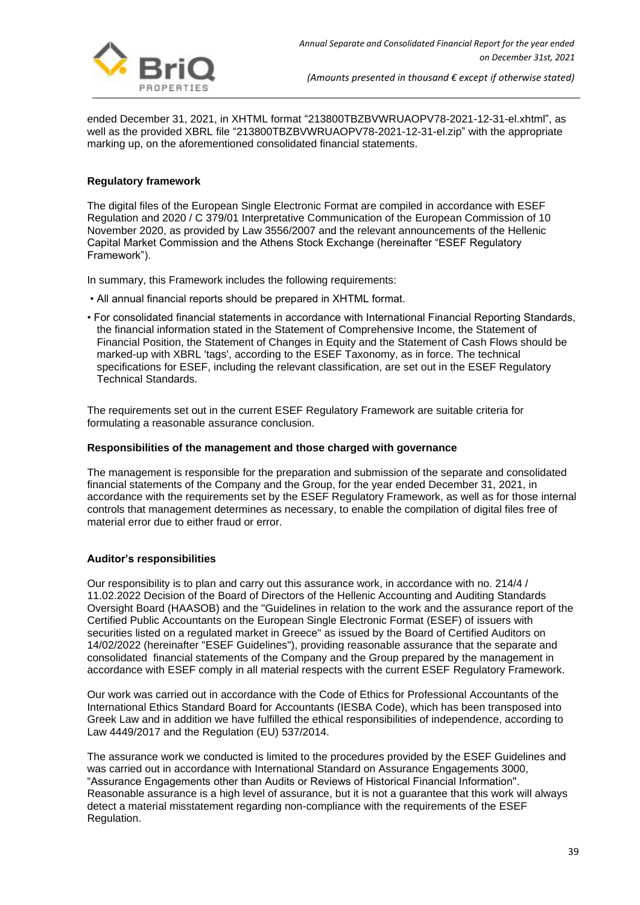

ended December 31, 2021, in XHTML format "213800TBZBVWRUAOPV78-2021-12-31-el.xhtml", as well as the provided XBRL file "213800TBZBVWRUAOPV78-2021-12-31-el.zip" with the appropriate marking up, on the aforementioned consolidated financial statements.

## **Regulatory framework**

The digital files of the European Single Electronic Format are compiled in accordance with ESEF Regulation and 2020 / C 379/01 Interpretative Communication of the European Commission of 10 November 2020, as provided by Law 3556/2007 and the relevant announcements of the Hellenic Capital Market Commission and the Athens Stock Exchange (hereinafter "ESEF Regulatory Framework").

In summary, this Framework includes the following requirements:

- All annual financial reports should be prepared in XHTML format.
- For consolidated financial statements in accordance with International Financial Reporting Standards, the financial information stated in the Statement of Comprehensive Income, the Statement of Financial Position, the Statement of Changes in Equity and the Statement of Cash Flows should be marked-up with XBRL 'tags', according to the ESEF Taxonomy, as in force. The technical specifications for ESEF, including the relevant classification, are set out in the ESEF Regulatory Technical Standards.

The requirements set out in the current ESEF Regulatory Framework are suitable criteria for formulating a reasonable assurance conclusion.

## **Responsibilities of the management and those charged with governance**

The management is responsible for the preparation and submission of the separate and consolidated financial statements of the Company and the Group, for the year ended December 31, 2021, in accordance with the requirements set by the ESEF Regulatory Framework, as well as for those internal controls that management determines as necessary, to enable the compilation of digital files free of material error due to either fraud or error.

## **Auditor's responsibilities**

Our responsibility is to plan and carry out this assurance work, in accordance with no. 214/4 / 11.02.2022 Decision of the Board of Directors of the Hellenic Accounting and Auditing Standards Oversight Board (HAASOB) and the "Guidelines in relation to the work and the assurance report of the Certified Public Accountants on the European Single Electronic Format (ESEF) of issuers with securities listed on a regulated market in Greece" as issued by the Board of Certified Auditors on 14/02/2022 (hereinafter "ESEF Guidelines"), providing reasonable assurance that the separate and consolidated financial statements of the Company and the Group prepared by the management in accordance with ESEF comply in all material respects with the current ESEF Regulatory Framework.

Our work was carried out in accordance with the Code of Ethics for Professional Accountants of the International Ethics Standard Board for Accountants (IESBA Code), which has been transposed into Greek Law and in addition we have fulfilled the ethical responsibilities of independence, according to Law 4449/2017 and the Regulation (EU) 537/2014.

The assurance work we conducted is limited to the procedures provided by the ESEF Guidelines and was carried out in accordance with International Standard on Assurance Engagements 3000, "Assurance Engagements other than Audits or Reviews of Historical Financial Information''. Reasonable assurance is a high level of assurance, but it is not a guarantee that this work will always detect a material misstatement regarding non-compliance with the requirements of the ESEF Regulation.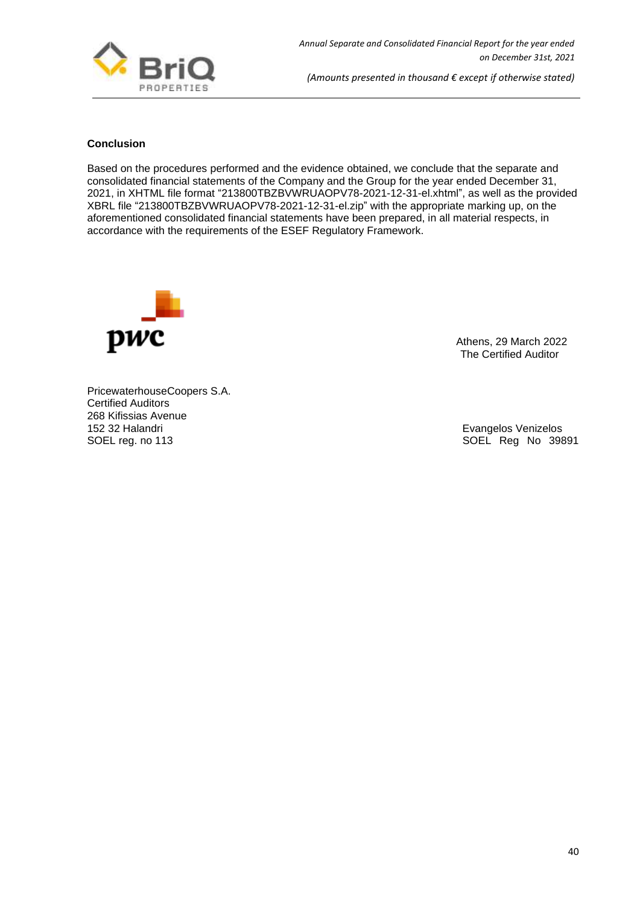

## **Conclusion**

Based on the procedures performed and the evidence obtained, we conclude that the separate and consolidated financial statements of the Company and the Group for the year ended December 31, 2021, in XHTML file format "213800TBZBVWRUAOPV78-2021-12-31-el.xhtml", as well as the provided XBRL file "213800TBZBVWRUAOPV78-2021-12-31-el.zip" with the appropriate marking up, on the aforementioned consolidated financial statements have been prepared, in all material respects, in accordance with the requirements of the ESEF Regulatory Framework.



 Athens, 29 March 2022 The Certified Auditor

PricewaterhouseCoopers S.A. Certified Auditors 268 Kifissias Avenue 152 32 Halandri 152 32 Halandri 152 SOEL Reg No 398<br>
SOEL reg. no 113

SOEL Reg No 39891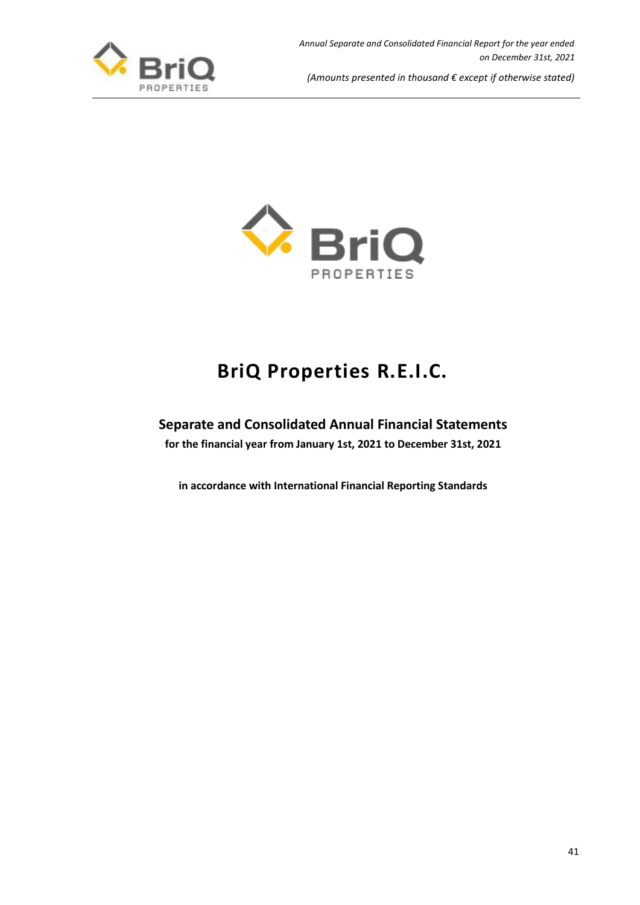



# **BriQ Properties R.E.I.C.**

## **Separate and Consolidated Annual Financial Statements**

**for the financial year from January 1st, 2021 to December 31st, 2021**

**in accordance with International Financial Reporting Standards**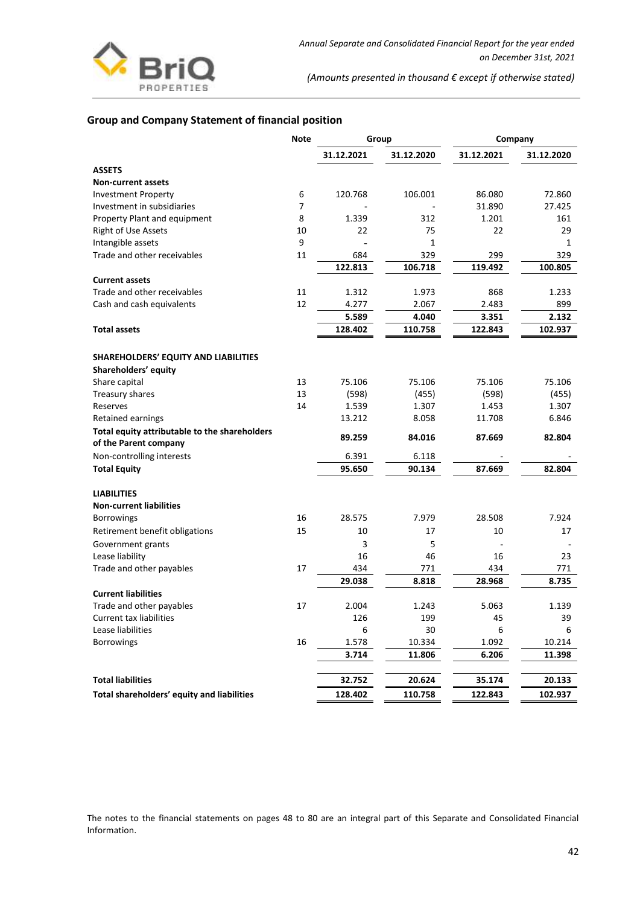

## **Group and Company Statement of financial position**

|                                                                        | Note | Group      |                | Company    |                |  |
|------------------------------------------------------------------------|------|------------|----------------|------------|----------------|--|
|                                                                        |      | 31.12.2021 | 31.12.2020     | 31.12.2021 | 31.12.2020     |  |
| <b>ASSETS</b>                                                          |      |            |                |            |                |  |
| <b>Non-current assets</b>                                              |      |            |                |            |                |  |
| <b>Investment Property</b>                                             | 6    | 120.768    | 106.001        | 86.080     | 72.860         |  |
| Investment in subsidiaries                                             | 7    |            |                | 31.890     | 27.425         |  |
| Property Plant and equipment                                           | 8    | 1.339      | 312            | 1.201      | 161            |  |
| <b>Right of Use Assets</b>                                             | 10   | 22         | 75             | 22         | 29             |  |
| Intangible assets                                                      | 9    |            | $\mathbf{1}$   |            | 1              |  |
| Trade and other receivables                                            | 11   | 684        | 329            | 299        | 329            |  |
|                                                                        |      | 122.813    | 106.718        | 119.492    | 100.805        |  |
| <b>Current assets</b>                                                  |      |            |                |            |                |  |
| Trade and other receivables                                            | 11   | 1.312      | 1.973          | 868        | 1.233          |  |
| Cash and cash equivalents                                              | 12   | 4.277      | 2.067          | 2.483      | 899            |  |
|                                                                        |      | 5.589      | 4.040          | 3.351      | 2.132          |  |
| <b>Total assets</b>                                                    |      | 128.402    | 110.758        | 122.843    | 102.937        |  |
| <b>SHAREHOLDERS' EQUITY AND LIABILITIES</b>                            |      |            |                |            |                |  |
|                                                                        |      |            |                |            |                |  |
| Shareholders' equity<br>Share capital                                  | 13   | 75.106     | 75.106         | 75.106     | 75.106         |  |
|                                                                        | 13   | (598)      |                | (598)      |                |  |
| Treasury shares                                                        | 14   | 1.539      | (455)<br>1.307 | 1.453      | (455)<br>1.307 |  |
| Reserves<br><b>Retained earnings</b>                                   |      | 13.212     | 8.058          | 11.708     | 6.846          |  |
|                                                                        |      |            |                |            |                |  |
| Total equity attributable to the shareholders<br>of the Parent company |      | 89.259     | 84.016         | 87.669     | 82.804         |  |
| Non-controlling interests                                              |      | 6.391      | 6.118          |            |                |  |
| <b>Total Equity</b>                                                    |      | 95.650     | 90.134         | 87.669     | 82.804         |  |
| <b>LIABILITIES</b>                                                     |      |            |                |            |                |  |
| <b>Non-current liabilities</b>                                         |      |            |                |            |                |  |
| <b>Borrowings</b>                                                      | 16   | 28.575     | 7.979          | 28.508     | 7.924          |  |
| Retirement benefit obligations                                         | 15   | 10         | 17             | 10         | 17             |  |
| Government grants                                                      |      | 3          | 5              |            |                |  |
| Lease liability                                                        |      | 16         | 46             | 16         | 23             |  |
| Trade and other payables                                               | 17   | 434        | 771            | 434        | 771            |  |
|                                                                        |      | 29.038     | 8.818          | 28.968     | 8.735          |  |
| <b>Current liabilities</b>                                             |      |            |                |            |                |  |
| Trade and other payables                                               | 17   | 2.004      | 1.243          | 5.063      | 1.139          |  |
| <b>Current tax liabilities</b>                                         |      | 126        | 199            | 45         | 39             |  |
| Lease liabilities                                                      |      | 6          | 30             | 6          | 6              |  |
| Borrowings                                                             | 16   | 1.578      | 10.334         | 1.092      | 10.214         |  |
|                                                                        |      | 3.714      | 11.806         | 6.206      | 11.398         |  |
| <b>Total liabilities</b>                                               |      | 32.752     | 20.624         | 35.174     | 20.133         |  |
| Total shareholders' equity and liabilities                             |      | 128.402    | 110.758        | 122.843    | 102.937        |  |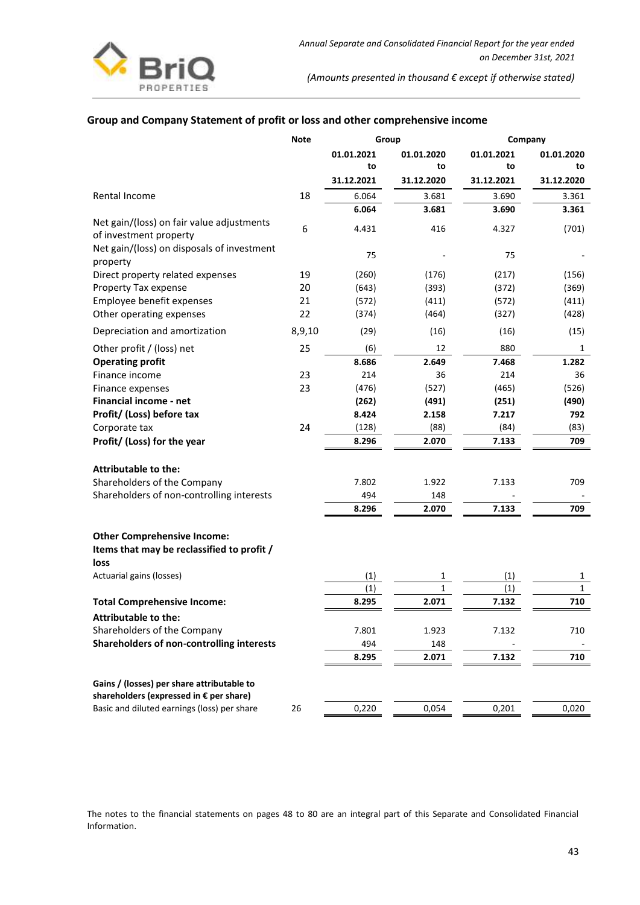

## **Group and Company Statement of profit or loss and other comprehensive income**

|                                                                     | Note   | Group      |              | Company    |              |  |
|---------------------------------------------------------------------|--------|------------|--------------|------------|--------------|--|
|                                                                     |        | 01.01.2021 | 01.01.2020   | 01.01.2021 | 01.01.2020   |  |
|                                                                     |        | to         | to           | to         | to           |  |
|                                                                     |        | 31.12.2021 | 31.12.2020   | 31.12.2021 | 31.12.2020   |  |
| Rental Income                                                       | 18     | 6.064      | 3.681        | 3.690      | 3.361        |  |
|                                                                     |        | 6.064      | 3.681        | 3.690      | 3.361        |  |
| Net gain/(loss) on fair value adjustments<br>of investment property | 6      | 4.431      | 416          | 4.327      | (701)        |  |
| Net gain/(loss) on disposals of investment<br>property              |        | 75         |              | 75         |              |  |
| Direct property related expenses                                    | 19     | (260)      | (176)        | (217)      | (156)        |  |
| Property Tax expense                                                | 20     | (643)      | (393)        | (372)      | (369)        |  |
| Employee benefit expenses                                           | 21     | (572)      | (411)        | (572)      | (411)        |  |
| Other operating expenses                                            | 22     | (374)      | (464)        | (327)      | (428)        |  |
| Depreciation and amortization                                       | 8,9,10 | (29)       | (16)         | (16)       | (15)         |  |
| Other profit / (loss) net                                           | 25     | (6)        | 12           | 880        | $\mathbf{1}$ |  |
| <b>Operating profit</b>                                             |        | 8.686      | 2.649        | 7.468      | 1.282        |  |
| Finance income                                                      | 23     | 214        | 36           | 214        | 36           |  |
| Finance expenses                                                    | 23     | (476)      | (527)        | (465)      | (526)        |  |
| <b>Financial income - net</b>                                       |        | (262)      | (491)        | (251)      | (490)        |  |
| Profit/ (Loss) before tax                                           |        | 8.424      | 2.158        | 7.217      | 792          |  |
| Corporate tax                                                       | 24     | (128)      | (88)         | (84)       | (83)         |  |
| Profit/ (Loss) for the year                                         |        | 8.296      | 2.070        | 7.133      | 709          |  |
| <b>Attributable to the:</b>                                         |        |            |              |            |              |  |
| Shareholders of the Company                                         |        | 7.802      | 1.922        | 7.133      | 709          |  |
| Shareholders of non-controlling interests                           |        | 494        | 148          |            |              |  |
|                                                                     |        | 8.296      | 2.070        | 7.133      | 709          |  |
| <b>Other Comprehensive Income:</b>                                  |        |            |              |            |              |  |
| Items that may be reclassified to profit /<br>loss                  |        |            |              |            |              |  |
| Actuarial gains (losses)                                            |        | (1)        | 1            | (1)        | 1            |  |
|                                                                     |        | (1)        | $\mathbf{1}$ | (1)        | $\mathbf 1$  |  |
| <b>Total Comprehensive Income:</b>                                  |        | 8.295      | 2.071        | 7.132      | 710          |  |
| <b>Attributable to the:</b>                                         |        |            |              |            |              |  |
| Shareholders of the Company                                         |        | 7.801      | 1.923        | 7.132      | 710          |  |
| Shareholders of non-controlling interests                           |        | 494        | 148          |            |              |  |
|                                                                     |        | 8.295      | 2.071        | 7.132      | 710          |  |
| Gains / (losses) per share attributable to                          |        |            |              |            |              |  |
| shareholders (expressed in € per share)                             |        |            |              |            |              |  |
| Basic and diluted earnings (loss) per share                         | 26     | 0,220      | 0,054        | 0,201      | 0,020        |  |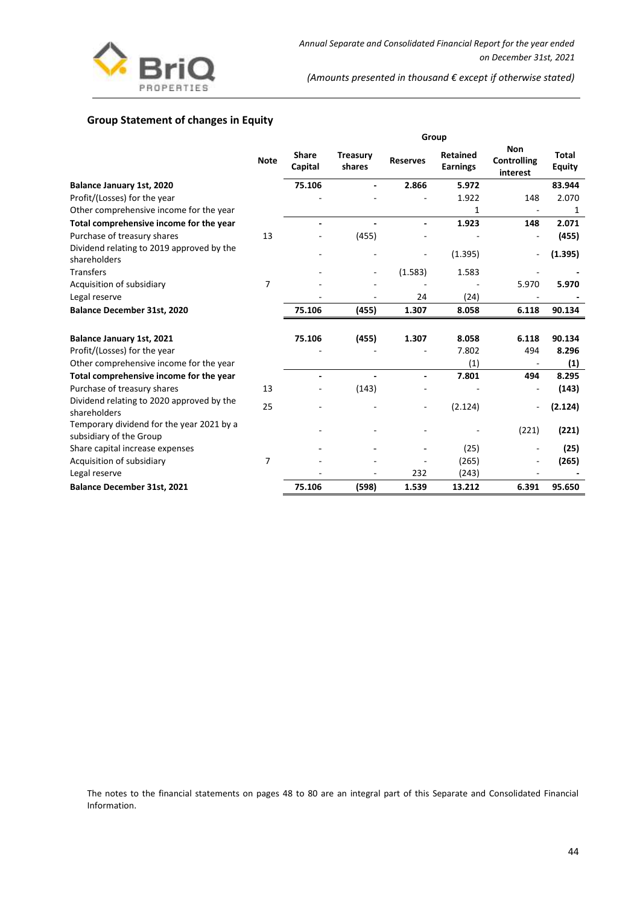

## **Group Statement of changes in Equity**

|                                                                      |                |                         | Group                     |                 |                                    |                                              |                               |
|----------------------------------------------------------------------|----------------|-------------------------|---------------------------|-----------------|------------------------------------|----------------------------------------------|-------------------------------|
|                                                                      | <b>Note</b>    | <b>Share</b><br>Capital | <b>Treasury</b><br>shares | <b>Reserves</b> | <b>Retained</b><br><b>Earnings</b> | <b>Non</b><br><b>Controlling</b><br>interest | <b>Total</b><br><b>Equity</b> |
| Balance January 1st, 2020                                            |                | 75.106                  |                           | 2.866           | 5.972                              |                                              | 83.944                        |
| Profit/(Losses) for the year                                         |                |                         |                           |                 | 1.922                              | 148                                          | 2.070                         |
| Other comprehensive income for the year                              |                |                         |                           |                 | 1                                  | $\overline{\phantom{a}}$                     | 1                             |
| Total comprehensive income for the year                              |                |                         |                           |                 | 1.923                              | 148                                          | 2.071                         |
| Purchase of treasury shares                                          | 13             |                         | (455)                     |                 |                                    |                                              | (455)                         |
| Dividend relating to 2019 approved by the<br>shareholders            |                |                         |                           |                 | (1.395)                            |                                              | (1.395)                       |
| <b>Transfers</b>                                                     |                |                         | ۰                         | (1.583)         | 1.583                              |                                              |                               |
| Acquisition of subsidiary                                            | $\overline{7}$ |                         |                           |                 |                                    | 5.970                                        | 5.970                         |
| Legal reserve                                                        |                |                         |                           | 24              | (24)                               |                                              |                               |
| Balance December 31st, 2020                                          |                | 75.106                  | (455)                     | 1.307           | 8.058                              | 6.118                                        | 90.134                        |
| <b>Balance January 1st, 2021</b>                                     |                | 75.106                  | (455)                     | 1.307           | 8.058                              | 6.118                                        | 90.134                        |
| Profit/(Losses) for the year                                         |                |                         |                           |                 | 7.802                              | 494                                          | 8.296                         |
| Other comprehensive income for the year                              |                |                         |                           |                 | (1)                                | $\overline{\phantom{a}}$                     | (1)                           |
| Total comprehensive income for the year                              |                |                         |                           |                 | 7.801                              | 494                                          | 8.295                         |
| Purchase of treasury shares                                          | 13             |                         | (143)                     |                 |                                    | $\overline{a}$                               | (143)                         |
| Dividend relating to 2020 approved by the<br>shareholders            | 25             |                         |                           | $\overline{a}$  | (2.124)                            |                                              | (2.124)                       |
| Temporary dividend for the year 2021 by a<br>subsidiary of the Group |                |                         |                           |                 |                                    | (221)                                        | (221)                         |
| Share capital increase expenses                                      |                |                         |                           |                 | (25)                               |                                              | (25)                          |
| Acquisition of subsidiary                                            | 7              |                         |                           |                 | (265)                              |                                              | (265)                         |
| Legal reserve                                                        |                |                         |                           | 232             | (243)                              |                                              |                               |
| Balance December 31st, 2021                                          |                | 75.106                  | (598)                     | 1.539           | 13.212                             | 6.391                                        | 95.650                        |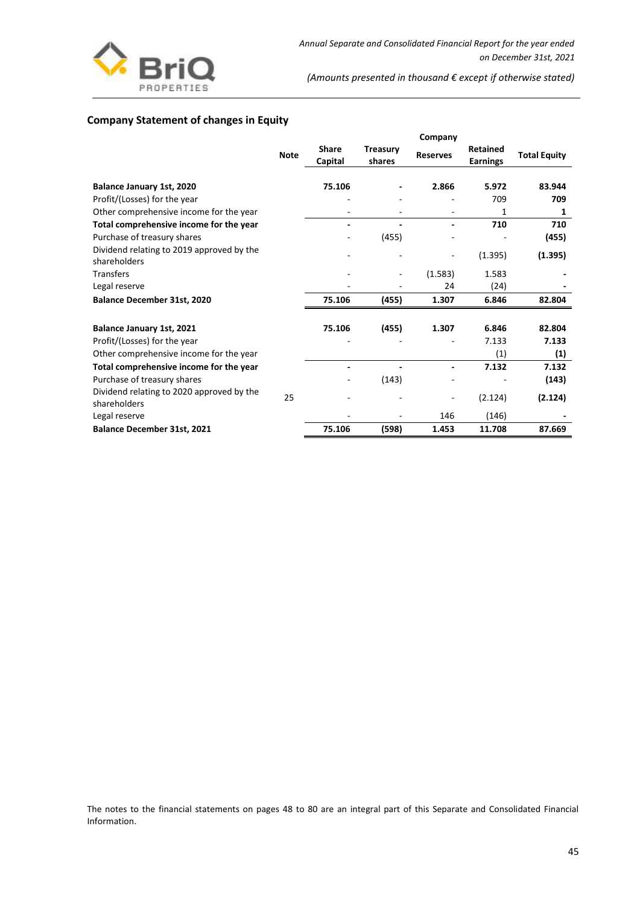

## **Company Statement of changes in Equity**

|                                                           |             |                         |                           | Company         |                                    |                     |
|-----------------------------------------------------------|-------------|-------------------------|---------------------------|-----------------|------------------------------------|---------------------|
|                                                           | <b>Note</b> | <b>Share</b><br>Capital | <b>Treasury</b><br>shares | <b>Reserves</b> | <b>Retained</b><br><b>Earnings</b> | <b>Total Equity</b> |
|                                                           |             |                         |                           |                 |                                    |                     |
| Balance January 1st, 2020                                 |             | 75.106                  |                           | 2.866           | 5.972                              | 83.944              |
| Profit/(Losses) for the year                              |             |                         |                           |                 | 709                                | 709                 |
| Other comprehensive income for the year                   |             |                         |                           |                 | 1                                  | 1                   |
| Total comprehensive income for the year                   |             |                         |                           |                 | 710                                | 710                 |
| Purchase of treasury shares                               |             |                         | (455)                     |                 |                                    | (455)               |
| Dividend relating to 2019 approved by the<br>shareholders |             |                         |                           |                 | (1.395)                            | (1.395)             |
| Transfers                                                 |             |                         |                           | (1.583)         | 1.583                              |                     |
| Legal reserve                                             |             |                         |                           | 24              | (24)                               |                     |
| <b>Balance December 31st, 2020</b>                        |             | 75.106                  | (455)                     | 1.307           | 6.846                              | 82.804              |
| Balance January 1st, 2021                                 |             | 75.106                  | (455)                     | 1.307           | 6.846                              | 82.804              |
| Profit/(Losses) for the year                              |             |                         |                           |                 | 7.133                              | 7.133               |
| Other comprehensive income for the year                   |             |                         |                           |                 | (1)                                | (1)                 |
| Total comprehensive income for the year                   |             |                         |                           |                 | 7.132                              | 7.132               |
| Purchase of treasury shares                               |             |                         | (143)                     |                 |                                    | (143)               |
| Dividend relating to 2020 approved by the<br>shareholders | 25          |                         |                           |                 | (2.124)                            | (2.124)             |
| Legal reserve                                             |             |                         |                           | 146             | (146)                              |                     |
| <b>Balance December 31st, 2021</b>                        |             | 75.106                  | (598)                     | 1.453           | 11.708                             | 87.669              |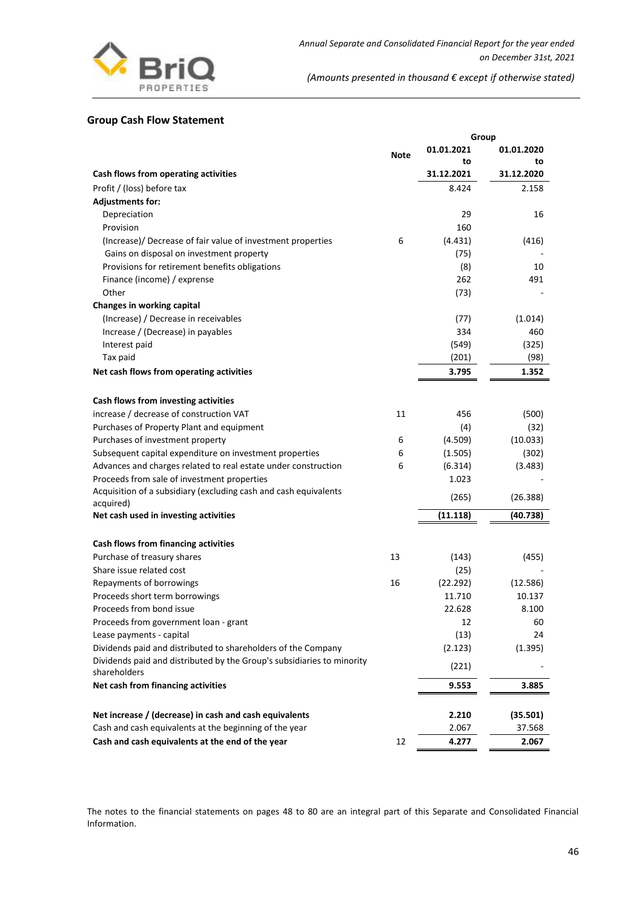

## **Group Cash Flow Statement**

| 01.01.2021<br>01.01.2020<br>Note<br>to<br>to<br>Cash flows from operating activities<br>31.12.2021<br>31.12.2020<br>Profit / (loss) before tax<br>8.424<br>2.158<br><b>Adjustments for:</b><br>Depreciation<br>29<br>16<br>Provision<br>160<br>(Increase)/ Decrease of fair value of investment properties<br>6<br>(4.431)<br>(416)<br>Gains on disposal on investment property<br>(75)<br>Provisions for retirement benefits obligations<br>(8)<br>10<br>Finance (income) / exprense<br>262<br>491<br>Other<br>(73)<br>Changes in working capital<br>(Increase) / Decrease in receivables<br>(1.014)<br>(77)<br>334<br>460<br>Increase / (Decrease) in payables<br>Interest paid<br>(549)<br>(325)<br>Tax paid<br>(201)<br>(98)<br>Net cash flows from operating activities<br>3.795<br>1.352<br>Cash flows from investing activities<br>increase / decrease of construction VAT<br>11<br>456<br>(500)<br>Purchases of Property Plant and equipment<br>(4)<br>(32)<br>Purchases of investment property<br>6<br>(4.509)<br>(10.033)<br>Subsequent capital expenditure on investment properties<br>6<br>(1.505)<br>(302)<br>Advances and charges related to real estate under construction<br>6<br>(6.314)<br>(3.483)<br>Proceeds from sale of investment properties<br>1.023<br>Acquisition of a subsidiary (excluding cash and cash equivalents<br>(265)<br>(26.388)<br>acquired)<br>Net cash used in investing activities<br>(11.118)<br>(40.738)<br>Cash flows from financing activities<br>Purchase of treasury shares<br>13<br>(455)<br>(143)<br>Share issue related cost<br>(25)<br>Repayments of borrowings<br>16<br>(22.292)<br>(12.586)<br>Proceeds short term borrowings<br>11.710<br>10.137<br>Proceeds from bond issue<br>22.628<br>8.100<br>Proceeds from government loan - grant<br>12<br>60<br>Lease payments - capital<br>(13)<br>24<br>Dividends paid and distributed to shareholders of the Company<br>(2.123)<br>(1.395)<br>Dividends paid and distributed by the Group's subsidiaries to minority<br>(221)<br>shareholders<br>Net cash from financing activities<br>9.553<br>3.885<br>Net increase / (decrease) in cash and cash equivalents<br>2.210<br>(35.501)<br>Cash and cash equivalents at the beginning of the year<br>2.067<br>37.568 |                                                  |    | Group |       |
|--------------------------------------------------------------------------------------------------------------------------------------------------------------------------------------------------------------------------------------------------------------------------------------------------------------------------------------------------------------------------------------------------------------------------------------------------------------------------------------------------------------------------------------------------------------------------------------------------------------------------------------------------------------------------------------------------------------------------------------------------------------------------------------------------------------------------------------------------------------------------------------------------------------------------------------------------------------------------------------------------------------------------------------------------------------------------------------------------------------------------------------------------------------------------------------------------------------------------------------------------------------------------------------------------------------------------------------------------------------------------------------------------------------------------------------------------------------------------------------------------------------------------------------------------------------------------------------------------------------------------------------------------------------------------------------------------------------------------------------------------------------------------------------------------------------------------------------------------------------------------------------------------------------------------------------------------------------------------------------------------------------------------------------------------------------------------------------------------------------------------------------------------------------------------------------------------------------------------------------------------------------------|--------------------------------------------------|----|-------|-------|
|                                                                                                                                                                                                                                                                                                                                                                                                                                                                                                                                                                                                                                                                                                                                                                                                                                                                                                                                                                                                                                                                                                                                                                                                                                                                                                                                                                                                                                                                                                                                                                                                                                                                                                                                                                                                                                                                                                                                                                                                                                                                                                                                                                                                                                                                    |                                                  |    |       |       |
|                                                                                                                                                                                                                                                                                                                                                                                                                                                                                                                                                                                                                                                                                                                                                                                                                                                                                                                                                                                                                                                                                                                                                                                                                                                                                                                                                                                                                                                                                                                                                                                                                                                                                                                                                                                                                                                                                                                                                                                                                                                                                                                                                                                                                                                                    |                                                  |    |       |       |
|                                                                                                                                                                                                                                                                                                                                                                                                                                                                                                                                                                                                                                                                                                                                                                                                                                                                                                                                                                                                                                                                                                                                                                                                                                                                                                                                                                                                                                                                                                                                                                                                                                                                                                                                                                                                                                                                                                                                                                                                                                                                                                                                                                                                                                                                    |                                                  |    |       |       |
|                                                                                                                                                                                                                                                                                                                                                                                                                                                                                                                                                                                                                                                                                                                                                                                                                                                                                                                                                                                                                                                                                                                                                                                                                                                                                                                                                                                                                                                                                                                                                                                                                                                                                                                                                                                                                                                                                                                                                                                                                                                                                                                                                                                                                                                                    |                                                  |    |       |       |
|                                                                                                                                                                                                                                                                                                                                                                                                                                                                                                                                                                                                                                                                                                                                                                                                                                                                                                                                                                                                                                                                                                                                                                                                                                                                                                                                                                                                                                                                                                                                                                                                                                                                                                                                                                                                                                                                                                                                                                                                                                                                                                                                                                                                                                                                    |                                                  |    |       |       |
|                                                                                                                                                                                                                                                                                                                                                                                                                                                                                                                                                                                                                                                                                                                                                                                                                                                                                                                                                                                                                                                                                                                                                                                                                                                                                                                                                                                                                                                                                                                                                                                                                                                                                                                                                                                                                                                                                                                                                                                                                                                                                                                                                                                                                                                                    |                                                  |    |       |       |
|                                                                                                                                                                                                                                                                                                                                                                                                                                                                                                                                                                                                                                                                                                                                                                                                                                                                                                                                                                                                                                                                                                                                                                                                                                                                                                                                                                                                                                                                                                                                                                                                                                                                                                                                                                                                                                                                                                                                                                                                                                                                                                                                                                                                                                                                    |                                                  |    |       |       |
|                                                                                                                                                                                                                                                                                                                                                                                                                                                                                                                                                                                                                                                                                                                                                                                                                                                                                                                                                                                                                                                                                                                                                                                                                                                                                                                                                                                                                                                                                                                                                                                                                                                                                                                                                                                                                                                                                                                                                                                                                                                                                                                                                                                                                                                                    |                                                  |    |       |       |
|                                                                                                                                                                                                                                                                                                                                                                                                                                                                                                                                                                                                                                                                                                                                                                                                                                                                                                                                                                                                                                                                                                                                                                                                                                                                                                                                                                                                                                                                                                                                                                                                                                                                                                                                                                                                                                                                                                                                                                                                                                                                                                                                                                                                                                                                    |                                                  |    |       |       |
|                                                                                                                                                                                                                                                                                                                                                                                                                                                                                                                                                                                                                                                                                                                                                                                                                                                                                                                                                                                                                                                                                                                                                                                                                                                                                                                                                                                                                                                                                                                                                                                                                                                                                                                                                                                                                                                                                                                                                                                                                                                                                                                                                                                                                                                                    |                                                  |    |       |       |
|                                                                                                                                                                                                                                                                                                                                                                                                                                                                                                                                                                                                                                                                                                                                                                                                                                                                                                                                                                                                                                                                                                                                                                                                                                                                                                                                                                                                                                                                                                                                                                                                                                                                                                                                                                                                                                                                                                                                                                                                                                                                                                                                                                                                                                                                    |                                                  |    |       |       |
|                                                                                                                                                                                                                                                                                                                                                                                                                                                                                                                                                                                                                                                                                                                                                                                                                                                                                                                                                                                                                                                                                                                                                                                                                                                                                                                                                                                                                                                                                                                                                                                                                                                                                                                                                                                                                                                                                                                                                                                                                                                                                                                                                                                                                                                                    |                                                  |    |       |       |
|                                                                                                                                                                                                                                                                                                                                                                                                                                                                                                                                                                                                                                                                                                                                                                                                                                                                                                                                                                                                                                                                                                                                                                                                                                                                                                                                                                                                                                                                                                                                                                                                                                                                                                                                                                                                                                                                                                                                                                                                                                                                                                                                                                                                                                                                    |                                                  |    |       |       |
|                                                                                                                                                                                                                                                                                                                                                                                                                                                                                                                                                                                                                                                                                                                                                                                                                                                                                                                                                                                                                                                                                                                                                                                                                                                                                                                                                                                                                                                                                                                                                                                                                                                                                                                                                                                                                                                                                                                                                                                                                                                                                                                                                                                                                                                                    |                                                  |    |       |       |
|                                                                                                                                                                                                                                                                                                                                                                                                                                                                                                                                                                                                                                                                                                                                                                                                                                                                                                                                                                                                                                                                                                                                                                                                                                                                                                                                                                                                                                                                                                                                                                                                                                                                                                                                                                                                                                                                                                                                                                                                                                                                                                                                                                                                                                                                    |                                                  |    |       |       |
|                                                                                                                                                                                                                                                                                                                                                                                                                                                                                                                                                                                                                                                                                                                                                                                                                                                                                                                                                                                                                                                                                                                                                                                                                                                                                                                                                                                                                                                                                                                                                                                                                                                                                                                                                                                                                                                                                                                                                                                                                                                                                                                                                                                                                                                                    |                                                  |    |       |       |
|                                                                                                                                                                                                                                                                                                                                                                                                                                                                                                                                                                                                                                                                                                                                                                                                                                                                                                                                                                                                                                                                                                                                                                                                                                                                                                                                                                                                                                                                                                                                                                                                                                                                                                                                                                                                                                                                                                                                                                                                                                                                                                                                                                                                                                                                    |                                                  |    |       |       |
|                                                                                                                                                                                                                                                                                                                                                                                                                                                                                                                                                                                                                                                                                                                                                                                                                                                                                                                                                                                                                                                                                                                                                                                                                                                                                                                                                                                                                                                                                                                                                                                                                                                                                                                                                                                                                                                                                                                                                                                                                                                                                                                                                                                                                                                                    |                                                  |    |       |       |
|                                                                                                                                                                                                                                                                                                                                                                                                                                                                                                                                                                                                                                                                                                                                                                                                                                                                                                                                                                                                                                                                                                                                                                                                                                                                                                                                                                                                                                                                                                                                                                                                                                                                                                                                                                                                                                                                                                                                                                                                                                                                                                                                                                                                                                                                    |                                                  |    |       |       |
|                                                                                                                                                                                                                                                                                                                                                                                                                                                                                                                                                                                                                                                                                                                                                                                                                                                                                                                                                                                                                                                                                                                                                                                                                                                                                                                                                                                                                                                                                                                                                                                                                                                                                                                                                                                                                                                                                                                                                                                                                                                                                                                                                                                                                                                                    |                                                  |    |       |       |
|                                                                                                                                                                                                                                                                                                                                                                                                                                                                                                                                                                                                                                                                                                                                                                                                                                                                                                                                                                                                                                                                                                                                                                                                                                                                                                                                                                                                                                                                                                                                                                                                                                                                                                                                                                                                                                                                                                                                                                                                                                                                                                                                                                                                                                                                    |                                                  |    |       |       |
|                                                                                                                                                                                                                                                                                                                                                                                                                                                                                                                                                                                                                                                                                                                                                                                                                                                                                                                                                                                                                                                                                                                                                                                                                                                                                                                                                                                                                                                                                                                                                                                                                                                                                                                                                                                                                                                                                                                                                                                                                                                                                                                                                                                                                                                                    |                                                  |    |       |       |
|                                                                                                                                                                                                                                                                                                                                                                                                                                                                                                                                                                                                                                                                                                                                                                                                                                                                                                                                                                                                                                                                                                                                                                                                                                                                                                                                                                                                                                                                                                                                                                                                                                                                                                                                                                                                                                                                                                                                                                                                                                                                                                                                                                                                                                                                    |                                                  |    |       |       |
|                                                                                                                                                                                                                                                                                                                                                                                                                                                                                                                                                                                                                                                                                                                                                                                                                                                                                                                                                                                                                                                                                                                                                                                                                                                                                                                                                                                                                                                                                                                                                                                                                                                                                                                                                                                                                                                                                                                                                                                                                                                                                                                                                                                                                                                                    |                                                  |    |       |       |
|                                                                                                                                                                                                                                                                                                                                                                                                                                                                                                                                                                                                                                                                                                                                                                                                                                                                                                                                                                                                                                                                                                                                                                                                                                                                                                                                                                                                                                                                                                                                                                                                                                                                                                                                                                                                                                                                                                                                                                                                                                                                                                                                                                                                                                                                    |                                                  |    |       |       |
|                                                                                                                                                                                                                                                                                                                                                                                                                                                                                                                                                                                                                                                                                                                                                                                                                                                                                                                                                                                                                                                                                                                                                                                                                                                                                                                                                                                                                                                                                                                                                                                                                                                                                                                                                                                                                                                                                                                                                                                                                                                                                                                                                                                                                                                                    |                                                  |    |       |       |
|                                                                                                                                                                                                                                                                                                                                                                                                                                                                                                                                                                                                                                                                                                                                                                                                                                                                                                                                                                                                                                                                                                                                                                                                                                                                                                                                                                                                                                                                                                                                                                                                                                                                                                                                                                                                                                                                                                                                                                                                                                                                                                                                                                                                                                                                    |                                                  |    |       |       |
|                                                                                                                                                                                                                                                                                                                                                                                                                                                                                                                                                                                                                                                                                                                                                                                                                                                                                                                                                                                                                                                                                                                                                                                                                                                                                                                                                                                                                                                                                                                                                                                                                                                                                                                                                                                                                                                                                                                                                                                                                                                                                                                                                                                                                                                                    |                                                  |    |       |       |
|                                                                                                                                                                                                                                                                                                                                                                                                                                                                                                                                                                                                                                                                                                                                                                                                                                                                                                                                                                                                                                                                                                                                                                                                                                                                                                                                                                                                                                                                                                                                                                                                                                                                                                                                                                                                                                                                                                                                                                                                                                                                                                                                                                                                                                                                    |                                                  |    |       |       |
|                                                                                                                                                                                                                                                                                                                                                                                                                                                                                                                                                                                                                                                                                                                                                                                                                                                                                                                                                                                                                                                                                                                                                                                                                                                                                                                                                                                                                                                                                                                                                                                                                                                                                                                                                                                                                                                                                                                                                                                                                                                                                                                                                                                                                                                                    |                                                  |    |       |       |
|                                                                                                                                                                                                                                                                                                                                                                                                                                                                                                                                                                                                                                                                                                                                                                                                                                                                                                                                                                                                                                                                                                                                                                                                                                                                                                                                                                                                                                                                                                                                                                                                                                                                                                                                                                                                                                                                                                                                                                                                                                                                                                                                                                                                                                                                    |                                                  |    |       |       |
|                                                                                                                                                                                                                                                                                                                                                                                                                                                                                                                                                                                                                                                                                                                                                                                                                                                                                                                                                                                                                                                                                                                                                                                                                                                                                                                                                                                                                                                                                                                                                                                                                                                                                                                                                                                                                                                                                                                                                                                                                                                                                                                                                                                                                                                                    |                                                  |    |       |       |
|                                                                                                                                                                                                                                                                                                                                                                                                                                                                                                                                                                                                                                                                                                                                                                                                                                                                                                                                                                                                                                                                                                                                                                                                                                                                                                                                                                                                                                                                                                                                                                                                                                                                                                                                                                                                                                                                                                                                                                                                                                                                                                                                                                                                                                                                    |                                                  |    |       |       |
|                                                                                                                                                                                                                                                                                                                                                                                                                                                                                                                                                                                                                                                                                                                                                                                                                                                                                                                                                                                                                                                                                                                                                                                                                                                                                                                                                                                                                                                                                                                                                                                                                                                                                                                                                                                                                                                                                                                                                                                                                                                                                                                                                                                                                                                                    |                                                  |    |       |       |
|                                                                                                                                                                                                                                                                                                                                                                                                                                                                                                                                                                                                                                                                                                                                                                                                                                                                                                                                                                                                                                                                                                                                                                                                                                                                                                                                                                                                                                                                                                                                                                                                                                                                                                                                                                                                                                                                                                                                                                                                                                                                                                                                                                                                                                                                    |                                                  |    |       |       |
|                                                                                                                                                                                                                                                                                                                                                                                                                                                                                                                                                                                                                                                                                                                                                                                                                                                                                                                                                                                                                                                                                                                                                                                                                                                                                                                                                                                                                                                                                                                                                                                                                                                                                                                                                                                                                                                                                                                                                                                                                                                                                                                                                                                                                                                                    |                                                  |    |       |       |
|                                                                                                                                                                                                                                                                                                                                                                                                                                                                                                                                                                                                                                                                                                                                                                                                                                                                                                                                                                                                                                                                                                                                                                                                                                                                                                                                                                                                                                                                                                                                                                                                                                                                                                                                                                                                                                                                                                                                                                                                                                                                                                                                                                                                                                                                    |                                                  |    |       |       |
|                                                                                                                                                                                                                                                                                                                                                                                                                                                                                                                                                                                                                                                                                                                                                                                                                                                                                                                                                                                                                                                                                                                                                                                                                                                                                                                                                                                                                                                                                                                                                                                                                                                                                                                                                                                                                                                                                                                                                                                                                                                                                                                                                                                                                                                                    |                                                  |    |       |       |
|                                                                                                                                                                                                                                                                                                                                                                                                                                                                                                                                                                                                                                                                                                                                                                                                                                                                                                                                                                                                                                                                                                                                                                                                                                                                                                                                                                                                                                                                                                                                                                                                                                                                                                                                                                                                                                                                                                                                                                                                                                                                                                                                                                                                                                                                    |                                                  |    |       |       |
|                                                                                                                                                                                                                                                                                                                                                                                                                                                                                                                                                                                                                                                                                                                                                                                                                                                                                                                                                                                                                                                                                                                                                                                                                                                                                                                                                                                                                                                                                                                                                                                                                                                                                                                                                                                                                                                                                                                                                                                                                                                                                                                                                                                                                                                                    |                                                  |    |       |       |
|                                                                                                                                                                                                                                                                                                                                                                                                                                                                                                                                                                                                                                                                                                                                                                                                                                                                                                                                                                                                                                                                                                                                                                                                                                                                                                                                                                                                                                                                                                                                                                                                                                                                                                                                                                                                                                                                                                                                                                                                                                                                                                                                                                                                                                                                    |                                                  |    |       |       |
|                                                                                                                                                                                                                                                                                                                                                                                                                                                                                                                                                                                                                                                                                                                                                                                                                                                                                                                                                                                                                                                                                                                                                                                                                                                                                                                                                                                                                                                                                                                                                                                                                                                                                                                                                                                                                                                                                                                                                                                                                                                                                                                                                                                                                                                                    |                                                  |    |       |       |
|                                                                                                                                                                                                                                                                                                                                                                                                                                                                                                                                                                                                                                                                                                                                                                                                                                                                                                                                                                                                                                                                                                                                                                                                                                                                                                                                                                                                                                                                                                                                                                                                                                                                                                                                                                                                                                                                                                                                                                                                                                                                                                                                                                                                                                                                    |                                                  |    |       |       |
|                                                                                                                                                                                                                                                                                                                                                                                                                                                                                                                                                                                                                                                                                                                                                                                                                                                                                                                                                                                                                                                                                                                                                                                                                                                                                                                                                                                                                                                                                                                                                                                                                                                                                                                                                                                                                                                                                                                                                                                                                                                                                                                                                                                                                                                                    | Cash and cash equivalents at the end of the year | 12 | 4.277 | 2.067 |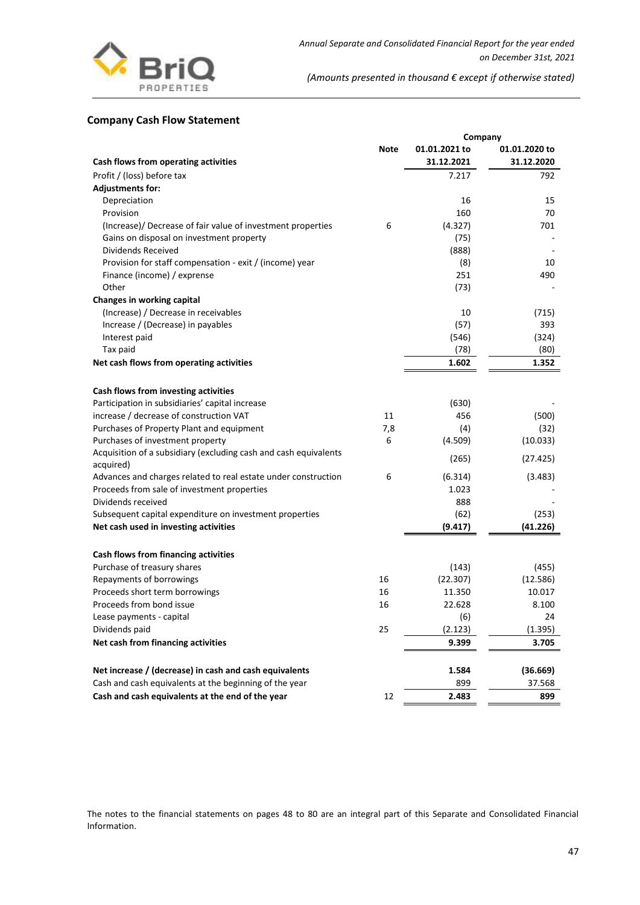

## **Company Cash Flow Statement**

|                                                                               | Company     |               |               |  |
|-------------------------------------------------------------------------------|-------------|---------------|---------------|--|
|                                                                               | <b>Note</b> | 01.01.2021 to | 01.01.2020 to |  |
| Cash flows from operating activities                                          |             | 31.12.2021    | 31.12.2020    |  |
| Profit / (loss) before tax                                                    |             | 7.217         | 792           |  |
| <b>Adjustments for:</b>                                                       |             |               |               |  |
| Depreciation                                                                  |             | 16            | 15            |  |
| Provision                                                                     |             | 160           | 70            |  |
| (Increase)/ Decrease of fair value of investment properties                   | 6           | (4.327)       | 701           |  |
| Gains on disposal on investment property                                      |             | (75)          |               |  |
| Dividends Received                                                            |             | (888)         |               |  |
| Provision for staff compensation - exit / (income) year                       |             | (8)           | 10            |  |
| Finance (income) / exprense                                                   |             | 251           | 490           |  |
| Other                                                                         |             | (73)          |               |  |
| Changes in working capital                                                    |             |               |               |  |
| (Increase) / Decrease in receivables                                          |             | 10            | (715)         |  |
| Increase / (Decrease) in payables                                             |             | (57)          | 393           |  |
| Interest paid                                                                 |             | (546)         | (324)         |  |
| Tax paid                                                                      |             | (78)          | (80)          |  |
| Net cash flows from operating activities                                      |             | 1.602         | 1.352         |  |
|                                                                               |             |               |               |  |
| Cash flows from investing activities                                          |             |               |               |  |
| Participation in subsidiaries' capital increase                               |             | (630)         |               |  |
| increase / decrease of construction VAT                                       | 11          | 456           | (500)         |  |
| Purchases of Property Plant and equipment                                     | 7,8         | (4)           | (32)          |  |
| Purchases of investment property                                              | 6           | (4.509)       | (10.033)      |  |
| Acquisition of a subsidiary (excluding cash and cash equivalents<br>acquired) |             | (265)         | (27.425)      |  |
| Advances and charges related to real estate under construction                | 6           | (6.314)       | (3.483)       |  |
| Proceeds from sale of investment properties                                   |             | 1.023         |               |  |
| Dividends received                                                            |             | 888           |               |  |
| Subsequent capital expenditure on investment properties                       |             | (62)          | (253)         |  |
| Net cash used in investing activities                                         |             | (9.417)       | (41.226)      |  |
|                                                                               |             |               |               |  |
| Cash flows from financing activities                                          |             |               |               |  |
| Purchase of treasury shares                                                   |             | (143)         | (455)         |  |
| Repayments of borrowings                                                      | 16          | (22.307)      | (12.586)      |  |
| Proceeds short term borrowings                                                | 16          | 11.350        | 10.017        |  |
| Proceeds from bond issue                                                      | 16          | 22.628        | 8.100         |  |
| Lease payments - capital                                                      |             | (6)           | 24            |  |
| Dividends paid                                                                | 25          | (2.123)       | (1.395)       |  |
| Net cash from financing activities                                            |             | 9.399         | 3.705         |  |
| Net increase / (decrease) in cash and cash equivalents                        |             | 1.584         | (36.669)      |  |
| Cash and cash equivalents at the beginning of the year                        |             | 899           | 37.568        |  |
| Cash and cash equivalents at the end of the year                              | 12          | 2.483         | 899           |  |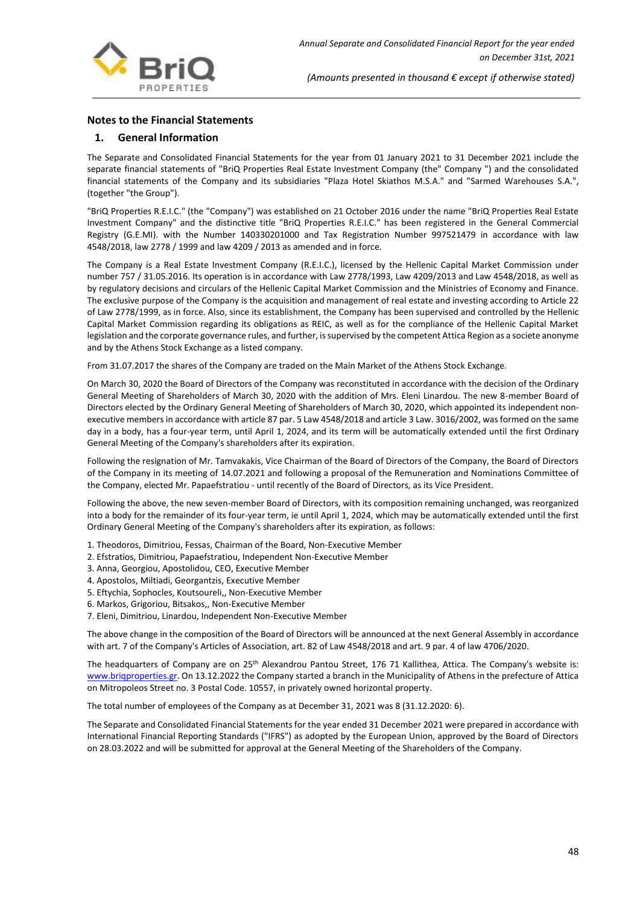

## **Notes to the Financial Statements**

## **1. General Information**

The Separate and Consolidated Financial Statements for the year from 01 January 2021 to 31 December 2021 include the separate financial statements of "BriQ Properties Real Estate Investment Company (the" Company ") and the consolidated financial statements of the Company and its subsidiaries "Plaza Hotel Skiathos M.S.A." and "Sarmed Warehouses S.A.", (together "the Group").

"BriQ Properties R.E.I.C." (the "Company") was established on 21 October 2016 under the name "BriQ Properties Real Estate Investment Company" and the distinctive title "BriQ Properties R.E.I.C." has been registered in the General Commercial Registry (G.E.MI). with the Number 140330201000 and Tax Registration Number 997521479 in accordance with law 4548/2018, law 2778 / 1999 and law 4209 / 2013 as amended and in force.

The Company is a Real Estate Investment Company (R.E.I.C.), licensed by the Hellenic Capital Market Commission under number 757 / 31.05.2016. Its operation is in accordance with Law 2778/1993, Law 4209/2013 and Law 4548/2018, as well as by regulatory decisions and circulars of the Hellenic Capital Market Commission and the Ministries of Economy and Finance. The exclusive purpose of the Company is the acquisition and management of real estate and investing according to Article 22 of Law 2778/1999, as in force. Also, since its establishment, the Company has been supervised and controlled by the Hellenic Capital Market Commission regarding its obligations as REIC, as well as for the compliance of the Hellenic Capital Market legislation and the corporate governance rules, and further, is supervised by the competent Attica Region as a societe anonyme and by the Athens Stock Exchange as a listed company.

From 31.07.2017 the shares of the Company are traded on the Main Market of the Athens Stock Exchange.

On March 30, 2020 the Board of Directors of the Company was reconstituted in accordance with the decision of the Ordinary General Meeting of Shareholders of March 30, 2020 with the addition of Mrs. Eleni Linardou. The new 8-member Board of Directors elected by the Ordinary General Meeting of Shareholders of March 30, 2020, which appointed its independent nonexecutive members in accordance with article 87 par. 5 Law 4548/2018 and article 3 Law. 3016/2002, was formed on the same day in a body, has a four-year term, until April 1, 2024, and its term will be automatically extended until the first Ordinary General Meeting of the Company's shareholders after its expiration.

Following the resignation of Mr. Tamvakakis, Vice Chairman of the Board of Directors of the Company, the Board of Directors of the Company in its meeting of 14.07.2021 and following a proposal of the Remuneration and Nominations Committee of the Company, elected Mr. Papaefstratiou - until recently of the Board of Directors, as its Vice President.

Following the above, the new seven-member Board of Directors, with its composition remaining unchanged, was reorganized into a body for the remainder of its four-year term, ie until April 1, 2024, which may be automatically extended until the first Ordinary General Meeting of the Company's shareholders after its expiration, as follows:

- 1. Theodoros, Dimitriou, Fessas, Chairman of the Board, Non-Executive Member
- 2. Efstratios, Dimitriou, Papaefstratiou, Independent Non-Executive Member
- 3. Anna, Georgiou, Apostolidou, CEO, Executive Member
- 4. Apostolos, Miltiadi, Georgantzis, Executive Member
- 5. Eftychia, Sophocles, Koutsoureli,, Non-Executive Member
- 6. Markos, Grigoriou, Bitsakos,, Non-Executive Member
- 7. Eleni, Dimitriou, Linardou, Independent Non-Executive Member

The above change in the composition of the Board of Directors will be announced at the next General Assembly in accordance with art. 7 of the Company's Articles of Association, art. 82 of Law 4548/2018 and art. 9 par. 4 of law 4706/2020.

The headquarters of Company are on 25<sup>th</sup> Alexandrou Pantou Street, 176 71 Kallithea, Attica. The Company's website is: [www.briqproperties.gr.](http://www.briqproperties.gr/) On 13.12.2022 the Company started a branch in the Municipality of Athens in the prefecture of Attica on Mitropoleos Street no. 3 Postal Code. 10557, in privately owned horizontal property.

Τhe total number of employees of the Company as at December 31, 2021 was 8 (31.12.2020: 6).

The Separate and Consolidated Financial Statements for the year ended 31 December 2021 were prepared in accordance with International Financial Reporting Standards ("IFRS") as adopted by the European Union, approved by the Board of Directors on 28.03.2022 and will be submitted for approval at the General Meeting of the Shareholders of the Company.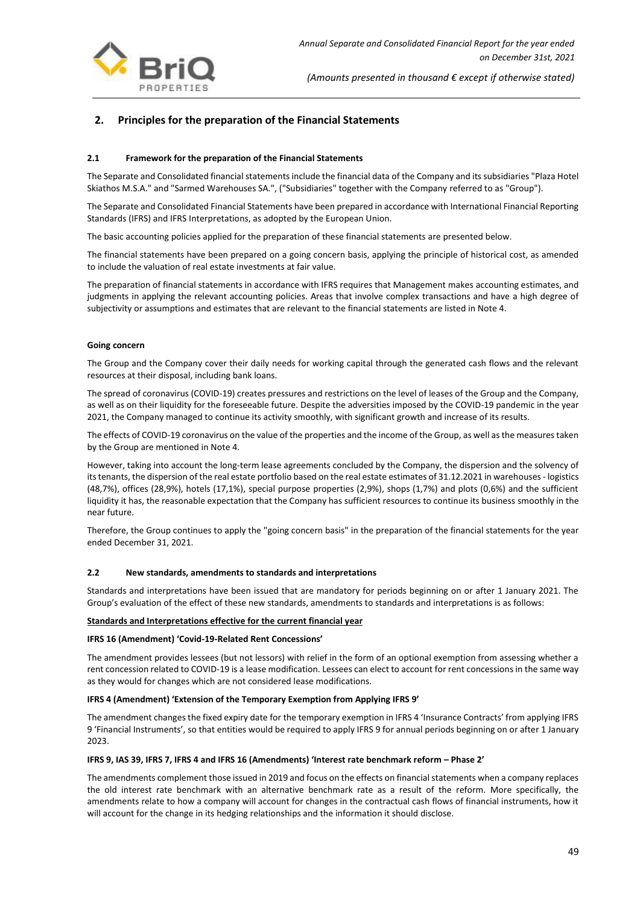

## **2. Principles for the preparation of the Financial Statements**

#### **2.1 Framework for the preparation of the Financial Statements**

The Separate and Consolidated financial statements include the financial data of the Company and its subsidiaries "Plaza Hotel Skiathos M.S.A." and "Sarmed Warehouses SA.", ("Subsidiaries" together with the Company referred to as "Group").

The Separate and Consolidated Financial Statements have been prepared in accordance with International Financial Reporting Standards (IFRS) and IFRS Interpretations, as adopted by the European Union.

The basic accounting policies applied for the preparation of these financial statements are presented below.

The financial statements have been prepared on a going concern basis, applying the principle of historical cost, as amended to include the valuation of real estate investments at fair value.

The preparation of financial statements in accordance with IFRS requires that Management makes accounting estimates, and judgments in applying the relevant accounting policies. Areas that involve complex transactions and have a high degree of subjectivity or assumptions and estimates that are relevant to the financial statements are listed in Note 4.

#### **Going concern**

The Group and the Company cover their daily needs for working capital through the generated cash flows and the relevant resources at their disposal, including bank loans.

The spread of coronavirus (COVID-19) creates pressures and restrictions on the level of leases of the Group and the Company, as well as on their liquidity for the foreseeable future. Despite the adversities imposed by the COVID-19 pandemic in the year 2021, the Company managed to continue its activity smoothly, with significant growth and increase of its results.

The effects of COVID-19 coronavirus on the value of the properties and the income of the Group, as well as the measures taken by the Group are mentioned in Note 4.

However, taking into account the long-term lease agreements concluded by the Company, the dispersion and the solvency of its tenants, the dispersion of the real estate portfolio based on the real estate estimates of 31.12.2021 in warehouses - logistics (48,7%), offices (28,9%), hotels (17,1%), special purpose properties (2,9%), shops (1,7%) and plots (0,6%) and the sufficient liquidity it has, the reasonable expectation that the Company has sufficient resources to continue its business smoothly in the near future.

Therefore, the Group continues to apply the "going concern basis" in the preparation of the financial statements for the year ended December 31, 2021.

#### **2.2 New standards, amendments to standards and interpretations**

Standards and interpretations have been issued that are mandatory for periods beginning on or after 1 January 2021. The Group's evaluation of the effect of these new standards, amendments to standards and interpretations is as follows:

#### **Standards and Interpretations effective for the current financial year**

#### **IFRS 16 (Amendment) 'Covid-19-Related Rent Concessions'**

The amendment provides lessees (but not lessors) with relief in the form of an optional exemption from assessing whether a rent concession related to COVID-19 is a lease modification. Lessees can elect to account for rent concessions in the same way as they would for changes which are not considered lease modifications.

#### **IFRS 4 (Amendment) 'Extension of the Temporary Exemption from Applying IFRS 9'**

The amendment changes the fixed expiry date for the temporary exemption in IFRS 4 'Insurance Contracts' from applying IFRS 9 'Financial Instruments', so that entities would be required to apply IFRS 9 for annual periods beginning on or after 1 January 2023.

#### **IFRS 9, IAS 39, IFRS 7, IFRS 4 and IFRS 16 (Amendments) 'Interest rate benchmark reform – Phase 2'**

The amendments complement those issued in 2019 and focus on the effects on financial statements when a company replaces the old interest rate benchmark with an alternative benchmark rate as a result of the reform. More specifically, the amendments relate to how a company will account for changes in the contractual cash flows of financial instruments, how it will account for the change in its hedging relationships and the information it should disclose.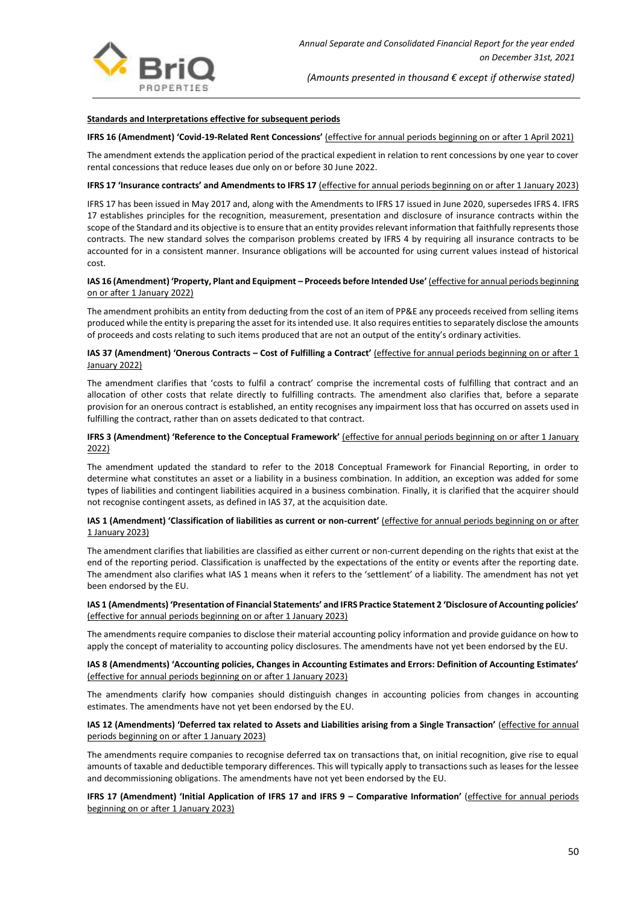

#### **Standards and Interpretations effective for subsequent periods**

#### **IFRS 16 (Amendment) 'Covid-19-Related Rent Concessions'** (effective for annual periods beginning on or after 1 April 2021)

The amendment extends the application period of the practical expedient in relation to rent concessions by one year to cover rental concessions that reduce leases due only on or before 30 June 2022.

#### **IFRS 17 'Insurance contracts' and Amendments to IFRS 17** (effective for annual periods beginning on or after 1 January 2023)

IFRS 17 has been issued in May 2017 and, along with the Amendments to IFRS 17 issued in June 2020, supersedes IFRS 4. IFRS 17 establishes principles for the recognition, measurement, presentation and disclosure of insurance contracts within the scope of the Standard and its objective is to ensure that an entity provides relevant information that faithfully represents those contracts. The new standard solves the comparison problems created by IFRS 4 by requiring all insurance contracts to be accounted for in a consistent manner. Insurance obligations will be accounted for using current values instead of historical cost.

#### **IAS 16 (Amendment) 'Property, Plant and Equipment – Proceeds before Intended Use'** (effective for annual periods beginning on or after 1 January 2022)

The amendment prohibits an entity from deducting from the cost of an item of PP&E any proceeds received from selling items produced while the entity is preparing the asset for its intended use. It also requires entities to separately disclose the amounts of proceeds and costs relating to such items produced that are not an output of the entity's ordinary activities.

#### **IAS 37 (Amendment) 'Onerous Contracts – Cost of Fulfilling a Contract'** (effective for annual periods beginning on or after 1 January 2022)

The amendment clarifies that 'costs to fulfil a contract' comprise the incremental costs of fulfilling that contract and an allocation of other costs that relate directly to fulfilling contracts. The amendment also clarifies that, before a separate provision for an onerous contract is established, an entity recognises any impairment loss that has occurred on assets used in fulfilling the contract, rather than on assets dedicated to that contract.

#### **IFRS 3 (Amendment) 'Reference to the Conceptual Framework'** *(effective for annual periods beginning on or after 1 January* 2022)

The amendment updated the standard to refer to the 2018 Conceptual Framework for Financial Reporting, in order to determine what constitutes an asset or a liability in a business combination. In addition, an exception was added for some types of liabilities and contingent liabilities acquired in a business combination. Finally, it is clarified that the acquirer should not recognise contingent assets, as defined in IAS 37, at the acquisition date.

#### **IAS 1 (Amendment) 'Classification of liabilities as current or non-current'** (effective for annual periods beginning on or after 1 January 2023)

The amendment clarifies that liabilities are classified as either current or non-current depending on the rights that exist at the end of the reporting period. Classification is unaffected by the expectations of the entity or events after the reporting date. The amendment also clarifies what IAS 1 means when it refers to the 'settlement' of a liability. The amendment has not yet been endorsed by the EU.

#### **IAS 1 (Amendments) 'Presentation of Financial Statements' and IFRS Practice Statement 2 'Disclosure of Accounting policies'** (effective for annual periods beginning on or after 1 January 2023)

The amendments require companies to disclose their material accounting policy information and provide guidance on how to apply the concept of materiality to accounting policy disclosures. The amendments have not yet been endorsed by the EU.

#### **IAS 8 (Amendments) 'Accounting policies, Changes in Accounting Estimates and Errors: Definition of Accounting Estimates'** (effective for annual periods beginning on or after 1 January 2023)

The amendments clarify how companies should distinguish changes in accounting policies from changes in accounting estimates. The amendments have not yet been endorsed by the EU.

#### **IΑS 12 (Amendments) 'Deferred tax related to Assets and Liabilities arising from a Single Transaction'** (effective for annual periods beginning on or after 1 January 2023)

The amendments require companies to recognise deferred tax on transactions that, on initial recognition, give rise to equal amounts of taxable and deductible temporary differences. This will typically apply to transactions such as leases for the lessee and decommissioning obligations. The amendments have not yet been endorsed by the EU.

#### **IFRS 17 (Amendment) 'Initial Application of IFRS 17 and IFRS 9 – Comparative Information'** (effective for annual periods beginning on or after 1 January 2023)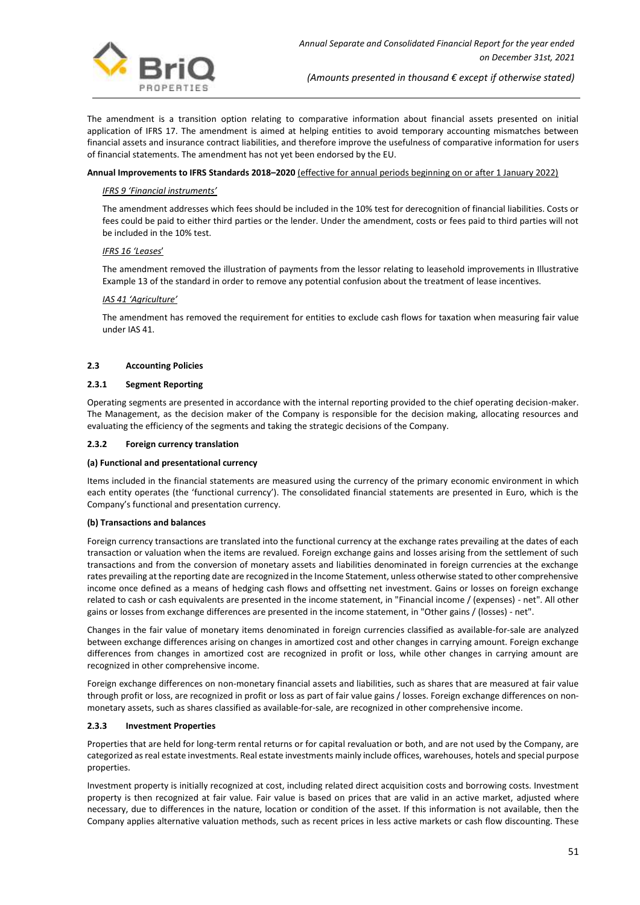

The amendment is a transition option relating to comparative information about financial assets presented on initial application of IFRS 17. The amendment is aimed at helping entities to avoid temporary accounting mismatches between financial assets and insurance contract liabilities, and therefore improve the usefulness of comparative information for users of financial statements. The amendment has not yet been endorsed by the EU.

#### **Annual Improvements to IFRS Standards 2018–2020** (effective for annual periods beginning on or after 1 January 2022)

#### *IFRS 9 'Financial instruments'*

The amendment addresses which fees should be included in the 10% test for derecognition of financial liabilities. Costs or fees could be paid to either third parties or the lender. Under the amendment, costs or fees paid to third parties will not be included in the 10% test.

#### *IFRS 16 'Leases*'

The amendment removed the illustration of payments from the lessor relating to leasehold improvements in Illustrative Example 13 of the standard in order to remove any potential confusion about the treatment of lease incentives.

#### *IAS 41 'Agriculture'*

The amendment has removed the requirement for entities to exclude cash flows for taxation when measuring fair value under IAS 41.

#### **2.3 Accounting Policies**

#### **2.3.1 Segment Reporting**

Operating segments are presented in accordance with the internal reporting provided to the chief operating decision-maker. The Management, as the decision maker of the Company is responsible for the decision making, allocating resources and evaluating the efficiency of the segments and taking the strategic decisions of the Company.

#### **2.3.2 Foreign currency translation**

#### **(a) Functional and presentational currency**

Items included in the financial statements are measured using the currency of the primary economic environment in which each entity operates (the 'functional currency'). The consolidated financial statements are presented in Euro, which is the Company's functional and presentation currency.

#### **(b) Transactions and balances**

Foreign currency transactions are translated into the functional currency at the exchange rates prevailing at the dates of each transaction or valuation when the items are revalued. Foreign exchange gains and losses arising from the settlement of such transactions and from the conversion of monetary assets and liabilities denominated in foreign currencies at the exchange rates prevailing at the reporting date are recognized in the Income Statement, unless otherwise stated to other comprehensive income once defined as a means of hedging cash flows and offsetting net investment. Gains or losses on foreign exchange related to cash or cash equivalents are presented in the income statement, in "Financial income / (expenses) - net". All other gains or losses from exchange differences are presented in the income statement, in "Other gains / (losses) - net".

Changes in the fair value of monetary items denominated in foreign currencies classified as available-for-sale are analyzed between exchange differences arising on changes in amortized cost and other changes in carrying amount. Foreign exchange differences from changes in amortized cost are recognized in profit or loss, while other changes in carrying amount are recognized in other comprehensive income.

Foreign exchange differences on non-monetary financial assets and liabilities, such as shares that are measured at fair value through profit or loss, are recognized in profit or loss as part of fair value gains / losses. Foreign exchange differences on nonmonetary assets, such as shares classified as available-for-sale, are recognized in other comprehensive income.

#### **2.3.3 Investment Properties**

Properties that are held for long-term rental returns or for capital revaluation or both, and are not used by the Company, are categorized as real estate investments. Real estate investments mainly include offices, warehouses, hotels and special purpose properties.

Investment property is initially recognized at cost, including related direct acquisition costs and borrowing costs. Investment property is then recognized at fair value. Fair value is based on prices that are valid in an active market, adjusted where necessary, due to differences in the nature, location or condition of the asset. If this information is not available, then the Company applies alternative valuation methods, such as recent prices in less active markets or cash flow discounting. These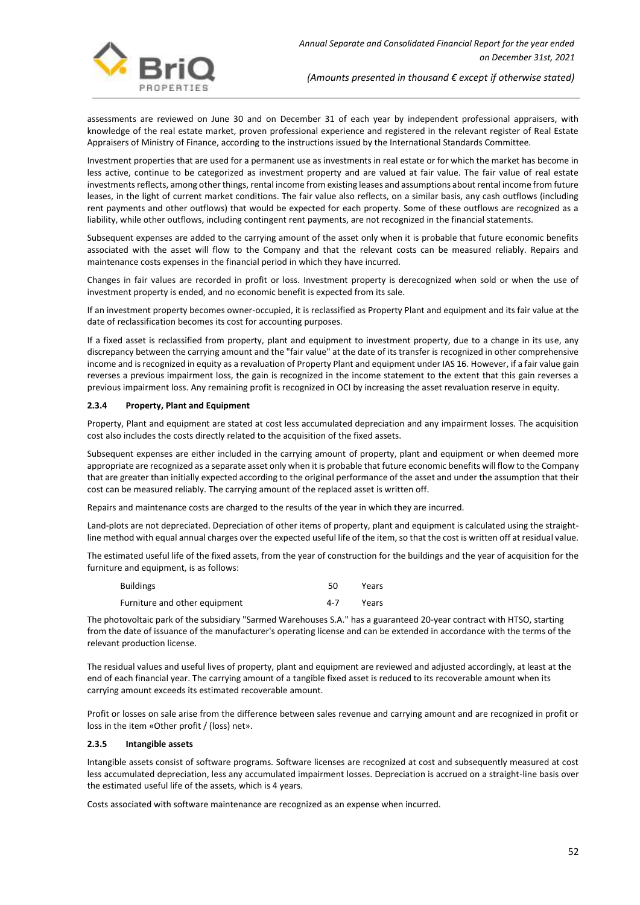

assessments are reviewed on June 30 and on December 31 of each year by independent professional appraisers, with knowledge of the real estate market, proven professional experience and registered in the relevant register of Real Estate Appraisers of Ministry of Finance, according to the instructions issued by the International Standards Committee.

Investment properties that are used for a permanent use as investments in real estate or for which the market has become in less active, continue to be categorized as investment property and are valued at fair value. The fair value of real estate investments reflects, among other things, rental income from existing leases and assumptions about rental income from future leases, in the light of current market conditions. The fair value also reflects, on a similar basis, any cash outflows (including rent payments and other outflows) that would be expected for each property. Some of these outflows are recognized as a liability, while other outflows, including contingent rent payments, are not recognized in the financial statements.

Subsequent expenses are added to the carrying amount of the asset only when it is probable that future economic benefits associated with the asset will flow to the Company and that the relevant costs can be measured reliably. Repairs and maintenance costs expenses in the financial period in which they have incurred.

Changes in fair values are recorded in profit or loss. Investment property is derecognized when sold or when the use of investment property is ended, and no economic benefit is expected from its sale.

If an investment property becomes owner-occupied, it is reclassified as Property Plant and equipment and its fair value at the date of reclassification becomes its cost for accounting purposes.

If a fixed asset is reclassified from property, plant and equipment to investment property, due to a change in its use, any discrepancy between the carrying amount and the "fair value" at the date of its transfer is recognized in other comprehensive income and is recognized in equity as a revaluation of Property Plant and equipment under IAS 16. However, if a fair value gain reverses a previous impairment loss, the gain is recognized in the income statement to the extent that this gain reverses a previous impairment loss. Any remaining profit is recognized in OCI by increasing the asset revaluation reserve in equity.

#### **2.3.4 Property, Plant and Equipment**

Property, Plant and equipment are stated at cost less accumulated depreciation and any impairment losses. The acquisition cost also includes the costs directly related to the acquisition of the fixed assets.

Subsequent expenses are either included in the carrying amount of property, plant and equipment or when deemed more appropriate are recognized as a separate asset only when it is probable that future economic benefits will flow to the Company that are greater than initially expected according to the original performance of the asset and under the assumption that their cost can be measured reliably. The carrying amount of the replaced asset is written off.

Repairs and maintenance costs are charged to the results of the year in which they are incurred.

Land-plots are not depreciated. Depreciation of other items of property, plant and equipment is calculated using the straightline method with equal annual charges over the expected useful life of the item, so that the cost is written off at residual value.

The estimated useful life of the fixed assets, from the year of construction for the buildings and the year of acquisition for the furniture and equipment, is as follows:

| <b>Buildings</b>              | 50  | Years |
|-------------------------------|-----|-------|
| Furniture and other equipment | 4-7 | Years |

The photovoltaic park of the subsidiary "Sarmed Warehouses S.A." has a guaranteed 20-year contract with HTSO, starting from the date of issuance of the manufacturer's operating license and can be extended in accordance with the terms of the relevant production license.

The residual values and useful lives of property, plant and equipment are reviewed and adjusted accordingly, at least at the end of each financial year. The carrying amount of a tangible fixed asset is reduced to its recoverable amount when its carrying amount exceeds its estimated recoverable amount.

Profit or losses on sale arise from the difference between sales revenue and carrying amount and are recognized in profit or loss in the item «Other profit / (loss) net».

#### **2.3.5 Intangible assets**

Intangible assets consist of software programs. Software licenses are recognized at cost and subsequently measured at cost less accumulated depreciation, less any accumulated impairment losses. Depreciation is accrued on a straight-line basis over the estimated useful life of the assets, which is 4 years.

Costs associated with software maintenance are recognized as an expense when incurred.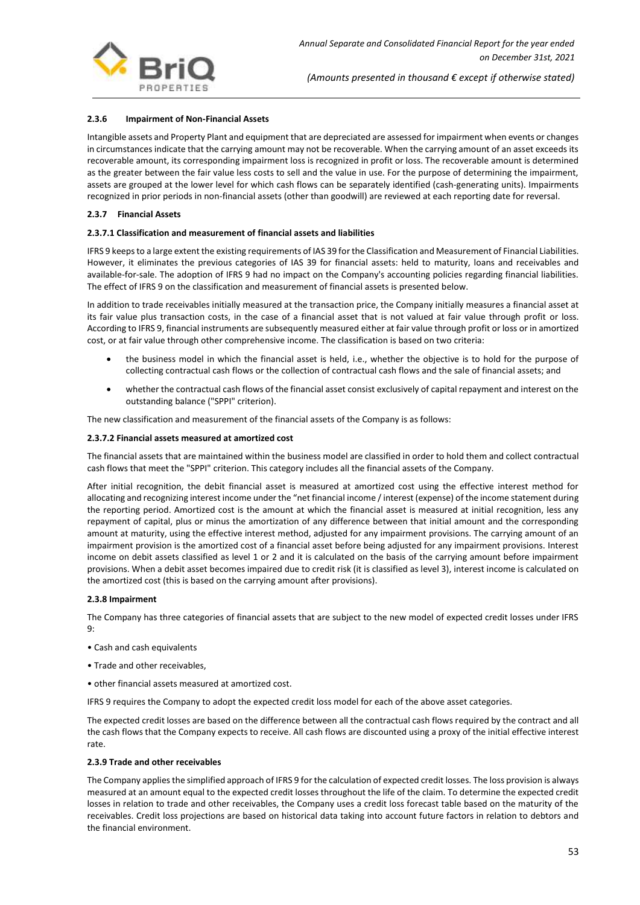

#### **2.3.6 Impairment of Non-Financial Assets**

Intangible assets and Property Plant and equipment that are depreciated are assessed for impairment when events or changes in circumstances indicate that the carrying amount may not be recoverable. When the carrying amount of an asset exceeds its recoverable amount, its corresponding impairment loss is recognized in profit or loss. The recoverable amount is determined as the greater between the fair value less costs to sell and the value in use. For the purpose of determining the impairment, assets are grouped at the lower level for which cash flows can be separately identified (cash-generating units). Impairments recognized in prior periods in non-financial assets (other than goodwill) are reviewed at each reporting date for reversal.

#### **2.3.7 Financial Assets**

#### **2.3.7.1 Classification and measurement of financial assets and liabilities**

IFRS 9 keeps to a large extent the existing requirements of IAS 39 for the Classification and Measurement of Financial Liabilities. However, it eliminates the previous categories of IAS 39 for financial assets: held to maturity, loans and receivables and available-for-sale. The adoption of IFRS 9 had no impact on the Company's accounting policies regarding financial liabilities. The effect of IFRS 9 on the classification and measurement of financial assets is presented below.

In addition to trade receivables initially measured at the transaction price, the Company initially measures a financial asset at its fair value plus transaction costs, in the case of a financial asset that is not valued at fair value through profit or loss. According to IFRS 9, financial instruments are subsequently measured either at fair value through profit or loss or in amortized cost, or at fair value through other comprehensive income. The classification is based on two criteria:

- the business model in which the financial asset is held, i.e., whether the objective is to hold for the purpose of collecting contractual cash flows or the collection of contractual cash flows and the sale of financial assets; and
- whether the contractual cash flows of the financial asset consist exclusively of capital repayment and interest on the outstanding balance ("SPPI" criterion).

The new classification and measurement of the financial assets of the Company is as follows:

#### **2.3.7.2 Financial assets measured at amortized cost**

The financial assets that are maintained within the business model are classified in order to hold them and collect contractual cash flows that meet the "SPPI" criterion. This category includes all the financial assets of the Company.

After initial recognition, the debit financial asset is measured at amortized cost using the effective interest method for allocating and recognizing interest income under the "net financial income / interest (expense) of the income statement during the reporting period. Amortized cost is the amount at which the financial asset is measured at initial recognition, less any repayment of capital, plus or minus the amortization of any difference between that initial amount and the corresponding amount at maturity, using the effective interest method, adjusted for any impairment provisions. The carrying amount of an impairment provision is the amortized cost of a financial asset before being adjusted for any impairment provisions. Interest income on debit assets classified as level 1 or 2 and it is calculated on the basis of the carrying amount before impairment provisions. When a debit asset becomes impaired due to credit risk (it is classified as level 3), interest income is calculated on the amortized cost (this is based on the carrying amount after provisions).

#### **2.3.8 Impairment**

The Company has three categories of financial assets that are subject to the new model of expected credit losses under IFRS 9:

- Cash and cash equivalents
- Trade and other receivables,
- other financial assets measured at amortized cost.

IFRS 9 requires the Company to adopt the expected credit loss model for each of the above asset categories.

The expected credit losses are based on the difference between all the contractual cash flows required by the contract and all the cash flows that the Company expects to receive. All cash flows are discounted using a proxy of the initial effective interest rate.

#### **2.3.9 Trade and other receivables**

The Company applies the simplified approach of IFRS 9 for the calculation of expected credit losses. The loss provision is always measured at an amount equal to the expected credit losses throughout the life of the claim. To determine the expected credit losses in relation to trade and other receivables, the Company uses a credit loss forecast table based on the maturity of the receivables. Credit loss projections are based on historical data taking into account future factors in relation to debtors and the financial environment.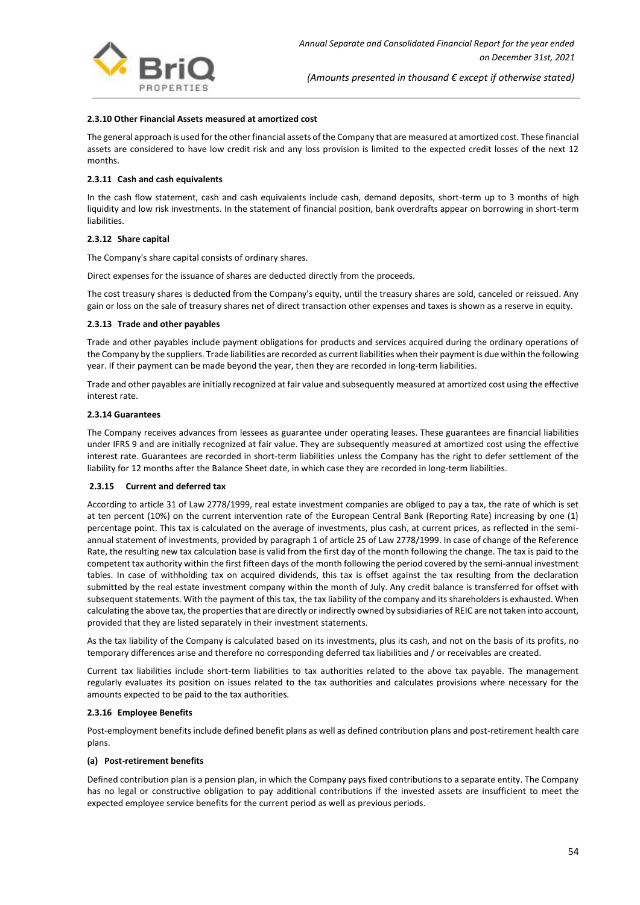

#### **2.3.10 Other Financial Assets measured at amortized cost**

The general approach is used for the other financial assets of the Company that are measured at amortized cost. These financial assets are considered to have low credit risk and any loss provision is limited to the expected credit losses of the next 12 months.

#### **2.3.11 Cash and cash equivalents**

In the cash flow statement, cash and cash equivalents include cash, demand deposits, short-term up to 3 months of high liquidity and low risk investments. In the statement of financial position, bank overdrafts appear on borrowing in short-term liabilities.

#### **2.3.12 Share capital**

The Company's share capital consists of ordinary shares.

Direct expenses for the issuance of shares are deducted directly from the proceeds.

The cost treasury shares is deducted from the Company's equity, until the treasury shares are sold, canceled or reissued. Any gain or loss on the sale of treasury shares net of direct transaction other expenses and taxes is shown as a reserve in equity.

#### **2.3.13 Trade and other payables**

Trade and other payables include payment obligations for products and services acquired during the ordinary operations of the Company by the suppliers. Trade liabilities are recorded as current liabilities when their payment is due within the following year. If their payment can be made beyond the year, then they are recorded in long-term liabilities.

Trade and other payables are initially recognized at fair value and subsequently measured at amortized cost using the effective interest rate.

#### **2.3.14 Guarantees**

The Company receives advances from lessees as guarantee under operating leases. These guarantees are financial liabilities under IFRS 9 and are initially recognized at fair value. They are subsequently measured at amortized cost using the effective interest rate. Guarantees are recorded in short-term liabilities unless the Company has the right to defer settlement of the liability for 12 months after the Balance Sheet date, in which case they are recorded in long-term liabilities.

#### **2.3.15 Current and deferred tax**

According to article 31 of Law 2778/1999, real estate investment companies are obliged to pay a tax, the rate of which is set at ten percent (10%) on the current intervention rate of the European Central Bank (Reporting Rate) increasing by one (1) percentage point. This tax is calculated on the average of investments, plus cash, at current prices, as reflected in the semiannual statement of investments, provided by paragraph 1 of article 25 of Law 2778/1999. In case of change of the Reference Rate, the resulting new tax calculation base is valid from the first day of the month following the change. The tax is paid to the competent tax authority within the first fifteen days of the month following the period covered by the semi-annual investment tables. In case of withholding tax on acquired dividends, this tax is offset against the tax resulting from the declaration submitted by the real estate investment company within the month of July. Any credit balance is transferred for offset with subsequent statements. With the payment of this tax, the tax liability of the company and its shareholders is exhausted. When calculating the above tax, the properties that are directly or indirectly owned by subsidiaries of REIC are not taken into account, provided that they are listed separately in their investment statements.

As the tax liability of the Company is calculated based on its investments, plus its cash, and not on the basis of its profits, no temporary differences arise and therefore no corresponding deferred tax liabilities and / or receivables are created.

Current tax liabilities include short-term liabilities to tax authorities related to the above tax payable. The management regularly evaluates its position on issues related to the tax authorities and calculates provisions where necessary for the amounts expected to be paid to the tax authorities.

#### **2.3.16 Employee Benefits**

Post-employment benefits include defined benefit plans as well as defined contribution plans and post-retirement health care plans.

#### **(a) Post-retirement benefits**

Defined contribution plan is a pension plan, in which the Company pays fixed contributions to a separate entity. The Company has no legal or constructive obligation to pay additional contributions if the invested assets are insufficient to meet the expected employee service benefits for the current period as well as previous periods.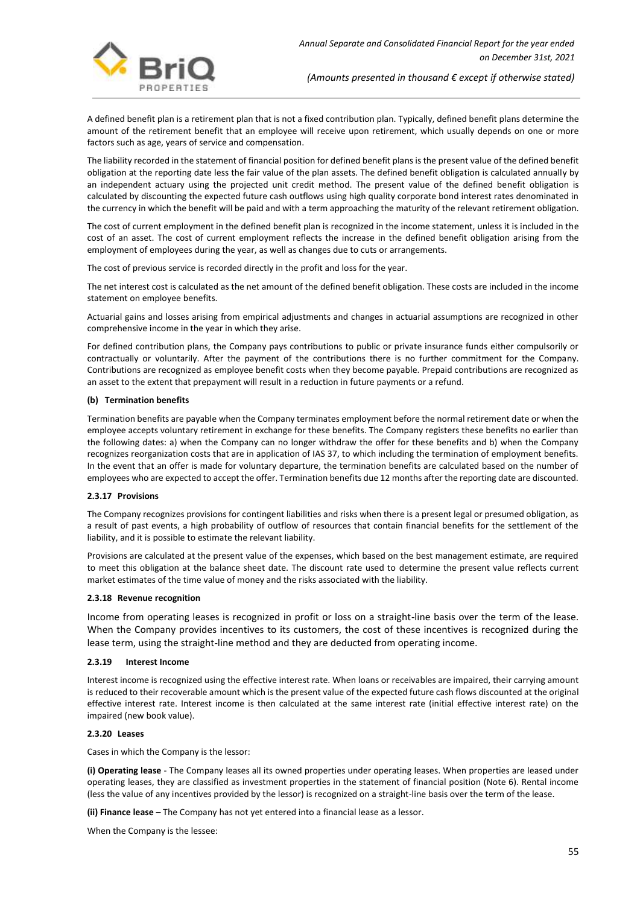

A defined benefit plan is a retirement plan that is not a fixed contribution plan. Typically, defined benefit plans determine the amount of the retirement benefit that an employee will receive upon retirement, which usually depends on one or more factors such as age, years of service and compensation.

The liability recorded in the statement of financial position for defined benefit plans is the present value of the defined benefit obligation at the reporting date less the fair value of the plan assets. The defined benefit obligation is calculated annually by an independent actuary using the projected unit credit method. The present value of the defined benefit obligation is calculated by discounting the expected future cash outflows using high quality corporate bond interest rates denominated in the currency in which the benefit will be paid and with a term approaching the maturity of the relevant retirement obligation.

The cost of current employment in the defined benefit plan is recognized in the income statement, unless it is included in the cost of an asset. The cost of current employment reflects the increase in the defined benefit obligation arising from the employment of employees during the year, as well as changes due to cuts or arrangements.

The cost of previous service is recorded directly in the profit and loss for the year.

The net interest cost is calculated as the net amount of the defined benefit obligation. These costs are included in the income statement on employee benefits.

Actuarial gains and losses arising from empirical adjustments and changes in actuarial assumptions are recognized in other comprehensive income in the year in which they arise.

For defined contribution plans, the Company pays contributions to public or private insurance funds either compulsorily or contractually or voluntarily. After the payment of the contributions there is no further commitment for the Company. Contributions are recognized as employee benefit costs when they become payable. Prepaid contributions are recognized as an asset to the extent that prepayment will result in a reduction in future payments or a refund.

#### **(b) Termination benefits**

Termination benefits are payable when the Company terminates employment before the normal retirement date or when the employee accepts voluntary retirement in exchange for these benefits. The Company registers these benefits no earlier than the following dates: a) when the Company can no longer withdraw the offer for these benefits and b) when the Company recognizes reorganization costs that are in application of IAS 37, to which including the termination of employment benefits. In the event that an offer is made for voluntary departure, the termination benefits are calculated based on the number of employees who are expected to accept the offer. Termination benefits due 12 months after the reporting date are discounted.

#### **2.3.17 Provisions**

The Company recognizes provisions for contingent liabilities and risks when there is a present legal or presumed obligation, as a result of past events, a high probability of outflow of resources that contain financial benefits for the settlement of the liability, and it is possible to estimate the relevant liability.

Provisions are calculated at the present value of the expenses, which based on the best management estimate, are required to meet this obligation at the balance sheet date. The discount rate used to determine the present value reflects current market estimates of the time value of money and the risks associated with the liability.

#### **2.3.18 Revenue recognition**

Income from operating leases is recognized in profit or loss on a straight-line basis over the term of the lease. When the Company provides incentives to its customers, the cost of these incentives is recognized during the lease term, using the straight-line method and they are deducted from operating income.

#### **2.3.19 Interest Income**

Interest income is recognized using the effective interest rate. When loans or receivables are impaired, their carrying amount is reduced to their recoverable amount which is the present value of the expected future cash flows discounted at the original effective interest rate. Interest income is then calculated at the same interest rate (initial effective interest rate) on the impaired (new book value).

#### **2.3.20 Leases**

Cases in which the Company is the lessor:

**(i) Operating lease** - The Company leases all its owned properties under operating leases. When properties are leased under operating leases, they are classified as investment properties in the statement of financial position (Note 6). Rental income (less the value of any incentives provided by the lessor) is recognized on a straight-line basis over the term of the lease.

**(ii) Finance lease** – The Company has not yet entered into a financial lease as a lessor.

When the Company is the lessee: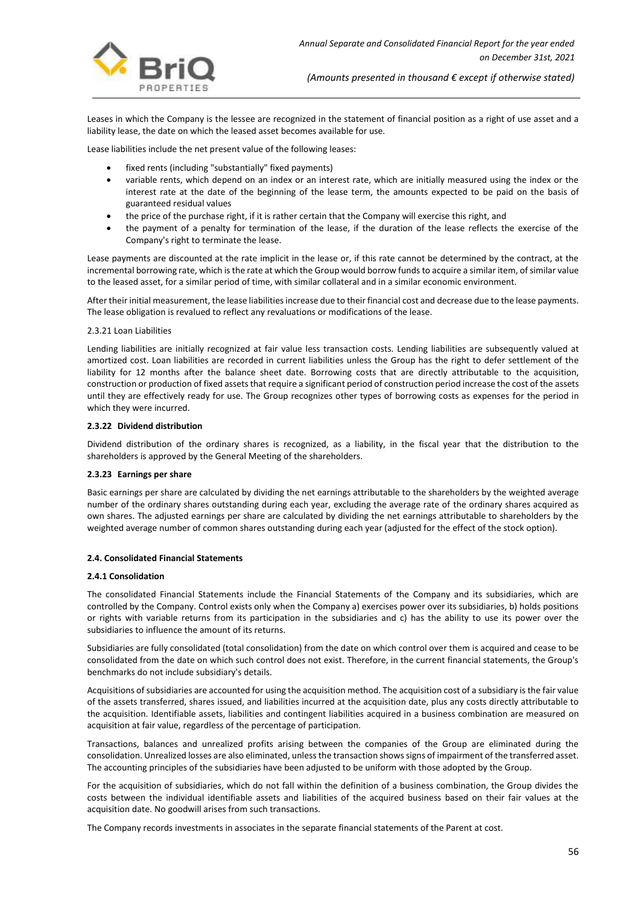

Leases in which the Company is the lessee are recognized in the statement of financial position as a right of use asset and a liability lease, the date on which the leased asset becomes available for use.

Lease liabilities include the net present value of the following leases:

- fixed rents (including "substantially" fixed payments)
- variable rents, which depend on an index or an interest rate, which are initially measured using the index or the interest rate at the date of the beginning of the lease term, the amounts expected to be paid on the basis of guaranteed residual values
- the price of the purchase right, if it is rather certain that the Company will exercise this right, and
- the payment of a penalty for termination of the lease, if the duration of the lease reflects the exercise of the Company's right to terminate the lease.

Lease payments are discounted at the rate implicit in the lease or, if this rate cannot be determined by the contract, at the incremental borrowing rate, which is the rate at which the Group would borrow funds to acquire a similar item, of similar value to the leased asset, for a similar period of time, with similar collateral and in a similar economic environment.

After their initial measurement, the lease liabilities increase due to their financial cost and decrease due to the lease payments. The lease obligation is revalued to reflect any revaluations or modifications of the lease.

#### 2.3.21 Loan Liabilities

Lending liabilities are initially recognized at fair value less transaction costs. Lending liabilities are subsequently valued at amortized cost. Loan liabilities are recorded in current liabilities unless the Group has the right to defer settlement of the liability for 12 months after the balance sheet date. Borrowing costs that are directly attributable to the acquisition, construction or production of fixed assets that require a significant period of construction period increase the cost of the assets until they are effectively ready for use. The Group recognizes other types of borrowing costs as expenses for the period in which they were incurred.

#### **2.3.22 Dividend distribution**

Dividend distribution of the ordinary shares is recognized, as a liability, in the fiscal year that the distribution to the shareholders is approved by the General Meeting of the shareholders.

#### **2.3.23 Earnings per share**

Basic earnings per share are calculated by dividing the net earnings attributable to the shareholders by the weighted average number of the ordinary shares outstanding during each year, excluding the average rate of the ordinary shares acquired as own shares. The adjusted earnings per share are calculated by dividing the net earnings attributable to shareholders by the weighted average number of common shares outstanding during each year (adjusted for the effect of the stock option).

## **2.4. Consolidated Financial Statements**

#### **2.4.1 Consolidation**

The consolidated Financial Statements include the Financial Statements of the Company and its subsidiaries, which are controlled by the Company. Control exists only when the Company a) exercises power over its subsidiaries, b) holds positions or rights with variable returns from its participation in the subsidiaries and c) has the ability to use its power over the subsidiaries to influence the amount of its returns.

Subsidiaries are fully consolidated (total consolidation) from the date on which control over them is acquired and cease to be consolidated from the date on which such control does not exist. Therefore, in the current financial statements, the Group's benchmarks do not include subsidiary's details.

Acquisitions of subsidiaries are accounted for using the acquisition method. The acquisition cost of a subsidiary is the fair value of the assets transferred, shares issued, and liabilities incurred at the acquisition date, plus any costs directly attributable to the acquisition. Identifiable assets, liabilities and contingent liabilities acquired in a business combination are measured on acquisition at fair value, regardless of the percentage of participation.

Transactions, balances and unrealized profits arising between the companies of the Group are eliminated during the consolidation. Unrealized losses are also eliminated, unless the transaction shows signs of impairment of the transferred asset. The accounting principles of the subsidiaries have been adjusted to be uniform with those adopted by the Group.

For the acquisition of subsidiaries, which do not fall within the definition of a business combination, the Group divides the costs between the individual identifiable assets and liabilities of the acquired business based on their fair values at the acquisition date. No goodwill arises from such transactions.

The Company records investments in associates in the separate financial statements of the Parent at cost.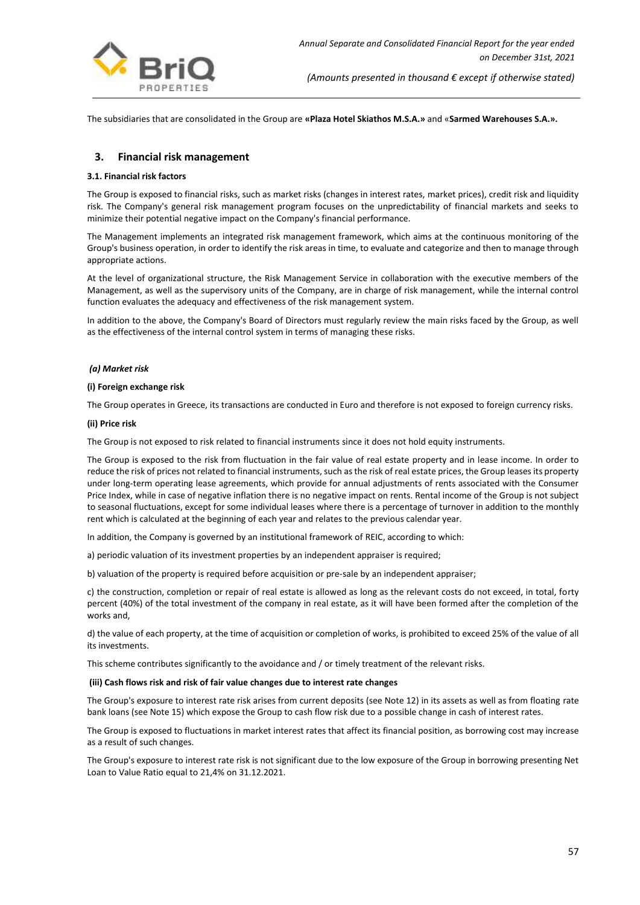

The subsidiaries that are consolidated in the Group are **«Plaza Hotel Skiathos M.S.A.»** and «**Sarmed Warehouses S.A.».**

## **3. Financial risk management**

#### **3.1. Financial risk factors**

The Group is exposed to financial risks, such as market risks (changes in interest rates, market prices), credit risk and liquidity risk. The Company's general risk management program focuses on the unpredictability of financial markets and seeks to minimize their potential negative impact on the Company's financial performance.

The Management implements an integrated risk management framework, which aims at the continuous monitoring of the Group's business operation, in order to identify the risk areas in time, to evaluate and categorize and then to manage through appropriate actions.

At the level of organizational structure, the Risk Management Service in collaboration with the executive members of the Management, as well as the supervisory units of the Company, are in charge of risk management, while the internal control function evaluates the adequacy and effectiveness of the risk management system.

In addition to the above, the Company's Board of Directors must regularly review the main risks faced by the Group, as well as the effectiveness of the internal control system in terms of managing these risks.

#### *(a) Market risk*

#### **(i) Foreign exchange risk**

The Group operates in Greece, its transactions are conducted in Euro and therefore is not exposed to foreign currency risks.

#### **(ii) Price risk**

The Group is not exposed to risk related to financial instruments since it does not hold equity instruments.

The Group is exposed to the risk from fluctuation in the fair value of real estate property and in lease income. In order to reduce the risk of prices not related to financial instruments, such as the risk of real estate prices, the Group leases its property under long-term operating lease agreements, which provide for annual adjustments of rents associated with the Consumer Price Index, while in case of negative inflation there is no negative impact on rents. Rental income of the Group is not subject to seasonal fluctuations, except for some individual leases where there is a percentage of turnover in addition to the monthly rent which is calculated at the beginning of each year and relates to the previous calendar year.

In addition, the Company is governed by an institutional framework of REIC, according to which:

a) periodic valuation of its investment properties by an independent appraiser is required;

b) valuation of the property is required before acquisition or pre-sale by an independent appraiser;

c) the construction, completion or repair of real estate is allowed as long as the relevant costs do not exceed, in total, forty percent (40%) of the total investment of the company in real estate, as it will have been formed after the completion of the works and,

d) the value of each property, at the time of acquisition or completion of works, is prohibited to exceed 25% of the value of all its investments.

This scheme contributes significantly to the avoidance and / or timely treatment of the relevant risks.

#### **(iii) Cash flows risk and risk of fair value changes due to interest rate changes**

The Group's exposure to interest rate risk arises from current deposits (see Note 12) in its assets as well as from floating rate bank loans (see Note 15) which expose the Group to cash flow risk due to a possible change in cash of interest rates.

The Group is exposed to fluctuations in market interest rates that affect its financial position, as borrowing cost may increase as a result of such changes.

The Group's exposure to interest rate risk is not significant due to the low exposure of the Group in borrowing presenting Net Loan to Value Ratio equal to 21,4% on 31.12.2021.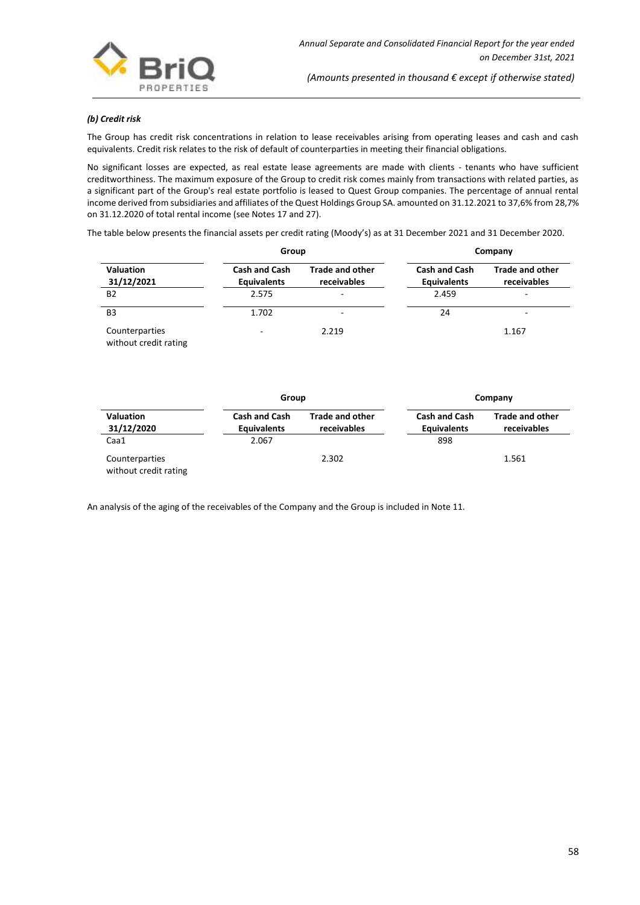

#### *(b) Credit risk*

The Group has credit risk concentrations in relation to lease receivables arising from operating leases and cash and cash equivalents. Credit risk relates to the risk of default of counterparties in meeting their financial obligations.

No significant losses are expected, as real estate lease agreements are made with clients - tenants who have sufficient creditworthiness. The maximum exposure of the Group to credit risk comes mainly from transactions with related parties, as a significant part of the Group's real estate portfolio is leased to Quest Group companies. The percentage of annual rental income derived from subsidiaries and affiliates of the Quest Holdings Group SA. amounted on 31.12.2021 to 37,6% from 28,7% on 31.12.2020 of total rental income (see Notes 17 and 27).

The table below presents the financial assets per credit rating (Moody's) as at 31 December 2021 and 31 December 2020.

|                                         | Group                                      |                                       | Company                                    |                                       |  |
|-----------------------------------------|--------------------------------------------|---------------------------------------|--------------------------------------------|---------------------------------------|--|
| <b>Valuation</b><br>31/12/2021          | <b>Cash and Cash</b><br><b>Equivalents</b> | <b>Trade and other</b><br>receivables | <b>Cash and Cash</b><br><b>Equivalents</b> | <b>Trade and other</b><br>receivables |  |
| <b>B2</b>                               | 2.575                                      | $\overline{\phantom{a}}$              | 2.459                                      |                                       |  |
| B <sub>3</sub>                          | 1.702                                      | $\overline{\phantom{a}}$              | 24                                         | -                                     |  |
| Counterparties<br>without credit rating | -                                          | 2.219                                 |                                            | 1.167                                 |  |

|                                         | Group                                      |                                       | Company                                    |                                       |  |
|-----------------------------------------|--------------------------------------------|---------------------------------------|--------------------------------------------|---------------------------------------|--|
| <b>Valuation</b><br>31/12/2020          | <b>Cash and Cash</b><br><b>Equivalents</b> | <b>Trade and other</b><br>receivables | <b>Cash and Cash</b><br><b>Equivalents</b> | <b>Trade and other</b><br>receivables |  |
| Caa1                                    | 2.067                                      |                                       | 898                                        |                                       |  |
| Counterparties<br>without credit rating |                                            | 2.302                                 |                                            | 1.561                                 |  |

An analysis of the aging of the receivables of the Company and the Group is included in Note 11.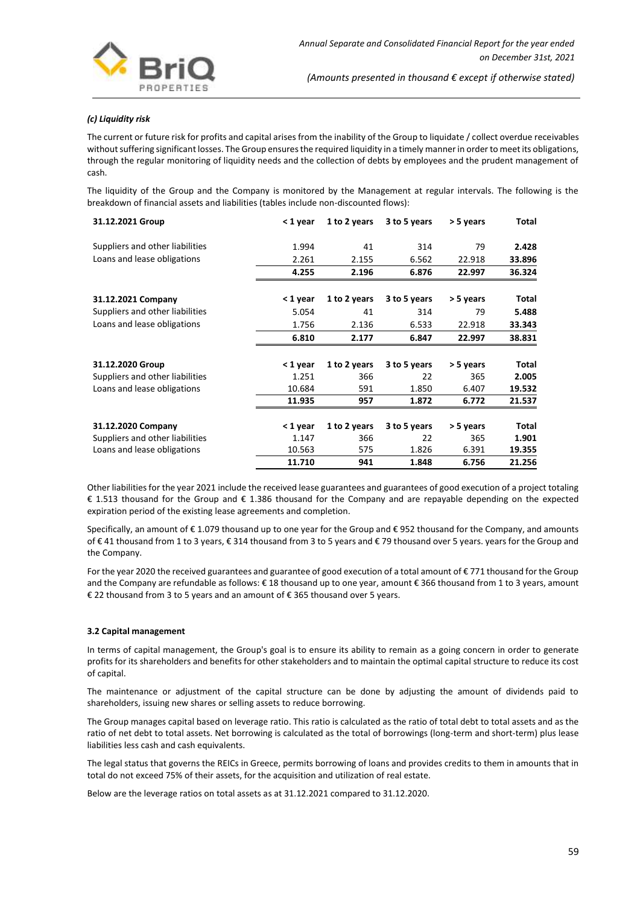

#### *(c) Liquidity risk*

The current or future risk for profits and capital arises from the inability of the Group to liquidate / collect overdue receivables without suffering significant losses. The Group ensures the required liquidity in a timely manner in order to meet its obligations, through the regular monitoring of liquidity needs and the collection of debts by employees and the prudent management of cash.

The liquidity of the Group and the Company is monitored by the Management at regular intervals. The following is the breakdown of financial assets and liabilities (tables include non-discounted flows):

| 31.12.2021 Group                | < 1 year | 1 to 2 years | 3 to 5 years | > 5 years | Total  |
|---------------------------------|----------|--------------|--------------|-----------|--------|
| Suppliers and other liabilities | 1.994    | 41           | 314          | 79        | 2.428  |
| Loans and lease obligations     | 2.261    | 2.155        | 6.562        | 22.918    | 33.896 |
|                                 | 4.255    | 2.196        | 6.876        | 22.997    | 36.324 |
| 31.12.2021 Company              | < 1 year | 1 to 2 years | 3 to 5 years | > 5 years | Total  |
| Suppliers and other liabilities | 5.054    | 41           | 314          | 79        | 5.488  |
| Loans and lease obligations     | 1.756    | 2.136        | 6.533        | 22.918    | 33.343 |
|                                 | 6.810    | 2.177        | 6.847        | 22.997    | 38.831 |
| 31.12.2020 Group                | < 1 year | 1 to 2 years | 3 to 5 years | > 5 years | Total  |
| Suppliers and other liabilities | 1.251    | 366          | 22           | 365       | 2.005  |
| Loans and lease obligations     | 10.684   | 591          | 1.850        | 6.407     | 19.532 |
|                                 | 11.935   | 957          | 1.872        | 6.772     | 21.537 |
| 31.12.2020 Company              | < 1 year | 1 to 2 years | 3 to 5 years | > 5 years | Total  |
| Suppliers and other liabilities | 1.147    | 366          | 22           | 365       | 1.901  |
| Loans and lease obligations     | 10.563   | 575          | 1.826        | 6.391     | 19.355 |
|                                 | 11.710   | 941          | 1.848        | 6.756     | 21.256 |

Other liabilities for the year 2021 include the received lease guarantees and guarantees of good execution of a project totaling € 1.513 thousand for the Group and € 1.386 thousand for the Company and are repayable depending on the expected expiration period of the existing lease agreements and completion.

Specifically, an amount of € 1.079 thousand up to one year for the Group and € 952 thousand for the Company, and amounts of € 41 thousand from 1 to 3 years, € 314 thousand from 3 to 5 years and € 79 thousand over 5 years. years for the Group and the Company.

For the year 2020 the received guarantees and guarantee of good execution of a total amount of €771 thousand for the Group and the Company are refundable as follows: € 18 thousand up to one year, amount € 366 thousand from 1 to 3 years, amount € 22 thousand from 3 to 5 years and an amount of € 365 thousand over 5 years.

#### **3.2 Capital management**

In terms of capital management, the Group's goal is to ensure its ability to remain as a going concern in order to generate profits for its shareholders and benefits for other stakeholders and to maintain the optimal capital structure to reduce its cost of capital.

The maintenance or adjustment of the capital structure can be done by adjusting the amount of dividends paid to shareholders, issuing new shares or selling assets to reduce borrowing.

The Group manages capital based on leverage ratio. This ratio is calculated as the ratio of total debt to total assets and as the ratio of net debt to total assets. Net borrowing is calculated as the total of borrowings (long-term and short-term) plus lease liabilities less cash and cash equivalents.

The legal status that governs the REICs in Greece, permits borrowing of loans and provides credits to them in amounts that in total do not exceed 75% of their assets, for the acquisition and utilization of real estate.

Below are the leverage ratios on total assets as at 31.12.2021 compared to 31.12.2020.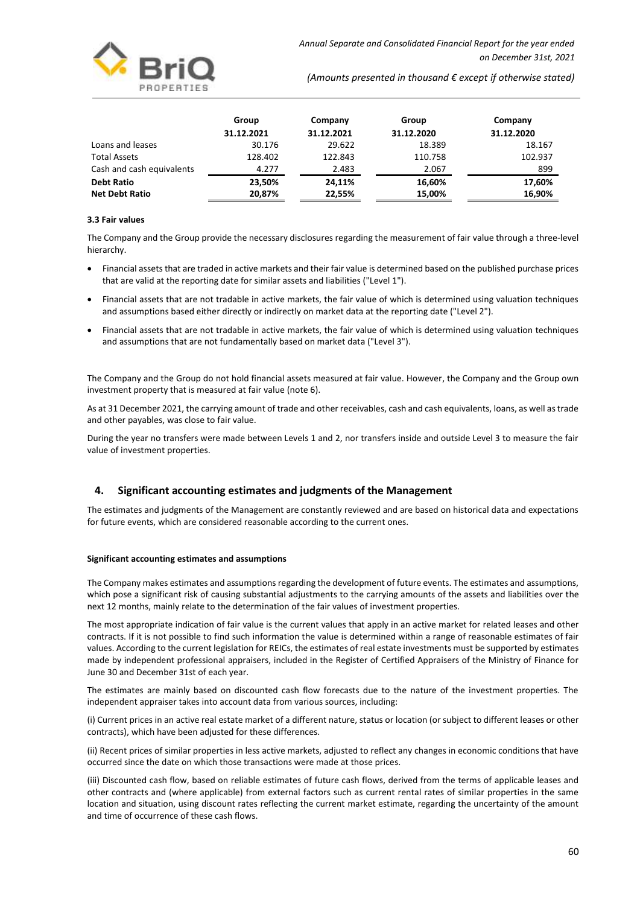|                           | Group      | Company    | Group      | Company    |
|---------------------------|------------|------------|------------|------------|
|                           | 31.12.2021 | 31.12.2021 | 31.12.2020 | 31.12.2020 |
| Loans and leases          | 30.176     | 29.622     | 18.389     | 18.167     |
| <b>Total Assets</b>       | 128.402    | 122.843    | 110.758    | 102.937    |
| Cash and cash equivalents | 4.277      | 2.483      | 2.067      | 899        |
| <b>Debt Ratio</b>         | 23.50%     | 24.11%     | 16,60%     | 17,60%     |
| <b>Net Debt Ratio</b>     | 20,87%     | 22,55%     | 15,00%     | 16,90%     |

#### **3.3 Fair values**

The Company and the Group provide the necessary disclosures regarding the measurement of fair value through a three-level hierarchy.

- Financial assets that are traded in active markets and their fair value is determined based on the published purchase prices that are valid at the reporting date for similar assets and liabilities ("Level 1").
- Financial assets that are not tradable in active markets, the fair value of which is determined using valuation techniques and assumptions based either directly or indirectly on market data at the reporting date ("Level 2").
- Financial assets that are not tradable in active markets, the fair value of which is determined using valuation techniques and assumptions that are not fundamentally based on market data ("Level 3").

The Company and the Group do not hold financial assets measured at fair value. However, the Company and the Group own investment property that is measured at fair value (note 6).

As at 31 December 2021, the carrying amount of trade and other receivables, cash and cash equivalents, loans, as well as trade and other payables, was close to fair value.

During the year no transfers were made between Levels 1 and 2, nor transfers inside and outside Level 3 to measure the fair value of investment properties.

## **4. Significant accounting estimates and judgments of the Management**

The estimates and judgments of the Management are constantly reviewed and are based on historical data and expectations for future events, which are considered reasonable according to the current ones.

#### **Significant accounting estimates and assumptions**

The Company makes estimates and assumptions regarding the development of future events. The estimates and assumptions, which pose a significant risk of causing substantial adjustments to the carrying amounts of the assets and liabilities over the next 12 months, mainly relate to the determination of the fair values of investment properties.

The most appropriate indication of fair value is the current values that apply in an active market for related leases and other contracts. If it is not possible to find such information the value is determined within a range of reasonable estimates of fair values. According to the current legislation for REICs, the estimates of real estate investments must be supported by estimates made by independent professional appraisers, included in the Register of Certified Appraisers of the Ministry of Finance for June 30 and December 31st of each year.

The estimates are mainly based on discounted cash flow forecasts due to the nature of the investment properties. The independent appraiser takes into account data from various sources, including:

(i) Current prices in an active real estate market of a different nature, status or location (or subject to different leases or other contracts), which have been adjusted for these differences.

(ii) Recent prices of similar properties in less active markets, adjusted to reflect any changes in economic conditions that have occurred since the date on which those transactions were made at those prices.

(iii) Discounted cash flow, based on reliable estimates of future cash flows, derived from the terms of applicable leases and other contracts and (where applicable) from external factors such as current rental rates of similar properties in the same location and situation, using discount rates reflecting the current market estimate, regarding the uncertainty of the amount and time of occurrence of these cash flows.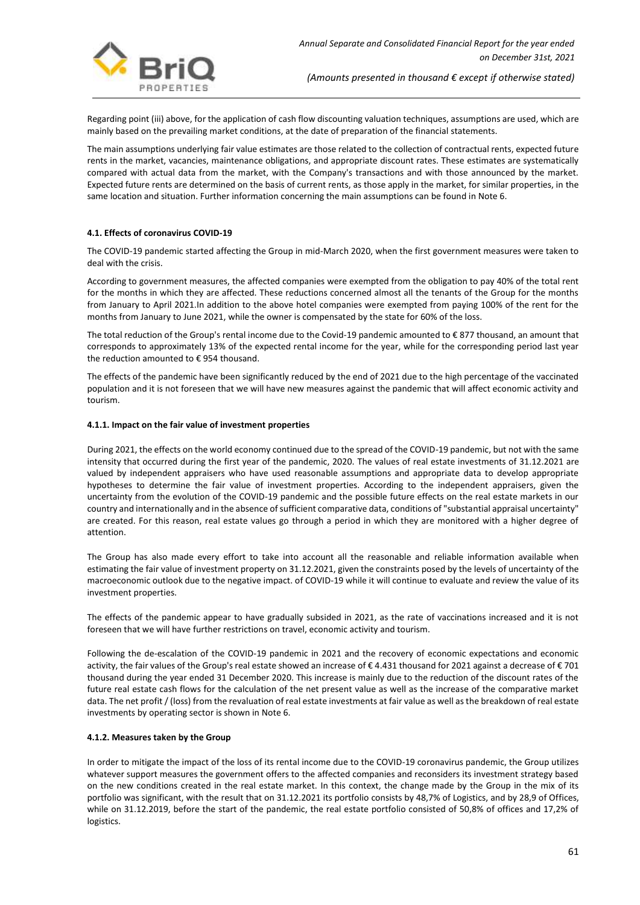Regarding point (iii) above, for the application of cash flow discounting valuation techniques, assumptions are used, which are mainly based on the prevailing market conditions, at the date of preparation of the financial statements.

The main assumptions underlying fair value estimates are those related to the collection of contractual rents, expected future rents in the market, vacancies, maintenance obligations, and appropriate discount rates. These estimates are systematically compared with actual data from the market, with the Company's transactions and with those announced by the market. Expected future rents are determined on the basis of current rents, as those apply in the market, for similar properties, in the same location and situation. Further information concerning the main assumptions can be found in Note 6.

#### **4.1. Effects of coronavirus COVID-19**

The COVID-19 pandemic started affecting the Group in mid-March 2020, when the first government measures were taken to deal with the crisis.

According to government measures, the affected companies were exempted from the obligation to pay 40% of the total rent for the months in which they are affected. These reductions concerned almost all the tenants of the Group for the months from January to April 2021.In addition to the above hotel companies were exempted from paying 100% of the rent for the months from January to June 2021, while the owner is compensated by the state for 60% of the loss.

The total reduction of the Group's rental income due to the Covid-19 pandemic amounted to € 877 thousand, an amount that corresponds to approximately 13% of the expected rental income for the year, while for the corresponding period last year the reduction amounted to € 954 thousand.

The effects of the pandemic have been significantly reduced by the end of 2021 due to the high percentage of the vaccinated population and it is not foreseen that we will have new measures against the pandemic that will affect economic activity and tourism.

#### **4.1.1. Impact on the fair value of investment properties**

During 2021, the effects on the world economy continued due to the spread of the COVID-19 pandemic, but not with the same intensity that occurred during the first year of the pandemic, 2020. The values of real estate investments of 31.12.2021 are valued by independent appraisers who have used reasonable assumptions and appropriate data to develop appropriate hypotheses to determine the fair value of investment properties. According to the independent appraisers, given the uncertainty from the evolution of the COVID-19 pandemic and the possible future effects on the real estate markets in our country and internationally and in the absence of sufficient comparative data, conditions of "substantial appraisal uncertainty" are created. For this reason, real estate values go through a period in which they are monitored with a higher degree of attention.

The Group has also made every effort to take into account all the reasonable and reliable information available when estimating the fair value of investment property on 31.12.2021, given the constraints posed by the levels of uncertainty of the macroeconomic outlook due to the negative impact. of COVID-19 while it will continue to evaluate and review the value of its investment properties.

The effects of the pandemic appear to have gradually subsided in 2021, as the rate of vaccinations increased and it is not foreseen that we will have further restrictions on travel, economic activity and tourism.

Following the de-escalation of the COVID-19 pandemic in 2021 and the recovery of economic expectations and economic activity, the fair values of the Group's real estate showed an increase of € 4.431 thousand for 2021 against a decrease of € 701 thousand during the year ended 31 December 2020. This increase is mainly due to the reduction of the discount rates of the future real estate cash flows for the calculation of the net present value as well as the increase of the comparative market data. The net profit / (loss) from the revaluation of real estate investments at fair value as well as the breakdown of real estate investments by operating sector is shown in Note 6.

#### **4.1.2. Measures taken by the Group**

In order to mitigate the impact of the loss of its rental income due to the COVID-19 coronavirus pandemic, the Group utilizes whatever support measures the government offers to the affected companies and reconsiders its investment strategy based on the new conditions created in the real estate market. In this context, the change made by the Group in the mix of its portfolio was significant, with the result that on 31.12.2021 its portfolio consists by 48,7% of Logistics, and by 28,9 of Offices, while on 31.12.2019, before the start of the pandemic, the real estate portfolio consisted of 50,8% of offices and 17,2% of logistics.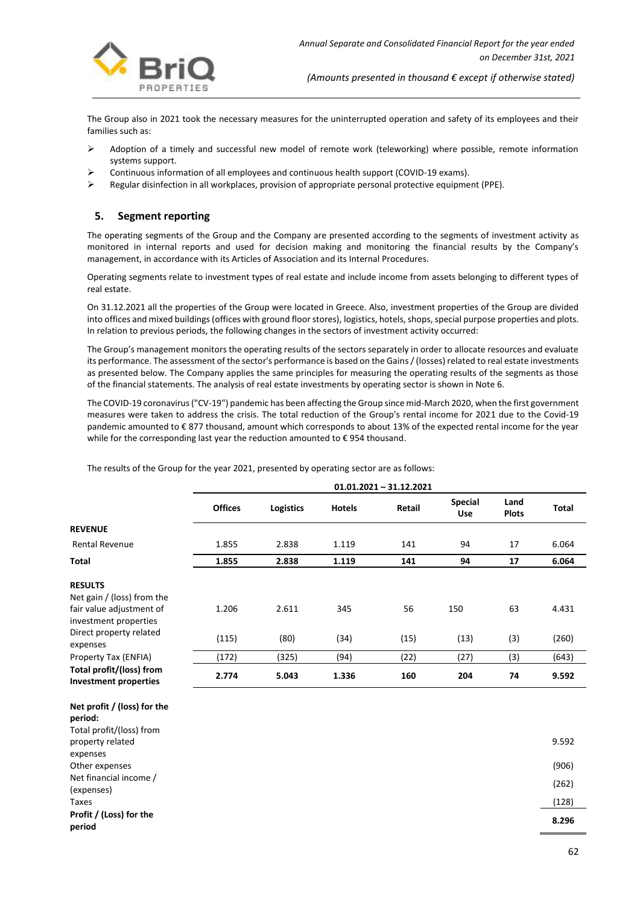

The Group also in 2021 took the necessary measures for the uninterrupted operation and safety of its employees and their families such as:

- ➢ Adoption of a timely and successful new model of remote work (teleworking) where possible, remote information systems support.
- ➢ Continuous information of all employees and continuous health support (COVID-19 exams).
- ➢ Regular disinfection in all workplaces, provision of appropriate personal protective equipment (PPE).

## **5. Segment reporting**

**Net profit / (loss) for the**

The operating segments of the Group and the Company are presented according to the segments of investment activity as monitored in internal reports and used for decision making and monitoring the financial results by the Company's management, in accordance with its Articles of Association and its Internal Procedures.

Operating segments relate to investment types of real estate and include income from assets belonging to different types of real estate.

On 31.12.2021 all the properties of the Group were located in Greece. Also, investment properties of the Group are divided into offices and mixed buildings (offices with ground floor stores), logistics, hotels, shops, special purpose properties and plots. In relation to previous periods, the following changes in the sectors of investment activity occurred:

The Group's management monitors the operating results of the sectors separately in order to allocate resources and evaluate its performance. The assessment of the sector's performance is based on the Gains / (losses) related to real estate investments as presented below. The Company applies the same principles for measuring the operating results of the segments as those of the financial statements. The analysis of real estate investments by operating sector is shown in Note 6.

The COVID-19 coronavirus ("CV-19") pandemic has been affecting the Group since mid-March 2020, when the first government measures were taken to address the crisis. The total reduction of the Group's rental income for 2021 due to the Covid-19 pandemic amounted to € 877 thousand, amount which corresponds to about 13% of the expected rental income for the year while for the corresponding last year the reduction amounted to €954 thousand.

The results of the Group for the year 2021, presented by operating sector are as follows:

|                                                                                                   | $01.01.2021 - 31.12.2021$ |                  |               |        |                       |                      |       |
|---------------------------------------------------------------------------------------------------|---------------------------|------------------|---------------|--------|-----------------------|----------------------|-------|
|                                                                                                   | <b>Offices</b>            | <b>Logistics</b> | <b>Hotels</b> | Retail | <b>Special</b><br>Use | Land<br><b>Plots</b> | Total |
| <b>REVENUE</b>                                                                                    |                           |                  |               |        |                       |                      |       |
| <b>Rental Revenue</b>                                                                             | 1.855                     | 2.838            | 1.119         | 141    | 94                    | 17                   | 6.064 |
| Total                                                                                             | 1.855                     | 2.838            | 1.119         | 141    | 94                    | 17                   | 6.064 |
| <b>RESULTS</b><br>Net gain / (loss) from the<br>fair value adjustment of<br>investment properties | 1.206                     | 2.611            | 345           | 56     | 150                   | 63                   | 4.431 |
| Direct property related<br>expenses                                                               | (115)                     | (80)             | (34)          | (15)   | (13)                  | (3)                  | (260) |
| Property Tax (ENFIA)                                                                              | (172)                     | (325)            | (94)          | (22)   | (27)                  | (3)                  | (643) |
| Total profit/(loss) from<br><b>Investment properties</b>                                          | 2.774                     | 5.043            | 1.336         | 160    | 204                   | 74                   | 9.592 |

| $\frac{1}{2}$ is the product (1033) for the |       |
|---------------------------------------------|-------|
| period:                                     |       |
| Total profit/(loss) from                    |       |
| property related                            | 9.592 |
| expenses                                    |       |
| Other expenses                              | (906) |
| Net financial income /                      | (262) |
| (expenses)                                  |       |
| Taxes                                       | (128) |
| Profit / (Loss) for the                     |       |
| period                                      | 8.296 |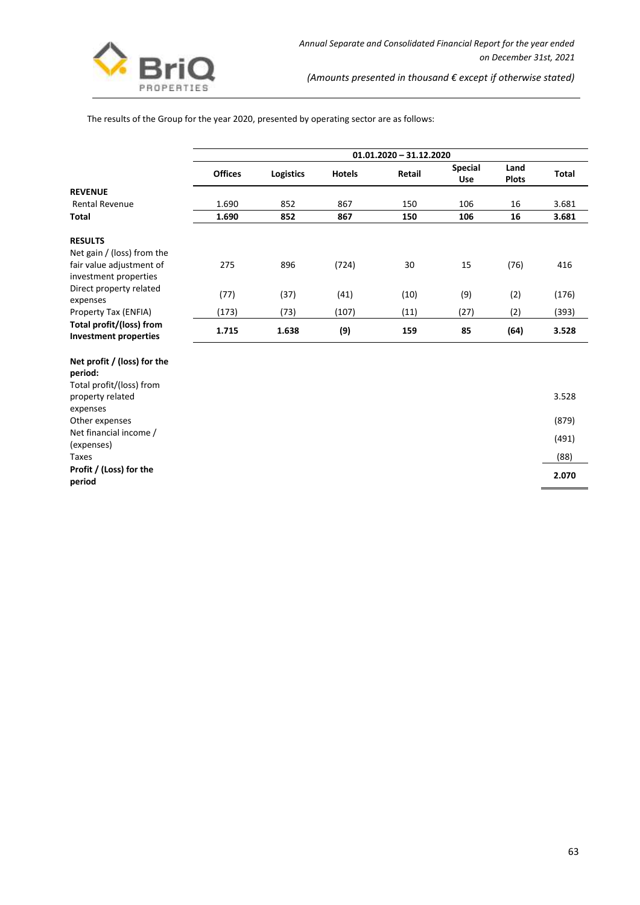

The results of the Group for the year 2020, presented by operating sector are as follows:

|                                                          | $01.01.2020 - 31.12.2020$ |                  |               |        |                              |                      |              |
|----------------------------------------------------------|---------------------------|------------------|---------------|--------|------------------------------|----------------------|--------------|
|                                                          | <b>Offices</b>            | <b>Logistics</b> | <b>Hotels</b> | Retail | <b>Special</b><br><b>Use</b> | Land<br><b>Plots</b> | <b>Total</b> |
| <b>REVENUE</b>                                           |                           |                  |               |        |                              |                      |              |
| Rental Revenue                                           | 1.690                     | 852              | 867           | 150    | 106                          | 16                   | 3.681        |
| Total                                                    | 1.690                     | 852              | 867           | 150    | 106                          | 16                   | 3.681        |
| <b>RESULTS</b>                                           |                           |                  |               |        |                              |                      |              |
| Net gain / (loss) from the                               |                           |                  |               |        |                              |                      |              |
| fair value adjustment of<br>investment properties        | 275                       | 896              | (724)         | 30     | 15                           | (76)                 | 416          |
| Direct property related<br>expenses                      | (77)                      | (37)             | (41)          | (10)   | (9)                          | (2)                  | (176)        |
| Property Tax (ENFIA)                                     | (173)                     | (73)             | (107)         | (11)   | (27)                         | (2)                  | (393)        |
| Total profit/(loss) from<br><b>Investment properties</b> | 1.715                     | 1.638            | (9)           | 159    | 85                           | (64)                 | 3.528        |

#### **Net profit / (loss) for the period:**

| Profit / (Loss) for the<br>period            | 2.070 |
|----------------------------------------------|-------|
| Taxes                                        | (88)  |
| Net financial income /<br>(expenses)         | (491) |
| Other expenses                               | (879) |
| expenses                                     |       |
| Total profit/(loss) from<br>property related | 3.528 |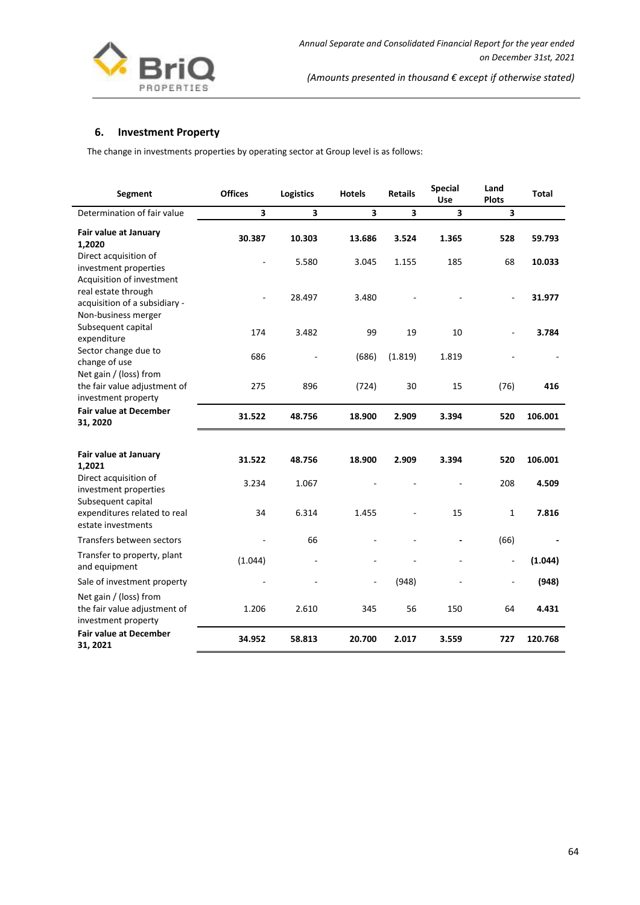

## **6. Investment Property**

The change in investments properties by operating sector at Group level is as follows:

| Segment                                                                       | <b>Offices</b>          | <b>Logistics</b> | <b>Hotels</b> | <b>Retails</b> | <b>Special</b><br>Use   | Land<br><b>Plots</b> | <b>Total</b> |
|-------------------------------------------------------------------------------|-------------------------|------------------|---------------|----------------|-------------------------|----------------------|--------------|
| Determination of fair value                                                   | $\overline{\mathbf{3}}$ | 3                | 3             | 3              | $\overline{\mathbf{3}}$ | 3                    |              |
| Fair value at January<br>1,2020                                               | 30.387                  | 10.303           | 13.686        | 3.524          | 1.365                   | 528                  | 59.793       |
| Direct acquisition of<br>investment properties<br>Acquisition of investment   | $\sim$                  | 5.580            | 3.045         | 1.155          | 185                     | 68                   | 10.033       |
| real estate through<br>acquisition of a subsidiary -<br>Non-business merger   |                         | 28.497           | 3.480         |                |                         |                      | 31.977       |
| Subsequent capital<br>expenditure                                             | 174                     | 3.482            | 99            | 19             | 10                      |                      | 3.784        |
| Sector change due to<br>change of use                                         | 686                     |                  | (686)         | (1.819)        | 1.819                   |                      |              |
| Net gain / (loss) from<br>the fair value adjustment of<br>investment property | 275                     | 896              | (724)         | 30             | 15                      | (76)                 | 416          |
| <b>Fair value at December</b><br>31, 2020                                     | 31.522                  | 48.756           | 18.900        | 2.909          | 3.394                   | 520                  | 106.001      |
| Fair value at January<br>1,2021                                               | 31.522                  | 48.756           | 18.900        | 2.909          | 3.394                   | 520                  | 106.001      |
| Direct acquisition of<br>investment properties<br>Subsequent capital          | 3.234                   | 1.067            |               |                |                         | 208                  | 4.509        |
| expenditures related to real<br>estate investments                            | 34                      | 6.314            | 1.455         |                | 15                      | $\mathbf 1$          | 7.816        |
| Transfers between sectors                                                     | ÷,                      | 66               |               |                |                         | (66)                 |              |
| Transfer to property, plant<br>and equipment                                  | (1.044)                 |                  |               |                |                         | $\blacksquare$       | (1.044)      |
| Sale of investment property                                                   |                         |                  |               | (948)          |                         | ÷,                   | (948)        |
| Net gain / (loss) from<br>the fair value adjustment of<br>investment property | 1.206                   | 2.610            | 345           | 56             | 150                     | 64                   | 4.431        |
| <b>Fair value at December</b><br>31, 2021                                     | 34.952                  | 58.813           | 20.700        | 2.017          | 3.559                   | 727                  | 120.768      |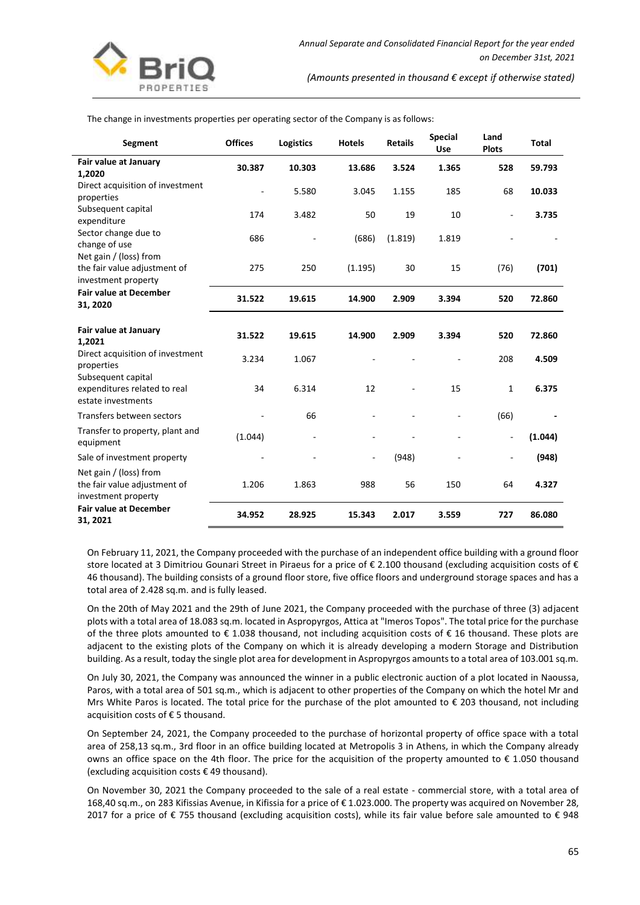

The change in investments properties per operating sector of the Company is as follows:

| Segment                                                                       | <b>Offices</b> | <b>Logistics</b> | <b>Hotels</b> | <b>Retails</b> | <b>Special</b><br>Use | Land<br><b>Plots</b>     | <b>Total</b> |
|-------------------------------------------------------------------------------|----------------|------------------|---------------|----------------|-----------------------|--------------------------|--------------|
| Fair value at January<br>1,2020                                               | 30.387         | 10.303           | 13.686        | 3.524          | 1.365                 | 528                      | 59.793       |
| Direct acquisition of investment<br>properties                                | ÷,             | 5.580            | 3.045         | 1.155          | 185                   | 68                       | 10.033       |
| Subsequent capital<br>expenditure                                             | 174            | 3.482            | 50            | 19             | 10                    |                          | 3.735        |
| Sector change due to<br>change of use                                         | 686            |                  | (686)         | (1.819)        | 1.819                 |                          |              |
| Net gain / (loss) from<br>the fair value adjustment of<br>investment property | 275            | 250              | (1.195)       | 30             | 15                    | (76)                     | (701)        |
| <b>Fair value at December</b><br>31, 2020                                     | 31.522         | 19.615           | 14.900        | 2.909          | 3.394                 | 520                      | 72.860       |
| Fair value at January<br>1,2021                                               | 31.522         | 19.615           | 14.900        | 2.909          | 3.394                 | 520                      | 72.860       |
| Direct acquisition of investment<br>properties                                | 3.234          | 1.067            |               |                |                       | 208                      | 4.509        |
| Subsequent capital<br>expenditures related to real<br>estate investments      | 34             | 6.314            | 12            | $\frac{1}{2}$  | 15                    | $\mathbf{1}$             | 6.375        |
| Transfers between sectors                                                     |                | 66               |               |                |                       | (66)                     |              |
| Transfer to property, plant and<br>equipment                                  | (1.044)        |                  |               |                |                       | ÷,                       | (1.044)      |
| Sale of investment property                                                   |                |                  |               | (948)          |                       | $\overline{\phantom{a}}$ | (948)        |
| Net gain / (loss) from<br>the fair value adjustment of<br>investment property | 1.206          | 1.863            | 988           | 56             | 150                   | 64                       | 4.327        |
| <b>Fair value at December</b><br>31, 2021                                     | 34.952         | 28.925           | 15.343        | 2.017          | 3.559                 | 727                      | 86.080       |

On February 11, 2021, the Company proceeded with the purchase of an independent office building with a ground floor store located at 3 Dimitriou Gounari Street in Piraeus for a price of € 2.100 thousand (excluding acquisition costs of € 46 thousand). The building consists of a ground floor store, five office floors and underground storage spaces and has a total area of 2.428 sq.m. and is fully leased.

On the 20th of May 2021 and the 29th of June 2021, the Company proceeded with the purchase of three (3) adjacent plots with a total area of 18.083 sq.m. located in Aspropyrgos, Attica at "Imeros Topos". The total price for the purchase of the three plots amounted to € 1.038 thousand, not including acquisition costs of € 16 thousand. These plots are adjacent to the existing plots of the Company on which it is already developing a modern Storage and Distribution building. As a result, today the single plot area for development in Aspropyrgos amounts to a total area of 103.001 sq.m.

On July 30, 2021, the Company was announced the winner in a public electronic auction of a plot located in Naoussa, Paros, with a total area of 501 sq.m., which is adjacent to other properties of the Company on which the hotel Mr and Mrs White Paros is located. The total price for the purchase of the plot amounted to  $\epsilon$  203 thousand, not including acquisition costs of € 5 thousand.

On September 24, 2021, the Company proceeded to the purchase of horizontal property of office space with a total area of 258,13 sq.m., 3rd floor in an office building located at Metropolis 3 in Athens, in which the Company already owns an office space on the 4th floor. The price for the acquisition of the property amounted to € 1.050 thousand (excluding acquisition costs € 49 thousand).

On November 30, 2021 the Company proceeded to the sale of a real estate - commercial store, with a total area of 168,40 sq.m., on 283 Kifissias Avenue, in Kifissia for a price of € 1.023.000. The property was acquired on November 28, 2017 for a price of € 755 thousand (excluding acquisition costs), while its fair value before sale amounted to € 948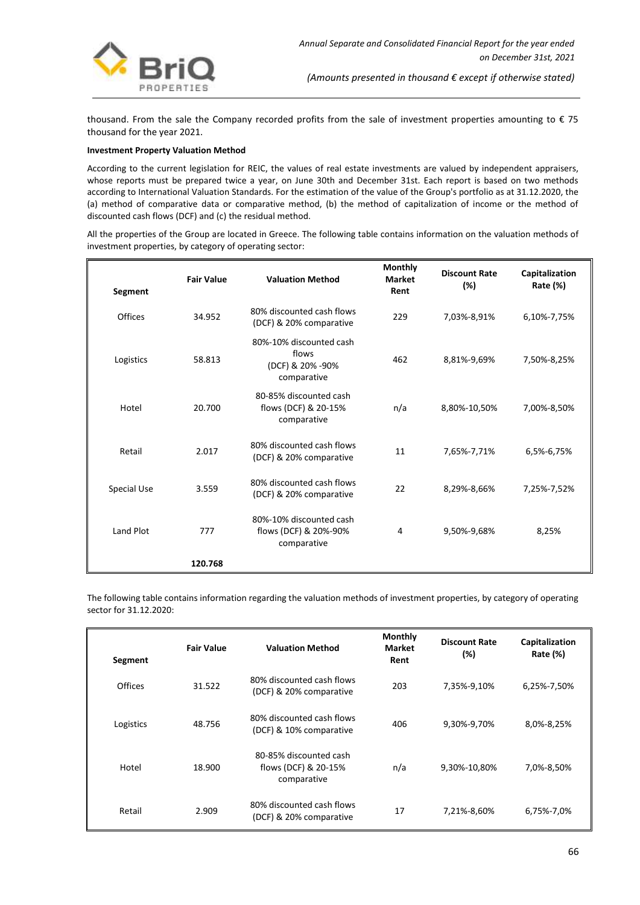

thousand. From the sale the Company recorded profits from the sale of investment properties amounting to € 75 thousand for the year 2021.

#### **Investment Property Valuation Method**

According to the current legislation for REIC, the values of real estate investments are valued by independent appraisers, whose reports must be prepared twice a year, on June 30th and December 31st. Each report is based on two methods according to International Valuation Standards. For the estimation of the value of the Group's portfolio as at 31.12.2020, the (a) method of comparative data or comparative method, (b) the method of capitalization of income or the method of discounted cash flows (DCF) and (c) the residual method.

All the properties of the Group are located in Greece. The following table contains information on the valuation methods of investment properties, by category of operating sector:

| Segment            | <b>Fair Value</b> | <b>Valuation Method</b>                                             | <b>Monthly</b><br><b>Market</b><br>Rent | <b>Discount Rate</b><br>(%) | Capitalization<br>Rate (%) |
|--------------------|-------------------|---------------------------------------------------------------------|-----------------------------------------|-----------------------------|----------------------------|
| <b>Offices</b>     | 34.952            | 80% discounted cash flows<br>(DCF) & 20% comparative                | 229                                     | 7,03%-8,91%                 | 6,10%-7,75%                |
| Logistics          | 58.813            | 80%-10% discounted cash<br>flows<br>(DCF) & 20% -90%<br>comparative | 462                                     | 8,81%-9,69%                 | 7,50%-8,25%                |
| Hotel              | 20.700            | 80-85% discounted cash<br>flows (DCF) & 20-15%<br>comparative       | n/a                                     | 8,80%-10,50%                | 7,00%-8,50%                |
| Retail             | 2.017             | 80% discounted cash flows<br>(DCF) & 20% comparative                | 11                                      | 7,65%-7,71%                 | 6,5%-6,75%                 |
| <b>Special Use</b> | 3.559             | 80% discounted cash flows<br>(DCF) & 20% comparative                | 22                                      | 8,29%-8,66%                 | 7,25%-7,52%                |
| Land Plot          | 777               | 80%-10% discounted cash<br>flows (DCF) & 20%-90%<br>comparative     | 4                                       | 9.50%-9.68%                 | 8,25%                      |
|                    | 120.768           |                                                                     |                                         |                             |                            |

The following table contains information regarding the valuation methods of investment properties, by category of operating sector for 31.12.2020:

| Segment        | <b>Fair Value</b> | <b>Valuation Method</b>                                       | Monthly<br><b>Market</b><br>Rent | <b>Discount Rate</b><br>$(\%)$ | Capitalization<br><b>Rate (%)</b> |
|----------------|-------------------|---------------------------------------------------------------|----------------------------------|--------------------------------|-----------------------------------|
| <b>Offices</b> | 31.522            | 80% discounted cash flows<br>(DCF) & 20% comparative          | 203                              | 7,35%-9,10%                    | 6,25%-7,50%                       |
| Logistics      | 48.756            | 80% discounted cash flows<br>(DCF) & 10% comparative          | 406                              | 9,30%-9,70%                    | 8,0%-8,25%                        |
| Hotel          | 18.900            | 80-85% discounted cash<br>flows (DCF) & 20-15%<br>comparative | n/a                              | 9,30%-10,80%                   | 7,0%-8,50%                        |
| Retail         | 2.909             | 80% discounted cash flows<br>(DCF) & 20% comparative          | 17                               | 7,21%-8,60%                    | 6,75%-7,0%                        |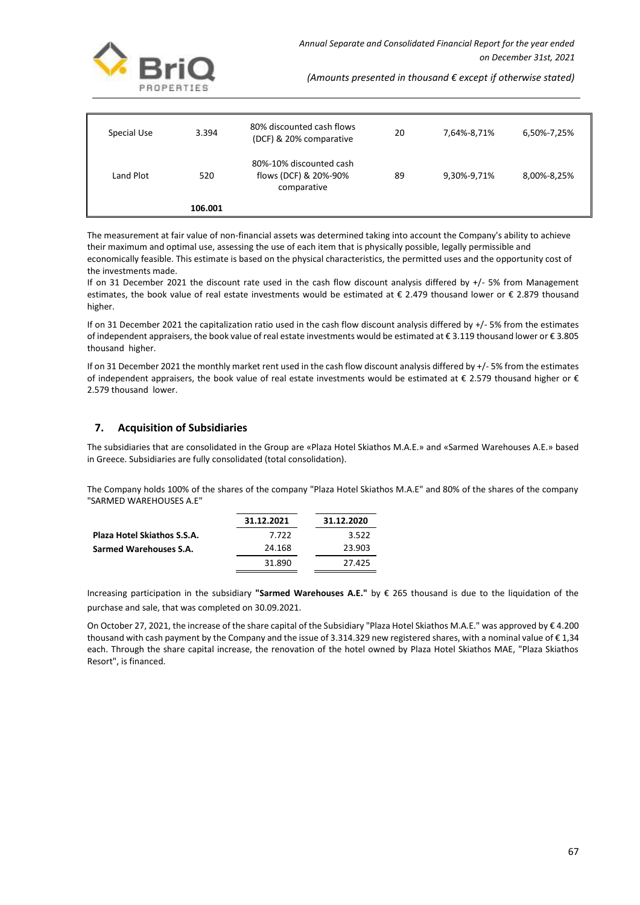

| Special Use | 3.394   | 80% discounted cash flows<br>(DCF) & 20% comparative            | 20 | 7,64%-8,71% | 6,50%-7,25% |
|-------------|---------|-----------------------------------------------------------------|----|-------------|-------------|
| Land Plot   | 520     | 80%-10% discounted cash<br>flows (DCF) & 20%-90%<br>comparative | 89 | 9,30%-9,71% | 8,00%-8,25% |
|             | 106.001 |                                                                 |    |             |             |

The measurement at fair value of non-financial assets was determined taking into account the Company's ability to achieve their maximum and optimal use, assessing the use of each item that is physically possible, legally permissible and economically feasible. This estimate is based on the physical characteristics, the permitted uses and the opportunity cost of the investments made.

If on 31 December 2021 the discount rate used in the cash flow discount analysis differed by +/- 5% from Management estimates, the book value of real estate investments would be estimated at € 2.479 thousand lower or € 2.879 thousand higher.

If on 31 December 2021 the capitalization ratio used in the cash flow discount analysis differed by +/- 5% from the estimates of independent appraisers, the book value of real estate investments would be estimated at € 3.119 thousand lower or € 3.805 thousand higher.

If on 31 December 2021 the monthly market rent used in the cash flow discount analysis differed by +/- 5% from the estimates of independent appraisers, the book value of real estate investments would be estimated at  $\epsilon$  2.579 thousand higher or  $\epsilon$ 2.579 thousand lower.

## **7. Acquisition of Subsidiaries**

The subsidiaries that are consolidated in the Group are «Plaza Hotel Skiathos M.A.E.» and «Sarmed Warehouses A.E.» based in Greece. Subsidiaries are fully consolidated (total consolidation).

The Company holds 100% of the shares of the company "Plaza Hotel Skiathos M.A.E" and 80% of the shares of the company "SARMED WAREHOUSES A.E"

|                                    | 31.12.2021 | 31.12.2020 |
|------------------------------------|------------|------------|
| <b>Plaza Hotel Skiathos S.S.A.</b> | 7.722      | 3.522      |
| Sarmed Warehouses S.A.             | 24.168     | 23.903     |
|                                    | 31.890     | 27.425     |

Increasing participation in the subsidiary **"Sarmed Warehouses A.E."** by € 265 thousand is due to the liquidation of the purchase and sale, that was completed on 30.09.2021.

On October 27, 2021, the increase of the share capital of the Subsidiary "Plaza Hotel Skiathos M.A.E." was approved by € 4.200 thousand with cash payment by the Company and the issue of 3.314.329 new registered shares, with a nominal value of € 1,34 each. Through the share capital increase, the renovation of the hotel owned by Plaza Hotel Skiathos MAE, "Plaza Skiathos Resort", is financed.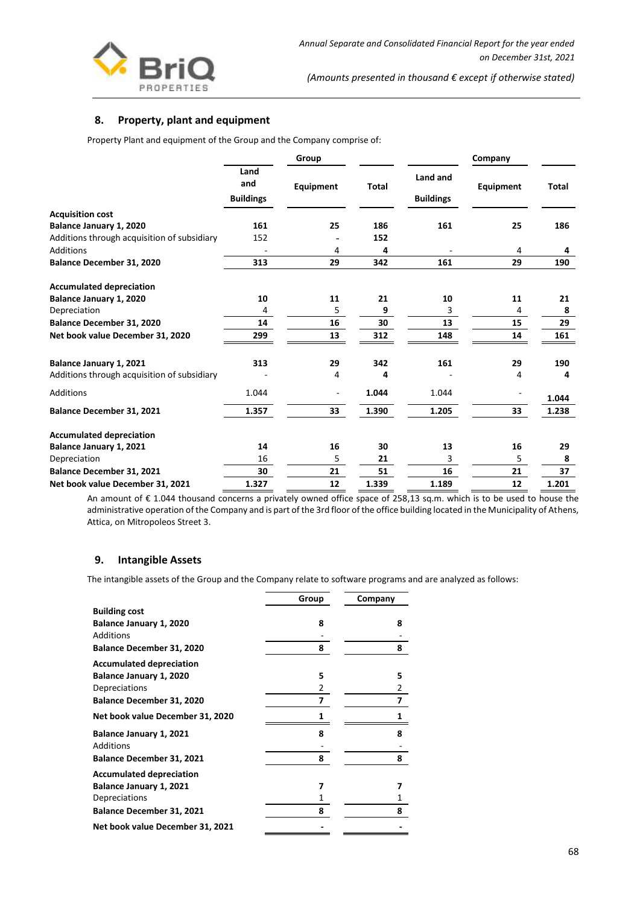

## **8. Property, plant and equipment**

Property Plant and equipment of the Group and the Company comprise of:

|                                             | Group                           |           |              | Company                      |           |              |
|---------------------------------------------|---------------------------------|-----------|--------------|------------------------------|-----------|--------------|
|                                             | Land<br>and<br><b>Buildings</b> | Equipment | <b>Total</b> | Land and<br><b>Buildings</b> | Equipment | <b>Total</b> |
| <b>Acquisition cost</b>                     |                                 |           |              |                              |           |              |
| Balance January 1, 2020                     | 161                             | 25        | 186          | 161                          | 25        | 186          |
| Additions through acquisition of subsidiary | 152                             |           | 152          |                              |           |              |
| <b>Additions</b>                            |                                 | 4         | 4            |                              | 4         | 4            |
| Balance December 31, 2020                   | 313                             | 29        | 342          | 161                          | 29        | 190          |
| <b>Accumulated depreciation</b>             |                                 |           |              |                              |           |              |
| Balance January 1, 2020                     | 10                              | 11        | 21           | 10                           | 11        | 21           |
| Depreciation                                | 4                               | 5         | 9            | 3                            | 4         | 8            |
| Balance December 31, 2020                   | 14                              | 16        | 30           | 13                           | 15        | 29           |
| Net book value December 31, 2020            | 299                             | 13        | 312          | 148                          | 14        | 161          |
| Balance January 1, 2021                     | 313                             | 29        | 342          | 161                          | 29        | 190          |
| Additions through acquisition of subsidiary |                                 | 4         | 4            |                              | 4         | 4            |
| <b>Additions</b>                            | 1.044                           |           | 1.044        | 1.044                        |           | 1.044        |
| Balance December 31, 2021                   | 1.357                           | 33        | 1.390        | 1.205                        | 33        | 1.238        |
| <b>Accumulated depreciation</b>             |                                 |           |              |                              |           |              |
| Balance January 1, 2021                     | 14                              | 16        | 30           | 13                           | 16        | 29           |
| Depreciation                                | 16                              | 5         | 21           | 3                            | 5         | 8            |
| <b>Balance December 31, 2021</b>            | 30                              | 21        | 51           | 16                           | 21        | 37           |
| Net book value December 31, 2021            | 1.327                           | 12        | 1.339        | 1.189                        | 12        | 1.201        |

An amount of € 1.044 thousand concerns a privately owned office space of 258,13 sq.m. which is to be used to house the administrative operation of the Company and is part of the 3rd floor of the office building located in the Municipality of Athens, Attica, on Mitropoleos Street 3.

## **9. Intangible Assets**

The intangible assets of the Group and the Company relate to software programs and are analyzed as follows:

|                                  | Group | Company |
|----------------------------------|-------|---------|
| <b>Building cost</b>             |       |         |
| Balance January 1, 2020          | 8     | 8       |
| <b>Additions</b>                 |       |         |
| <b>Balance December 31, 2020</b> | 8     | 8       |
| <b>Accumulated depreciation</b>  |       |         |
| Balance January 1, 2020          | 5     | 5       |
| Depreciations                    | 2     | 2       |
| Balance December 31, 2020        | 7     | 7       |
| Net book value December 31, 2020 | 1     |         |
| Balance January 1, 2021          | 8     | 8       |
| Additions                        |       |         |
| <b>Balance December 31, 2021</b> | 8     | 8       |
| <b>Accumulated depreciation</b>  |       |         |
| Balance January 1, 2021          | 7     | 7       |
| Depreciations                    | 1     | 1       |
| <b>Balance December 31, 2021</b> | 8     | 8       |
| Net book value December 31, 2021 |       |         |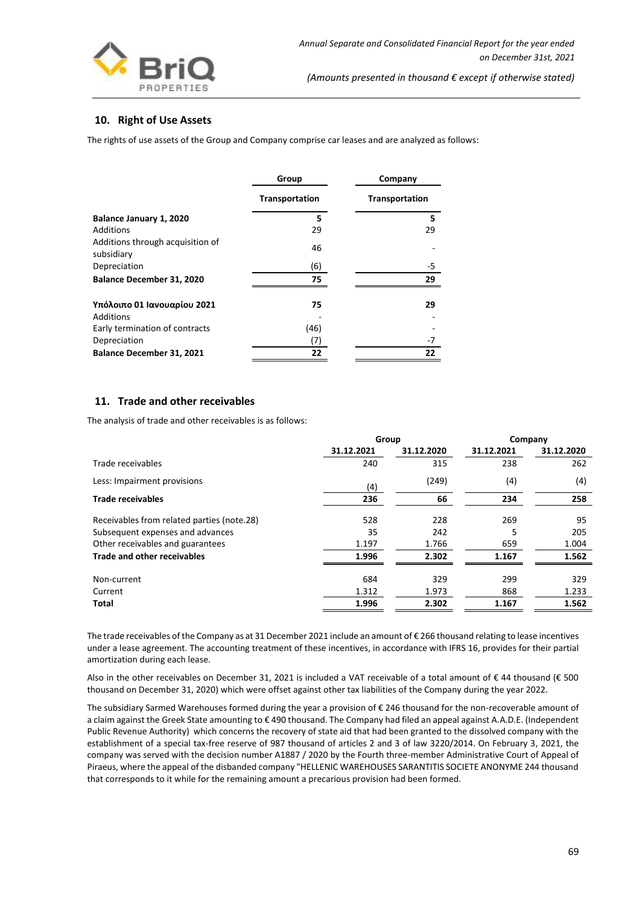

## **10. Right of Use Assets**

The rights of use assets of the Group and Company comprise car leases and are analyzed as follows:

|                                                | Group          | Company        |
|------------------------------------------------|----------------|----------------|
|                                                | Transportation | Transportation |
| Balance January 1, 2020                        | 5              | 5              |
| <b>Additions</b>                               | 29             | 29             |
| Additions through acquisition of<br>subsidiary | 46             |                |
| Depreciation                                   | (6)            | -5             |
| <b>Balance December 31, 2020</b>               | 75             | 29             |
| Υπόλοιπο 01 Ιανουαρίου 2021<br>Additions       | 75             | 29             |
| Early termination of contracts                 | (46)           |                |
| Depreciation                                   | (7)            | -7             |
| Balance December 31, 2021                      | 22             | 22             |

## **11. Trade and other receivables**

The analysis of trade and other receivables is as follows:

|                                            | Group      |            | Company    |            |
|--------------------------------------------|------------|------------|------------|------------|
|                                            | 31.12.2021 | 31.12.2020 | 31.12.2021 | 31.12.2020 |
| Trade receivables                          | 240        | 315        | 238        | 262        |
| Less: Impairment provisions                | (4)        | (249)      | (4)        | (4)        |
| <b>Trade receivables</b>                   | 236        | 66         | 234        | 258        |
| Receivables from related parties (note.28) | 528        | 228        | 269        | 95         |
| Subsequent expenses and advances           | 35         | 242        |            | 205        |
| Other receivables and guarantees           | 1.197      | 1.766      | 659        | 1.004      |
| Trade and other receivables                | 1.996      | 2.302      | 1.167      | 1.562      |
|                                            |            |            |            |            |
| Non-current                                | 684        | 329        | 299        | 329        |
| Current                                    | 1.312      | 1.973      | 868        | 1.233      |
| <b>Total</b>                               | 1.996      | 2.302      | 1.167      | 1.562      |

The trade receivables of the Company as at 31 December 2021 include an amount of € 266 thousand relating to lease incentives under a lease agreement. The accounting treatment of these incentives, in accordance with IFRS 16, provides for their partial amortization during each lease.

Also in the other receivables on December 31, 2021 is included a VAT receivable of a total amount of € 44 thousand (€ 500 thousand on December 31, 2020) which were offset against other tax liabilities of the Company during the year 2022.

The subsidiary Sarmed Warehouses formed during the year a provision of € 246 thousand for the non-recoverable amount of a claim against the Greek State amounting to € 490 thousand. The Company had filed an appeal against A.A.D.E. (Independent Public Revenue Authority) which concerns the recovery of state aid that had been granted to the dissolved company with the establishment of a special tax-free reserve of 987 thousand of articles 2 and 3 of law 3220/2014. On February 3, 2021, the company was served with the decision number Α1887 / 2020 by the Fourth three-member Administrative Court of Appeal of Piraeus, where the appeal of the disbanded company "HELLENIC WAREHOUSES SARANTITIS SOCIETE ANONYME 244 thousand that corresponds to it while for the remaining amount a precarious provision had been formed.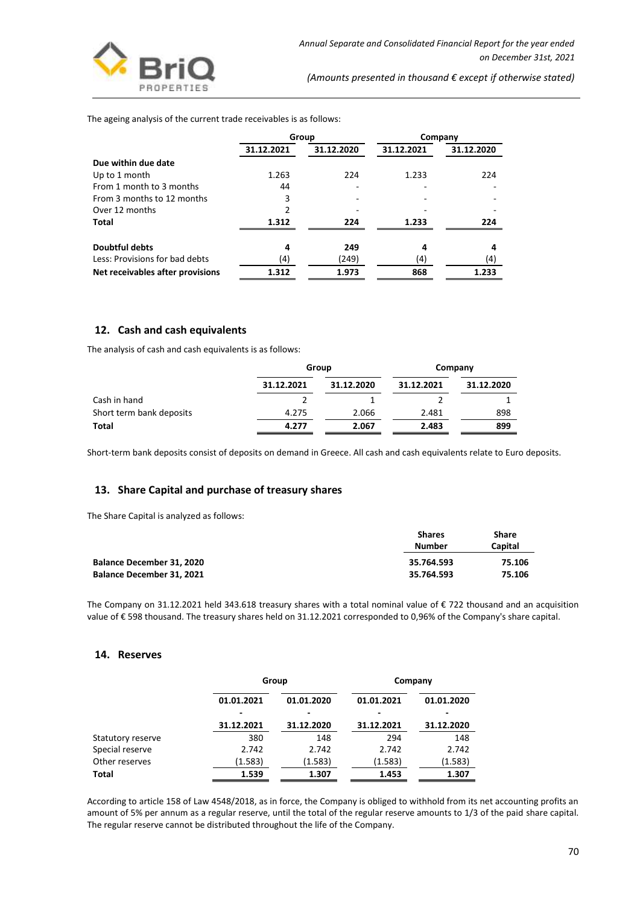

The ageing analysis of the current trade receivables is as follows:

|                                  | Group      |            | Company    |            |
|----------------------------------|------------|------------|------------|------------|
|                                  | 31.12.2021 | 31.12.2020 | 31.12.2021 | 31.12.2020 |
| Due within due date              |            |            |            |            |
| Up to 1 month                    | 1.263      | 224        | 1.233      | 224        |
| From 1 month to 3 months         | 44         |            |            |            |
| From 3 months to 12 months       | 3          |            |            |            |
| Over 12 months                   |            |            |            |            |
| Total                            | 1.312      | 224        | 1.233      | 224        |
| <b>Doubtful debts</b>            | 4          | 249        | 4          | 4          |
| Less: Provisions for bad debts   | (4)        | (249)      | (4)        | (4)        |
| Net receivables after provisions | 1.312      | 1.973      | 868        | 1.233      |

#### **12. Cash and cash equivalents**

The analysis of cash and cash equivalents is as follows:

|                          |            | Group      |            | Company    |  |
|--------------------------|------------|------------|------------|------------|--|
|                          | 31.12.2021 | 31.12.2020 | 31.12.2021 | 31.12.2020 |  |
| Cash in hand             |            |            |            |            |  |
| Short term bank deposits | 4.275      | 2.066      | 2.481      | 898        |  |
| Total                    | 4.277      | 2.067      | 2.483      | 899        |  |

Short-term bank deposits consist of deposits on demand in Greece. All cash and cash equivalents relate to Euro deposits.

#### **13. Share Capital and purchase of treasury shares**

The Share Capital is analyzed as follows:

|                                  | <b>Shares</b> | Share   |  |
|----------------------------------|---------------|---------|--|
|                                  | Number        | Capital |  |
| <b>Balance December 31, 2020</b> | 35.764.593    | 75.106  |  |
| Balance December 31, 2021        | 35.764.593    | 75.106  |  |

The Company on 31.12.2021 held 343.618 treasury shares with a total nominal value of € 722 thousand and an acquisition value of € 598 thousand. The treasury shares held on 31.12.2021 corresponded to 0,96% of the Company's share capital.

#### **14. Reserves**

|                   | Group      |            | Company    |            |
|-------------------|------------|------------|------------|------------|
|                   | 01.01.2021 | 01.01.2020 | 01.01.2021 | 01.01.2020 |
|                   |            |            |            |            |
|                   | 31.12.2021 | 31.12.2020 | 31.12.2021 | 31.12.2020 |
| Statutory reserve | 380        | 148        | 294        | 148        |
| Special reserve   | 2.742      | 2.742      | 2.742      | 2.742      |
| Other reserves    | (1.583)    | (1.583)    | (1.583)    | (1.583)    |
| Total             | 1.539      | 1.307      | 1.453      | 1.307      |

According to article 158 of Law 4548/2018, as in force, the Company is obliged to withhold from its net accounting profits an amount of 5% per annum as a regular reserve, until the total of the regular reserve amounts to 1/3 of the paid share capital. The regular reserve cannot be distributed throughout the life of the Company.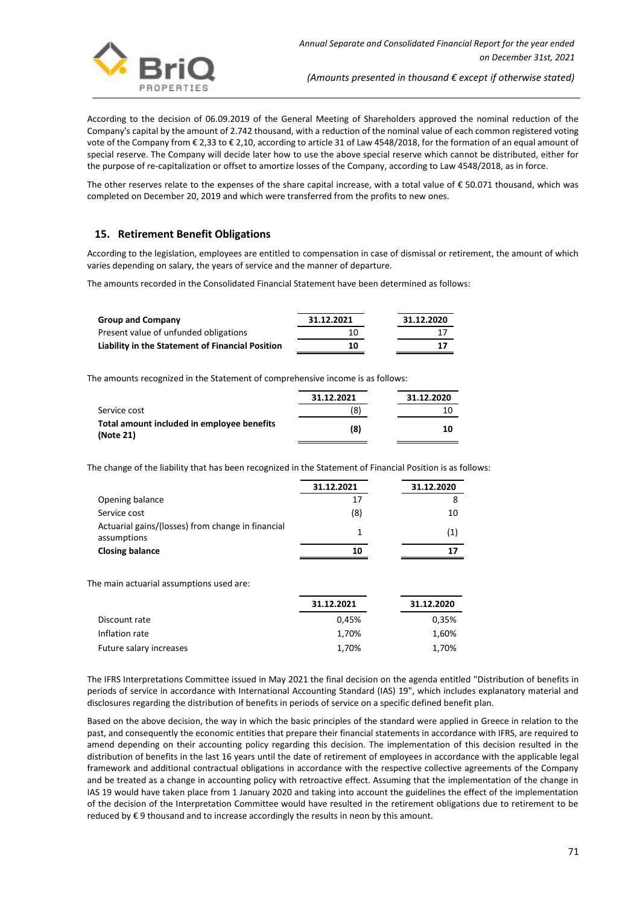

According to the decision of 06.09.2019 of the General Meeting of Shareholders approved the nominal reduction of the Company's capital by the amount of 2.742 thousand, with a reduction of the nominal value of each common registered voting vote of the Company from € 2,33 to € 2,10, according to article 31 of Law 4548/2018, for the formation of an equal amount of special reserve. The Company will decide later how to use the above special reserve which cannot be distributed, either for the purpose of re-capitalization or offset to amortize losses of the Company, according to Law 4548/2018, as in force.

The other reserves relate to the expenses of the share capital increase, with a total value of € 50.071 thousand, which was completed on December 20, 2019 and which were transferred from the profits to new ones.

## **15. Retirement Benefit Obligations**

According to the legislation, employees are entitled to compensation in case of dismissal or retirement, the amount of which varies depending on salary, the years of service and the manner of departure.

The amounts recorded in the Consolidated Financial Statement have been determined as follows:

| <b>Group and Company</b>                         | 31.12.2021 | 31.12.2020 |
|--------------------------------------------------|------------|------------|
| Present value of unfunded obligations            | 10         | 17         |
| Liability in the Statement of Financial Position | 10         | 17         |

The amounts recognized in the Statement of comprehensive income is as follows:

|                                                         | 31.12.2021 | 31.12.2020 |
|---------------------------------------------------------|------------|------------|
| Service cost                                            | (8)        | 10         |
| Total amount included in employee benefits<br>(Note 21) | (8)        | 10         |

The change of the liability that has been recognized in the Statement of Financial Position is as follows:

|                                                                  | 31.12.2021 | 31.12.2020 |
|------------------------------------------------------------------|------------|------------|
| Opening balance                                                  | 17         | 8          |
| Service cost                                                     | (8)        | 10         |
| Actuarial gains/(losses) from change in financial<br>assumptions |            | (1)        |
| <b>Closing balance</b>                                           | 10         | 17         |

The main actuarial assumptions used are:

|                         | 31.12.2021 | 31.12.2020 |
|-------------------------|------------|------------|
| Discount rate           | 0.45%      | 0,35%      |
| Inflation rate          | 1.70%      | 1,60%      |
| Future salary increases | 1,70%      | 1,70%      |

The IFRS Interpretations Committee issued in May 2021 the final decision on the agenda entitled "Distribution of benefits in periods of service in accordance with International Accounting Standard (IAS) 19", which includes explanatory material and disclosures regarding the distribution of benefits in periods of service on a specific defined benefit plan.

Based on the above decision, the way in which the basic principles of the standard were applied in Greece in relation to the past, and consequently the economic entities that prepare their financial statements in accordance with IFRS, are required to amend depending on their accounting policy regarding this decision. The implementation of this decision resulted in the distribution of benefits in the last 16 years until the date of retirement of employees in accordance with the applicable legal framework and additional contractual obligations in accordance with the respective collective agreements of the Company and be treated as a change in accounting policy with retroactive effect. Assuming that the implementation of the change in IAS 19 would have taken place from 1 January 2020 and taking into account the guidelines the effect of the implementation of the decision of the Interpretation Committee would have resulted in the retirement obligations due to retirement to be reduced by € 9 thousand and to increase accordingly the results in neon by this amount.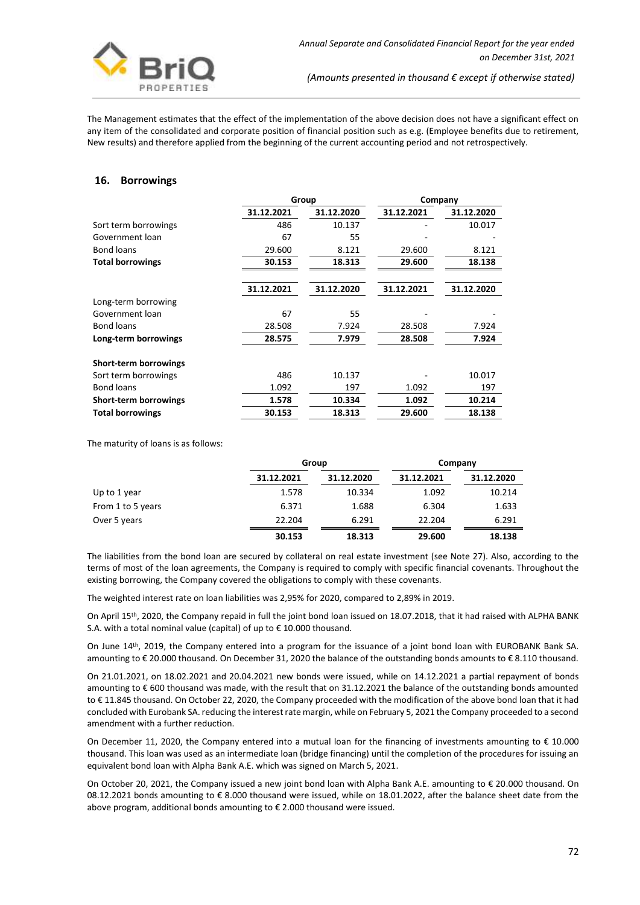

The Management estimates that the effect of the implementation of the above decision does not have a significant effect on any item of the consolidated and corporate position of financial position such as e.g. (Employee benefits due to retirement, New results) and therefore applied from the beginning of the current accounting period and not retrospectively.

# **16. Borrowings**

|                              | Group      |            | Company    |            |
|------------------------------|------------|------------|------------|------------|
|                              | 31.12.2021 | 31.12.2020 | 31.12.2021 | 31.12.2020 |
| Sort term borrowings         | 486        | 10.137     |            | 10.017     |
| Government loan              | 67         | 55         |            |            |
| <b>Bond loans</b>            | 29.600     | 8.121      | 29.600     | 8.121      |
| <b>Total borrowings</b>      | 30.153     | 18.313     | 29.600     | 18.138     |
|                              | 31.12.2021 | 31.12.2020 | 31.12.2021 | 31.12.2020 |
| Long-term borrowing          |            |            |            |            |
| Government loan              | 67         | 55         |            |            |
| <b>Bond loans</b>            | 28.508     | 7.924      | 28.508     | 7.924      |
| Long-term borrowings         | 28.575     | 7.979      | 28.508     | 7.924      |
| <b>Short-term borrowings</b> |            |            |            |            |
| Sort term borrowings         | 486        | 10.137     |            | 10.017     |
| <b>Bond loans</b>            | 1.092      | 197        | 1.092      | 197        |
| <b>Short-term borrowings</b> | 1.578      | 10.334     | 1.092      | 10.214     |
| <b>Total borrowings</b>      | 30.153     | 18.313     | 29.600     | 18.138     |
|                              |            |            |            |            |

The maturity of loans is as follows:

|                   |            | Group      |            | Company    |
|-------------------|------------|------------|------------|------------|
|                   | 31.12.2021 | 31.12.2020 | 31.12.2021 | 31.12.2020 |
| Up to 1 year      | 1.578      | 10.334     | 1.092      | 10.214     |
| From 1 to 5 years | 6.371      | 1.688      | 6.304      | 1.633      |
| Over 5 years      | 22.204     | 6.291      | 22.204     | 6.291      |
|                   | 30.153     | 18.313     | 29.600     | 18.138     |

The liabilities from the bond loan are secured by collateral on real estate investment (see Note 27). Also, according to the terms of most of the loan agreements, the Company is required to comply with specific financial covenants. Throughout the existing borrowing, the Company covered the obligations to comply with these covenants.

The weighted interest rate on loan liabilities was 2,95% for 2020, compared to 2,89% in 2019.

On April 15th, 2020, the Company repaid in full the joint bond loan issued on 18.07.2018, that it had raised with ALPHA BANK S.A. with a total nominal value (capital) of up to € 10.000 thousand.

On June 14<sup>th</sup>, 2019, the Company entered into a program for the issuance of a joint bond loan with EUROBANK Bank SA. amounting to € 20.000 thousand. On December 31, 2020 the balance of the outstanding bonds amounts to € 8.110 thousand.

On 21.01.2021, on 18.02.2021 and 20.04.2021 new bonds were issued, while on 14.12.2021 a partial repayment of bonds amounting to € 600 thousand was made, with the result that on 31.12.2021 the balance of the outstanding bonds amounted to € 11.845 thousand. On October 22, 2020, the Company proceeded with the modification of the above bond loan that it had concluded with Eurobank SA. reducing the interest rate margin, while on February 5, 2021 the Company proceeded to a second amendment with a further reduction.

On December 11, 2020, the Company entered into a mutual loan for the financing of investments amounting to € 10.000 thousand. This loan was used as an intermediate loan (bridge financing) until the completion of the procedures for issuing an equivalent bond loan with Alpha Bank A.E. which was signed on March 5, 2021.

On October 20, 2021, the Company issued a new joint bond loan with Alpha Bank A.E. amounting to € 20.000 thousand. On 08.12.2021 bonds amounting to € 8.000 thousand were issued, while on 18.01.2022, after the balance sheet date from the above program, additional bonds amounting to € 2.000 thousand were issued.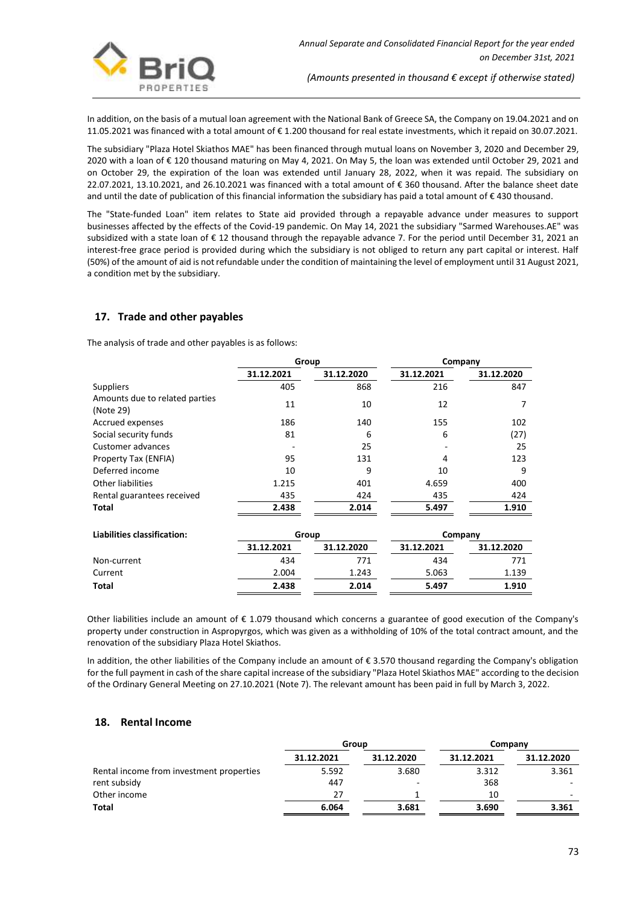

In addition, on the basis of a mutual loan agreement with the National Bank of Greece SA, the Company on 19.04.2021 and on 11.05.2021 was financed with a total amount of € 1.200 thousand for real estate investments, which it repaid on 30.07.2021.

The subsidiary "Plaza Hotel Skiathos MAE" has been financed through mutual loans on November 3, 2020 and December 29, 2020 with a loan of € 120 thousand maturing on May 4, 2021. On May 5, the loan was extended until October 29, 2021 and on October 29, the expiration of the loan was extended until January 28, 2022, when it was repaid. The subsidiary on 22.07.2021, 13.10.2021, and 26.10.2021 was financed with a total amount of € 360 thousand. After the balance sheet date and until the date of publication of this financial information the subsidiary has paid a total amount of € 430 thousand.

The "State-funded Loan" item relates to State aid provided through a repayable advance under measures to support businesses affected by the effects of the Covid-19 pandemic. On May 14, 2021 the subsidiary "Sarmed Warehouses.AE" was subsidized with a state loan of € 12 thousand through the repayable advance 7. For the period until December 31, 2021 an interest-free grace period is provided during which the subsidiary is not obliged to return any part capital or interest. Half (50%) of the amount of aid is not refundable under the condition of maintaining the level of employment until 31 August 2021, a condition met by the subsidiary.

# **17. Trade and other payables**

The analysis of trade and other payables is as follows:

|                                             | Group      |            | Company    |            |
|---------------------------------------------|------------|------------|------------|------------|
|                                             | 31.12.2021 | 31.12.2020 | 31.12.2021 | 31.12.2020 |
| Suppliers                                   | 405        | 868        | 216        | 847        |
| Amounts due to related parties<br>(Note 29) | 11         | 10         | 12         |            |
| Accrued expenses                            | 186        | 140        | 155        | 102        |
| Social security funds                       | 81         | 6          | 6          | (27)       |
| <b>Customer advances</b>                    |            | 25         |            | 25         |
| Property Tax (ENFIA)                        | 95         | 131        | 4          | 123        |
| Deferred income                             | 10         | 9          | 10         | 9          |
| <b>Other liabilities</b>                    | 1.215      | 401        | 4.659      | 400        |
| Rental guarantees received                  | 435        | 424        | 435        | 424        |
| Total                                       | 2.438      | 2.014      | 5.497      | 1.910      |
| Liabilities classification:                 | Group      |            | Company    |            |
|                                             | 31.12.2021 | 31.12.2020 | 31.12.2021 | 31.12.2020 |
| Non-current                                 | 434        | 771        | 434        | 771        |
| Current                                     | 2.004      | 1.243      | 5.063      | 1.139      |
| <b>Total</b>                                | 2.438      | 2.014      | 5.497      | 1.910      |

Other liabilities include an amount of  $\epsilon$  1.079 thousand which concerns a guarantee of good execution of the Company's property under construction in Aspropyrgos, which was given as a withholding of 10% of the total contract amount, and the renovation of the subsidiary Plaza Hotel Skiathos.

In addition, the other liabilities of the Company include an amount of € 3.570 thousand regarding the Company's obligation for the full payment in cash of the share capital increase of the subsidiary "Plaza Hotel Skiathos MAE" according to the decision of the Ordinary General Meeting on 27.10.2021 (Note 7). The relevant amount has been paid in full by March 3, 2022.

## **18. Rental Income**

|                                          | Group      |            | Company    |            |
|------------------------------------------|------------|------------|------------|------------|
|                                          | 31.12.2021 | 31.12.2020 | 31.12.2021 | 31.12.2020 |
| Rental income from investment properties | 5.592      | 3.680      | 3.312      | 3.361      |
| rent subsidy                             | 447        |            | 368        |            |
| Other income                             | 27         |            | 10         |            |
| <b>Total</b>                             | 6.064      | 3.681      | 3.690      | 3.361      |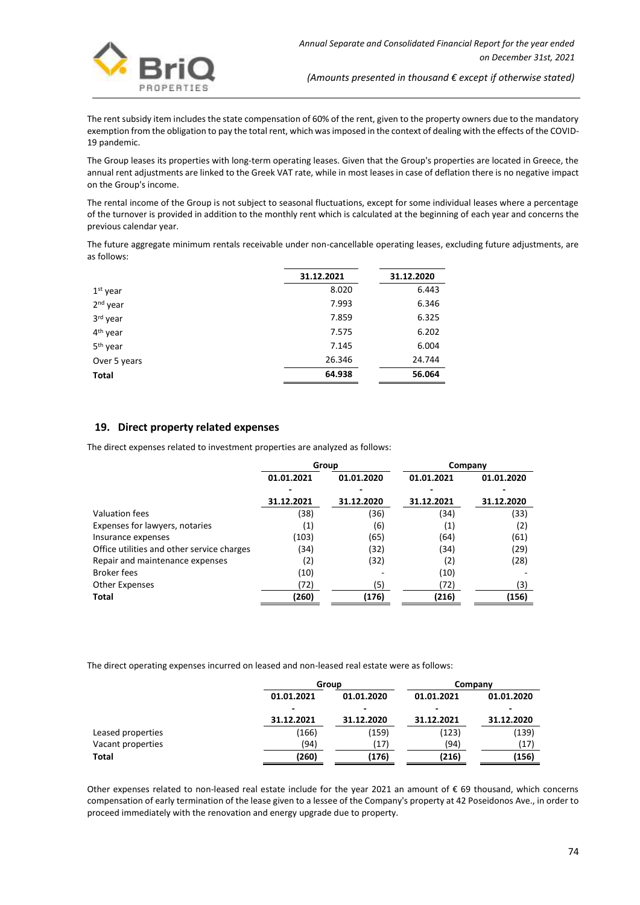

The rent subsidy item includes the state compensation of 60% of the rent, given to the property owners due to the mandatory exemption from the obligation to pay the total rent, which was imposed in the context of dealing with the effects of the COVID-19 pandemic.

The Group leases its properties with long-term operating leases. Given that the Group's properties are located in Greece, the annual rent adjustments are linked to the Greek VAT rate, while in most leases in case of deflation there is no negative impact on the Group's income.

The rental income of the Group is not subject to seasonal fluctuations, except for some individual leases where a percentage of the turnover is provided in addition to the monthly rent which is calculated at the beginning of each year and concerns the previous calendar year.

The future aggregate minimum rentals receivable under non-cancellable operating leases, excluding future adjustments, are as follows:

| 31.12.2021 | 31.12.2020 |
|------------|------------|
| 8.020      | 6.443      |
| 7.993      | 6.346      |
| 7.859      | 6.325      |
| 7.575      | 6.202      |
| 7.145      | 6.004      |
| 26.346     | 24.744     |
| 64.938     | 56.064     |
|            |            |

# **19. Direct property related expenses**

The direct expenses related to investment properties are analyzed as follows:

|                                            | Group             |            | Company    |            |
|--------------------------------------------|-------------------|------------|------------|------------|
|                                            | 01.01.2021        | 01.01.2020 | 01.01.2021 | 01.01.2020 |
|                                            |                   |            |            |            |
|                                            | 31.12.2021        | 31.12.2020 | 31.12.2021 | 31.12.2020 |
| Valuation fees                             | (38)              | (36)       | (34)       | (33)       |
| Expenses for lawyers, notaries             | $\left( 1\right)$ | (6)        | (1)        | (2)        |
| Insurance expenses                         | (103)             | (65)       | (64)       | (61)       |
| Office utilities and other service charges | (34)              | (32)       | (34)       | (29)       |
| Repair and maintenance expenses            | (2)               | (32)       | (2)        | (28)       |
| <b>Broker fees</b>                         | (10)              |            | (10)       |            |
| <b>Other Expenses</b>                      | (72)              | (5)        | (72)       | (3)        |
| <b>Total</b>                               | (260)             | (176)      | (216)      | (156)      |
|                                            |                   |            |            |            |

The direct operating expenses incurred on leased and non-leased real estate were as follows:

|                   |            | Group                    |            | Company    |
|-------------------|------------|--------------------------|------------|------------|
|                   | 01.01.2021 | 01.01.2020               | 01.01.2021 | 01.01.2020 |
|                   | ۰          | $\overline{\phantom{0}}$ |            |            |
|                   | 31.12.2021 | 31.12.2020               | 31.12.2021 | 31.12.2020 |
| Leased properties | (166)      | (159)                    | (123)      | (139)      |
| Vacant properties | (94)       | (17)                     | (94)       | (17)       |
| Total             | (260)      | (176)                    | (216)      | (156)      |

Other expenses related to non-leased real estate include for the year 2021 an amount of € 69 thousand, which concerns compensation of early termination of the lease given to a lessee of the Company's property at 42 Poseidonos Ave., in order to proceed immediately with the renovation and energy upgrade due to property.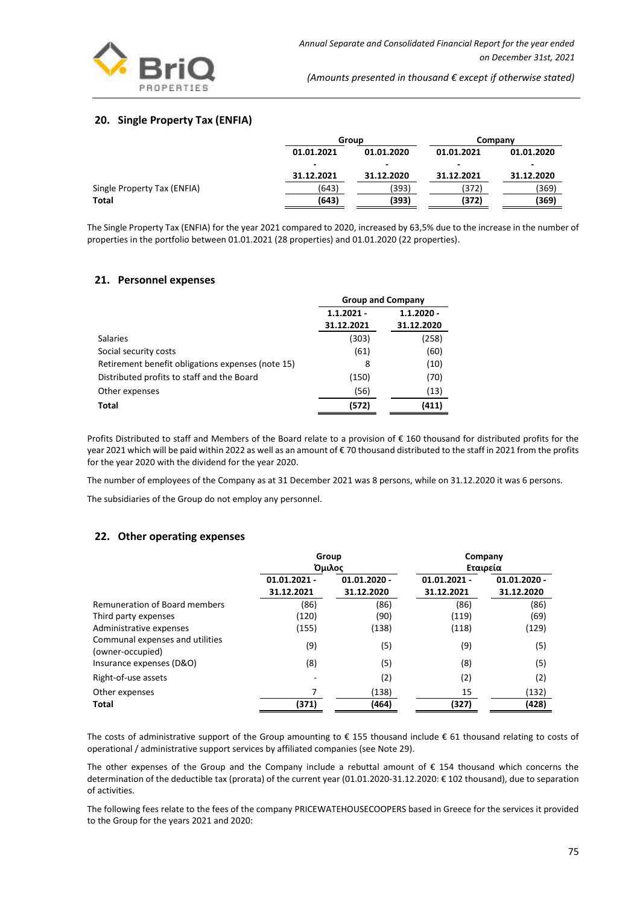

# **20. Single Property Tax (ENFIA)**

|                             | Group      |                          | Company    |                          |
|-----------------------------|------------|--------------------------|------------|--------------------------|
|                             | 01.01.2021 | 01.01.2020               | 01.01.2021 | 01.01.2020               |
|                             | -          | $\overline{\phantom{0}}$ |            | $\overline{\phantom{0}}$ |
|                             | 31.12.2021 | 31.12.2020               | 31.12.2021 | 31.12.2020               |
| Single Property Tax (ENFIA) | (643)      | (393)                    | (372)      | (369)                    |
| <b>Total</b>                | (643)      | (393)                    | (372)      | (369)                    |

The Single Property Tax (ENFIA) for the year 2021 compared to 2020, increased by 63,5% due to the increase in the number of properties in the portfolio between 01.01.2021 (28 properties) and 01.01.2020 (22 properties).

### **21. Personnel expenses**

|                                                   |                              | <b>Group and Company</b> |  |  |
|---------------------------------------------------|------------------------------|--------------------------|--|--|
|                                                   | $1.1.2020 -$<br>$1.1.2021 -$ |                          |  |  |
|                                                   | 31.12.2021                   | 31.12.2020               |  |  |
| <b>Salaries</b>                                   | (303)                        | (258)                    |  |  |
| Social security costs                             | (61)                         | (60)                     |  |  |
| Retirement benefit obligations expenses (note 15) | 8                            | (10)                     |  |  |
| Distributed profits to staff and the Board        | (150)                        | (70)                     |  |  |
| Other expenses                                    | (56)                         | (13)                     |  |  |
| <b>Total</b>                                      | (572)                        | (411)                    |  |  |

Profits Distributed to staff and Members of the Board relate to a provision of € 160 thousand for distributed profits for the year 2021 which will be paid within 2022 as well as an amount of € 70 thousand distributed to the staff in 2021 from the profits for the year 2020 with the dividend for the year 2020.

The number of employees of the Company as at 31 December 2021 was 8 persons, while on 31.12.2020 it was 6 persons.

The subsidiaries of the Group do not employ any personnel.

### **22. Other operating expenses**

|                                                     | Group          |                | Company        |                |
|-----------------------------------------------------|----------------|----------------|----------------|----------------|
|                                                     |                | Όμιλος         | Εταιρεία       |                |
|                                                     | $01.01.2021 -$ | $01.01.2020 -$ | $01.01.2021 -$ | $01.01.2020 -$ |
|                                                     | 31.12.2021     | 31.12.2020     | 31.12.2021     | 31.12.2020     |
| Remuneration of Board members                       | (86)           | (86)           | (86)           | (86)           |
| Third party expenses                                | (120)          | (90)           | (119)          | (69)           |
| Administrative expenses                             | (155)          | (138)          | (118)          | (129)          |
| Communal expenses and utilities<br>(owner-occupied) | (9)            | (5)            | (9)            | (5)            |
| Insurance expenses (D&O)                            | (8)            | (5)            | (8)            | (5)            |
| Right-of-use assets                                 |                | (2)            | (2)            | (2)            |
| Other expenses                                      |                | (138)          | 15             | (132)          |
| <b>Total</b>                                        | (371)          | (464)          | (327)          | (428)          |

The costs of administrative support of the Group amounting to  $\epsilon$  155 thousand include  $\epsilon$  61 thousand relating to costs of operational / administrative support services by affiliated companies (see Note 29).

The other expenses of the Group and the Company include a rebuttal amount of  $\epsilon$  154 thousand which concerns the determination of the deductible tax (prorata) of the current year (01.01.2020-31.12.2020: € 102 thousand), due to separation of activities.

The following fees relate to the fees of the company PRICEWATEHOUSECOOPERS based in Greece for the services it provided to the Group for the years 2021 and 2020: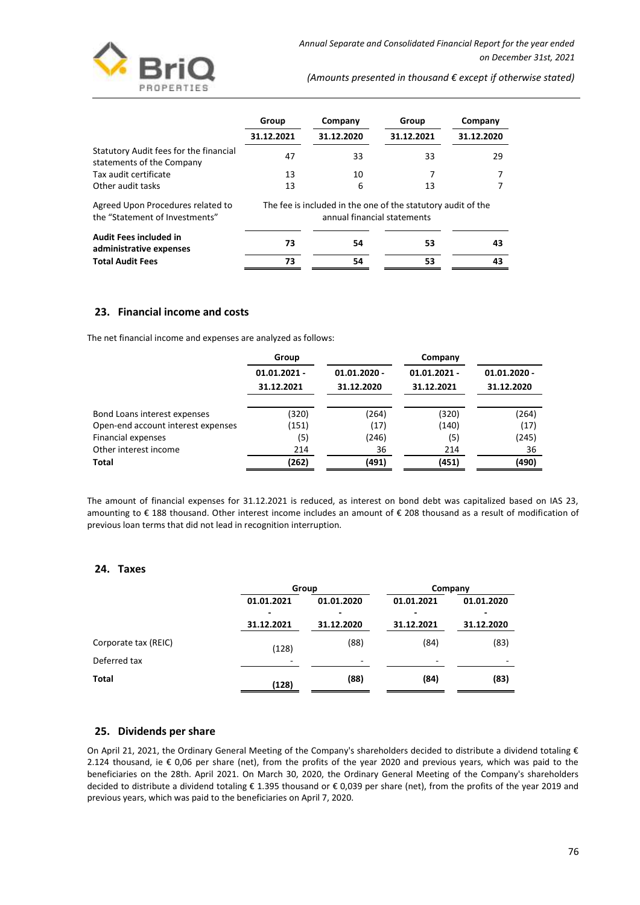

|                                                                     | Group      | Company                                                          | Group      | Company    |
|---------------------------------------------------------------------|------------|------------------------------------------------------------------|------------|------------|
|                                                                     | 31.12.2021 | 31.12.2020                                                       | 31.12.2021 | 31.12.2020 |
| Statutory Audit fees for the financial<br>statements of the Company | 47         | 33                                                               | 33         | 29         |
| Tax audit certificate                                               | 13         | 10                                                               |            |            |
| Other audit tasks                                                   | 13         | 6                                                                | 13         |            |
| A succed History Duces divise peleta di te                          |            | The facts in included in the case of the statutence cultural the |            |            |

Agreed Upon Procedures related to the "Statement of Investments" The fee is included in the one of the statutory audit of the annual financial statements

| <b>Audit Fees included in</b><br>administrative expenses | 73 | 54 | 53 | 43 |
|----------------------------------------------------------|----|----|----|----|
| <b>Total Audit Fees</b>                                  |    | 54 | 53 | 43 |

# **23. Financial income and costs**

The net financial income and expenses are analyzed as follows:

|                                    | Group          |                | Company        |                |
|------------------------------------|----------------|----------------|----------------|----------------|
|                                    | $01.01.2021 -$ | $01.01.2020 -$ | $01.01.2021 -$ | $01.01.2020 -$ |
|                                    | 31.12.2021     | 31.12.2020     | 31.12.2021     | 31.12.2020     |
| Bond Loans interest expenses       | (320)          | (264)          | (320)          | (264)          |
| Open-end account interest expenses | (151)          | (17)           | (140)          | (17)           |
| <b>Financial expenses</b>          | (5)            | (246)          | (5)            | (245)          |
| Other interest income              | 214            | 36             | 214            | 36             |
| Total                              | (262)          | (491)          | (451)          | (490)          |

The amount of financial expenses for 31.12.2021 is reduced, as interest on bond debt was capitalized based on IAS 23, amounting to € 188 thousand. Other interest income includes an amount of € 208 thousand as a result of modification of previous loan terms that did not lead in recognition interruption.

### **24. Taxes**

| Group                    |            | Company                  |            |
|--------------------------|------------|--------------------------|------------|
| 01.01.2021               | 01.01.2020 | 01.01.2021               | 01.01.2020 |
| $\overline{\phantom{0}}$ |            |                          |            |
| 31.12.2021               | 31.12.2020 | 31.12.2021               | 31.12.2020 |
|                          | (88)       | (84)                     | (83)       |
| -                        | -          | $\overline{\phantom{a}}$ |            |
| (128)                    | (88)       | (84)                     | (83)       |
|                          | (128)      |                          |            |

### **25. Dividends per share**

On April 21, 2021, the Ordinary General Meeting of the Company's shareholders decided to distribute a dividend totaling  $\epsilon$ 2.124 thousand, ie € 0,06 per share (net), from the profits of the year 2020 and previous years, which was paid to the beneficiaries on the 28th. April 2021. On March 30, 2020, the Ordinary General Meeting of the Company's shareholders decided to distribute a dividend totaling € 1.395 thousand or € 0,039 per share (net), from the profits of the year 2019 and previous years, which was paid to the beneficiaries on April 7, 2020.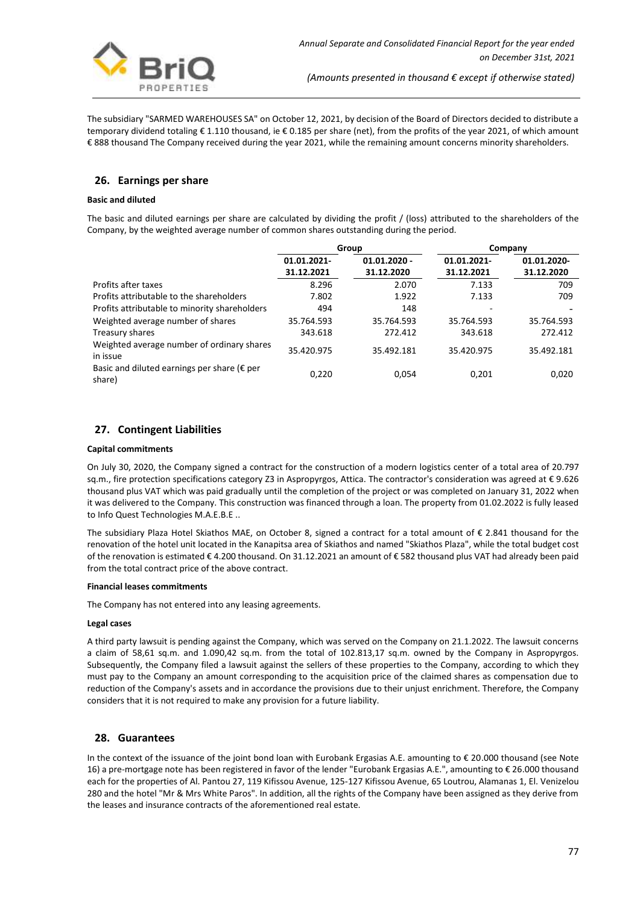

The subsidiary "SARMED WAREHOUSES SA" on October 12, 2021, by decision of the Board of Directors decided to distribute a temporary dividend totaling € 1.110 thousand, ie € 0.185 per share (net), from the profits of the year 2021, of which amount € 888 thousand The Company received during the year 2021, while the remaining amount concerns minority shareholders.

# **26. Earnings per share**

#### **Basic and diluted**

The basic and diluted earnings per share are calculated by dividing the profit / (loss) attributed to the shareholders of the Company, by the weighted average number of common shares outstanding during the period.

|                                                                 | Group       |                | Company     |             |
|-----------------------------------------------------------------|-------------|----------------|-------------|-------------|
|                                                                 | 01.01.2021- | $01.01.2020 -$ | 01.01.2021- | 01.01.2020- |
|                                                                 | 31.12.2021  | 31.12.2020     | 31.12.2021  | 31.12.2020  |
| Profits after taxes                                             | 8.296       | 2.070          | 7.133       | 709         |
| Profits attributable to the shareholders                        | 7.802       | 1.922          | 7.133       | 709         |
| Profits attributable to minority shareholders                   | 494         | 148            |             |             |
| Weighted average number of shares                               | 35.764.593  | 35.764.593     | 35.764.593  | 35.764.593  |
| Treasury shares                                                 | 343.618     | 272.412        | 343.618     | 272.412     |
| Weighted average number of ordinary shares<br>in issue          | 35.420.975  | 35.492.181     | 35.420.975  | 35.492.181  |
| Basic and diluted earnings per share ( $\epsilon$ per<br>share) | 0,220       | 0,054          | 0,201       | 0,020       |

# **27. Contingent Liabilities**

#### **Capital commitments**

On July 30, 2020, the Company signed a contract for the construction of a modern logistics center of a total area of 20.797 sq.m., fire protection specifications category Z3 in Aspropyrgos, Attica. The contractor's consideration was agreed at € 9.626 thousand plus VAT which was paid gradually until the completion of the project or was completed on January 31, 2022 when it was delivered to the Company. This construction was financed through a loan. The property from 01.02.2022 is fully leased to Info Quest Technologies M.A.E.B.E ..

The subsidiary Plaza Hotel Skiathos MAE, on October 8, signed a contract for a total amount of € 2.841 thousand for the renovation of the hotel unit located in the Kanapitsa area of Skiathos and named "Skiathos Plaza", while the total budget cost of the renovation is estimated € 4.200 thousand. On 31.12.2021 an amount of € 582 thousand plus VAT had already been paid from the total contract price of the above contract.

#### **Financial leases commitments**

The Company has not entered into any leasing agreements.

#### **Legal cases**

A third party lawsuit is pending against the Company, which was served on the Company on 21.1.2022. The lawsuit concerns a claim of 58,61 sq.m. and 1.090,42 sq.m. from the total of 102.813,17 sq.m. owned by the Company in Aspropyrgos. Subsequently, the Company filed a lawsuit against the sellers of these properties to the Company, according to which they must pay to the Company an amount corresponding to the acquisition price of the claimed shares as compensation due to reduction of the Company's assets and in accordance the provisions due to their unjust enrichment. Therefore, the Company considers that it is not required to make any provision for a future liability.

### **28. Guarantees**

In the context of the issuance of the joint bond loan with Eurobank Ergasias A.E. amounting to € 20.000 thousand (see Note 16) a pre-mortgage note has been registered in favor of the lender "Eurobank Ergasias A.E.", amounting to € 26.000 thousand each for the properties of Al. Pantou 27, 119 Kifissou Avenue, 125-127 Kifissou Avenue, 65 Loutrou, Alamanas 1, El. Venizelou 280 and the hotel "Mr & Mrs White Paros". In addition, all the rights of the Company have been assigned as they derive from the leases and insurance contracts of the aforementioned real estate.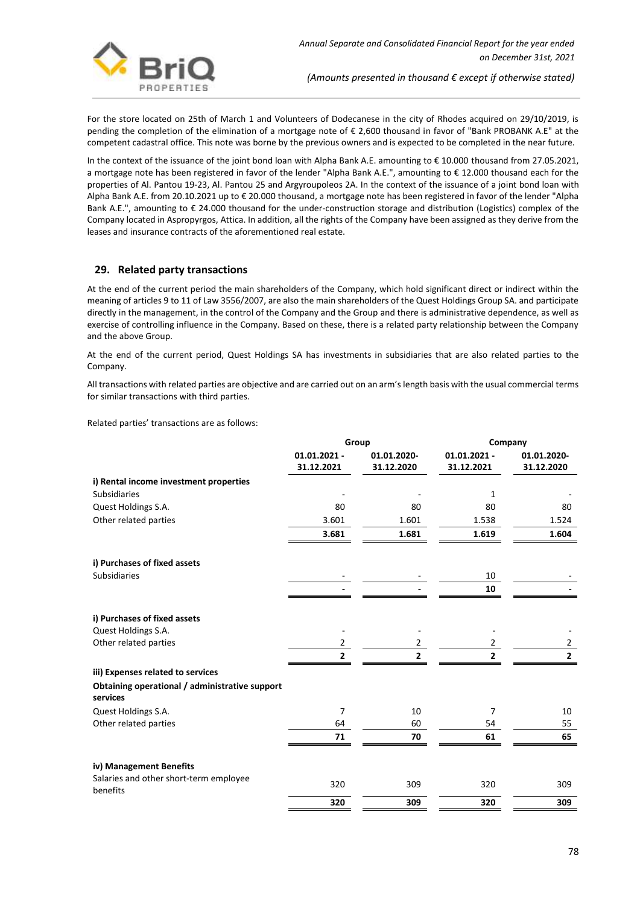

For the store located on 25th of March 1 and Volunteers of Dodecanese in the city of Rhodes acquired on 29/10/2019, is pending the completion of the elimination of a mortgage note of € 2,600 thousand in favor of "Bank PROBANK A.E" at the competent cadastral office. This note was borne by the previous owners and is expected to be completed in the near future.

In the context of the issuance of the joint bond loan with Alpha Bank A.E. amounting to € 10.000 thousand from 27.05.2021, a mortgage note has been registered in favor of the lender "Alpha Bank A.E.", amounting to € 12.000 thousand each for the properties of Al. Pantou 19-23, Al. Pantou 25 and Argyroupoleos 2A. In the context of the issuance of a joint bond loan with Alpha Bank A.E. from 20.10.2021 up to € 20.000 thousand, a mortgage note has been registered in favor of the lender "Alpha Bank A.E.", amounting to € 24.000 thousand for the under-construction storage and distribution (Logistics) complex of the Company located in Aspropyrgos, Attica. In addition, all the rights of the Company have been assigned as they derive from the leases and insurance contracts of the aforementioned real estate.

# **29. Related party transactions**

At the end of the current period the main shareholders of the Company, which hold significant direct or indirect within the meaning of articles 9 to 11 of Law 3556/2007, are also the main shareholders of the Quest Holdings Group SA. and participate directly in the management, in the control of the Company and the Group and there is administrative dependence, as well as exercise of controlling influence in the Company. Based on these, there is a related party relationship between the Company and the above Group.

At the end of the current period, Quest Holdings SA has investments in subsidiaries that are also related parties to the Company.

All transactions with related parties are objective and are carried out on an arm's length basis with the usual commercial terms for similar transactions with third parties.

Related parties' transactions are as follows:

|                                                            | Group                        |                           | Company                      |                           |
|------------------------------------------------------------|------------------------------|---------------------------|------------------------------|---------------------------|
|                                                            | $01.01.2021 -$<br>31.12.2021 | 01.01.2020-<br>31.12.2020 | $01.01.2021 -$<br>31.12.2021 | 01.01.2020-<br>31.12.2020 |
| i) Rental income investment properties                     |                              |                           |                              |                           |
| <b>Subsidiaries</b>                                        |                              |                           | 1                            |                           |
| Quest Holdings S.A.                                        | 80                           | 80                        | 80                           | 80                        |
| Other related parties                                      | 3.601                        | 1.601                     | 1.538                        | 1.524                     |
|                                                            | 3.681                        | 1.681                     | 1.619                        | 1.604                     |
| i) Purchases of fixed assets                               |                              |                           |                              |                           |
| <b>Subsidiaries</b>                                        |                              |                           | 10                           |                           |
|                                                            |                              |                           | 10                           |                           |
| i) Purchases of fixed assets                               |                              |                           |                              |                           |
| Quest Holdings S.A.                                        |                              |                           |                              |                           |
| Other related parties                                      | 2                            | 2                         | $\overline{2}$               | $\overline{2}$            |
|                                                            | $\overline{2}$               | $\overline{2}$            | $\overline{2}$               | $\overline{\mathbf{2}}$   |
| iii) Expenses related to services                          |                              |                           |                              |                           |
| Obtaining operational / administrative support<br>services |                              |                           |                              |                           |
| Quest Holdings S.A.                                        | 7                            | 10                        | 7                            | 10                        |
| Other related parties                                      | 64                           | 60                        | 54                           | 55                        |
|                                                            | 71                           | 70                        | 61                           | 65                        |
| iv) Management Benefits                                    |                              |                           |                              |                           |
| Salaries and other short-term employee<br>benefits         | 320                          | 309                       | 320                          | 309                       |
|                                                            | 320                          | 309                       | 320                          | 309                       |
|                                                            |                              |                           |                              |                           |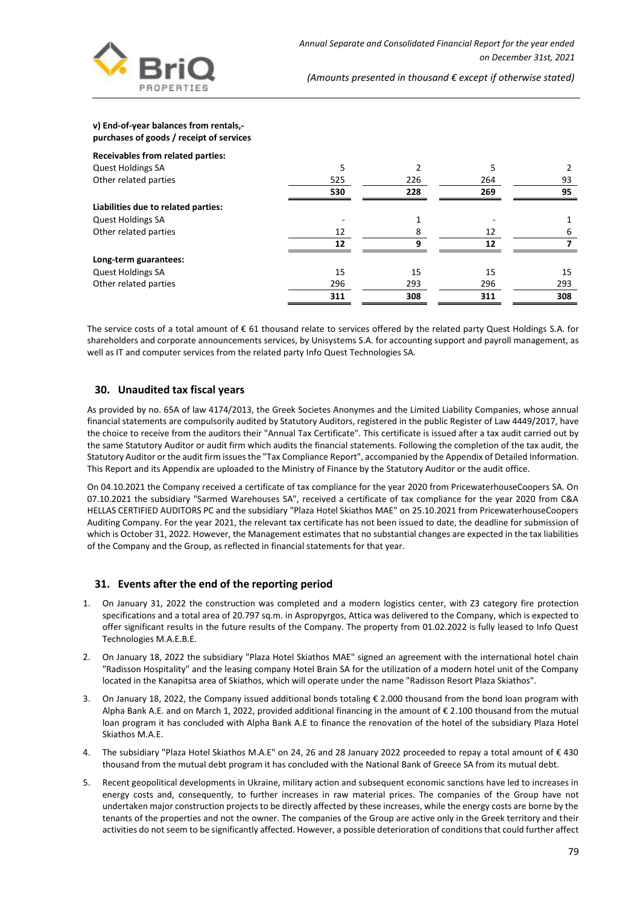

#### **v) End-of-year balances from rentals, purchases of goods / receipt of services**

| Receivables from related parties:   |     |          |     |     |
|-------------------------------------|-----|----------|-----|-----|
| <b>Quest Holdings SA</b>            | 5   |          |     |     |
| Other related parties               | 525 | 226      | 264 | 93  |
|                                     | 530 | 228      | 269 | 95  |
| Liabilities due to related parties: |     |          |     |     |
| <b>Quest Holdings SA</b>            |     |          |     |     |
| Other related parties               | 12  | 8        | 12  |     |
|                                     | 12  | $\Omega$ | 12  |     |
| Long-term guarantees:               |     |          |     |     |
| <b>Quest Holdings SA</b>            | 15  | 15       | 15  | 15  |
| Other related parties               | 296 | 293      | 296 | 293 |
|                                     | 311 | 308      | 311 | 308 |

The service costs of a total amount of € 61 thousand relate to services offered by the related party Quest Holdings S.A. for shareholders and corporate announcements services, by Unisystems S.A. for accounting support and payroll management, as well as IT and computer services from the related party Info Quest Technologies SA.

### **30. Unaudited tax fiscal years**

As provided by no. 65A of law 4174/2013, the Greek Societes Anonymes and the Limited Liability Companies, whose annual financial statements are compulsorily audited by Statutory Auditors, registered in the public Register of Law 4449/2017, have the choice to receive from the auditors their "Annual Tax Certificate". This certificate is issued after a tax audit carried out by the same Statutory Auditor or audit firm which audits the financial statements. Following the completion of the tax audit, the Statutory Auditor or the audit firm issues the "Tax Compliance Report", accompanied by the Appendix of Detailed Information. This Report and its Appendix are uploaded to the Ministry of Finance by the Statutory Auditor or the audit office.

On 04.10.2021 the Company received a certificate of tax compliance for the year 2020 from PricewaterhouseCoopers SA. On 07.10.2021 the subsidiary "Sarmed Warehouses SA", received a certificate of tax compliance for the year 2020 from C&A HELLAS CERTIFIED AUDITORS PC and the subsidiary "Plaza Hotel Skiathos MAE" on 25.10.2021 from PricewaterhouseCoopers Auditing Company. For the year 2021, the relevant tax certificate has not been issued to date, the deadline for submission of which is October 31, 2022. However, the Management estimates that no substantial changes are expected in the tax liabilities of the Company and the Group, as reflected in financial statements for that year.

# **31. Events after the end of the reporting period**

- 1. On January 31, 2022 the construction was completed and a modern logistics center, with Z3 category fire protection specifications and a total area of 20.797 sq.m. in Aspropyrgos, Attica was delivered to the Company, which is expected to offer significant results in the future results of the Company. The property from 01.02.2022 is fully leased to Info Quest Technologies M.A.E.B.E.
- 2. On January 18, 2022 the subsidiary "Plaza Hotel Skiathos MAE" signed an agreement with the international hotel chain "Radisson Hospitality" and the leasing company Hotel Brain SA for the utilization of a modern hotel unit of the Company located in the Kanapitsa area of Skiathos, which will operate under the name "Radisson Resort Plaza Skiathos".
- 3. On January 18, 2022, the Company issued additional bonds totaling € 2.000 thousand from the bond loan program with Alpha Bank A.E. and on March 1, 2022, provided additional financing in the amount of € 2.100 thousand from the mutual loan program it has concluded with Alpha Bank A.E to finance the renovation of the hotel of the subsidiary Plaza Hotel Skiathos M.A.E.
- 4. The subsidiary "Plaza Hotel Skiathos M.A.E" on 24, 26 and 28 January 2022 proceeded to repay a total amount of € 430 thousand from the mutual debt program it has concluded with the National Bank of Greece SA from its mutual debt.
- 5. Recent geopolitical developments in Ukraine, military action and subsequent economic sanctions have led to increases in energy costs and, consequently, to further increases in raw material prices. The companies of the Group have not undertaken major construction projects to be directly affected by these increases, while the energy costs are borne by the tenants of the properties and not the owner. The companies of the Group are active only in the Greek territory and their activities do not seem to be significantly affected. However, a possible deterioration of conditions that could further affect